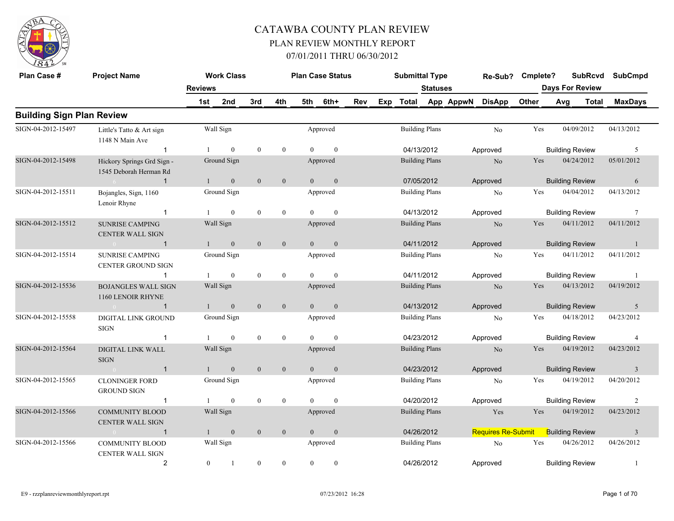

| Plan Case #                      | <b>Project Name</b>                                  |                | <b>Work Class</b> |                  |                  |                | <b>Plan Case Status</b> |     | <b>Submittal Type</b> |                 |           | Re-Sub?            | Cmplete? |                        | <b>SubRcvd</b> | <b>SubCmpd</b>  |
|----------------------------------|------------------------------------------------------|----------------|-------------------|------------------|------------------|----------------|-------------------------|-----|-----------------------|-----------------|-----------|--------------------|----------|------------------------|----------------|-----------------|
|                                  |                                                      | <b>Reviews</b> |                   |                  |                  |                |                         |     |                       | <b>Statuses</b> |           |                    |          | <b>Days For Review</b> |                |                 |
|                                  |                                                      | 1st            | 2nd               | 3rd              | 4th              | 5th            | 6th+                    | Rev | Exp Total             |                 | App AppwN | <b>DisApp</b>      | Other    | Avg                    | Total          | <b>MaxDays</b>  |
| <b>Building Sign Plan Review</b> |                                                      |                |                   |                  |                  |                |                         |     |                       |                 |           |                    |          |                        |                |                 |
| SIGN-04-2012-15497               | Little's Tatto & Art sign<br>1148 N Main Ave         |                | Wall Sign         |                  |                  |                | Approved                |     | <b>Building Plans</b> |                 |           | No                 | Yes      | 04/09/2012             |                | 04/13/2012      |
|                                  | $\overline{1}$                                       | $\mathbf{1}$   | $\mathbf{0}$      | $\mathbf{0}$     | $\overline{0}$   | $\Omega$       | $\mathbf{0}$            |     | 04/13/2012            |                 |           | Approved           |          | <b>Building Review</b> |                | 5               |
| SIGN-04-2012-15498               | Hickory Springs Grd Sign -<br>1545 Deborah Herman Rd |                | Ground Sign       |                  |                  |                | Approved                |     | <b>Building Plans</b> |                 |           | No                 | Yes      | 04/24/2012             |                | 05/01/2012      |
|                                  | $\overline{1}$<br>$6 - 6$                            | $\mathbf{1}$   | $\mathbf{0}$      | $\mathbf{0}$     | $\overline{0}$   | $\theta$       | $\mathbf{0}$            |     | 07/05/2012            |                 |           | Approved           |          | <b>Building Review</b> |                | 6               |
| SIGN-04-2012-15511               | Bojangles, Sign, 1160<br>Lenoir Rhyne                |                | Ground Sign       |                  |                  |                | Approved                |     | <b>Building Plans</b> |                 |           | No                 | Yes      | 04/04/2012             |                | 04/13/2012      |
|                                  | $\overline{1}$                                       |                | $\mathbf{0}$      | $\mathbf{0}$     | $\mathbf{0}$     | $\Omega$       | $\mathbf{0}$            |     | 04/13/2012            |                 |           | Approved           |          | <b>Building Review</b> |                | $7\phantom{.0}$ |
| SIGN-04-2012-15512               | <b>SUNRISE CAMPING</b><br><b>CENTER WALL SIGN</b>    |                | Wall Sign         |                  |                  |                | Approved                |     | <b>Building Plans</b> |                 |           | N <sub>o</sub>     | Yes      | 04/11/2012             |                | 04/11/2012      |
|                                  | $\mathbf{1}$<br>$\sim$ 0 $\sim$                      | $\mathbf{1}$   | $\mathbf{0}$      | $\overline{0}$   | $\mathbf{0}$     | $\theta$       | $\boldsymbol{0}$        |     | 04/11/2012            |                 |           | Approved           |          | <b>Building Review</b> |                | -1              |
| SIGN-04-2012-15514               | <b>SUNRISE CAMPING</b><br><b>CENTER GROUND SIGN</b>  |                | Ground Sign       |                  |                  |                | Approved                |     | <b>Building Plans</b> |                 |           | No                 | Yes      | 04/11/2012             |                | 04/11/2012      |
|                                  | $\mathbf 1$                                          |                | $\mathbf{0}$      | $\mathbf{0}$     | $\mathbf{0}$     | $\Omega$       | $\mathbf{0}$            |     | 04/11/2012            |                 |           | Approved           |          | <b>Building Review</b> |                | -1              |
| SIGN-04-2012-15536               | <b>BOJANGLES WALL SIGN</b><br>1160 LENOIR RHYNE      |                | Wall Sign         |                  |                  |                | Approved                |     | <b>Building Plans</b> |                 |           | No                 | Yes      | 04/13/2012             |                | 04/19/2012      |
|                                  | $\overline{1}$<br>$\sqrt{0}$                         |                | $\mathbf{0}$      | $\mathbf{0}$     | $\mathbf{0}$     | $\theta$       | $\mathbf{0}$            |     | 04/13/2012            |                 |           | Approved           |          | <b>Building Review</b> |                | 5               |
| SIGN-04-2012-15558               | <b>DIGITAL LINK GROUND</b><br><b>SIGN</b>            |                | Ground Sign       |                  |                  |                | Approved                |     | <b>Building Plans</b> |                 |           | No                 | Yes      | 04/18/2012             |                | 04/23/2012      |
|                                  | $\overline{1}$                                       |                | $\mathbf{0}$      | $\mathbf{0}$     | $\mathbf{0}$     | $\Omega$       | $\mathbf{0}$            |     | 04/23/2012            |                 |           | Approved           |          | <b>Building Review</b> |                | $\overline{4}$  |
| SIGN-04-2012-15564               | DIGITAL LINK WALL<br><b>SIGN</b>                     |                | Wall Sign         |                  |                  |                | Approved                |     | <b>Building Plans</b> |                 |           | N <sub>o</sub>     | Yes      | 04/19/2012             |                | 04/23/2012      |
|                                  | $\overline{1}$<br>$\sim 0$                           | $\mathbf{1}$   | $\mathbf{0}$      | $\mathbf{0}$     | $\mathbf{0}$     | $\overline{0}$ | $\mathbf{0}$            |     | 04/23/2012            |                 |           | Approved           |          | <b>Building Review</b> |                | $\overline{3}$  |
| SIGN-04-2012-15565               | <b>CLONINGER FORD</b><br><b>GROUND SIGN</b>          |                | Ground Sign       |                  |                  |                | Approved                |     | <b>Building Plans</b> |                 |           | No                 | Yes      | 04/19/2012             |                | 04/20/2012      |
|                                  | $\overline{1}$                                       |                | $\mathbf{0}$      | $\mathbf{0}$     | $\overline{0}$   | $\Omega$       | $\mathbf{0}$            |     | 04/20/2012            |                 |           | Approved           |          | <b>Building Review</b> |                | $\overline{c}$  |
| SIGN-04-2012-15566               | <b>COMMUNITY BLOOD</b><br><b>CENTER WALL SIGN</b>    |                | Wall Sign         |                  |                  |                | Approved                |     | <b>Building Plans</b> |                 |           | Yes                | Yes      | 04/19/2012             |                | 04/23/2012      |
|                                  | $\overline{1}$<br>$\sim 0$ and $\sim 0.000$          |                | $\mathbf{0}$      | $\mathbf{0}$     | $\overline{0}$   | $\theta$       | $\mathbf{0}$            |     | 04/26/2012            |                 |           | Requires Re-Submit |          | <b>Building Review</b> |                | $\overline{3}$  |
| SIGN-04-2012-15566               | <b>COMMUNITY BLOOD</b><br><b>CENTER WALL SIGN</b>    |                | Wall Sign         |                  |                  |                | Approved                |     | <b>Building Plans</b> |                 |           | No                 | Yes      | 04/26/2012             |                | 04/26/2012      |
|                                  | $\overline{2}$                                       | $\overline{0}$ | 1                 | $\boldsymbol{0}$ | $\boldsymbol{0}$ | $\overline{0}$ | $\boldsymbol{0}$        |     | 04/26/2012            |                 |           | Approved           |          | <b>Building Review</b> |                | -1              |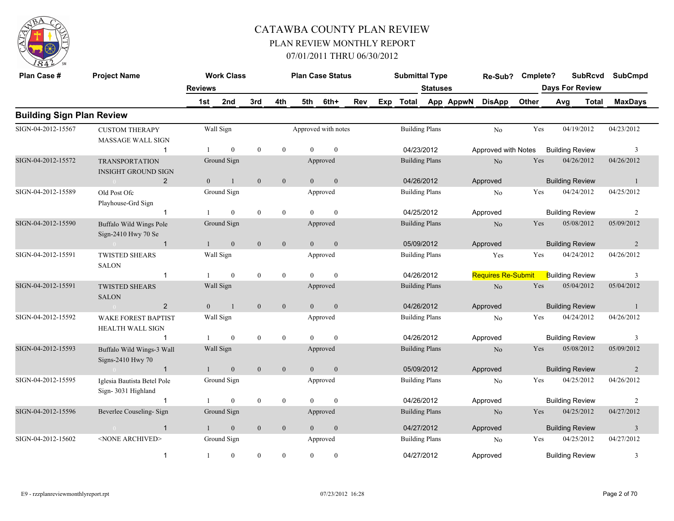

| Plan Case #                      | <b>Project Name</b>                                 |                | <b>Work Class</b> |                  |                  |                | <b>Plan Case Status</b> |     |     | <b>Submittal Type</b> |                 |           | Re-Sub?                   | Cmplete? |                        | <b>SubRcvd</b> | <b>SubCmpd</b> |
|----------------------------------|-----------------------------------------------------|----------------|-------------------|------------------|------------------|----------------|-------------------------|-----|-----|-----------------------|-----------------|-----------|---------------------------|----------|------------------------|----------------|----------------|
|                                  |                                                     | <b>Reviews</b> |                   |                  |                  |                |                         |     |     |                       | <b>Statuses</b> |           |                           |          | <b>Days For Review</b> |                |                |
|                                  |                                                     | 1st            | 2nd               | 3rd              | 4th              | 5th            | 6th+                    | Rev | Exp | Total                 |                 | App AppwN | <b>DisApp</b>             | Other    | Avg                    | <b>Total</b>   | <b>MaxDays</b> |
| <b>Building Sign Plan Review</b> |                                                     |                |                   |                  |                  |                |                         |     |     |                       |                 |           |                           |          |                        |                |                |
| SIGN-04-2012-15567               | <b>CUSTOM THERAPY</b><br>MASSAGE WALL SIGN          |                | Wall Sign         |                  |                  |                | Approved with notes     |     |     | <b>Building Plans</b> |                 |           | No                        | Yes      | 04/19/2012             |                | 04/23/2012     |
|                                  | $\mathbf 1$                                         |                | $\overline{0}$    | $\mathbf{0}$     | $\mathbf{0}$     | $\Omega$       | $\mathbf{0}$            |     |     | 04/23/2012            |                 |           | Approved with Notes       |          | <b>Building Review</b> |                | 3              |
| SIGN-04-2012-15572               | <b>TRANSPORTATION</b><br><b>INSIGHT GROUND SIGN</b> |                | Ground Sign       |                  |                  |                | Approved                |     |     | <b>Building Plans</b> |                 |           | N <sub>o</sub>            | Yes      | 04/26/2012             |                | 04/26/2012     |
|                                  | 2                                                   | $\Omega$       | $\mathbf{1}$      | $\mathbf{0}$     | $\mathbf{0}$     | $\overline{0}$ | $\mathbf{0}$            |     |     | 04/26/2012            |                 |           | Approved                  |          | <b>Building Review</b> |                | $\overline{1}$ |
| SIGN-04-2012-15589               | Old Post Ofc<br>Playhouse-Grd Sign                  |                | Ground Sign       |                  |                  |                | Approved                |     |     | <b>Building Plans</b> |                 |           | No                        | Yes      | 04/24/2012             |                | 04/25/2012     |
|                                  | -1                                                  |                | $\theta$          | $\mathbf{0}$     | $\mathbf{0}$     | $\Omega$       | $\theta$                |     |     | 04/25/2012            |                 |           | Approved                  |          | <b>Building Review</b> |                | $\overline{c}$ |
| SIGN-04-2012-15590               | Buffalo Wild Wings Pole<br>Sign-2410 Hwy 70 Se      |                | Ground Sign       |                  |                  |                | Approved                |     |     | <b>Building Plans</b> |                 |           | No                        | Yes      | 05/08/2012             |                | 05/09/2012     |
|                                  | $\overline{1}$                                      |                | $\mathbf{0}$      | $\mathbf{0}$     | $\boldsymbol{0}$ | $\overline{0}$ | $\mathbf{0}$            |     |     | 05/09/2012            |                 |           | Approved                  |          | <b>Building Review</b> |                | $\overline{2}$ |
| SIGN-04-2012-15591               | <b>TWISTED SHEARS</b><br><b>SALON</b>               |                | Wall Sign         |                  |                  |                | Approved                |     |     | <b>Building Plans</b> |                 |           | Yes                       | Yes      | 04/24/2012             |                | 04/26/2012     |
|                                  | $\mathbf{1}$                                        | -1             | $\overline{0}$    | $\boldsymbol{0}$ | $\mathbf{0}$     | $\theta$       | $\mathbf{0}$            |     |     | 04/26/2012            |                 |           | <b>Requires Re-Submit</b> |          | <b>Building Review</b> |                | 3              |
| SIGN-04-2012-15591               | <b>TWISTED SHEARS</b><br><b>SALON</b>               |                | Wall Sign         |                  |                  |                | Approved                |     |     | <b>Building Plans</b> |                 |           | $\rm No$                  | Yes      | 05/04/2012             |                | 05/04/2012     |
|                                  | 2<br>$\bigcap$                                      | $\mathbf{0}$   | $\overline{1}$    | $\mathbf{0}$     | $\mathbf{0}$     | $\theta$       | $\mathbf{0}$            |     |     | 04/26/2012            |                 |           | Approved                  |          | <b>Building Review</b> |                | $\overline{1}$ |
| SIGN-04-2012-15592               | <b>WAKE FOREST BAPTIST</b><br>HEALTH WALL SIGN      |                | Wall Sign         |                  |                  |                | Approved                |     |     | <b>Building Plans</b> |                 |           | N <sub>0</sub>            | Yes      | 04/24/2012             |                | 04/26/2012     |
|                                  | $\mathbf 1$                                         | -1             | $\overline{0}$    | $\bf{0}$         | $\mathbf{0}$     | $\Omega$       | $\mathbf{0}$            |     |     | 04/26/2012            |                 |           | Approved                  |          | <b>Building Review</b> |                | 3              |
| SIGN-04-2012-15593               | Buffalo Wild Wings-3 Wall<br>Signs-2410 Hwy 70      |                | Wall Sign         |                  |                  |                | Approved                |     |     | <b>Building Plans</b> |                 |           | No                        | Yes      | 05/08/2012             |                | 05/09/2012     |
|                                  | $\overline{1}$                                      |                | $\overline{0}$    | $\mathbf{0}$     | $\mathbf{0}$     | $\overline{0}$ | $\mathbf{0}$            |     |     | 05/09/2012            |                 |           | Approved                  |          | <b>Building Review</b> |                | $\overline{2}$ |
| SIGN-04-2012-15595               | Iglesia Bautista Betel Pole<br>Sign-3031 Highland   |                | Ground Sign       |                  |                  |                | Approved                |     |     | <b>Building Plans</b> |                 |           | No                        | Yes      | 04/25/2012             |                | 04/26/2012     |
|                                  | $\overline{1}$                                      |                | $\overline{0}$    | $\mathbf{0}$     | $\mathbf{0}$     | $\Omega$       | $\mathbf{0}$            |     |     | 04/26/2012            |                 |           | Approved                  |          | <b>Building Review</b> |                | $\overline{c}$ |
| SIGN-04-2012-15596               | Beverlee Couseling-Sign                             |                | Ground Sign       |                  |                  |                | Approved                |     |     | <b>Building Plans</b> |                 |           | N <sub>o</sub>            | Yes      | 04/25/2012             |                | 04/27/2012     |
|                                  | $\overline{1}$<br>$\overline{0}$                    | $\oplus$       | $\mathbf{0}$      | $\mathbf{0}$     | $\mathbf{0}$     | $\overline{0}$ | $\boldsymbol{0}$        |     |     | 04/27/2012            |                 |           | Approved                  |          | <b>Building Review</b> |                | $\mathfrak{Z}$ |
| SIGN-04-2012-15602               | <none archived=""></none>                           |                | Ground Sign       |                  |                  |                | Approved                |     |     | <b>Building Plans</b> |                 |           | N <sub>0</sub>            | Yes      | 04/25/2012             |                | 04/27/2012     |
|                                  | $\overline{1}$                                      | $\mathbf{1}$   | $\overline{0}$    | $\mathbf{0}$     | $\mathbf{0}$     | $\theta$       | $\mathbf{0}$            |     |     | 04/27/2012            |                 |           | Approved                  |          | <b>Building Review</b> |                | 3              |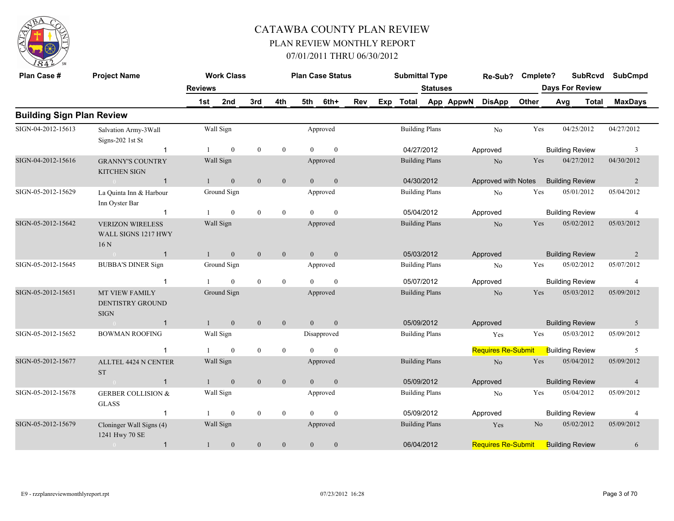

| Plan Case #                      | <b>Project Name</b>                                               |                | <b>Work Class</b> |                  |                  |                | <b>Plan Case Status</b> |     |     | <b>Submittal Type</b> |                       |           | Re-Sub?                   | Cmplete?       |     | <b>SubRcvd</b>         | <b>SubCmpd</b> |
|----------------------------------|-------------------------------------------------------------------|----------------|-------------------|------------------|------------------|----------------|-------------------------|-----|-----|-----------------------|-----------------------|-----------|---------------------------|----------------|-----|------------------------|----------------|
|                                  |                                                                   | <b>Reviews</b> |                   |                  |                  |                |                         |     |     |                       | <b>Statuses</b>       |           |                           |                |     | <b>Days For Review</b> |                |
|                                  |                                                                   | 1st            | 2nd               | 3rd              | 4th              | 5th            | 6th+                    | Rev | Exp | <b>Total</b>          |                       | App AppwN | <b>DisApp</b>             | Other          | Avg | <b>Total</b>           | <b>MaxDays</b> |
| <b>Building Sign Plan Review</b> |                                                                   |                |                   |                  |                  |                |                         |     |     |                       |                       |           |                           |                |     |                        |                |
| SIGN-04-2012-15613               | Salvation Army-3Wall<br>Signs-202 1st St                          |                | Wall Sign         |                  |                  |                | Approved                |     |     |                       | <b>Building Plans</b> |           | N <sub>o</sub>            | Yes            |     | 04/25/2012             | 04/27/2012     |
|                                  | $\mathbf 1$                                                       |                | $\boldsymbol{0}$  | $\boldsymbol{0}$ | $\boldsymbol{0}$ | $\Omega$       | $\mathbf{0}$            |     |     | 04/27/2012            |                       |           | Approved                  |                |     | <b>Building Review</b> | 3              |
| SIGN-04-2012-15616               | <b>GRANNY'S COUNTRY</b><br><b>KITCHEN SIGN</b>                    |                | Wall Sign         |                  |                  |                | Approved                |     |     |                       | <b>Building Plans</b> |           | N <sub>o</sub>            | Yes            |     | 04/27/2012             | 04/30/2012     |
|                                  | $\bigcirc$<br>$\overline{1}$                                      |                | $\overline{0}$    | $\mathbf{0}$     | $\mathbf{0}$     | $\theta$       | $\mathbf{0}$            |     |     | 04/30/2012            |                       |           | Approved with Notes       |                |     | <b>Building Review</b> | 2              |
| SIGN-05-2012-15629               | La Quinta Inn & Harbour<br>Inn Oyster Bar                         |                | Ground Sign       |                  |                  |                | Approved                |     |     |                       | <b>Building Plans</b> |           | N <sub>0</sub>            | Yes            |     | 05/01/2012             | 05/04/2012     |
|                                  | $\overline{1}$                                                    |                | $\overline{0}$    | $\mathbf{0}$     | $\overline{0}$   | $\theta$       | $\mathbf{0}$            |     |     | 05/04/2012            |                       |           | Approved                  |                |     | <b>Building Review</b> | $\overline{4}$ |
| SIGN-05-2012-15642               | <b>VERIZON WIRELESS</b><br>WALL SIGNS 1217 HWY<br>16 <sub>N</sub> |                | Wall Sign         |                  |                  |                | Approved                |     |     |                       | <b>Building Plans</b> |           | N <sub>o</sub>            | Yes            |     | 05/02/2012             | 05/03/2012     |
|                                  | $\overline{1}$                                                    |                | $\boldsymbol{0}$  | $\boldsymbol{0}$ | $\mathbf{0}$     | $\overline{0}$ | $\mathbf{0}$            |     |     |                       | 05/03/2012            |           | Approved                  |                |     | <b>Building Review</b> | 2              |
| SIGN-05-2012-15645               | <b>BUBBA'S DINER Sign</b>                                         |                | Ground Sign       |                  |                  |                | Approved                |     |     |                       | <b>Building Plans</b> |           | N <sub>o</sub>            | Yes            |     | 05/02/2012             | 05/07/2012     |
|                                  | -1                                                                |                | $\theta$          | $\mathbf{0}$     | $\mathbf{0}$     | $\Omega$       | $\theta$                |     |     |                       | 05/07/2012            |           | Approved                  |                |     | <b>Building Review</b> | $\overline{4}$ |
| SIGN-05-2012-15651               | <b>MT VIEW FAMILY</b><br><b>DENTISTRY GROUND</b><br><b>SIGN</b>   |                | Ground Sign       |                  |                  |                | Approved                |     |     |                       | <b>Building Plans</b> |           | N <sub>o</sub>            | Yes            |     | 05/03/2012             | 05/09/2012     |
|                                  | $\mathbf{1}$                                                      |                | $\mathbf{0}$      | $\mathbf{0}$     | $\mathbf{0}$     | $\Omega$       | $\mathbf{0}$            |     |     | 05/09/2012            |                       |           | Approved                  |                |     | <b>Building Review</b> | 5              |
| SIGN-05-2012-15652               | <b>BOWMAN ROOFING</b>                                             |                | Wall Sign         |                  |                  |                | Disapproved             |     |     |                       | <b>Building Plans</b> |           | Yes                       | Yes            |     | 05/03/2012             | 05/09/2012     |
|                                  | -1                                                                |                | $\mathbf{0}$      | $\boldsymbol{0}$ | $\bf{0}$         | $\theta$       | $\mathbf{0}$            |     |     |                       |                       |           | <b>Requires Re-Submit</b> |                |     | <b>Building Review</b> | 5              |
| SIGN-05-2012-15677               | ALLTEL 4424 N CENTER<br><b>ST</b>                                 |                | Wall Sign         |                  |                  |                | Approved                |     |     |                       | <b>Building Plans</b> |           | No                        | Yes            |     | 05/04/2012             | 05/09/2012     |
|                                  | $\overline{1}$<br>$\bigcap$                                       |                | $\mathbf{0}$      | $\mathbf{0}$     | $\mathbf{0}$     | $\Omega$       | $\mathbf{0}$            |     |     |                       | 05/09/2012            |           | Approved                  |                |     | <b>Building Review</b> | $\overline{4}$ |
| SIGN-05-2012-15678               | <b>GERBER COLLISION &amp;</b><br><b>GLASS</b>                     |                | Wall Sign         |                  |                  |                | Approved                |     |     |                       | <b>Building Plans</b> |           | No                        | Yes            |     | 05/04/2012             | 05/09/2012     |
|                                  | -1                                                                |                | $\mathbf{0}$      | $\boldsymbol{0}$ | $\bf{0}$         | $\Omega$       | $\theta$                |     |     | 05/09/2012            |                       |           | Approved                  |                |     | <b>Building Review</b> | $\overline{4}$ |
| SIGN-05-2012-15679               | Cloninger Wall Signs (4)<br>1241 Hwy 70 SE                        |                | Wall Sign         |                  |                  |                | Approved                |     |     |                       | <b>Building Plans</b> |           | Yes                       | N <sub>o</sub> |     | 05/02/2012             | 05/09/2012     |
|                                  | $\overline{1}$<br>$\sim$ 0                                        |                | $\boldsymbol{0}$  | $\boldsymbol{0}$ | $\boldsymbol{0}$ | $\mathbf{0}$   | $\boldsymbol{0}$        |     |     |                       | 06/04/2012            |           | <b>Requires Re-Submit</b> |                |     | <b>Building Review</b> | 6              |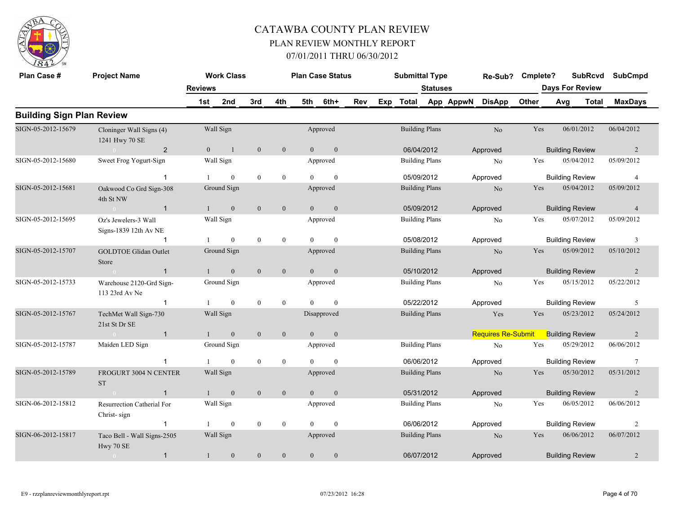

| Plan Case #                      | <b>Project Name</b>                           | <b>Reviews</b> | <b>Work Class</b> |                  |                |                | <b>Plan Case Status</b> |     |     | <b>Submittal Type</b> | Statuses |           | Re-Sub?                   | Cmplete? |     | <b>SubRcvd</b><br><b>Days For Review</b> | <b>SubCmpd</b> |
|----------------------------------|-----------------------------------------------|----------------|-------------------|------------------|----------------|----------------|-------------------------|-----|-----|-----------------------|----------|-----------|---------------------------|----------|-----|------------------------------------------|----------------|
|                                  |                                               | 1st            | 2nd               | 3rd              | 4th            | 5th            | 6th+                    | Rev | Exp | Total                 |          | App AppwN | <b>DisApp</b>             | Other    | Avg | <b>Total</b>                             | <b>MaxDays</b> |
| <b>Building Sign Plan Review</b> |                                               |                |                   |                  |                |                |                         |     |     |                       |          |           |                           |          |     |                                          |                |
| SIGN-05-2012-15679               | Cloninger Wall Signs (4)<br>1241 Hwy 70 SE    |                | Wall Sign         |                  |                |                | Approved                |     |     | <b>Building Plans</b> |          |           | No                        | Yes      |     | 06/01/2012                               | 06/04/2012     |
|                                  | 2                                             | $\mathbf{0}$   | $\overline{1}$    | $\overline{0}$   | $\overline{0}$ | $\overline{0}$ | $\overline{0}$          |     |     | 06/04/2012            |          |           | Approved                  |          |     | <b>Building Review</b>                   | $\overline{2}$ |
| SIGN-05-2012-15680               | Sweet Frog Yogurt-Sign                        |                | Wall Sign         |                  |                |                | Approved                |     |     | <b>Building Plans</b> |          |           | No                        | Yes      |     | 05/04/2012                               | 05/09/2012     |
|                                  | -1                                            |                | $\theta$          | $\mathbf{0}$     | $\mathbf{0}$   | $\Omega$       | $\Omega$                |     |     | 05/09/2012            |          |           | Approved                  |          |     | <b>Building Review</b>                   | $\overline{4}$ |
| SIGN-05-2012-15681               | Oakwood Co Grd Sign-308<br>4th St NW          |                | Ground Sign       |                  |                |                | Approved                |     |     | <b>Building Plans</b> |          |           | No                        | Yes      |     | 05/04/2012                               | 05/09/2012     |
|                                  | $\sim 0$<br>$\overline{1}$                    | 1              | $\mathbf{0}$      | $\mathbf{0}$     | $\mathbf{0}$   | $\overline{0}$ | $\mathbf{0}$            |     |     | 05/09/2012            |          |           | Approved                  |          |     | <b>Building Review</b>                   | $\overline{4}$ |
| SIGN-05-2012-15695               | Oz's Jewelers-3 Wall<br>Signs-1839 12th Av NE |                | Wall Sign         |                  |                |                | Approved                |     |     | <b>Building Plans</b> |          |           | N <sub>0</sub>            | Yes      |     | 05/07/2012                               | 05/09/2012     |
|                                  | -1                                            |                | $\mathbf{0}$      | $\mathbf{0}$     | $\mathbf{0}$   | $\Omega$       | $\theta$                |     |     | 05/08/2012            |          |           | Approved                  |          |     | <b>Building Review</b>                   | $\mathfrak{Z}$ |
| SIGN-05-2012-15707               | <b>GOLDTOE Glidan Outlet</b><br>Store         |                | Ground Sign       |                  |                |                | Approved                |     |     | <b>Building Plans</b> |          |           | No                        | Yes      |     | 05/09/2012                               | 05/10/2012     |
|                                  | $\overline{1}$<br>$\sim 0$                    | $\mathbf{1}$   | $\mathbf{0}$      | $\mathbf{0}$     | $\mathbf{0}$   | $\overline{0}$ | $\mathbf{0}$            |     |     | 05/10/2012            |          |           | Approved                  |          |     | <b>Building Review</b>                   | 2              |
| SIGN-05-2012-15733               | Warehouse 2120-Grd Sign-<br>113 23rd Av Ne    |                | Ground Sign       |                  |                |                | Approved                |     |     | <b>Building Plans</b> |          |           | No                        | Yes      |     | 05/15/2012                               | 05/22/2012     |
|                                  | -1                                            |                | $\theta$          | $\mathbf{0}$     | $\mathbf{0}$   | $\Omega$       | $\theta$                |     |     | 05/22/2012            |          |           | Approved                  |          |     | <b>Building Review</b>                   | 5              |
| SIGN-05-2012-15767               | TechMet Wall Sign-730<br>21st St Dr SE        |                | Wall Sign         |                  |                |                | Disapproved             |     |     | <b>Building Plans</b> |          |           | Yes                       | Yes      |     | 05/23/2012                               | 05/24/2012     |
|                                  | $\sim 0$<br>$\overline{1}$                    | $\mathbf{1}$   | $\mathbf{0}$      | $\mathbf{0}$     | $\mathbf{0}$   | $\overline{0}$ | $\mathbf{0}$            |     |     |                       |          |           | <b>Requires Re-Submit</b> |          |     | <b>Building Review</b>                   | $\overline{2}$ |
| SIGN-05-2012-15787               | Maiden LED Sign                               |                | Ground Sign       |                  |                |                | Approved                |     |     | <b>Building Plans</b> |          |           | N <sub>0</sub>            | Yes      |     | 05/29/2012                               | 06/06/2012     |
|                                  |                                               |                | $\mathbf{0}$      | $\boldsymbol{0}$ | $\mathbf{0}$   |                | $\mathbf{0}$            |     |     | 06/06/2012            |          |           | Approved                  |          |     | <b>Building Review</b>                   | $\tau$         |
| SIGN-05-2012-15789               | <b>FROGURT 3004 N CENTER</b><br><b>ST</b>     |                | Wall Sign         |                  |                |                | Approved                |     |     | <b>Building Plans</b> |          |           | N <sub>o</sub>            | Yes      |     | 05/30/2012                               | 05/31/2012     |
|                                  | $\mathbf{1}$                                  | $\mathbf{1}$   | $\mathbf{0}$      | $\mathbf{0}$     | $\mathbf{0}$   | $\theta$       | $\mathbf{0}$            |     |     | 05/31/2012            |          |           | Approved                  |          |     | <b>Building Review</b>                   | 2              |
| SIGN-06-2012-15812               | Resurrection Catherial For<br>Christ-sign     |                | Wall Sign         |                  |                |                | Approved                |     |     | <b>Building Plans</b> |          |           | No                        | Yes      |     | 06/05/2012                               | 06/06/2012     |
|                                  | $\overline{1}$                                | 1              | $\mathbf{0}$      | $\mathbf{0}$     | $\mathbf{0}$   | $\Omega$       | $\theta$                |     |     | 06/06/2012            |          |           | Approved                  |          |     | <b>Building Review</b>                   | 2              |
| SIGN-06-2012-15817               | Taco Bell - Wall Signs-2505<br>Hwy 70 SE      |                | Wall Sign         |                  |                |                | Approved                |     |     | <b>Building Plans</b> |          |           | N <sub>o</sub>            | Yes      |     | 06/06/2012                               | 06/07/2012     |
|                                  | $\mathbf{1}$<br>$\bigcirc$                    |                | $\mathbf{0}$      | $\mathbf{0}$     | $\mathbf{0}$   | $\Omega$       | $\theta$                |     |     | 06/07/2012            |          |           | Approved                  |          |     | <b>Building Review</b>                   | $\overline{2}$ |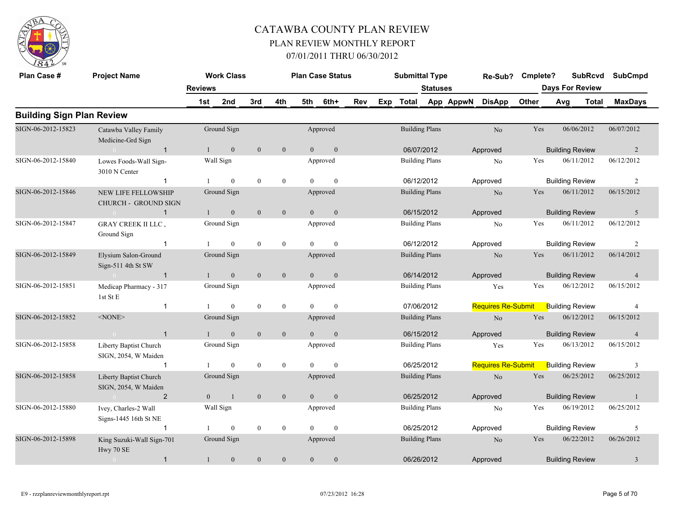

| Plan Case #                      | <b>Project Name</b>                                       |                | <b>Work Class</b> |                |              |                | <b>Plan Case Status</b> |            |     | <b>Submittal Type</b> |                       |           | Re-Sub?                   | Cmplete? |                        | <b>SubRcvd</b> | <b>SubCmpd</b> |
|----------------------------------|-----------------------------------------------------------|----------------|-------------------|----------------|--------------|----------------|-------------------------|------------|-----|-----------------------|-----------------------|-----------|---------------------------|----------|------------------------|----------------|----------------|
|                                  |                                                           | <b>Reviews</b> |                   |                |              |                |                         |            |     |                       | <b>Statuses</b>       |           |                           |          | <b>Days For Review</b> |                |                |
|                                  |                                                           | 1st            | 2nd               | 3rd            | 4th          | 5th            | 6th+                    | <b>Rev</b> | Exp | <b>Total</b>          |                       | App AppwN | <b>DisApp</b>             | Other    | Avg                    | <b>Total</b>   | <b>MaxDays</b> |
| <b>Building Sign Plan Review</b> |                                                           |                |                   |                |              |                |                         |            |     |                       |                       |           |                           |          |                        |                |                |
| SIGN-06-2012-15823               | Catawba Valley Family<br>Medicine-Grd Sign                |                | Ground Sign       |                |              |                | Approved                |            |     |                       | <b>Building Plans</b> |           | No                        | Yes      |                        | 06/06/2012     | 06/07/2012     |
|                                  | $\overline{1}$                                            |                | $\boldsymbol{0}$  | $\mathbf{0}$   | $\mathbf{0}$ | $\overline{0}$ | $\mathbf{0}$            |            |     | 06/07/2012            |                       |           | Approved                  |          | <b>Building Review</b> |                | $\overline{2}$ |
| SIGN-06-2012-15840               | Lowes Foods-Wall Sign-<br>3010 N Center                   |                | Wall Sign         |                |              |                | Approved                |            |     | <b>Building Plans</b> |                       |           | N <sub>0</sub>            | Yes      |                        | 06/11/2012     | 06/12/2012     |
|                                  | $\mathbf 1$                                               |                | $\mathbf{0}$      | $\overline{0}$ | $\mathbf{0}$ | $\theta$       | $\theta$                |            |     | 06/12/2012            |                       |           | Approved                  |          | <b>Building Review</b> |                | $\overline{2}$ |
| SIGN-06-2012-15846               | <b>NEW LIFE FELLOWSHIP</b><br><b>CHURCH - GROUND SIGN</b> |                | Ground Sign       |                |              |                | Approved                |            |     |                       | <b>Building Plans</b> |           | No                        | Yes      |                        | 06/11/2012     | 06/15/2012     |
|                                  | $\mathbf{1}$<br>$\sim 0$                                  |                | $\overline{0}$    | $\overline{0}$ | $\mathbf{0}$ | $\overline{0}$ | $\mathbf{0}$            |            |     |                       | 06/15/2012            |           | Approved                  |          | <b>Building Review</b> |                | 5              |
| SIGN-06-2012-15847               | GRAY CREEK II LLC,<br>Ground Sign                         |                | Ground Sign       |                |              |                | Approved                |            |     | <b>Building Plans</b> |                       |           | No                        | Yes      |                        | 06/11/2012     | 06/12/2012     |
|                                  | $\mathbf 1$                                               |                | $\theta$          | $\theta$       | $\mathbf{0}$ | $\Omega$       | $\theta$                |            |     | 06/12/2012            |                       |           | Approved                  |          | <b>Building Review</b> |                | 2              |
| SIGN-06-2012-15849               | Elysium Salon-Ground<br>Sign-511 4th St SW                |                | Ground Sign       |                |              |                | Approved                |            |     | <b>Building Plans</b> |                       |           | $\rm No$                  | Yes      |                        | 06/11/2012     | 06/14/2012     |
|                                  | $\overline{1}$<br>$\overline{0}$                          |                | $\mathbf{0}$      | $\mathbf{0}$   | $\mathbf{0}$ | $\overline{0}$ | $\mathbf{0}$            |            |     | 06/14/2012            |                       |           | Approved                  |          | <b>Building Review</b> |                | $\overline{4}$ |
| SIGN-06-2012-15851               | Medicap Pharmacy - 317<br>1st St E                        |                | Ground Sign       |                |              |                | Approved                |            |     | <b>Building Plans</b> |                       |           | Yes                       | Yes      |                        | 06/12/2012     | 06/15/2012     |
|                                  | 1                                                         |                | $\mathbf{0}$      | $\overline{0}$ | $\mathbf{0}$ | $\theta$       | $\mathbf{0}$            |            |     | 07/06/2012            |                       |           | <b>Requires Re-Submit</b> |          | <b>Building Review</b> |                | $\overline{4}$ |
| SIGN-06-2012-15852               | $<$ NONE $>$                                              |                | Ground Sign       |                |              |                | Approved                |            |     |                       | <b>Building Plans</b> |           | N <sub>o</sub>            | Yes      |                        | 06/12/2012     | 06/15/2012     |
|                                  | $\overline{1}$<br>$\sim 0$                                | $\mathbf{1}$   | $\boldsymbol{0}$  | $\mathbf{0}$   | $\mathbf{0}$ | $\overline{0}$ | $\mathbf{0}$            |            |     | 06/15/2012            |                       |           | Approved                  |          | <b>Building Review</b> |                | $\overline{4}$ |
| SIGN-06-2012-15858               | Liberty Baptist Church<br>SIGN, 2054, W Maiden            |                | Ground Sign       |                |              |                | Approved                |            |     |                       | <b>Building Plans</b> |           | Yes                       | Yes      |                        | 06/13/2012     | 06/15/2012     |
|                                  | $\mathbf{1}$                                              |                | $\mathbf{0}$      | $\mathbf{0}$   | $\mathbf{0}$ | $\Omega$       | $\mathbf{0}$            |            |     |                       | 06/25/2012            |           | <b>Requires Re-Submit</b> |          | <b>Building Review</b> |                | 3              |
| SIGN-06-2012-15858               | Liberty Baptist Church<br>SIGN, 2054, W Maiden            |                | Ground Sign       |                |              |                | Approved                |            |     |                       | <b>Building Plans</b> |           | N <sub>o</sub>            | Yes      |                        | 06/25/2012     | 06/25/2012     |
|                                  | $\overline{2}$<br>$\sim 0$                                | $\overline{0}$ | $\mathbf{1}$      | $\mathbf{0}$   | $\mathbf{0}$ | $\overline{0}$ | $\mathbf{0}$            |            |     | 06/25/2012            |                       |           | Approved                  |          | <b>Building Review</b> |                | -1             |
| SIGN-06-2012-15880               | Ivey, Charles-2 Wall<br>Signs-1445 16th St NE             |                | Wall Sign         |                |              |                | Approved                |            |     |                       | <b>Building Plans</b> |           | N <sub>o</sub>            | Yes      |                        | 06/19/2012     | 06/25/2012     |
|                                  | $\mathbf 1$                                               |                | $\mathbf{0}$      | $\mathbf{0}$   | $\mathbf{0}$ | $\theta$       | $\mathbf{0}$            |            |     | 06/25/2012            |                       |           | Approved                  |          | <b>Building Review</b> |                | 5              |
| SIGN-06-2012-15898               | King Suzuki-Wall Sign-701<br>Hwy 70 SE                    |                | Ground Sign       |                |              |                | Approved                |            |     |                       | <b>Building Plans</b> |           | N <sub>o</sub>            | Yes      |                        | 06/22/2012     | 06/26/2012     |
|                                  | $\mathbf{1}$                                              |                | $\mathbf{0}$      | $\mathbf{0}$   | $\theta$     | $\overline{0}$ | $\mathbf{0}$            |            |     | 06/26/2012            |                       |           | Approved                  |          | <b>Building Review</b> |                | 3              |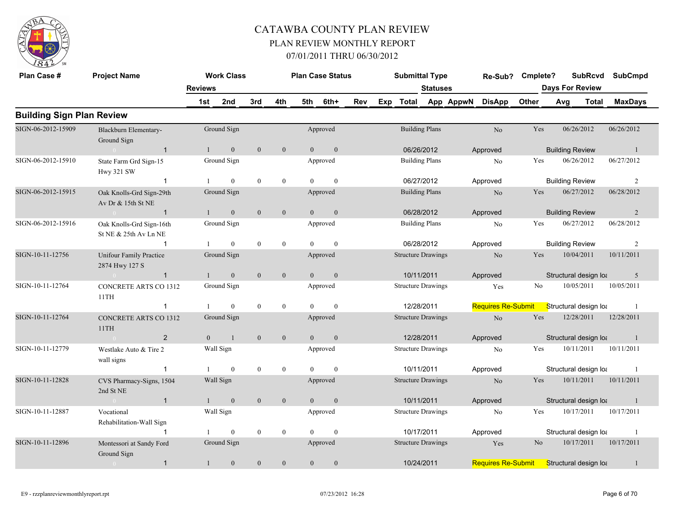

| Plan Case #                      | <b>Project Name</b>                               |                | <b>Work Class</b> |                |              |                | <b>Plan Case Status</b> |     |     | <b>Submittal Type</b>     |                 |           | Re-Sub?                   | Cmplete?       |     | <b>SubRcvd</b>         | <b>SubCmpd</b> |
|----------------------------------|---------------------------------------------------|----------------|-------------------|----------------|--------------|----------------|-------------------------|-----|-----|---------------------------|-----------------|-----------|---------------------------|----------------|-----|------------------------|----------------|
|                                  |                                                   | <b>Reviews</b> |                   |                |              |                |                         |     |     |                           | <b>Statuses</b> |           |                           |                |     | <b>Days For Review</b> |                |
|                                  |                                                   | 1st            | 2nd               | 3rd            | 4th          |                | 5th 6th+                | Rev | Exp | Total                     |                 | App AppwN | <b>DisApp</b>             | Other          | Avg | Total                  | <b>MaxDays</b> |
| <b>Building Sign Plan Review</b> |                                                   |                |                   |                |              |                |                         |     |     |                           |                 |           |                           |                |     |                        |                |
| SIGN-06-2012-15909               | Blackburn Elementary-<br>Ground Sign              |                | Ground Sign       |                |              |                | Approved                |     |     | <b>Building Plans</b>     |                 |           | N <sub>o</sub>            | Yes            |     | 06/26/2012             | 06/26/2012     |
|                                  | $\sim 0$<br>$\overline{1}$                        | $\mathbf{1}$   | $\overline{0}$    | $\overline{0}$ | $\mathbf{0}$ | $\overline{0}$ | $\mathbf{0}$            |     |     | 06/26/2012                |                 |           | Approved                  |                |     | <b>Building Review</b> | -1             |
| SIGN-06-2012-15910               | State Farm Grd Sign-15<br><b>Hwy 321 SW</b>       |                | Ground Sign       |                |              |                | Approved                |     |     | <b>Building Plans</b>     |                 |           | No                        | Yes            |     | 06/26/2012             | 06/27/2012     |
|                                  | $\mathbf{1}$                                      |                | $\mathbf{0}$      | $\theta$       | $\mathbf{0}$ | $\theta$       | $\mathbf{0}$            |     |     | 06/27/2012                |                 |           | Approved                  |                |     | <b>Building Review</b> | $\overline{2}$ |
| SIGN-06-2012-15915               | Oak Knolls-Grd Sign-29th<br>Av Dr & 15th St NE    |                | Ground Sign       |                |              |                | Approved                |     |     | <b>Building Plans</b>     |                 |           | N <sub>o</sub>            | Yes            |     | 06/27/2012             | 06/28/2012     |
|                                  | $\sim 0$ and $\sim 0$<br>$\overline{1}$           |                | $\mathbf{0}$      | $\mathbf{0}$   | $\mathbf{0}$ | $\theta$       | $\mathbf{0}$            |     |     | 06/28/2012                |                 |           | Approved                  |                |     | <b>Building Review</b> | 2              |
| SIGN-06-2012-15916               | Oak Knolls-Grd Sign-16th<br>St NE & 25th Av Ln NE |                | Ground Sign       |                |              |                | Approved                |     |     | <b>Building Plans</b>     |                 |           | N <sub>0</sub>            | Yes            |     | 06/27/2012             | 06/28/2012     |
|                                  | $\mathbf{1}$                                      |                | $\mathbf{0}$      | $\mathbf{0}$   | $\mathbf{0}$ | $\Omega$       | $\theta$                |     |     | 06/28/2012                |                 |           | Approved                  |                |     | <b>Building Review</b> | 2              |
| SIGN-10-11-12756                 | <b>Unifour Family Practice</b><br>2874 Hwy 127 S  |                | Ground Sign       |                |              |                | Approved                |     |     | <b>Structure Drawings</b> |                 |           | N <sub>o</sub>            | Yes            |     | 10/04/2011             | 10/11/2011     |
|                                  | $\overline{1}$<br>$\sim 0$                        | $\mathbf{1}$   | $\mathbf{0}$      | $\overline{0}$ | $\mathbf{0}$ | $\overline{0}$ | $\mathbf{0}$            |     |     | 10/11/2011                |                 |           | Approved                  |                |     | Structural design loa  | 5              |
| SIGN-10-11-12764                 | CONCRETE ARTS CO 1312<br>11TH                     |                | Ground Sign       |                |              |                | Approved                |     |     | <b>Structure Drawings</b> |                 |           | Yes                       | No             |     | 10/05/2011             | 10/05/2011     |
|                                  | $\mathbf{1}$                                      |                | $\mathbf{0}$      | $\mathbf{0}$   | $\mathbf{0}$ | $\Omega$       | $\mathbf{0}$            |     |     | 12/28/2011                |                 |           | <b>Requires Re-Submit</b> |                |     | Structural design loa  | -1             |
| SIGN-10-11-12764                 | CONCRETE ARTS CO 1312<br>11TH                     |                | Ground Sign       |                |              |                | Approved                |     |     | <b>Structure Drawings</b> |                 |           | N <sub>o</sub>            | Yes            |     | 12/28/2011             | 12/28/2011     |
|                                  | $\overline{2}$<br>$\sim 0$                        | $\overline{0}$ | $\overline{1}$    | $\mathbf{0}$   | $\mathbf{0}$ | $\overline{0}$ | $\mathbf{0}$            |     |     | 12/28/2011                |                 |           | Approved                  |                |     | Structural design loa  | -1             |
| SIGN-10-11-12779                 | Westlake Auto & Tire 2<br>wall signs              |                | Wall Sign         |                |              |                | Approved                |     |     | <b>Structure Drawings</b> |                 |           | No                        | Yes            |     | 10/11/2011             | 10/11/2011     |
|                                  | $\mathbf{1}$                                      |                | $\mathbf{0}$      | $\mathbf{0}$   | $\mathbf{0}$ | $\theta$       | $\mathbf{0}$            |     |     | 10/11/2011                |                 |           | Approved                  |                |     | Structural design loa  | -1             |
| SIGN-10-11-12828                 | CVS Pharmacy-Signs, 1504<br>2nd St NE             |                | Wall Sign         |                |              |                | Approved                |     |     | <b>Structure Drawings</b> |                 |           | N <sub>o</sub>            | Yes            |     | 10/11/2011             | 10/11/2011     |
|                                  | $\mathbf{1}$<br>$\sim 0$                          |                | $\mathbf{0}$      | $\mathbf{0}$   | $\mathbf{0}$ | $\overline{0}$ | $\mathbf{0}$            |     |     | 10/11/2011                |                 |           | Approved                  |                |     | Structural design loa  | -1             |
| SIGN-10-11-12887                 | Vocational<br>Rehabilitation-Wall Sign            |                | Wall Sign         |                |              |                | Approved                |     |     | <b>Structure Drawings</b> |                 |           | No                        | Yes            |     | 10/17/2011             | 10/17/2011     |
|                                  | $\overline{1}$                                    |                | $\mathbf{0}$      | $\overline{0}$ | $\mathbf{0}$ | $\Omega$       | $\mathbf{0}$            |     |     | 10/17/2011                |                 |           | Approved                  |                |     | Structural design loa  |                |
| SIGN-10-11-12896                 | Montessori at Sandy Ford<br>Ground Sign           |                | Ground Sign       |                |              |                | Approved                |     |     | <b>Structure Drawings</b> |                 |           | Yes                       | N <sub>o</sub> |     | 10/17/2011             | 10/17/2011     |
|                                  | $\mathbf{1}$<br>$\sim 0$                          |                | $\mathbf{0}$      | $\mathbf{0}$   | $\theta$     | $\theta$       | $\boldsymbol{0}$        |     |     | 10/24/2011                |                 |           | <b>Requires Re-Submit</b> |                |     | Structural design lot  |                |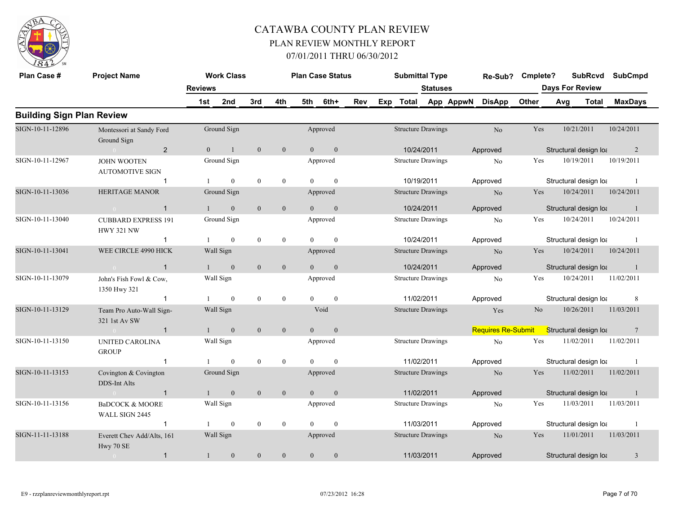

| Plan Case #                      | <b>Project Name</b>                                             | <b>Reviews</b> | <b>Work Class</b> |                |              |                | <b>Plan Case Status</b> |     | <b>Submittal Type</b>     | <b>Statuses</b> |           | Re-Sub?                   | Cmplete? | Days For Review       | <b>SubRcvd</b> | <b>SubCmpd</b> |
|----------------------------------|-----------------------------------------------------------------|----------------|-------------------|----------------|--------------|----------------|-------------------------|-----|---------------------------|-----------------|-----------|---------------------------|----------|-----------------------|----------------|----------------|
|                                  |                                                                 | 1st            | 2nd               | 3rd            | 4th          | 5th            | 6th+                    | Rev | Exp Total                 |                 | App AppwN | <b>DisApp</b>             | Other    | Avg                   | <b>Total</b>   | <b>MaxDays</b> |
| <b>Building Sign Plan Review</b> |                                                                 |                |                   |                |              |                |                         |     |                           |                 |           |                           |          |                       |                |                |
| SIGN-10-11-12896                 | Montessori at Sandy Ford<br>Ground Sign                         |                | Ground Sign       |                |              |                | Approved                |     | <b>Structure Drawings</b> |                 |           | No                        | Yes      |                       | 10/21/2011     | 10/24/2011     |
|                                  | $\overline{2}$<br>$\sim 0$                                      | $\overline{0}$ | -1                | $\overline{0}$ | $\mathbf{0}$ | $\overline{0}$ | $\overline{0}$          |     | 10/24/2011                |                 |           | Approved                  |          | Structural design loa |                | $\overline{2}$ |
| SIGN-10-11-12967                 | <b>JOHN WOOTEN</b><br><b>AUTOMOTIVE SIGN</b>                    |                | Ground Sign       |                |              |                | Approved                |     | <b>Structure Drawings</b> |                 |           | N <sub>0</sub>            | Yes      |                       | 10/19/2011     | 10/19/2011     |
|                                  | $\mathbf 1$                                                     |                | $\boldsymbol{0}$  | $\mathbf{0}$   | $\bf{0}$     | $\overline{0}$ | $\mathbf{0}$            |     | 10/19/2011                |                 |           | Approved                  |          | Structural design loa |                | $\overline{1}$ |
| SIGN-10-11-13036                 | <b>HERITAGE MANOR</b>                                           |                | Ground Sign       |                |              |                | Approved                |     | <b>Structure Drawings</b> |                 |           | N <sub>o</sub>            | Yes      |                       | 10/24/2011     | 10/24/2011     |
|                                  | $\sim 0$<br>$\mathbf{1}$                                        | $\mathbf{1}$   | $\mathbf{0}$      | $\mathbf{0}$   | $\mathbf{0}$ | $\overline{0}$ | $\mathbf{0}$            |     | 10/24/2011                |                 |           | Approved                  |          | Structural design loa |                | $\overline{1}$ |
| SIGN-10-11-13040                 | <b>CUBBARD EXPRESS 191</b><br><b>HWY 321 NW</b>                 |                | Ground Sign       |                |              |                | Approved                |     | <b>Structure Drawings</b> |                 |           | N <sub>0</sub>            | Yes      |                       | 10/24/2011     | 10/24/2011     |
|                                  | $\mathbf{1}$                                                    |                | $\boldsymbol{0}$  | $\mathbf{0}$   | $\mathbf{0}$ | $\theta$       | $\mathbf{0}$            |     | 10/24/2011                |                 |           | Approved                  |          | Structural design loa |                | - 1            |
| SIGN-10-11-13041                 | WEE CIRCLE 4990 HICK                                            |                | Wall Sign         |                |              |                | Approved                |     | <b>Structure Drawings</b> |                 |           | No                        | Yes      |                       | 10/24/2011     | 10/24/2011     |
|                                  | $\overline{1}$<br>$\sim$ 0.000 $\sim$ 0.000 $\sim$ 0.000 $\sim$ |                | $\mathbf{0}$      | $\overline{0}$ | $\mathbf{0}$ | $\theta$       | $\mathbf{0}$            |     | 10/24/2011                |                 |           | Approved                  |          | Structural design loa |                | $\overline{1}$ |
| SIGN-10-11-13079                 | John's Fish Fowl & Cow,<br>1350 Hwy 321                         |                | Wall Sign         |                |              |                | Approved                |     | <b>Structure Drawings</b> |                 |           | No                        | Yes      |                       | 10/24/2011     | 11/02/2011     |
|                                  | $\mathbf{1}$                                                    |                | $\mathbf{0}$      | $\mathbf{0}$   | $\mathbf{0}$ | $\theta$       | $\boldsymbol{0}$        |     | 11/02/2011                |                 |           | Approved                  |          | Structural design loa |                | 8              |
| SIGN-10-11-13129                 | Team Pro Auto-Wall Sign-<br>321 1st Av SW                       |                | Wall Sign         |                |              |                | Void                    |     | <b>Structure Drawings</b> |                 |           | Yes                       | No       |                       | 10/26/2011     | 11/03/2011     |
|                                  | $\sim 0$ and $\sim 0.000$<br>$\overline{1}$                     |                | $\overline{0}$    | $\mathbf{0}$   | $\mathbf{0}$ | $\theta$       | $\mathbf{0}$            |     |                           |                 |           | <b>Requires Re-Submit</b> |          | Structural design lot |                | $\overline{7}$ |
| SIGN-10-11-13150                 | UNITED CAROLINA<br><b>GROUP</b>                                 |                | Wall Sign         |                |              |                | Approved                |     | <b>Structure Drawings</b> |                 |           | N <sub>0</sub>            | Yes      |                       | 11/02/2011     | 11/02/2011     |
|                                  | $\mathbf{1}$                                                    |                | $\mathbf{0}$      | $\mathbf{0}$   | $\bf{0}$     | $\theta$       | $\bf{0}$                |     | 11/02/2011                |                 |           | Approved                  |          | Structural design loa |                | $\overline{1}$ |
| SIGN-10-11-13153                 | Covington & Covington<br>DDS-Int Alts                           |                | Ground Sign       |                |              |                | Approved                |     | <b>Structure Drawings</b> |                 |           | N <sub>o</sub>            | Yes      |                       | 11/02/2011     | 11/02/2011     |
|                                  | $\sim 0$ and $\sim 0.000$<br>$\overline{1}$                     |                | $\mathbf{0}$      | $\mathbf{0}$   | $\mathbf{0}$ | $\overline{0}$ | $\mathbf{0}$            |     | 11/02/2011                |                 |           | Approved                  |          | Structural design loa |                | $\overline{1}$ |
| SIGN-10-11-13156                 | <b>BaDCOCK &amp; MOORE</b><br>WALL SIGN 2445                    |                | Wall Sign         |                |              |                | Approved                |     | <b>Structure Drawings</b> |                 |           | N <sub>0</sub>            | Yes      |                       | 11/03/2011     | 11/03/2011     |
|                                  | $\mathbf{1}$                                                    |                | $\mathbf{0}$      | $\mathbf{0}$   | $\mathbf{0}$ | $\theta$       | $\mathbf{0}$            |     | 11/03/2011                |                 |           | Approved                  |          | Structural design loa |                | -1             |
| SIGN-11-11-13188                 | Everett Chev Add/Alts, 161<br>Hwy 70 SE                         |                | Wall Sign         |                |              |                | Approved                |     | <b>Structure Drawings</b> |                 |           | N <sub>o</sub>            | Yes      |                       | 11/01/2011     | 11/03/2011     |
|                                  | $\mathbf{1}$<br>$\sim 0$                                        |                | $\mathbf{0}$      | $\overline{0}$ | $\mathbf{0}$ | $\overline{0}$ | $\mathbf{0}$            |     | 11/03/2011                |                 |           | Approved                  |          | Structural design loa |                | $\overline{3}$ |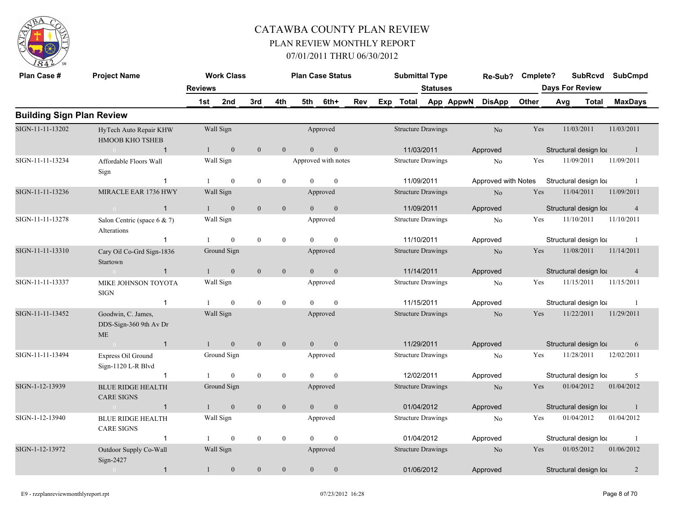

| Plan Case #                      | <b>Project Name</b>                                       |                | <b>Work Class</b> |                  |                  |                | <b>Plan Case Status</b> |     | <b>Submittal Type</b>     |                 | Re-Sub? Cmplete?    |       |     | <b>SubRcvd</b>         | <b>SubCmpd</b> |  |
|----------------------------------|-----------------------------------------------------------|----------------|-------------------|------------------|------------------|----------------|-------------------------|-----|---------------------------|-----------------|---------------------|-------|-----|------------------------|----------------|--|
|                                  |                                                           | <b>Reviews</b> |                   |                  |                  |                |                         |     |                           | <b>Statuses</b> |                     |       |     | <b>Days For Review</b> |                |  |
|                                  |                                                           | 1st            | 2nd               | 3rd              | 4th              | 5th            | 6th+                    | Rev | Exp Total App AppwN       |                 | <b>DisApp</b>       | Other | Avg | <b>Total</b>           | <b>MaxDays</b> |  |
| <b>Building Sign Plan Review</b> |                                                           |                |                   |                  |                  |                |                         |     |                           |                 |                     |       |     |                        |                |  |
| SIGN-11-11-13202                 | HyTech Auto Repair KHW<br><b>HMOOB KHO TSHEB</b>          | Wall Sign      |                   |                  |                  |                | Approved                |     | <b>Structure Drawings</b> |                 | No                  | Yes   |     | 11/03/2011             | 11/03/2011     |  |
|                                  | $\overline{1}$<br>$\sim 0$ and $\sim 0$                   | $\mathbf{1}$   | $\mathbf{0}$      | $\overline{0}$   | $\mathbf{0}$     | $\Omega$       | $\boldsymbol{0}$        |     | 11/03/2011                |                 | Approved            |       |     | Structural design loa  | $\overline{1}$ |  |
| SIGN-11-11-13234                 | Affordable Floors Wall<br>Sign                            | Wall Sign      |                   |                  |                  |                | Approved with notes     |     | <b>Structure Drawings</b> |                 | No                  | Yes   |     | 11/09/2011             | 11/09/2011     |  |
|                                  | $\mathbf 1$                                               |                | $\mathbf{0}$      | $\mathbf{0}$     | $\mathbf{0}$     | $\Omega$       | $\mathbf{0}$            |     | 11/09/2011                |                 | Approved with Notes |       |     | Structural design loa  | - 1            |  |
| SIGN-11-11-13236                 | MIRACLE EAR 1736 HWY                                      | Wall Sign      |                   |                  |                  |                | Approved                |     | <b>Structure Drawings</b> |                 | $\rm No$            | Yes   |     | 11/04/2011             | 11/09/2011     |  |
|                                  | $\sim 0$<br>$\mathbf{1}$                                  |                | $\boldsymbol{0}$  | $\mathbf{0}$     | $\mathbf{0}$     | $\theta$       | $\boldsymbol{0}$        |     | 11/09/2011                |                 | Approved            |       |     | Structural design loa  | $\overline{4}$ |  |
| SIGN-11-11-13278                 | Salon Centric (space $6 \& 7$ )<br>Alterations            | Wall Sign      |                   |                  |                  |                | Approved                |     | <b>Structure Drawings</b> |                 | No                  | Yes   |     | 11/10/2011             | 11/10/2011     |  |
|                                  | $\mathbf{1}$                                              |                | $\overline{0}$    | $\boldsymbol{0}$ | $\bf{0}$         | $\Omega$       | $\mathbf{0}$            |     | 11/10/2011                |                 | Approved            |       |     | Structural design loa  | -1             |  |
| SIGN-11-11-13310                 | Cary Oil Co-Grd Sign-1836<br>Startown                     | Ground Sign    |                   |                  |                  |                | Approved                |     | <b>Structure Drawings</b> |                 | No                  | Yes   |     | 11/08/2011             | 11/14/2011     |  |
|                                  | $\mathbf{1}$<br>$\bigcap$                                 |                | $\mathbf{0}$      | $\mathbf{0}$     | $\mathbf{0}$     | $\overline{0}$ | $\mathbf{0}$            |     | 11/14/2011                |                 | Approved            |       |     | Structural design loa  | 4              |  |
| SIGN-11-11-13337                 | MIKE JOHNSON TOYOTA<br><b>SIGN</b>                        | Wall Sign      |                   |                  |                  |                | Approved                |     | <b>Structure Drawings</b> |                 | N <sub>0</sub>      | Yes   |     | 11/15/2011             | 11/15/2011     |  |
|                                  | $\mathbf{1}$                                              |                | $\overline{0}$    | $\boldsymbol{0}$ | $\bf{0}$         | $\theta$       | $\mathbf{0}$            |     | 11/15/2011                |                 | Approved            |       |     | Structural design loa  | - 1            |  |
| SIGN-11-11-13452                 | Goodwin, C. James,<br>DDS-Sign-360 9th Av Dr<br><b>ME</b> | Wall Sign      |                   |                  |                  |                | Approved                |     | <b>Structure Drawings</b> |                 | N <sub>o</sub>      | Yes   |     | 11/22/2011             | 11/29/2011     |  |
|                                  | $\sim 0$<br>$\overline{1}$                                | $\overline{1}$ | $\mathbf{0}$      | $\mathbf{0}$     | $\mathbf{0}$     | $\overline{0}$ | $\mathbf{0}$            |     | 11/29/2011                |                 | Approved            |       |     | Structural design loa  | 6              |  |
| SIGN-11-11-13494                 | Express Oil Ground<br>Sign-1120 L-R Blvd                  | Ground Sign    |                   |                  |                  |                | Approved                |     | <b>Structure Drawings</b> |                 | No                  | Yes   |     | 11/28/2011             | 12/02/2011     |  |
|                                  | $\mathbf{1}$                                              |                | $\overline{0}$    | $\mathbf{0}$     | $\mathbf{0}$     | $\theta$       | $\mathbf{0}$            |     | 12/02/2011                |                 | Approved            |       |     | Structural design loa  | 5              |  |
| SIGN-1-12-13939                  | <b>BLUE RIDGE HEALTH</b><br><b>CARE SIGNS</b>             | Ground Sign    |                   |                  |                  |                | Approved                |     | <b>Structure Drawings</b> |                 | No                  | Yes   |     | 01/04/2012             | 01/04/2012     |  |
|                                  | $\overline{1}$                                            |                | $\boldsymbol{0}$  | $\mathbf{0}$     | $\boldsymbol{0}$ | $\overline{0}$ | $\boldsymbol{0}$        |     | 01/04/2012                |                 | Approved            |       |     | Structural design loa  | $\mathbf{1}$   |  |
| SIGN-1-12-13940                  | <b>BLUE RIDGE HEALTH</b><br><b>CARE SIGNS</b>             | Wall Sign      |                   |                  |                  |                | Approved                |     | <b>Structure Drawings</b> |                 | No                  | Yes   |     | 01/04/2012             | 01/04/2012     |  |
|                                  | $\overline{1}$                                            |                | $\overline{0}$    | $\mathbf{0}$     | $\boldsymbol{0}$ | $\Omega$       | $\mathbf{0}$            |     | 01/04/2012                |                 | Approved            |       |     | Structural design loa  | -1             |  |
| SIGN-1-12-13972                  | Outdoor Supply Co-Wall<br>Sign-2427                       | Wall Sign      |                   |                  |                  |                | Approved                |     | <b>Structure Drawings</b> |                 | N <sub>o</sub>      | Yes   |     | 01/05/2012             | 01/06/2012     |  |
|                                  | $\mathbf{1}$<br>$\overline{0}$                            | $\mathbf{1}$   | $\mathbf{0}$      | $\mathbf{0}$     | $\mathbf{0}$     | $\overline{0}$ | $\mathbf{0}$            |     | 01/06/2012                |                 | Approved            |       |     | Structural design loa  | $\overline{2}$ |  |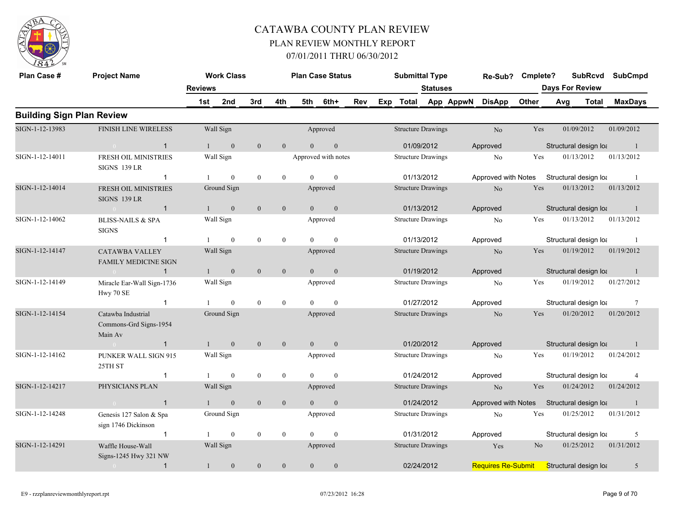

| Plan Case #                      | <b>Project Name</b>                                     |                | <b>Work Class</b> |                  |                  | <b>Plan Case Status</b> |                     |     | <b>Submittal Type</b>     |                 |           | Re-Sub?                   | Cmplete?       |     | <b>SubRcvd</b>         | <b>SubCmpd</b>   |
|----------------------------------|---------------------------------------------------------|----------------|-------------------|------------------|------------------|-------------------------|---------------------|-----|---------------------------|-----------------|-----------|---------------------------|----------------|-----|------------------------|------------------|
|                                  |                                                         | <b>Reviews</b> |                   |                  |                  |                         |                     |     |                           | <b>Statuses</b> |           |                           |                |     | <b>Days For Review</b> |                  |
|                                  |                                                         | 1st            | 2nd               | 3rd              | 4th              | 5th                     | 6th+                | Rev | Exp Total                 |                 | App AppwN | <b>DisApp</b>             | Other          | Avg | Total                  | <b>MaxDays</b>   |
| <b>Building Sign Plan Review</b> |                                                         |                |                   |                  |                  |                         |                     |     |                           |                 |           |                           |                |     |                        |                  |
| SIGN-1-12-13983                  | <b>FINISH LINE WIRELESS</b>                             |                | Wall Sign         |                  |                  |                         | Approved            |     | <b>Structure Drawings</b> |                 |           | No                        | Yes            |     | 01/09/2012             | 01/09/2012       |
|                                  | $\mathbf{1}$<br>$\sim 0$                                |                | $\overline{0}$    | $\overline{0}$   | $\overline{0}$   | $\Omega$                | $\mathbf{0}$        |     | 01/09/2012                |                 |           | Approved                  |                |     | Structural design loa  | $\blacksquare$ 1 |
| SIGN-1-12-14011                  | FRESH OIL MINISTRIES<br>SIGNS 139 LR                    |                | Wall Sign         |                  |                  |                         | Approved with notes |     | <b>Structure Drawings</b> |                 |           | No                        | Yes            |     | 01/13/2012             | 01/13/2012       |
|                                  | $\mathbf{1}$                                            |                | $\overline{0}$    | $\mathbf{0}$     | $\mathbf{0}$     | $\Omega$                | $\theta$            |     | 01/13/2012                |                 |           | Approved with Notes       |                |     | Structural design loa  | - 1              |
| SIGN-1-12-14014                  | <b>FRESH OIL MINISTRIES</b><br>SIGNS 139 LR             |                | Ground Sign       |                  |                  |                         | Approved            |     | <b>Structure Drawings</b> |                 |           | No                        | Yes            |     | 01/13/2012             | 01/13/2012       |
|                                  | $\overline{1}$<br>$\sim 0$                              |                | $\mathbf{0}$      | $\mathbf{0}$     | $\mathbf{0}$     | $\overline{0}$          | $\mathbf{0}$        |     | 01/13/2012                |                 |           | Approved                  |                |     | Structural design loa  | -1               |
| SIGN-1-12-14062                  | <b>BLISS-NAILS &amp; SPA</b><br><b>SIGNS</b>            |                | Wall Sign         |                  |                  |                         | Approved            |     | <b>Structure Drawings</b> |                 |           | No                        | Yes            |     | 01/13/2012             | 01/13/2012       |
|                                  | $\mathbf{1}$                                            |                | $\mathbf{0}$      | $\bf{0}$         | $\boldsymbol{0}$ | $\theta$                | $\boldsymbol{0}$    |     | 01/13/2012                |                 |           | Approved                  |                |     | Structural design loa  | - 1              |
| SIGN-1-12-14147                  | <b>CATAWBA VALLEY</b><br><b>FAMILY MEDICINE SIGN</b>    |                | Wall Sign         |                  |                  |                         | Approved            |     | <b>Structure Drawings</b> |                 |           | N <sub>o</sub>            | <b>Yes</b>     |     | 01/19/2012             | 01/19/2012       |
|                                  | $\overline{1}$<br>$\sim$ 0                              | $\mathbf{1}$   | $\mathbf{0}$      | $\mathbf{0}$     | $\mathbf{0}$     | $\overline{0}$          | $\boldsymbol{0}$    |     | 01/19/2012                |                 |           | Approved                  |                |     | Structural design loa  | $\mathbf{1}$     |
| SIGN-1-12-14149                  | Miracle Ear-Wall Sign-1736<br>Hwy 70 SE                 |                | Wall Sign         |                  |                  |                         | Approved            |     | <b>Structure Drawings</b> |                 |           | No                        | Yes            |     | 01/19/2012             | 01/27/2012       |
|                                  | $\mathbf{1}$                                            |                | $\overline{0}$    | $\boldsymbol{0}$ | $\bf{0}$         | $\Omega$                | $\mathbf{0}$        |     | 01/27/2012                |                 |           | Approved                  |                |     | Structural design loa  | 7                |
| SIGN-1-12-14154                  | Catawba Industrial<br>Commons-Grd Signs-1954<br>Main Av |                | Ground Sign       |                  |                  |                         | Approved            |     | <b>Structure Drawings</b> |                 |           | No                        | <b>Yes</b>     |     | 01/20/2012             | 01/20/2012       |
|                                  | $\mathbf{1}$<br>$\bigcap$                               | $\mathbf{1}$   | $\overline{0}$    | $\mathbf{0}$     | $\mathbf{0}$     | $\overline{0}$          | $\overline{0}$      |     | 01/20/2012                |                 |           | Approved                  |                |     | Structural design loa  | -1               |
| SIGN-1-12-14162                  | PUNKER WALL SIGN 915<br>25TH ST                         |                | Wall Sign         |                  |                  |                         | Approved            |     | <b>Structure Drawings</b> |                 |           | No                        | Yes            |     | 01/19/2012             | 01/24/2012       |
|                                  | $\mathbf 1$                                             |                | $\theta$          | $\mathbf{0}$     | $\mathbf{0}$     | $\Omega$                | $\theta$            |     | 01/24/2012                |                 |           | Approved                  |                |     | Structural design loa  | $\overline{4}$   |
| SIGN-1-12-14217                  | PHYSICIANS PLAN                                         |                | Wall Sign         |                  |                  |                         | Approved            |     | <b>Structure Drawings</b> |                 |           | N <sub>o</sub>            | Yes            |     | 01/24/2012             | 01/24/2012       |
|                                  | $\sim 0$<br>$\overline{1}$                              |                | $\mathbf{0}$      | $\boldsymbol{0}$ | $\boldsymbol{0}$ | $\Omega$                | $\boldsymbol{0}$    |     | 01/24/2012                |                 |           | Approved with Notes       |                |     | Structural design loa  | $\overline{1}$   |
| SIGN-1-12-14248                  | Genesis 127 Salon & Spa<br>sign 1746 Dickinson          |                | Ground Sign       |                  |                  |                         | Approved            |     | <b>Structure Drawings</b> |                 |           | No                        | Yes            |     | 01/25/2012             | 01/31/2012       |
|                                  | $\mathbf{1}$                                            |                | $\overline{0}$    | $\mathbf{0}$     | $\boldsymbol{0}$ | $\theta$                | $\mathbf{0}$        |     | 01/31/2012                |                 |           | Approved                  |                |     | Structural design loa  | 5                |
| SIGN-1-12-14291                  | Waffle House-Wall<br>Signs-1245 Hwy 321 NW              |                | Wall Sign         |                  |                  |                         | Approved            |     | <b>Structure Drawings</b> |                 |           | Yes                       | N <sub>o</sub> |     | 01/25/2012             | 01/31/2012       |
|                                  | $\overline{1}$<br>$\sim 0$                              | $\mathbf{1}$   | $\mathbf{0}$      | $\boldsymbol{0}$ | $\boldsymbol{0}$ | $\mathbf{0}$            | $\mathbf{0}$        |     | 02/24/2012                |                 |           | <b>Requires Re-Submit</b> |                |     | Structural design lot  | 5                |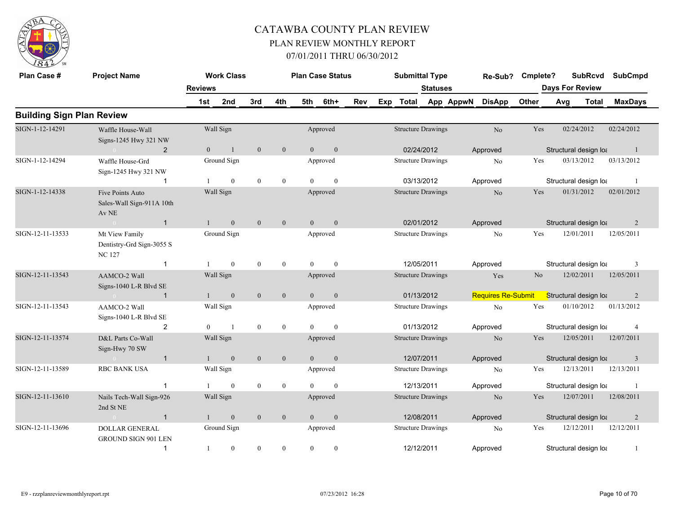

| Plan Case #                      | <b>Project Name</b>                                         | <b>Reviews</b> | <b>Work Class</b>           |                |                  |                | <b>Plan Case Status</b>  |     |     | <b>Submittal Type</b>                   | <b>Statuses</b> |           | Re-Sub?                   | Cmplete? | <b>Days For Review</b> | <b>SubRcvd</b> | <b>SubCmpd</b> |                |
|----------------------------------|-------------------------------------------------------------|----------------|-----------------------------|----------------|------------------|----------------|--------------------------|-----|-----|-----------------------------------------|-----------------|-----------|---------------------------|----------|------------------------|----------------|----------------|----------------|
|                                  |                                                             | 1st            | 2nd                         | 3rd            | 4th              | 5th            | 6th+                     | Rev | Exp | <b>Total</b>                            |                 | App AppwN | <b>DisApp</b>             | Other    | Avg                    | <b>Total</b>   |                | <b>MaxDays</b> |
| <b>Building Sign Plan Review</b> |                                                             |                |                             |                |                  |                |                          |     |     |                                         |                 |           |                           |          |                        |                |                |                |
| SIGN-1-12-14291                  | Waffle House-Wall<br>Signs-1245 Hwy 321 NW                  |                | Wall Sign                   |                |                  |                | Approved                 |     |     | <b>Structure Drawings</b>               |                 |           | No                        | Yes      |                        | 02/24/2012     | 02/24/2012     |                |
| SIGN-1-12-14294                  | $\overline{2}$<br>Waffle House-Grd<br>Sign-1245 Hwy 321 NW  | $\overline{0}$ | $\mathbf{1}$<br>Ground Sign | $\mathbf{0}$   | $\mathbf{0}$     | $\overline{0}$ | $\mathbf{0}$<br>Approved |     |     | 02/24/2012<br><b>Structure Drawings</b> |                 |           | Approved<br>No            | Yes      | Structural design loa  | 03/13/2012     | 03/13/2012     | -1             |
|                                  | $\mathbf{1}$                                                |                | $\mathbf{0}$                | $\mathbf{0}$   | $\mathbf{0}$     | $\Omega$       | $\mathbf{0}$             |     |     | 03/13/2012                              |                 |           | Approved                  |          | Structural design loa  |                |                |                |
| SIGN-1-12-14338                  | Five Points Auto<br>Sales-Wall Sign-911A 10th<br>Av NE      |                | Wall Sign                   |                |                  |                | Approved                 |     |     | <b>Structure Drawings</b>               |                 |           | No                        | Yes      |                        | 01/31/2012     | 02/01/2012     |                |
|                                  | $\overline{1}$                                              | $\mathbf{1}$   | $\overline{0}$              | $\overline{0}$ | $\mathbf{0}$     | $\Omega$       | $\mathbf{0}$             |     |     | 02/01/2012                              |                 |           | Approved                  |          | Structural design loa  |                |                | 2              |
| SIGN-12-11-13533                 | Mt View Family<br>Dentistry-Grd Sign-3055 S<br><b>NC127</b> |                | Ground Sign                 |                |                  |                | Approved                 |     |     | <b>Structure Drawings</b>               |                 |           | N <sub>o</sub>            | Yes      |                        | 12/01/2011     | 12/05/2011     |                |
|                                  | $\mathbf{1}$                                                | $\mathbf{1}$   | $\mathbf{0}$                | $\mathbf{0}$   | $\boldsymbol{0}$ | $\theta$       | $\mathbf{0}$             |     |     | 12/05/2011                              |                 |           | Approved                  |          | Structural design loa  |                |                | 3              |
| SIGN-12-11-13543                 | AAMCO-2 Wall<br>Signs-1040 L-R Blvd SE                      |                | Wall Sign                   |                |                  |                | Approved                 |     |     | <b>Structure Drawings</b>               |                 |           | Yes                       | No       |                        | 12/02/2011     | 12/05/2011     |                |
|                                  | $\mathbf{1}$<br>$\sim 0$                                    |                | $\mathbf{0}$                | $\mathbf{0}$   | $\mathbf{0}$     | $\overline{0}$ | $\boldsymbol{0}$         |     |     | 01/13/2012                              |                 |           | <b>Requires Re-Submit</b> |          | Structural design lot  |                |                | 2              |
| SIGN-12-11-13543                 | AAMCO-2 Wall<br>Signs-1040 L-R Blvd SE                      |                | Wall Sign                   |                |                  |                | Approved                 |     |     | <b>Structure Drawings</b>               |                 |           | N <sub>o</sub>            | Yes      |                        | 01/10/2012     | 01/13/2012     |                |
|                                  | $\overline{2}$                                              | $\overline{0}$ | $\overline{1}$              | $\mathbf{0}$   | $\bf{0}$         | $\overline{0}$ | $\boldsymbol{0}$         |     |     | 01/13/2012                              |                 |           | Approved                  |          | Structural design loa  |                |                | $\overline{4}$ |
| SIGN-12-11-13574                 | D&L Parts Co-Wall<br>Sign-Hwy 70 SW                         |                | Wall Sign                   |                |                  |                | Approved                 |     |     | <b>Structure Drawings</b>               |                 |           | N <sub>o</sub>            | Yes      |                        | 12/05/2011     | 12/07/2011     |                |
|                                  | $\mathbf{1}$                                                |                | $\mathbf{0}$                | $\mathbf{0}$   | $\mathbf{0}$     | $\overline{0}$ | $\mathbf{0}$             |     |     | 12/07/2011                              |                 |           | Approved                  |          | Structural design loa  |                |                | $\overline{3}$ |
| SIGN-12-11-13589                 | <b>RBC BANK USA</b>                                         |                | Wall Sign                   |                |                  |                | Approved                 |     |     | <b>Structure Drawings</b>               |                 |           | No                        | Yes      |                        | 12/13/2011     | 12/13/2011     |                |
|                                  | $\mathbf 1$                                                 |                | $\theta$                    | $\mathbf{0}$   | $\mathbf{0}$     | $\Omega$       | $\theta$                 |     |     | 12/13/2011                              |                 |           | Approved                  |          | Structural design loa  |                |                | -1             |
| SIGN-12-11-13610                 | Nails Tech-Wall Sign-926<br>2nd St NE                       |                | Wall Sign                   |                |                  |                | Approved                 |     |     | <b>Structure Drawings</b>               |                 |           | N <sub>o</sub>            | Yes      |                        | 12/07/2011     | 12/08/2011     |                |
|                                  | $\overline{1}$                                              |                | $\mathbf{0}$                | $\mathbf{0}$   | $\mathbf{0}$     | $\overline{0}$ | $\mathbf{0}$             |     |     | 12/08/2011                              |                 |           | Approved                  |          | Structural design loa  |                |                | $\overline{2}$ |
| SIGN-12-11-13696                 | <b>DOLLAR GENERAL</b><br><b>GROUND SIGN 901 LEN</b>         |                | Ground Sign                 |                |                  |                | Approved                 |     |     | <b>Structure Drawings</b>               |                 |           | No                        | Yes      |                        | 12/12/2011     | 12/12/2011     |                |
|                                  | $\mathbf{1}$                                                | 1              | $\boldsymbol{0}$            | $\mathbf{0}$   | $\mathbf{0}$     | $\overline{0}$ | $\boldsymbol{0}$         |     |     | 12/12/2011                              |                 |           | Approved                  |          | Structural design loa  |                |                | -1             |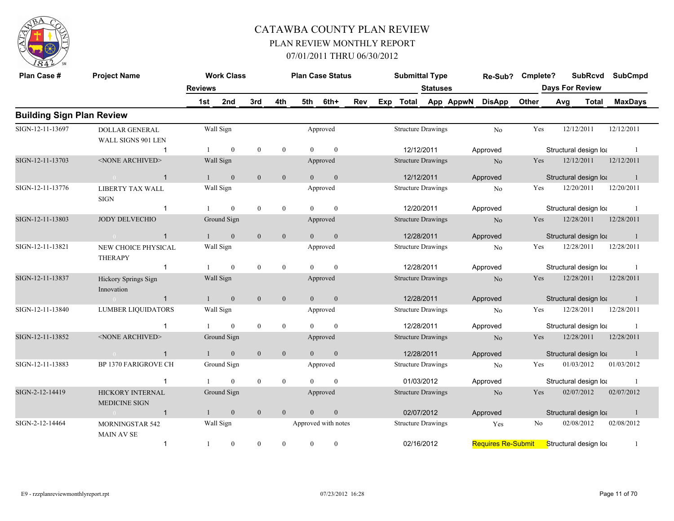

| Plan Case #                      | <b>Project Name</b>                                                                                  |                | <b>Work Class</b> |                  |                  |                | <b>Plan Case Status</b> |     | <b>Submittal Type</b>     |                 |                     | Re-Sub?                   | Cmplete?              |     | <b>SubRcvd</b>         | <b>SubCmpd</b> |
|----------------------------------|------------------------------------------------------------------------------------------------------|----------------|-------------------|------------------|------------------|----------------|-------------------------|-----|---------------------------|-----------------|---------------------|---------------------------|-----------------------|-----|------------------------|----------------|
|                                  |                                                                                                      | <b>Reviews</b> |                   |                  |                  |                |                         |     |                           | <b>Statuses</b> |                     |                           |                       |     | <b>Days For Review</b> |                |
|                                  |                                                                                                      | 1st            | 2nd               | 3rd              | 4th              | 5th            | 6th+                    | Rev |                           |                 | Exp Total App AppwN | <b>DisApp</b>             | Other                 | Avg | <b>Total</b>           | <b>MaxDays</b> |
| <b>Building Sign Plan Review</b> |                                                                                                      |                |                   |                  |                  |                |                         |     |                           |                 |                     |                           |                       |     |                        |                |
| SIGN-12-11-13697                 | <b>DOLLAR GENERAL</b>                                                                                |                | Wall Sign         |                  |                  |                | Approved                |     | <b>Structure Drawings</b> |                 |                     | N <sub>o</sub>            | Yes                   |     | 12/12/2011             | 12/12/2011     |
|                                  | WALL SIGNS 901 LEN                                                                                   |                |                   |                  |                  |                |                         |     |                           |                 |                     |                           |                       |     |                        |                |
|                                  | -1                                                                                                   |                | $\mathbf{0}$      | $\boldsymbol{0}$ | $\bf{0}$         | $\Omega$       | $\mathbf{0}$            |     | 12/12/2011                |                 |                     | Approved                  |                       |     | Structural design loa  | - 1            |
| SIGN-12-11-13703                 | <none archived=""></none>                                                                            |                | Wall Sign         |                  |                  |                | Approved                |     | <b>Structure Drawings</b> |                 |                     | N <sub>0</sub>            | Yes                   |     | 12/12/2011             | 12/12/2011     |
|                                  | $\overline{1}$<br>$\overline{0}$                                                                     |                | $\mathbf{0}$      | $\mathbf{0}$     | $\mathbf{0}$     | $\theta$       | $\mathbf{0}$            |     | 12/12/2011                |                 |                     | Approved                  |                       |     | Structural design loa  | $\overline{1}$ |
| SIGN-12-11-13776                 | <b>LIBERTY TAX WALL</b><br><b>SIGN</b>                                                               |                | Wall Sign         |                  |                  |                | Approved                |     | <b>Structure Drawings</b> |                 |                     | N <sub>o</sub>            | Yes                   |     | 12/20/2011             | 12/20/2011     |
|                                  | $\overline{0}$<br>$\boldsymbol{0}$<br>$\boldsymbol{0}$<br>$\mathbf{0}$<br>$\overline{1}$<br>$\theta$ |                |                   |                  |                  |                | 12/20/2011              |     |                           | Approved        |                     |                           | Structural design loa | -1  |                        |                |
| SIGN-12-11-13803                 | <b>JODY DELVECHIO</b>                                                                                |                | Ground Sign       |                  |                  |                | Approved                |     | <b>Structure Drawings</b> |                 |                     | N <sub>o</sub>            | Yes                   |     | 12/28/2011             | 12/28/2011     |
|                                  | $\mathbf{1}$<br>$\sim 0$ and $\sim 0$                                                                | $\mathbf{1}$   | $\overline{0}$    | $\mathbf{0}$     | $\mathbf{0}$     | $\Omega$       | $\overline{0}$          |     | 12/28/2011                |                 |                     | Approved                  |                       |     | Structural design loa  | $\blacksquare$ |
| SIGN-12-11-13821                 | NEW CHOICE PHYSICAL<br><b>THERAPY</b>                                                                |                | Wall Sign         |                  |                  |                | Approved                |     | <b>Structure Drawings</b> |                 |                     | N <sub>o</sub>            | Yes                   |     | 12/28/2011             | 12/28/2011     |
|                                  | $\overline{1}$                                                                                       |                | $\theta$          | $\mathbf{0}$     | $\overline{0}$   | $\Omega$       | $\theta$                |     | 12/28/2011                |                 |                     | Approved                  |                       |     | Structural design loa  | $\overline{1}$ |
| SIGN-12-11-13837                 | Hickory Springs Sign<br>Innovation                                                                   |                | Wall Sign         |                  |                  |                | Approved                |     | <b>Structure Drawings</b> |                 |                     | N <sub>o</sub>            | Yes                   |     | 12/28/2011             | 12/28/2011     |
|                                  | $\overline{1}$<br>$\overline{0}$                                                                     |                | $\mathbf{0}$      | $\mathbf{0}$     | $\boldsymbol{0}$ | $\overline{0}$ | $\mathbf{0}$            |     | 12/28/2011                |                 |                     | Approved                  |                       |     | Structural design loa  | -1             |
| SIGN-12-11-13840                 | <b>LUMBER LIQUIDATORS</b>                                                                            |                | Wall Sign         |                  |                  |                | Approved                |     | <b>Structure Drawings</b> |                 |                     | N <sub>0</sub>            | Yes                   |     | 12/28/2011             | 12/28/2011     |
|                                  | $\mathbf 1$                                                                                          |                | $\overline{0}$    | $\boldsymbol{0}$ | $\overline{0}$   | $\Omega$       | $\mathbf{0}$            |     | 12/28/2011                |                 |                     | Approved                  |                       |     | Structural design loa  | - 1            |
| SIGN-12-11-13852                 | <none archived=""></none>                                                                            |                | Ground Sign       |                  |                  |                | Approved                |     | <b>Structure Drawings</b> |                 |                     | N <sub>o</sub>            | Yes                   |     | 12/28/2011             | 12/28/2011     |
|                                  | $\sim$ 0<br>-1                                                                                       |                | $\overline{0}$    | $\mathbf{0}$     | $\overline{0}$   | $\theta$       | $\mathbf{0}$            |     | 12/28/2011                |                 |                     | Approved                  |                       |     | Structural design loa  | $\overline{1}$ |
| SIGN-12-11-13883                 | <b>BP 1370 FARIGROVE CH</b>                                                                          |                | Ground Sign       |                  |                  |                | Approved                |     | <b>Structure Drawings</b> |                 |                     | N <sub>0</sub>            | Yes                   |     | 01/03/2012             | 01/03/2012     |
|                                  |                                                                                                      |                | $\mathbf{0}$      | $\boldsymbol{0}$ | $\bf{0}$         | $\Omega$       | $\theta$                |     | 01/03/2012                |                 |                     | Approved                  |                       |     | Structural design loa  |                |
| SIGN-2-12-14419                  | HICKORY INTERNAL<br><b>MEDICINE SIGN</b>                                                             |                | Ground Sign       |                  |                  |                | Approved                |     | <b>Structure Drawings</b> |                 |                     | N <sub>0</sub>            | Yes                   |     | 02/07/2012             | 02/07/2012     |
|                                  | $\overline{1}$<br>$\bigcap$                                                                          |                | $\mathbf{0}$      | $\mathbf{0}$     | $\mathbf{0}$     | $\overline{0}$ | $\boldsymbol{0}$        |     | 02/07/2012                |                 |                     | Approved                  |                       |     | Structural design loa  | -1             |
| SIGN-2-12-14464                  | MORNINGSTAR 542<br><b>MAIN AV SE</b>                                                                 |                | Wall Sign         |                  |                  |                | Approved with notes     |     | <b>Structure Drawings</b> |                 |                     | Yes                       | No                    |     | 02/08/2012             | 02/08/2012     |
|                                  | $\mathbf{1}$                                                                                         | -1             | $\boldsymbol{0}$  | $\boldsymbol{0}$ | $\boldsymbol{0}$ | $\overline{0}$ | $\bf{0}$                |     | 02/16/2012                |                 |                     | <b>Requires Re-Submit</b> |                       |     | Structural design lot  | -1             |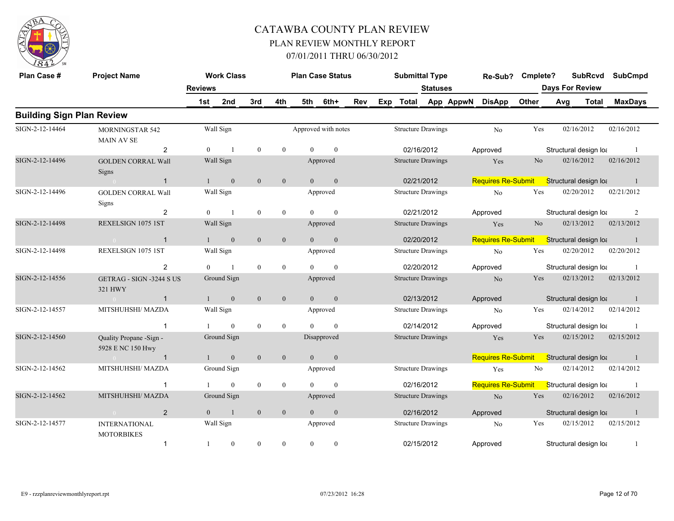

| Plan Case #                      | <b>Project Name</b>                           |                | <b>Work Class</b> |                  |                  |                  | <b>Plan Case Status</b> |            | <b>Submittal Type</b>     |                 |           | Re-Sub?                   | Cmplete?       |     | <b>SubRcvd</b>         | <b>SubCmpd</b> |
|----------------------------------|-----------------------------------------------|----------------|-------------------|------------------|------------------|------------------|-------------------------|------------|---------------------------|-----------------|-----------|---------------------------|----------------|-----|------------------------|----------------|
|                                  |                                               | <b>Reviews</b> |                   |                  |                  |                  |                         |            |                           | <b>Statuses</b> |           |                           |                |     | <b>Days For Review</b> |                |
|                                  |                                               | 1st            | 2nd               | 3rd              | 4th              | 5th              | 6th+                    | <b>Rev</b> | Exp Total                 |                 | App AppwN | <b>DisApp</b>             | Other          | Avg | <b>Total</b>           | <b>MaxDays</b> |
| <b>Building Sign Plan Review</b> |                                               |                |                   |                  |                  |                  |                         |            |                           |                 |           |                           |                |     |                        |                |
| SIGN-2-12-14464                  | MORNINGSTAR 542<br><b>MAIN AV SE</b>          |                | Wall Sign         |                  |                  |                  | Approved with notes     |            | <b>Structure Drawings</b> |                 |           | N <sub>0</sub>            | Yes            |     | 02/16/2012             | 02/16/2012     |
|                                  | 2                                             | $\mathbf{0}$   | $\overline{1}$    | $\mathbf{0}$     | $\boldsymbol{0}$ | $\Omega$         | $\mathbf{0}$            |            |                           | 02/16/2012      |           | Approved                  |                |     | Structural design loa  |                |
| SIGN-2-12-14496                  | <b>GOLDEN CORRAL Wall</b><br>Signs            |                | Wall Sign         |                  |                  |                  | Approved                |            | <b>Structure Drawings</b> |                 |           | Yes                       | N <sub>o</sub> |     | 02/16/2012             | 02/16/2012     |
|                                  | $\mathbf{1}$                                  |                | $\mathbf{0}$      | $\mathbf{0}$     | $\mathbf{0}$     | $\theta$         | $\mathbf{0}$            |            |                           | 02/21/2012      |           | <b>Requires Re-Submit</b> |                |     | Structural design lot  | $\overline{1}$ |
| SIGN-2-12-14496                  | <b>GOLDEN CORRAL Wall</b><br>Signs            |                | Wall Sign         |                  |                  |                  | Approved                |            | <b>Structure Drawings</b> |                 |           | No                        | Yes            |     | 02/20/2012             | 02/21/2012     |
|                                  | $\overline{2}$                                | $\theta$       | $\overline{1}$    | $\mathbf{0}$     | $\mathbf{0}$     | $\Omega$         | $\theta$                |            |                           | 02/21/2012      |           | Approved                  |                |     | Structural design loa  | $\overline{2}$ |
| SIGN-2-12-14498                  | REXELSIGN 1075 1ST                            |                | Wall Sign         |                  |                  |                  | Approved                |            | <b>Structure Drawings</b> |                 |           | Yes                       | No             |     | 02/13/2012             | 02/13/2012     |
|                                  | $\overline{1}$<br>$\overline{0}$              |                | $\mathbf{0}$      | $\mathbf{0}$     | $\mathbf{0}$     | $\overline{0}$   | $\boldsymbol{0}$        |            |                           | 02/20/2012      |           | <b>Requires Re-Submit</b> |                |     | Structural design loa  |                |
| SIGN-2-12-14498                  | REXELSIGN 1075 1ST                            |                | Wall Sign         |                  |                  |                  | Approved                |            | <b>Structure Drawings</b> |                 |           | No                        | Yes            |     | 02/20/2012             | 02/20/2012     |
|                                  | 2                                             | $\Omega$       | $\overline{1}$    | $\theta$         | $\mathbf{0}$     | $\Omega$         | $\theta$                |            |                           | 02/20/2012      |           | Approved                  |                |     | Structural design loa  | $\overline{1}$ |
| SIGN-2-12-14556                  | <b>GETRAG - SIGN -3244 S US</b><br>321 HWY    |                | Ground Sign       |                  |                  |                  | Approved                |            | <b>Structure Drawings</b> |                 |           | No                        | Yes            |     | 02/13/2012             | 02/13/2012     |
|                                  | $\mathbf{1}$<br>$\sim 0$                      | $\mathbf{1}$   | $\mathbf{0}$      | $\mathbf{0}$     | $\mathbf{0}$     | $\overline{0}$   | $\mathbf{0}$            |            |                           | 02/13/2012      |           | Approved                  |                |     | Structural design loa  | -1             |
| SIGN-2-12-14557                  | MITSHUHSHI/ MAZDA                             |                | Wall Sign         |                  |                  |                  | Approved                |            | <b>Structure Drawings</b> |                 |           | N <sub>o</sub>            | Yes            |     | 02/14/2012             | 02/14/2012     |
|                                  | $\mathbf{1}$                                  |                | $\mathbf{0}$      | $\bf{0}$         | $\boldsymbol{0}$ | $\Omega$         | $\mathbf{0}$            |            |                           | 02/14/2012      |           | Approved                  |                |     | Structural design loa  |                |
| SIGN-2-12-14560                  | Quality Propane - Sign -<br>5928 E NC 150 Hwy |                | Ground Sign       |                  |                  |                  | Disapproved             |            | <b>Structure Drawings</b> |                 |           | Yes                       | Yes            |     | 02/15/2012             | 02/15/2012     |
|                                  | $\overline{1}$<br>$\overline{0}$              | $\mathbf{1}$   | $\mathbf{0}$      | $\mathbf{0}$     | $\mathbf{0}$     | $\overline{0}$   | $\mathbf{0}$            |            |                           |                 |           | <b>Requires Re-Submit</b> |                |     | Structural design lot  | -1             |
| SIGN-2-12-14562                  | MITSHUHSHI/ MAZDA                             |                | Ground Sign       |                  |                  |                  | Approved                |            | <b>Structure Drawings</b> |                 |           | Yes                       | No             |     | 02/14/2012             | 02/14/2012     |
|                                  |                                               |                | $\theta$          | $\mathbf{0}$     | $\mathbf{0}$     | $\Omega$         | $\theta$                |            |                           | 02/16/2012      |           | <b>Requires Re-Submit</b> |                |     | Structural design lot  |                |
| SIGN-2-12-14562                  | MITSHUHSHI/ MAZDA                             |                | Ground Sign       |                  |                  |                  | Approved                |            | <b>Structure Drawings</b> |                 |           | No                        | Yes            |     | 02/16/2012             | 02/16/2012     |
|                                  | 2                                             | $\overline{0}$ | $\overline{1}$    | $\mathbf{0}$     | $\mathbf{0}$     | $\Omega$         | $\mathbf{0}$            |            |                           | 02/16/2012      |           | Approved                  |                |     | Structural design loa  | -1             |
| SIGN-2-12-14577                  | <b>INTERNATIONAL</b><br><b>MOTORBIKES</b>     |                | Wall Sign         |                  |                  |                  | Approved                |            | <b>Structure Drawings</b> |                 |           | No                        | Yes            |     | 02/15/2012             | 02/15/2012     |
|                                  | $\mathbf{1}$                                  |                | $\bf{0}$          | $\boldsymbol{0}$ | $\boldsymbol{0}$ | $\boldsymbol{0}$ | $\boldsymbol{0}$        |            |                           | 02/15/2012      |           | Approved                  |                |     | Structural design loa  |                |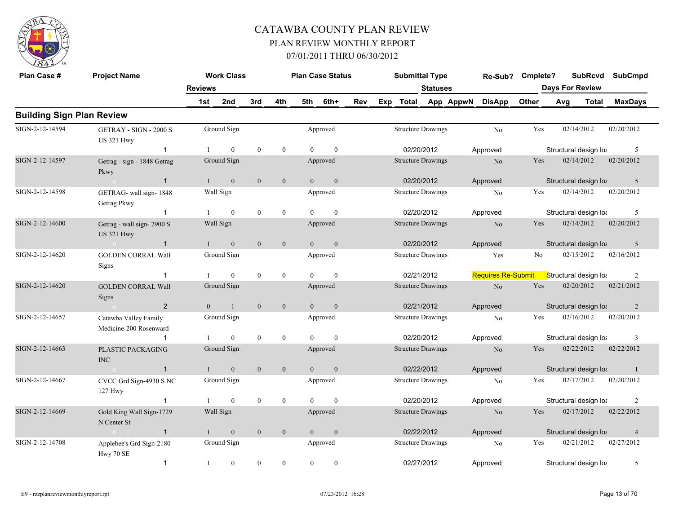

| Plan Case #                      | <b>Project Name</b>                                |                | <b>Work Class</b> |                  |                  |                | <b>Plan Case Status</b> |            |     | <b>Submittal Type</b>     |          |           | Re-Sub?                   | Cmplete? |                        | <b>SubRcvd</b> | <b>SubCmpd</b> |  |
|----------------------------------|----------------------------------------------------|----------------|-------------------|------------------|------------------|----------------|-------------------------|------------|-----|---------------------------|----------|-----------|---------------------------|----------|------------------------|----------------|----------------|--|
|                                  |                                                    | <b>Reviews</b> |                   |                  |                  |                |                         |            |     |                           | Statuses |           |                           |          | <b>Days For Review</b> |                |                |  |
|                                  |                                                    | 1st            | 2nd               | 3rd              | 4th              | 5th            | 6th+                    | <b>Rev</b> | Exp | Total                     |          | App AppwN | <b>DisApp</b>             | Other    | Avg                    | <b>Total</b>   | <b>MaxDays</b> |  |
| <b>Building Sign Plan Review</b> |                                                    |                |                   |                  |                  |                |                         |            |     |                           |          |           |                           |          |                        |                |                |  |
| SIGN-2-12-14594                  | <b>GETRAY - SIGN - 2000 S</b><br><b>US 321 Hwy</b> |                | Ground Sign       |                  |                  |                | Approved                |            |     | <b>Structure Drawings</b> |          |           | N <sub>o</sub>            | Yes      | 02/14/2012             |                | 02/20/2012     |  |
|                                  | -1                                                 |                | $\theta$          | $\mathbf{0}$     | $\mathbf{0}$     | $\Omega$       | $\theta$                |            |     | 02/20/2012                |          |           | Approved                  |          | Structural design loa  |                | 5              |  |
| SIGN-2-12-14597                  | Getrag - sign - 1848 Getrag<br>Pkwy                |                | Ground Sign       |                  |                  |                | Approved                |            |     | <b>Structure Drawings</b> |          |           | $\rm No$                  | Yes      | 02/14/2012             |                | 02/20/2012     |  |
|                                  | $\overline{1}$<br>$\sim 0$                         | $\mathbf{1}$   | $\mathbf{0}$      | $\mathbf{0}$     | $\mathbf{0}$     | $\Omega$       | $\mathbf{0}$            |            |     | 02/20/2012                |          |           | Approved                  |          | Structural design loa  |                | 5              |  |
| SIGN-2-12-14598                  | GETRAG- wall sign-1848<br>Getrag Pkwy              |                | Wall Sign         |                  |                  |                | Approved                |            |     | <b>Structure Drawings</b> |          |           | No                        | Yes      | 02/14/2012             |                | 02/20/2012     |  |
|                                  | $\mathbf{1}$                                       |                | $\theta$          | $\theta$         | $\theta$         | $\Omega$       | $\theta$                |            |     | 02/20/2012                |          |           | Approved                  |          | Structural design loa  |                | 5              |  |
| SIGN-2-12-14600                  | Getrag - wall sign-2900 S<br><b>US 321 Hwy</b>     |                | Wall Sign         |                  |                  |                | Approved                |            |     | <b>Structure Drawings</b> |          |           | N <sub>o</sub>            | Yes      | 02/14/2012             |                | 02/20/2012     |  |
|                                  | $\sim 0$<br>$\overline{1}$                         | $\mathbf{1}$   | $\mathbf{0}$      | $\mathbf{0}$     | $\mathbf{0}$     | $\overline{0}$ | $\mathbf{0}$            |            |     | 02/20/2012                |          |           | Approved                  |          | Structural design loa  |                | 5              |  |
| SIGN-2-12-14620                  | <b>GOLDEN CORRAL Wall</b><br><b>Signs</b>          |                | Ground Sign       |                  |                  |                | Approved                |            |     | <b>Structure Drawings</b> |          |           | Yes                       | No       | 02/15/2012             |                | 02/16/2012     |  |
|                                  | -1                                                 |                | $\mathbf{0}$      | $\mathbf{0}$     | $\mathbf{0}$     | $\Omega$       | $\theta$                |            |     | 02/21/2012                |          |           | <b>Requires Re-Submit</b> |          | Structural design loa  |                | $\overline{2}$ |  |
| SIGN-2-12-14620                  | <b>GOLDEN CORRAL Wall</b><br>Signs                 |                | Ground Sign       |                  |                  |                | Approved                |            |     | <b>Structure Drawings</b> |          |           | N <sub>o</sub>            | Yes      | 02/20/2012             |                | 02/21/2012     |  |
|                                  | $\overline{2}$<br>$\sim 0$                         | $\overline{0}$ | $\mathbf{1}$      | $\mathbf{0}$     | $\mathbf{0}$     | $\overline{0}$ | $\mathbf{0}$            |            |     | 02/21/2012                |          |           | Approved                  |          | Structural design loa  |                | $\overline{2}$ |  |
| SIGN-2-12-14657                  | Catawba Valley Family<br>Medicine-200 Rosenward    |                | Ground Sign       |                  |                  |                | Approved                |            |     | <b>Structure Drawings</b> |          |           | N <sub>0</sub>            | Yes      | 02/16/2012             |                | 02/20/2012     |  |
|                                  | $\overline{1}$                                     |                | $\mathbf{0}$      | $\mathbf{0}$     | $\mathbf{0}$     | $\theta$       | $\mathbf{0}$            |            |     | 02/20/2012                |          |           | Approved                  |          | Structural design loa  |                | 3              |  |
| SIGN-2-12-14663                  | PLASTIC PACKAGING<br><b>INC</b>                    |                | Ground Sign       |                  |                  |                | Approved                |            |     | <b>Structure Drawings</b> |          |           | No                        | Yes      | 02/22/2012             |                | 02/22/2012     |  |
|                                  | $\overline{1}$                                     |                | $\mathbf{0}$      | $\mathbf{0}$     | $\boldsymbol{0}$ | $\overline{0}$ | $\mathbf{0}$            |            |     | 02/22/2012                |          |           | Approved                  |          | Structural design loa  |                | -1             |  |
| SIGN-2-12-14667                  | CVCC Grd Sign-4930 S NC<br>$127$ Hwy               |                | Ground Sign       |                  |                  |                | Approved                |            |     | <b>Structure Drawings</b> |          |           | N <sub>0</sub>            | Yes      | 02/17/2012             |                | 02/20/2012     |  |
|                                  | $\overline{1}$                                     |                | $\mathbf{0}$      | $\boldsymbol{0}$ | $\mathbf{0}$     | $\Omega$       | $\mathbf{0}$            |            |     | 02/20/2012                |          |           | Approved                  |          | Structural design loa  |                | $\overline{2}$ |  |
| SIGN-2-12-14669                  | Gold King Wall Sign-1729<br>N Center St            |                | Wall Sign         |                  |                  |                | Approved                |            |     | <b>Structure Drawings</b> |          |           | No                        | Yes      | 02/17/2012             |                | 02/22/2012     |  |
|                                  | $\overline{1}$<br>$\sim 0$                         | $\mathbf{1}$   | $\mathbf{0}$      | $\mathbf{0}$     | $\mathbf{0}$     | $\overline{0}$ | $\mathbf{0}$            |            |     | 02/22/2012                |          |           | Approved                  |          | Structural design loa  |                | $\overline{4}$ |  |
| SIGN-2-12-14708                  | Applebee's Grd Sign-2180<br>Hwy 70 SE              |                | Ground Sign       |                  |                  |                | Approved                |            |     | <b>Structure Drawings</b> |          |           | No                        | Yes      | 02/21/2012             |                | 02/27/2012     |  |
|                                  | $\overline{1}$                                     | 1              | $\mathbf{0}$      | $\mathbf{0}$     | $\theta$         | $\Omega$       | $\mathbf{0}$            |            |     | 02/27/2012                |          |           | Approved                  |          | Structural design loa  |                | 5              |  |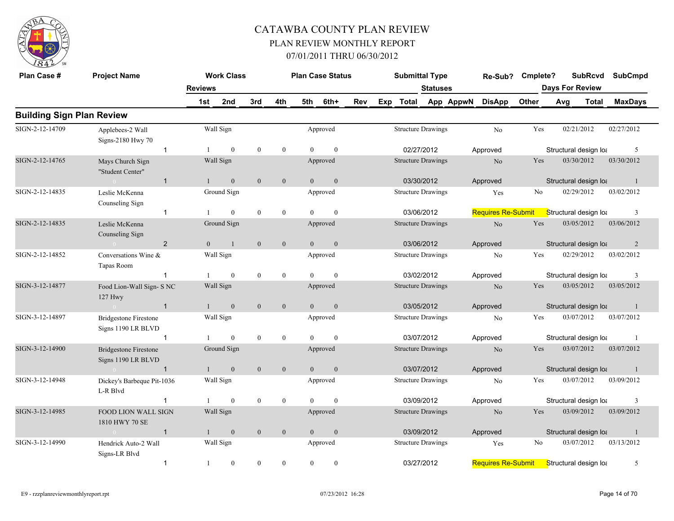

| Plan Case #                      | <b>Project Name</b>                                |                | <b>Work Class</b> |              |                |                | <b>Plan Case Status</b> |     | <b>Submittal Type</b>     |                 |           | Re-Sub?                   | Cmplete? |                        | <b>SubRcvd</b>        | <b>SubCmpd</b> |
|----------------------------------|----------------------------------------------------|----------------|-------------------|--------------|----------------|----------------|-------------------------|-----|---------------------------|-----------------|-----------|---------------------------|----------|------------------------|-----------------------|----------------|
|                                  |                                                    | <b>Reviews</b> |                   |              |                |                |                         |     |                           | <b>Statuses</b> |           |                           |          | <b>Days For Review</b> |                       |                |
|                                  |                                                    | 1st            | 2nd               | 3rd          | 4th            | 5th            | 6th+                    | Rev | Exp Total                 |                 | App AppwN | <b>DisApp</b>             | Other    | Avg                    | <b>Total</b>          | <b>MaxDays</b> |
| <b>Building Sign Plan Review</b> |                                                    |                |                   |              |                |                |                         |     |                           |                 |           |                           |          |                        |                       |                |
| SIGN-2-12-14709                  | Applebees-2 Wall<br>Signs-2180 Hwy 70              |                | Wall Sign         |              |                |                | Approved                |     | <b>Structure Drawings</b> |                 |           | No                        | Yes      |                        | 02/21/2012            | 02/27/2012     |
|                                  | $\mathbf 1$                                        |                | $\mathbf{0}$      | $\mathbf{0}$ | $\overline{0}$ | $\Omega$       | $\mathbf{0}$            |     | 02/27/2012                |                 |           | Approved                  |          |                        | Structural design loa | 5              |
| SIGN-2-12-14765                  | Mays Church Sign<br>"Student Center"               |                | Wall Sign         |              |                |                | Approved                |     | <b>Structure Drawings</b> |                 |           | N <sub>o</sub>            | Yes      |                        | 03/30/2012            | 03/30/2012     |
|                                  | $\sim 0$<br>$\mathbf{1}$                           | $\mathbf{1}$   | $\mathbf{0}$      | $\mathbf{0}$ | $\mathbf{0}$   | $\theta$       | $\mathbf{0}$            |     | 03/30/2012                |                 |           | Approved                  |          |                        | Structural design loa | $\overline{1}$ |
| SIGN-2-12-14835                  | Leslie McKenna<br>Counseling Sign                  |                | Ground Sign       |              |                |                | Approved                |     | <b>Structure Drawings</b> |                 |           | Yes                       | No       |                        | 02/29/2012            | 03/02/2012     |
|                                  | $\mathbf{1}$                                       |                | $\overline{0}$    | $\theta$     | $\mathbf{0}$   | $\Omega$       | $\mathbf{0}$            |     | 03/06/2012                |                 |           | <b>Requires Re-Submit</b> |          | Structural design lot  |                       | 3              |
| SIGN-2-12-14835                  | Leslie McKenna<br>Counseling Sign                  |                | Ground Sign       |              |                |                | Approved                |     | <b>Structure Drawings</b> |                 |           | No                        | Yes      |                        | 03/05/2012            | 03/06/2012     |
|                                  | $\overline{2}$<br>$\sim 0$                         | $\Omega$       | $\overline{1}$    | $\mathbf{0}$ | $\mathbf{0}$   | $\overline{0}$ | $\boldsymbol{0}$        |     | 03/06/2012                |                 |           | Approved                  |          | Structural design loa  |                       | 2              |
| SIGN-2-12-14852                  | Conversations Wine &<br>Tapas Room                 |                | Wall Sign         |              |                |                | Approved                |     | <b>Structure Drawings</b> |                 |           | No                        | Yes      |                        | 02/29/2012            | 03/02/2012     |
|                                  | $\overline{1}$                                     |                | $\mathbf{0}$      | $\theta$     | $\mathbf{0}$   | $\Omega$       | $\mathbf{0}$            |     | 03/02/2012                |                 |           | Approved                  |          |                        | Structural design loa | 3              |
| SIGN-3-12-14877                  | Food Lion-Wall Sign- S NC<br><b>127 Hwy</b>        |                | Wall Sign         |              |                |                | Approved                |     | <b>Structure Drawings</b> |                 |           | N <sub>o</sub>            | Yes      |                        | 03/05/2012            | 03/05/2012     |
|                                  | $\sim 0$<br>$\overline{1}$                         | $\mathbf{1}$   | $\mathbf{0}$      | $\mathbf{0}$ | $\mathbf{0}$   | $\overline{0}$ | $\mathbf{0}$            |     | 03/05/2012                |                 |           | Approved                  |          |                        | Structural design loa | -1             |
| SIGN-3-12-14897                  | <b>Bridgestone Firestone</b><br>Signs 1190 LR BLVD |                | Wall Sign         |              |                |                | Approved                |     | <b>Structure Drawings</b> |                 |           | No                        | Yes      |                        | 03/07/2012            | 03/07/2012     |
|                                  | $\overline{1}$                                     |                | $\mathbf{0}$      | $\mathbf{0}$ | $\mathbf{0}$   | $\theta$       | $\mathbf{0}$            |     | 03/07/2012                |                 |           | Approved                  |          |                        | Structural design loa |                |
| SIGN-3-12-14900                  | <b>Bridgestone Firestone</b><br>Signs 1190 LR BLVD |                | Ground Sign       |              |                |                | Approved                |     | <b>Structure Drawings</b> |                 |           | N <sub>o</sub>            | Yes      |                        | 03/07/2012            | 03/07/2012     |
|                                  | $\mathbf{1}$<br>$\sim$ 0.000 $\sim$                |                | $\boldsymbol{0}$  | $\mathbf{0}$ | $\mathbf{0}$   | $\overline{0}$ | $\boldsymbol{0}$        |     | 03/07/2012                |                 |           | Approved                  |          | Structural design loa  |                       | -1             |
| SIGN-3-12-14948                  | Dickey's Barbeque Pit-1036<br>L-R Blvd             |                | Wall Sign         |              |                |                | Approved                |     | <b>Structure Drawings</b> |                 |           | No                        | Yes      |                        | 03/07/2012            | 03/09/2012     |
|                                  | $\overline{1}$                                     |                | $\mathbf{0}$      | $\mathbf{0}$ | $\mathbf{0}$   | $\theta$       | $\mathbf{0}$            |     | 03/09/2012                |                 |           | Approved                  |          |                        | Structural design loa | 3              |
| SIGN-3-12-14985                  | <b>FOOD LION WALL SIGN</b><br>1810 HWY 70 SE       |                | Wall Sign         |              |                |                | Approved                |     | <b>Structure Drawings</b> |                 |           | N <sub>o</sub>            | Yes      |                        | 03/09/2012            | 03/09/2012     |
|                                  | $\overline{1}$<br>$\sim 0$                         | $\mathbf{1}$   | $\mathbf{0}$      | $\mathbf{0}$ | $\mathbf{0}$   | $\overline{0}$ | $\boldsymbol{0}$        |     | 03/09/2012                |                 |           | Approved                  |          |                        | Structural design loa | -1             |
| SIGN-3-12-14990                  | Hendrick Auto-2 Wall<br>Signs-LR Blvd              |                | Wall Sign         |              |                |                | Approved                |     | <b>Structure Drawings</b> |                 |           | Yes                       | No       |                        | 03/07/2012            | 03/13/2012     |
|                                  | $\mathbf{1}$                                       | 1              | $\boldsymbol{0}$  | $\theta$     | $\mathbf{0}$   | $\mathbf{0}$   | $\theta$                |     | 03/27/2012                |                 |           | <b>Requires Re-Submit</b> |          | Structural design loa  |                       | 5              |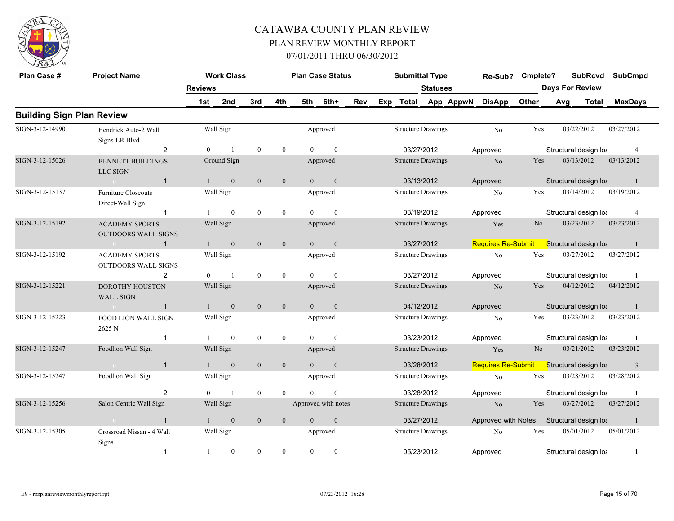

| Plan Case #                      | <b>Project Name</b>                                             |                | <b>Work Class</b> |                  |                  |                | <b>Plan Case Status</b> |     |     | <b>Submittal Type</b>     |                 |           | Re-Sub?                   | Cmplete?       |     | <b>SubRcvd</b>         | <b>SubCmpd</b> |
|----------------------------------|-----------------------------------------------------------------|----------------|-------------------|------------------|------------------|----------------|-------------------------|-----|-----|---------------------------|-----------------|-----------|---------------------------|----------------|-----|------------------------|----------------|
|                                  |                                                                 | <b>Reviews</b> |                   |                  |                  |                |                         |     |     |                           | <b>Statuses</b> |           |                           |                |     | <b>Days For Review</b> |                |
|                                  |                                                                 | 1st            | 2nd               | 3rd              | 4th              | 5th            | 6th+                    | Rev | Exp | <b>Total</b>              |                 | App AppwN | <b>DisApp</b>             | Other          | Avg | Total                  | <b>MaxDays</b> |
| <b>Building Sign Plan Review</b> |                                                                 |                |                   |                  |                  |                |                         |     |     |                           |                 |           |                           |                |     |                        |                |
| SIGN-3-12-14990                  | Hendrick Auto-2 Wall<br>Signs-LR Blvd                           |                | Wall Sign         |                  |                  |                | Approved                |     |     | <b>Structure Drawings</b> |                 |           | No                        | Yes            |     | 03/22/2012             | 03/27/2012     |
|                                  | 2                                                               | $\Omega$       |                   | $\mathbf{0}$     | $\mathbf{0}$     | $\Omega$       | $\theta$                |     |     | 03/27/2012                |                 |           | Approved                  |                |     | Structural design loa  | $\overline{4}$ |
| SIGN-3-12-15026                  | <b>BENNETT BUILDINGS</b><br><b>LLC SIGN</b>                     |                | Ground Sign       |                  |                  |                | Approved                |     |     | <b>Structure Drawings</b> |                 |           | N <sub>o</sub>            | Yes            |     | 03/13/2012             | 03/13/2012     |
|                                  | $\sim$ 0<br>$\overline{1}$                                      |                | $\mathbf{0}$      | $\mathbf{0}$     | $\mathbf{0}$     | $\theta$       | $\mathbf{0}$            |     |     | 03/13/2012                |                 |           | Approved                  |                |     | Structural design loa  | -1             |
| SIGN-3-12-15137                  | <b>Furniture Closeouts</b><br>Direct-Wall Sign                  |                | Wall Sign         |                  |                  |                | Approved                |     |     | <b>Structure Drawings</b> |                 |           | No                        | Yes            |     | 03/14/2012             | 03/19/2012     |
|                                  | $\mathbf{1}$                                                    |                | $\mathbf{0}$      | $\mathbf{0}$     | $\mathbf{0}$     | $\Omega$       | $\theta$                |     |     | 03/19/2012                |                 |           | Approved                  |                |     | Structural design loa  | $\overline{4}$ |
| SIGN-3-12-15192                  | <b>ACADEMY SPORTS</b><br><b>OUTDOORS WALL SIGNS</b>             |                | Wall Sign         |                  |                  |                | Approved                |     |     | <b>Structure Drawings</b> |                 |           | Yes                       | N <sub>o</sub> |     | 03/23/2012             | 03/23/2012     |
|                                  | $\overline{1}$<br>$\sim$ 0.000 $\sim$ 0.000 $\sim$ 0.000 $\sim$ |                | $\mathbf{0}$      | $\mathbf{0}$     | $\overline{0}$   | $\Omega$       | $\mathbf{0}$            |     |     | 03/27/2012                |                 |           | <b>Requires Re-Submit</b> |                |     | Structural design lot  | $\blacksquare$ |
| SIGN-3-12-15192                  | <b>ACADEMY SPORTS</b><br><b>OUTDOORS WALL SIGNS</b>             |                | Wall Sign         |                  |                  |                | Approved                |     |     | <b>Structure Drawings</b> |                 |           | No                        | Yes            |     | 03/27/2012             | 03/27/2012     |
|                                  | $\overline{c}$                                                  | $\theta$       | $\overline{1}$    | $\boldsymbol{0}$ | $\bf{0}$         | $\Omega$       | $\theta$                |     |     | 03/27/2012                |                 |           | Approved                  |                |     | Structural design loa  |                |
| SIGN-3-12-15221                  | <b>DOROTHY HOUSTON</b><br><b>WALL SIGN</b>                      |                | Wall Sign         |                  |                  |                | Approved                |     |     | <b>Structure Drawings</b> |                 |           | N <sub>o</sub>            | Yes            |     | 04/12/2012             | 04/12/2012     |
|                                  | $\overline{1}$<br>$\sim 0$                                      |                | $\mathbf{0}$      | $\mathbf{0}$     | $\mathbf{0}$     | $\theta$       | $\mathbf{0}$            |     |     | 04/12/2012                |                 |           | Approved                  |                |     | Structural design loa  | -1             |
| SIGN-3-12-15223                  | <b>FOOD LION WALL SIGN</b><br>2625 N                            |                | Wall Sign         |                  |                  |                | Approved                |     |     | <b>Structure Drawings</b> |                 |           | N <sub>o</sub>            | Yes            |     | 03/23/2012             | 03/23/2012     |
|                                  | $\overline{1}$                                                  |                | $\overline{0}$    | $\boldsymbol{0}$ | $\boldsymbol{0}$ | $\Omega$       | $\mathbf{0}$            |     |     | 03/23/2012                |                 |           | Approved                  |                |     | Structural design loa  |                |
| SIGN-3-12-15247                  | Foodlion Wall Sign                                              |                | Wall Sign         |                  |                  |                | Approved                |     |     | <b>Structure Drawings</b> |                 |           | Yes                       | N <sub>o</sub> |     | 03/21/2012             | 03/23/2012     |
|                                  | $\overline{1}$                                                  |                | $\mathbf{0}$      | $\mathbf{0}$     | $\boldsymbol{0}$ | $\overline{0}$ | $\mathbf{0}$            |     |     |                           | 03/28/2012      |           | <b>Requires Re-Submit</b> |                |     | Structural design lot  | $\overline{3}$ |
| SIGN-3-12-15247                  | Foodlion Wall Sign                                              |                | Wall Sign         |                  |                  |                | Approved                |     |     | <b>Structure Drawings</b> |                 |           | No                        | Yes            |     | 03/28/2012             | 03/28/2012     |
|                                  | 2                                                               | $\Omega$       | $\overline{1}$    | $\mathbf{0}$     | $\theta$         | $\Omega$       | $\theta$                |     |     | 03/28/2012                |                 |           | Approved                  |                |     | Structural design loa  | -1             |
| SIGN-3-12-15256                  | Salon Centric Wall Sign                                         |                | Wall Sign         |                  |                  |                | Approved with notes     |     |     | <b>Structure Drawings</b> |                 |           | No                        | Yes            |     | 03/27/2012             | 03/27/2012     |
|                                  | $\mathbf{1}$<br>$\sim$ 0                                        |                | $\overline{0}$    | $\mathbf{0}$     | $\mathbf{0}$     | $\Omega$       | $\mathbf{0}$            |     |     | 03/27/2012                |                 |           | Approved with Notes       |                |     | Structural design loa  |                |
| SIGN-3-12-15305                  | Crossroad Nissan - 4 Wall<br><b>Signs</b>                       |                | Wall Sign         |                  |                  |                | Approved                |     |     | <b>Structure Drawings</b> |                 |           | No                        | Yes            |     | 05/01/2012             | 05/01/2012     |
|                                  | $\mathbf{1}$                                                    | $\overline{1}$ | $\overline{0}$    | $\theta$         | $\theta$         | $\theta$       | $\theta$                |     |     | 05/23/2012                |                 |           | Approved                  |                |     | Structural design loa  |                |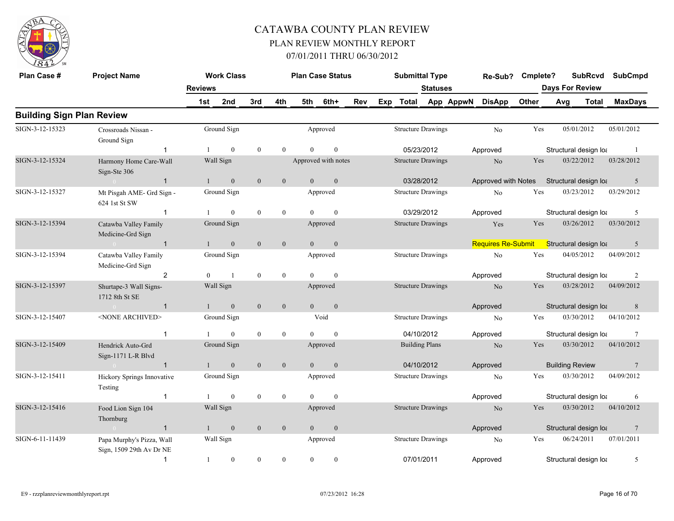

| Plan Case #                      | <b>Project Name</b>                                   |                | <b>Work Class</b> |              |                  |                | <b>Plan Case Status</b> |            |     | <b>Submittal Type</b>     |                 |           | Re-Sub?                   | Cmplete? |     | <b>SubRcvd</b>         | <b>SubCmpd</b>  |
|----------------------------------|-------------------------------------------------------|----------------|-------------------|--------------|------------------|----------------|-------------------------|------------|-----|---------------------------|-----------------|-----------|---------------------------|----------|-----|------------------------|-----------------|
|                                  |                                                       | <b>Reviews</b> |                   |              |                  |                |                         |            |     |                           | <b>Statuses</b> |           |                           |          |     | <b>Days For Review</b> |                 |
|                                  |                                                       | 1st            | 2nd               | 3rd          | 4th              | 5th            | 6th+                    | <b>Rev</b> | Exp | Total                     |                 | App AppwN | <b>DisApp</b>             | Other    | Avg | <b>Total</b>           | <b>MaxDays</b>  |
| <b>Building Sign Plan Review</b> |                                                       |                |                   |              |                  |                |                         |            |     |                           |                 |           |                           |          |     |                        |                 |
| SIGN-3-12-15323                  | Crossroads Nissan -<br>Ground Sign                    |                | Ground Sign       |              |                  |                | Approved                |            |     | <b>Structure Drawings</b> |                 |           | No                        | Yes      |     | 05/01/2012             | 05/01/2012      |
|                                  | $\mathbf 1$                                           |                | $\theta$          | $\mathbf{0}$ | $\theta$         | $\Omega$       | $\mathbf{0}$            |            |     | 05/23/2012                |                 |           | Approved                  |          |     | Structural design loa  | -1              |
| SIGN-3-12-15324                  | Harmony Home Care-Wall<br>Sign-Ste 306                |                | Wall Sign         |              |                  |                | Approved with notes     |            |     | <b>Structure Drawings</b> |                 |           | No                        | Yes      |     | 03/22/2012             | 03/28/2012      |
|                                  | $\mathbf{1}$<br>$\sim 0$                              | $\mathbf{1}$   | $\mathbf{0}$      | $\mathbf{0}$ | $\mathbf{0}$     | $\overline{0}$ | $\mathbf{0}$            |            |     | 03/28/2012                |                 |           | Approved with Notes       |          |     | Structural design loa  | 5               |
| SIGN-3-12-15327                  | Mt Pisgah AME- Grd Sign -<br>624 1st St SW            |                | Ground Sign       |              |                  |                | Approved                |            |     | <b>Structure Drawings</b> |                 |           | No                        | Yes      |     | 03/23/2012             | 03/29/2012      |
|                                  | $\mathbf{1}$                                          |                | $\overline{0}$    | $\mathbf{0}$ | $\mathbf{0}$     | $\Omega$       | $\mathbf{0}$            |            |     | 03/29/2012                |                 |           | Approved                  |          |     | Structural design loa  | 5               |
| SIGN-3-12-15394                  | Catawba Valley Family<br>Medicine-Grd Sign            |                | Ground Sign       |              |                  |                | Approved                |            |     | <b>Structure Drawings</b> |                 |           | Yes                       | Yes      |     | 03/26/2012             | 03/30/2012      |
|                                  | $\overline{1}$<br>$\sim 0$                            |                | $\mathbf{0}$      | $\mathbf{0}$ | $\mathbf{0}$     | $\overline{0}$ | $\mathbf{0}$            |            |     |                           |                 |           | <b>Requires Re-Submit</b> |          |     | Structural design lot  | 5               |
| SIGN-3-12-15394                  | Catawba Valley Family<br>Medicine-Grd Sign            |                | Ground Sign       |              |                  |                | Approved                |            |     | <b>Structure Drawings</b> |                 |           | No                        | Yes      |     | 04/05/2012             | 04/09/2012      |
|                                  | 2                                                     | $\Omega$       | $\overline{1}$    | $\mathbf{0}$ | $\overline{0}$   | $\Omega$       | $\overline{0}$          |            |     |                           |                 |           | Approved                  |          |     | Structural design loa  | 2               |
| SIGN-3-12-15397                  | Shurtape-3 Wall Signs-<br>1712 8th St SE              |                | Wall Sign         |              |                  |                | Approved                |            |     | <b>Structure Drawings</b> |                 |           | No                        | Yes      |     | 03/28/2012             | 04/09/2012      |
|                                  | $\sim 0$ and $\sim 0$<br>$\overline{1}$               | $\mathbf{1}$   | $\overline{0}$    | $\mathbf{0}$ | $\overline{0}$   | $\Omega$       | $\mathbf{0}$            |            |     |                           |                 |           | Approved                  |          |     | Structural design loa  | 8               |
| SIGN-3-12-15407                  | <none archived=""></none>                             |                | Ground Sign       |              |                  |                | Void                    |            |     | <b>Structure Drawings</b> |                 |           | No                        | Yes      |     | 03/30/2012             | 04/10/2012      |
|                                  | $\overline{1}$                                        |                | $\theta$          | $\mathbf{0}$ | $\mathbf{0}$     | $\Omega$       | $\theta$                |            |     | 04/10/2012                |                 |           | Approved                  |          |     | Structural design loa  | -7              |
| SIGN-3-12-15409                  | Hendrick Auto-Grd<br>Sign-1171 L-R Blvd               |                | Ground Sign       |              |                  |                | Approved                |            |     | <b>Building Plans</b>     |                 |           | N <sub>o</sub>            | Yes      |     | 03/30/2012             | 04/10/2012      |
|                                  | $\overline{1}$<br>$\sim 0$ and $\sim 0.00$            |                | $\overline{0}$    | $\mathbf{0}$ | $\overline{0}$   | $\theta$       | $\mathbf{0}$            |            |     | 04/10/2012                |                 |           | Approved                  |          |     | <b>Building Review</b> | 7               |
| SIGN-3-12-15411                  | Hickory Springs Innovative<br>Testing                 |                | Ground Sign       |              |                  |                | Approved                |            |     | <b>Structure Drawings</b> |                 |           | No                        | Yes      |     | 03/30/2012             | 04/09/2012      |
|                                  | $\mathbf{1}$                                          |                | $\overline{0}$    | $\mathbf{0}$ | $\boldsymbol{0}$ | $\Omega$       | $\mathbf{0}$            |            |     |                           |                 |           | Approved                  |          |     | Structural design loa  | 6               |
| SIGN-3-12-15416                  | Food Lion Sign 104<br>Thornburg                       |                | Wall Sign         |              |                  |                | Approved                |            |     | <b>Structure Drawings</b> |                 |           | N <sub>o</sub>            | Yes      |     | 03/30/2012             | 04/10/2012      |
|                                  | $\overline{1}$<br>$\sim 0$                            |                | $\mathbf{0}$      | $\mathbf{0}$ | $\mathbf{0}$     | $\theta$       | $\mathbf{0}$            |            |     |                           |                 |           | Approved                  |          |     | Structural design loa  | $7\phantom{.0}$ |
| SIGN-6-11-11439                  | Papa Murphy's Pizza, Wall<br>Sign, 1509 29th Av Dr NE |                | Wall Sign         |              |                  |                | Approved                |            |     | <b>Structure Drawings</b> |                 |           | N <sub>0</sub>            | Yes      |     | 06/24/2011             | 07/01/2011      |
|                                  | $\mathbf{1}$                                          | -1             | $\boldsymbol{0}$  | $\mathbf{0}$ | $\mathbf{0}$     | $\theta$       | $\mathbf{0}$            |            |     | 07/01/2011                |                 |           | Approved                  |          |     | Structural design loa  | 5               |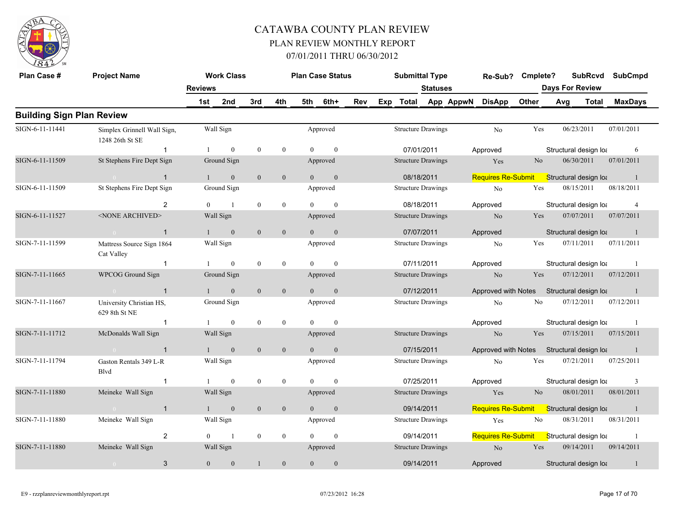

| Plan Case #                      | <b>Project Name</b>                            |                | <b>Work Class</b> |                  |                  |                | <b>Plan Case Status</b> |     |                           | <b>Submittal Type</b>     | Re-Sub?                    | Cmplete?       |     | <b>SubRcvd</b>         |            | <b>SubCmpd</b> |
|----------------------------------|------------------------------------------------|----------------|-------------------|------------------|------------------|----------------|-------------------------|-----|---------------------------|---------------------------|----------------------------|----------------|-----|------------------------|------------|----------------|
|                                  |                                                | <b>Reviews</b> |                   |                  |                  |                |                         |     |                           | <b>Statuses</b>           |                            |                |     | <b>Days For Review</b> |            |                |
|                                  |                                                | 1st            | 2nd               | 3rd              | 4th              | 5th            | 6th+                    | Rev |                           |                           | Exp Total App AppwN DisApp | Other          | Avg | Total                  |            | <b>MaxDays</b> |
| <b>Building Sign Plan Review</b> |                                                |                |                   |                  |                  |                |                         |     |                           |                           |                            |                |     |                        |            |                |
| SIGN-6-11-11441                  | Simplex Grinnell Wall Sign,<br>1248 26th St SE |                | Wall Sign         |                  |                  |                | Approved                |     |                           | <b>Structure Drawings</b> | No                         | Yes            |     | 06/23/2011             | 07/01/2011 |                |
|                                  | $\mathbf{1}$                                   |                | $\overline{0}$    | $\mathbf{0}$     | $\bf{0}$         | $\Omega$       | $\mathbf{0}$            |     | 07/01/2011                |                           | Approved                   |                |     | Structural design loa  |            | 6              |
| SIGN-6-11-11509                  | St Stephens Fire Dept Sign                     |                | Ground Sign       |                  |                  |                | Approved                |     | <b>Structure Drawings</b> |                           | Yes                        | N <sub>0</sub> |     | 06/30/2011             | 07/01/2011 |                |
|                                  | $\overline{1}$<br>$\sim 0$ and $\sim 0$        |                | $\mathbf{0}$      | $\mathbf{0}$     | $\mathbf{0}$     | $\Omega$       | $\mathbf{0}$            |     | 08/18/2011                |                           | <b>Requires Re-Submit</b>  |                |     | Structural design loa  |            | $\blacksquare$ |
| SIGN-6-11-11509                  | St Stephens Fire Dept Sign                     |                | Ground Sign       |                  |                  |                | Approved                |     |                           | <b>Structure Drawings</b> | No                         | Yes            |     | 08/15/2011             | 08/18/2011 |                |
|                                  | 2                                              | $\theta$       | $\overline{1}$    | $\boldsymbol{0}$ | $\bf{0}$         | $\theta$       | $\mathbf{0}$            |     | 08/18/2011                |                           | Approved                   |                |     | Structural design loa  |            | $\overline{4}$ |
| SIGN-6-11-11527                  | <none archived=""></none>                      |                | Wall Sign         |                  |                  |                | Approved                |     | <b>Structure Drawings</b> |                           | No                         | Yes            |     | 07/07/2011             | 07/07/2011 |                |
|                                  | $\overline{1}$<br>$\sim 0$                     |                | $\mathbf{0}$      | $\mathbf{0}$     | $\mathbf{0}$     | $\Omega$       | $\mathbf{0}$            |     | 07/07/2011                |                           | Approved                   |                |     | Structural design loa  |            | $\blacksquare$ |
| SIGN-7-11-11599                  | Mattress Source Sign 1864<br>Cat Valley        |                | Wall Sign         |                  |                  |                | Approved                |     |                           | <b>Structure Drawings</b> | No                         | Yes            |     | 07/11/2011             | 07/11/2011 |                |
|                                  | $\mathbf{1}$                                   |                | $\overline{0}$    | $\mathbf{0}$     | $\mathbf{0}$     | $\Omega$       | $\theta$                |     | 07/11/2011                |                           | Approved                   |                |     | Structural design loa  |            |                |
| SIGN-7-11-11665                  | <b>WPCOG Ground Sign</b>                       |                | Ground Sign       |                  |                  |                | Approved                |     | <b>Structure Drawings</b> |                           | No                         | Yes            |     | 07/12/2011             | 07/12/2011 |                |
|                                  | $\overline{1}$<br>$\sim 0$                     |                | $\overline{0}$    | $\overline{0}$   | $\mathbf{0}$     | $\Omega$       | $\overline{0}$          |     | 07/12/2011                |                           | Approved with Notes        |                |     | Structural design loa  |            | $\blacksquare$ |
| SIGN-7-11-11667                  | University Christian HS,<br>629 8th St NE      |                | Ground Sign       |                  |                  |                | Approved                |     |                           | <b>Structure Drawings</b> | No                         | No             |     | 07/12/2011             | 07/12/2011 |                |
|                                  | $\mathbf{1}$                                   |                | $\overline{0}$    | $\boldsymbol{0}$ | $\bf{0}$         | $\theta$       | $\mathbf{0}$            |     |                           |                           | Approved                   |                |     | Structural design loa  |            | $\overline{1}$ |
| SIGN-7-11-11712                  | McDonalds Wall Sign                            |                | Wall Sign         |                  |                  |                | Approved                |     | <b>Structure Drawings</b> |                           | N <sub>o</sub>             | Yes            |     | 07/15/2011             | 07/15/2011 |                |
|                                  | $\sim 0$<br>$\overline{1}$                     |                | $\overline{0}$    | $\mathbf{0}$     | $\boldsymbol{0}$ |                | $\mathbf{0}$            |     | 07/15/2011                |                           | Approved with Notes        |                |     | Structural design loa  |            | $\blacksquare$ |
| SIGN-7-11-11794                  | Gaston Rentals 349 L-R<br>Blvd                 |                | Wall Sign         |                  |                  |                | Approved                |     |                           | <b>Structure Drawings</b> | No                         | Yes            |     | 07/21/2011             | 07/25/2011 |                |
|                                  | $\overline{1}$                                 |                | $\overline{0}$    | $\boldsymbol{0}$ | $\boldsymbol{0}$ | $\theta$       | $\mathbf{0}$            |     | 07/25/2011                |                           | Approved                   |                |     | Structural design loa  |            | 3              |
| SIGN-7-11-11880                  | Meineke Wall Sign                              |                | Wall Sign         |                  |                  |                | Approved                |     |                           | <b>Structure Drawings</b> | Yes                        | N <sub>0</sub> |     | 08/01/2011             | 08/01/2011 |                |
|                                  | $\overline{1}$                                 |                | $\mathbf{0}$      | $\mathbf{0}$     | $\mathbf{0}$     | $\overline{0}$ | $\mathbf{0}$            |     | 09/14/2011                |                           | <b>Requires Re-Submit</b>  |                |     | Structural design loa  |            | $\overline{1}$ |
| SIGN-7-11-11880                  | Meineke Wall Sign                              |                | Wall Sign         |                  |                  |                | Approved                |     |                           | <b>Structure Drawings</b> | Yes                        | No             |     | 08/31/2011             | 08/31/2011 |                |
|                                  | $\overline{2}$                                 | $\overline{0}$ | $\overline{1}$    | $\boldsymbol{0}$ | $\bf{0}$         | $\theta$       | $\mathbf{0}$            |     | 09/14/2011                |                           | <b>Requires Re-Submit</b>  |                |     | Structural design lot  |            |                |
| SIGN-7-11-11880                  | Meineke Wall Sign                              |                | Wall Sign         |                  |                  |                | Approved                |     |                           | <b>Structure Drawings</b> | No                         | Yes            |     | 09/14/2011             | 09/14/2011 |                |
|                                  | $\mathbf{3}$<br>$\sim 0$                       | $\mathbf{0}$   | $\mathbf{0}$      | $\mathbf{1}$     | $\mathbf{0}$     | $\overline{0}$ | $\mathbf{0}$            |     | 09/14/2011                |                           | Approved                   |                |     | Structural design loa  |            | -1             |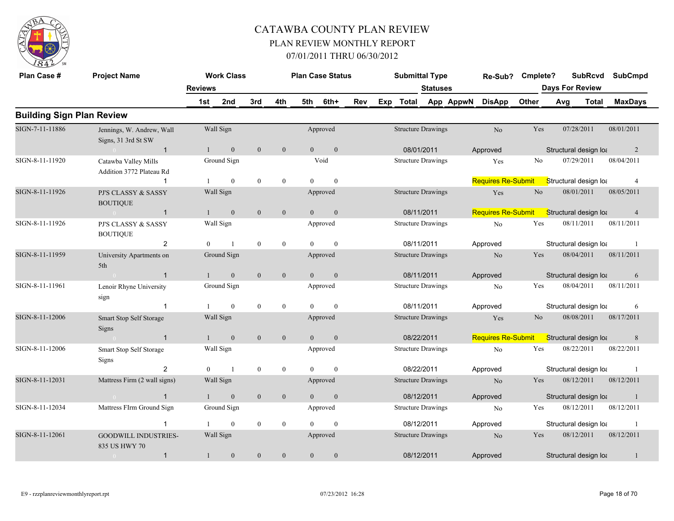

| Plan Case #                      | <b>Project Name</b>                              |                | <b>Work Class</b> |                  |                  |                | <b>Plan Case Status</b> |     |     | <b>Submittal Type</b>     |                 |           | Re-Sub?                   | Cmplete?       |     | <b>SubRcvd</b>         | <b>SubCmpd</b> |  |
|----------------------------------|--------------------------------------------------|----------------|-------------------|------------------|------------------|----------------|-------------------------|-----|-----|---------------------------|-----------------|-----------|---------------------------|----------------|-----|------------------------|----------------|--|
|                                  |                                                  | <b>Reviews</b> |                   |                  |                  |                |                         |     |     |                           | <b>Statuses</b> |           |                           |                |     | <b>Days For Review</b> |                |  |
|                                  |                                                  | 1st            | 2nd               | 3rd              | 4th              | 5th            | 6th+                    | Rev | Exp | Total                     |                 | App AppwN | <b>DisApp</b>             | <b>Other</b>   | Avg | <b>Total</b>           | <b>MaxDays</b> |  |
| <b>Building Sign Plan Review</b> |                                                  |                |                   |                  |                  |                |                         |     |     |                           |                 |           |                           |                |     |                        |                |  |
| SIGN-7-11-11886                  | Jennings, W. Andrew, Wall<br>Signs, 31 3rd St SW |                | Wall Sign         |                  |                  |                | Approved                |     |     | <b>Structure Drawings</b> |                 |           | No                        | Yes            |     | 07/28/2011             | 08/01/2011     |  |
|                                  | $\overline{1}$                                   | $\mathbf{1}$   | $\boldsymbol{0}$  | $\boldsymbol{0}$ | $\boldsymbol{0}$ | $\overline{0}$ | $\boldsymbol{0}$        |     |     | 08/01/2011                |                 |           | Approved                  |                |     | Structural design loa  | $\overline{2}$ |  |
| SIGN-8-11-11920                  | Catawba Valley Mills<br>Addition 3772 Plateau Rd |                | Ground Sign       |                  |                  |                | Void                    |     |     | <b>Structure Drawings</b> |                 |           | Yes                       | No             |     | 07/29/2011             | 08/04/2011     |  |
|                                  |                                                  |                | $\mathbf{0}$      | $\mathbf{0}$     | $\bf{0}$         | $\Omega$       | $\mathbf{0}$            |     |     |                           |                 |           | <b>Requires Re-Submit</b> |                |     | Structural design loa  | $\overline{4}$ |  |
| SIGN-8-11-11926                  | PJ'S CLASSY & SASSY<br><b>BOUTIQUE</b>           |                | Wall Sign         |                  |                  |                | Approved                |     |     | <b>Structure Drawings</b> |                 |           | Yes                       | $\rm No$       |     | 08/01/2011             | 08/05/2011     |  |
|                                  | $\overline{1}$<br>$\sim 0$                       | $\mathbf{1}$   | $\mathbf{0}$      | $\mathbf{0}$     | $\mathbf{0}$     | $\Omega$       | $\mathbf{0}$            |     |     | 08/11/2011                |                 |           | <b>Requires Re-Submit</b> |                |     | Structural design lot  | $\overline{4}$ |  |
| SIGN-8-11-11926                  | PJ'S CLASSY & SASSY<br><b>BOUTIQUE</b>           |                | Wall Sign         |                  |                  |                | Approved                |     |     | <b>Structure Drawings</b> |                 |           | N <sub>o</sub>            | Yes            |     | 08/11/2011             | 08/11/2011     |  |
|                                  | 2                                                | $\theta$       | $\overline{1}$    | $\boldsymbol{0}$ | $\mathbf{0}$     | $\theta$       | $\mathbf{0}$            |     |     | 08/11/2011                |                 |           | Approved                  |                |     | Structural design loa  |                |  |
| SIGN-8-11-11959                  | University Apartments on<br>5th                  |                | Ground Sign       |                  |                  |                | Approved                |     |     | <b>Structure Drawings</b> |                 |           | N <sub>o</sub>            | Yes            |     | 08/04/2011             | 08/11/2011     |  |
|                                  | $\overline{1}$<br>$\overline{0}$                 |                | $\mathbf{0}$      | $\mathbf{0}$     | $\mathbf{0}$     | $\overline{0}$ | $\mathbf{0}$            |     |     | 08/11/2011                |                 |           | Approved                  |                |     | Structural design loa  | 6              |  |
| SIGN-8-11-11961                  | Lenoir Rhyne University<br>sign                  |                | Ground Sign       |                  |                  |                | Approved                |     |     | <b>Structure Drawings</b> |                 |           | No                        | Yes            |     | 08/04/2011             | 08/11/2011     |  |
|                                  | -1                                               |                | $\theta$          | $\mathbf{0}$     | $\overline{0}$   | $\Omega$       | $\theta$                |     |     | 08/11/2011                |                 |           | Approved                  |                |     | Structural design loa  | 6              |  |
| SIGN-8-11-12006                  | Smart Stop Self Storage<br>Signs                 |                | Wall Sign         |                  |                  |                | Approved                |     |     | <b>Structure Drawings</b> |                 |           | Yes                       | N <sub>o</sub> |     | 08/08/2011             | 08/17/2011     |  |
|                                  | $\overline{1}$<br>$\sim$ 0                       |                | $\mathbf{0}$      | $\boldsymbol{0}$ | $\boldsymbol{0}$ | $\overline{0}$ | $\boldsymbol{0}$        |     |     | 08/22/2011                |                 |           | <b>Requires Re-Submit</b> |                |     | Structural design loa  | 8              |  |
| SIGN-8-11-12006                  | Smart Stop Self Storage<br>Signs                 |                | Wall Sign         |                  |                  |                | Approved                |     |     | <b>Structure Drawings</b> |                 |           | N <sub>0</sub>            | Yes            |     | 08/22/2011             | 08/22/2011     |  |
|                                  | 2                                                | $\theta$       | $\overline{1}$    | $\bf{0}$         | $\bf{0}$         | $\theta$       | $\mathbf{0}$            |     |     | 08/22/2011                |                 |           | Approved                  |                |     | Structural design loa  |                |  |
| SIGN-8-11-12031                  | Mattress Firm (2 wall signs)                     |                | Wall Sign         |                  |                  |                | Approved                |     |     | <b>Structure Drawings</b> |                 |           | N <sub>o</sub>            | Yes            |     | 08/12/2011             | 08/12/2011     |  |
|                                  | $\mathbf{1}$<br>$\sim$ 0                         |                | $\mathbf{0}$      | $\mathbf{0}$     | $\mathbf{0}$     | $\overline{0}$ | $\mathbf{0}$            |     |     | 08/12/2011                |                 |           | Approved                  |                |     | Structural design loa  | $\mathbf{1}$   |  |
| SIGN-8-11-12034                  | Mattress FIrm Ground Sign                        |                | Ground Sign       |                  |                  |                | Approved                |     |     | <b>Structure Drawings</b> |                 |           | No                        | Yes            |     | 08/12/2011             | 08/12/2011     |  |
|                                  | $\mathbf{1}$                                     |                | $\theta$          | $\mathbf{0}$     | $\boldsymbol{0}$ | $\Omega$       | $\theta$                |     |     | 08/12/2011                |                 |           | Approved                  |                |     | Structural design loa  |                |  |
| SIGN-8-11-12061                  | <b>GOODWILL INDUSTRIES-</b><br>835 US HWY 70     |                | Wall Sign         |                  |                  |                | Approved                |     |     | <b>Structure Drawings</b> |                 |           | N <sub>o</sub>            | Yes            |     | 08/12/2011             | 08/12/2011     |  |
|                                  | $\overline{1}$<br>$\overline{0}$                 | 1              | $\mathbf{0}$      | $\mathbf{0}$     | $\mathbf{0}$     | $\theta$       | $\theta$                |     |     | 08/12/2011                |                 |           | Approved                  |                |     | Structural design loa  |                |  |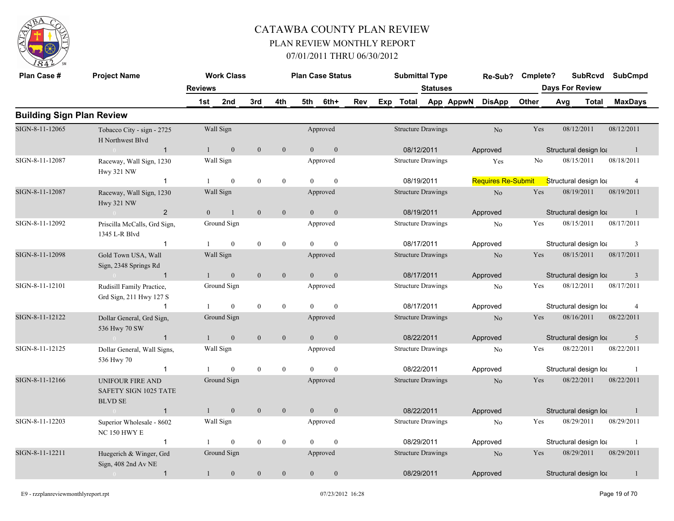

| Plan Case #                      | <b>Project Name</b>                                                |                | <b>Work Class</b> |                  |                  |                | <b>Plan Case Status</b> |     | <b>Submittal Type</b>     |                     | Re-Sub?                   | Cmplete? |                        | <b>SubRcvd</b> | <b>SubCmpd</b> |  |
|----------------------------------|--------------------------------------------------------------------|----------------|-------------------|------------------|------------------|----------------|-------------------------|-----|---------------------------|---------------------|---------------------------|----------|------------------------|----------------|----------------|--|
|                                  |                                                                    | <b>Reviews</b> |                   |                  |                  |                |                         |     |                           | <b>Statuses</b>     |                           |          | <b>Days For Review</b> |                |                |  |
|                                  |                                                                    | 1st            | 2nd               | 3rd              | 4th              | 5th            | 6th+                    | Rev |                           | Exp Total App AppwN | <b>DisApp</b>             | Other    | Avg                    | Total          | <b>MaxDays</b> |  |
| <b>Building Sign Plan Review</b> |                                                                    |                |                   |                  |                  |                |                         |     |                           |                     |                           |          |                        |                |                |  |
| SIGN-8-11-12065                  | Tobacco City - sign - 2725<br>H Northwest Blvd                     |                | Wall Sign         |                  |                  |                | Approved                |     | <b>Structure Drawings</b> |                     | No                        | Yes      | 08/12/2011             |                | 08/12/2011     |  |
|                                  | $\mathbf{1}$<br>$\sim 0$                                           | $\mathbf{1}$   | $\mathbf{0}$      | $\mathbf{0}$     | $\mathbf{0}$     | $\overline{0}$ | $\mathbf{0}$            |     | 08/12/2011                |                     | Approved                  |          | Structural design loa  |                | -1             |  |
| SIGN-8-11-12087                  | Raceway, Wall Sign, 1230<br><b>Hwy 321 NW</b>                      |                | Wall Sign         |                  |                  |                | Approved                |     | <b>Structure Drawings</b> |                     | Yes                       | No       | 08/15/2011             |                | 08/18/2011     |  |
|                                  | $\overline{1}$                                                     |                | $\overline{0}$    | $\mathbf{0}$     | $\mathbf{0}$     | $\Omega$       | $\theta$                |     | 08/19/2011                |                     | <b>Requires Re-Submit</b> |          | Structural design loa  |                | $\overline{4}$ |  |
| SIGN-8-11-12087                  | Raceway, Wall Sign, 1230<br><b>Hwy 321 NW</b>                      |                | Wall Sign         |                  |                  |                | Approved                |     | <b>Structure Drawings</b> |                     | N <sub>o</sub>            | Yes      | 08/19/2011             |                | 08/19/2011     |  |
|                                  | $\overline{2}$<br>$\theta$                                         | $\overline{0}$ | $\overline{1}$    | $\mathbf{0}$     | $\boldsymbol{0}$ | $\Omega$       | $\mathbf{0}$            |     | 08/19/2011                |                     | Approved                  |          | Structural design loa  |                | $\mathbf{1}$   |  |
| SIGN-8-11-12092                  | Priscilla McCalls, Grd Sign,<br>1345 L-R Blvd                      |                | Ground Sign       |                  |                  |                | Approved                |     | <b>Structure Drawings</b> |                     | N <sub>0</sub>            | Yes      | 08/15/2011             |                | 08/17/2011     |  |
|                                  | $\mathbf{1}$                                                       |                | $\mathbf{0}$      | $\mathbf{0}$     | $\mathbf{0}$     | $\Omega$       | $\theta$                |     | 08/17/2011                |                     | Approved                  |          | Structural design loa  |                | 3              |  |
| SIGN-8-11-12098                  | Gold Town USA, Wall<br>Sign, 2348 Springs Rd                       |                | Wall Sign         |                  |                  |                | Approved                |     | <b>Structure Drawings</b> |                     | N <sub>o</sub>            | Yes      | 08/15/2011             |                | 08/17/2011     |  |
|                                  | $\overline{1}$<br>$\sim$ 0 $\sim$ 0 $\sim$                         | $\mathbf{1}$   | $\boldsymbol{0}$  | $\mathbf{0}$     | $\boldsymbol{0}$ | $\overline{0}$ | $\mathbf{0}$            |     | 08/17/2011                |                     | Approved                  |          | Structural design loa  |                | $\mathfrak{Z}$ |  |
| SIGN-8-11-12101                  | Rudisill Family Practice,<br>Grd Sign, 211 Hwy 127 S               |                | Ground Sign       |                  |                  |                | Approved                |     | <b>Structure Drawings</b> |                     | No                        | Yes      | 08/12/2011             |                | 08/17/2011     |  |
|                                  |                                                                    |                | $\mathbf{0}$      | $\boldsymbol{0}$ | $\mathbf{0}$     | $\Omega$       | $\theta$                |     | 08/17/2011                |                     | Approved                  |          | Structural design loa  |                | $\overline{4}$ |  |
| SIGN-8-11-12122                  | Dollar General, Grd Sign,<br>536 Hwy 70 SW                         |                | Ground Sign       |                  |                  |                | Approved                |     | <b>Structure Drawings</b> |                     | N <sub>o</sub>            | Yes      | 08/16/2011             |                | 08/22/2011     |  |
|                                  | $\overline{1}$                                                     |                | $\mathbf{0}$      | $\mathbf{0}$     | $\boldsymbol{0}$ | $\overline{0}$ | $\mathbf{0}$            |     | 08/22/2011                |                     | Approved                  |          | Structural design loa  |                | 5              |  |
| SIGN-8-11-12125                  | Dollar General, Wall Signs,<br>536 Hwy 70                          |                | Wall Sign         |                  |                  |                | Approved                |     | <b>Structure Drawings</b> |                     | N <sub>0</sub>            | Yes      | 08/22/2011             |                | 08/22/2011     |  |
|                                  | $\mathbf 1$                                                        |                | $\mathbf{0}$      | $\mathbf{0}$     | $\mathbf{0}$     | $\theta$       | $\mathbf{0}$            |     | 08/22/2011                |                     | Approved                  |          | Structural design loa  |                | -1             |  |
| SIGN-8-11-12166                  | <b>UNIFOUR FIRE AND</b><br>SAFETY SIGN 1025 TATE<br><b>BLVD SE</b> |                | Ground Sign       |                  |                  |                | Approved                |     | <b>Structure Drawings</b> |                     | N <sub>o</sub>            | Yes      | 08/22/2011             |                | 08/22/2011     |  |
|                                  | $\overline{1}$<br>$\sim 0$                                         | 1              | $\mathbf{0}$      | $\mathbf{0}$     | $\mathbf{0}$     | $\overline{0}$ | $\mathbf{0}$            |     | 08/22/2011                |                     | Approved                  |          | Structural design loa  |                | $\mathbf{1}$   |  |
| SIGN-8-11-12203                  | Superior Wholesale - 8602<br><b>NC 150 HWY E</b>                   |                | Wall Sign         |                  |                  |                | Approved                |     | <b>Structure Drawings</b> |                     | N <sub>0</sub>            | Yes      | 08/29/2011             |                | 08/29/2011     |  |
|                                  | $\overline{1}$                                                     |                | $\mathbf{0}$      | $\mathbf{0}$     | $\mathbf{0}$     | $\Omega$       | $\theta$                |     | 08/29/2011                |                     | Approved                  |          | Structural design loa  |                | $\overline{1}$ |  |
| SIGN-8-11-12211                  | Huegerich & Winger, Grd<br>Sign, 408 2nd Av NE                     |                | Ground Sign       |                  |                  |                | Approved                |     | <b>Structure Drawings</b> |                     | N <sub>o</sub>            | Yes      | 08/29/2011             |                | 08/29/2011     |  |
|                                  | $\mathbf{1}$                                                       |                | $\mathbf{0}$      | $\mathbf{0}$     | $\mathbf{0}$     | $\Omega$       | $\theta$                |     | 08/29/2011                |                     | Approved                  |          | Structural design loa  |                | $\mathbf{1}$   |  |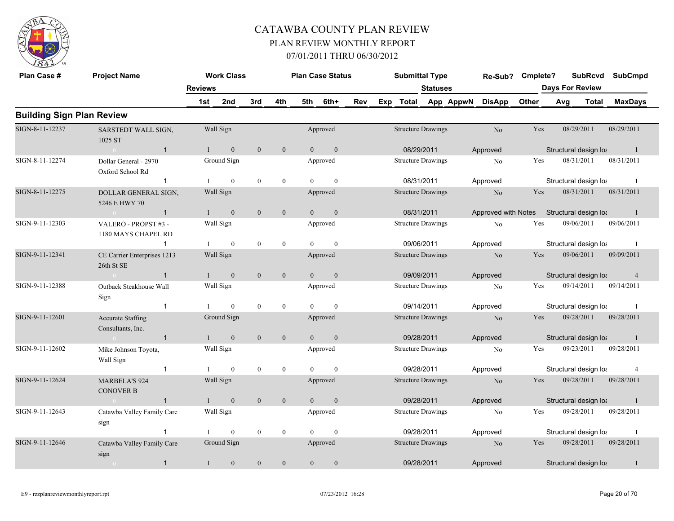

| Plan Case #                      | <b>Project Name</b>                           |                | <b>Work Class</b> |                  |                  |                | <b>Plan Case Status</b> |     |     | <b>Submittal Type</b>     |                 |           | Re-Sub?             | Cmplete? |                        | <b>SubRcvd</b>        | <b>SubCmpd</b> |
|----------------------------------|-----------------------------------------------|----------------|-------------------|------------------|------------------|----------------|-------------------------|-----|-----|---------------------------|-----------------|-----------|---------------------|----------|------------------------|-----------------------|----------------|
|                                  |                                               | <b>Reviews</b> |                   |                  |                  |                |                         |     |     |                           | <b>Statuses</b> |           |                     |          | <b>Days For Review</b> |                       |                |
|                                  |                                               | 1st            | 2nd               | 3rd              | 4th              | 5th            | 6th+                    | Rev | Exp | Total                     |                 | App AppwN | <b>DisApp</b>       | Other    | Avg                    | Total                 | <b>MaxDays</b> |
| <b>Building Sign Plan Review</b> |                                               |                |                   |                  |                  |                |                         |     |     |                           |                 |           |                     |          |                        |                       |                |
| SIGN-8-11-12237                  | SARSTEDT WALL SIGN,<br>1025 ST                |                | Wall Sign         |                  |                  |                | Approved                |     |     | <b>Structure Drawings</b> |                 |           | No                  | Yes      |                        | 08/29/2011            | 08/29/2011     |
|                                  | $\overline{1}$<br>$\sim 0$                    | $\mathbf{1}$   | $\mathbf{0}$      | $\mathbf{0}$     | $\boldsymbol{0}$ | $\overline{0}$ | $\mathbf{0}$            |     |     | 08/29/2011                |                 |           | Approved            |          |                        | Structural design loa | $\overline{1}$ |
| SIGN-8-11-12274                  | Dollar General - 2970<br>Oxford School Rd     |                | Ground Sign       |                  |                  |                | Approved                |     |     | <b>Structure Drawings</b> |                 |           | N <sub>0</sub>      | Yes      |                        | 08/31/2011            | 08/31/2011     |
|                                  | $\overline{\mathbf{1}}$                       |                | $\overline{0}$    | $\mathbf{0}$     | $\mathbf{0}$     | $\Omega$       | $\mathbf{0}$            |     |     | 08/31/2011                |                 |           | Approved            |          |                        | Structural design loa | $\overline{1}$ |
| SIGN-8-11-12275                  | DOLLAR GENERAL SIGN,<br>5246 E HWY 70         |                | Wall Sign         |                  |                  |                | Approved                |     |     | <b>Structure Drawings</b> |                 |           | N <sub>o</sub>      | Yes      |                        | 08/31/2011            | 08/31/2011     |
|                                  | $\overline{1}$<br>$\sim 0$ and $\sim 0$       | 1              | $\overline{0}$    | $\mathbf{0}$     | $\mathbf{0}$     | $\theta$       | $\overline{0}$          |     |     | 08/31/2011                |                 |           | Approved with Notes |          |                        | Structural design loa | $\blacksquare$ |
| SIGN-9-11-12303                  | VALERO - PROPST #3 -<br>1180 MAYS CHAPEL RD   |                | Wall Sign         |                  |                  |                | Approved                |     |     | <b>Structure Drawings</b> |                 |           | No                  | Yes      |                        | 09/06/2011            | 09/06/2011     |
|                                  | $\overline{1}$                                |                | $\mathbf{0}$      | $\mathbf{0}$     | $\mathbf{0}$     |                | $\theta$                |     |     | 09/06/2011                |                 |           | Approved            |          |                        | Structural design loa | -1             |
| SIGN-9-11-12341                  | CE Carrier Enterprises 1213<br>26th St SE     |                | Wall Sign         |                  |                  |                | Approved                |     |     | <b>Structure Drawings</b> |                 |           | No                  | Yes      |                        | 09/06/2011            | 09/09/2011     |
|                                  | $\sim 0$<br>$\overline{1}$                    | 1              | $\mathbf{0}$      | $\mathbf{0}$     | $\boldsymbol{0}$ | $\overline{0}$ | $\mathbf{0}$            |     |     | 09/09/2011                |                 |           | Approved            |          |                        | Structural design loa | $\overline{4}$ |
| SIGN-9-11-12388                  | Outback Steakhouse Wall<br>Sign               |                | Wall Sign         |                  |                  |                | Approved                |     |     | <b>Structure Drawings</b> |                 |           | No                  | Yes      |                        | 09/14/2011            | 09/14/2011     |
|                                  | $\overline{\mathbf{1}}$                       |                | $\mathbf{0}$      | $\mathbf{0}$     | $\mathbf{0}$     | $\Omega$       | $\theta$                |     |     | 09/14/2011                |                 |           | Approved            |          |                        | Structural design loa | -1             |
| SIGN-9-11-12601                  | <b>Accurate Staffing</b><br>Consultants, Inc. |                | Ground Sign       |                  |                  |                | Approved                |     |     | <b>Structure Drawings</b> |                 |           | N <sub>o</sub>      | Yes      |                        | 09/28/2011            | 09/28/2011     |
|                                  | $\overline{1}$<br>$0 \leq x \leq 1$           |                | $\mathbf{0}$      | $\mathbf{0}$     | $\mathbf{0}$     | $\theta$       | $\overline{0}$          |     |     | 09/28/2011                |                 |           | Approved            |          |                        | Structural design loa | -1             |
| SIGN-9-11-12602                  | Mike Johnson Toyota,<br>Wall Sign             |                | Wall Sign         |                  |                  |                | Approved                |     |     | <b>Structure Drawings</b> |                 |           | No                  | Yes      |                        | 09/23/2011            | 09/28/2011     |
|                                  | $\overline{1}$                                | 1              | $\mathbf{0}$      | $\mathbf{0}$     | $\mathbf{0}$     | $\Omega$       | $\theta$                |     |     | 09/28/2011                |                 |           | Approved            |          |                        | Structural design loa | 4              |
| SIGN-9-11-12624                  | <b>MARBELA'S 924</b><br><b>CONOVER B</b>      |                | Wall Sign         |                  |                  |                | Approved                |     |     | <b>Structure Drawings</b> |                 |           | N <sub>o</sub>      | Yes      |                        | 09/28/2011            | 09/28/2011     |
|                                  | $\mathbf{1}$<br>$\sim$ 0                      | $\mathbf{1}$   | $\mathbf{0}$      | $\mathbf{0}$     | $\mathbf{0}$     | $\overline{0}$ | $\mathbf{0}$            |     |     | 09/28/2011                |                 |           | Approved            |          |                        | Structural design loa | $\mathbf{1}$   |
| SIGN-9-11-12643                  | Catawba Valley Family Care<br>sign            |                | Wall Sign         |                  |                  |                | Approved                |     |     | <b>Structure Drawings</b> |                 |           | No                  | Yes      |                        | 09/28/2011            | 09/28/2011     |
|                                  | $\overline{1}$                                |                | $\mathbf{0}$      | $\mathbf{0}$     | $\mathbf{0}$     | $\Omega$       | $\mathbf{0}$            |     |     | 09/28/2011                |                 |           | Approved            |          |                        | Structural design loa | -1             |
| SIGN-9-11-12646                  | Catawba Valley Family Care<br>sign            |                | Ground Sign       |                  |                  |                | Approved                |     |     | <b>Structure Drawings</b> |                 |           | No                  | Yes      |                        | 09/28/2011            | 09/28/2011     |
|                                  | $\mathbf{1}$                                  | $\mathbf{1}$   | $\boldsymbol{0}$  | $\boldsymbol{0}$ | $\mathbf{0}$     | $\overline{0}$ | $\overline{0}$          |     |     | 09/28/2011                |                 |           | Approved            |          |                        | Structural design loa | $\mathbf{1}$   |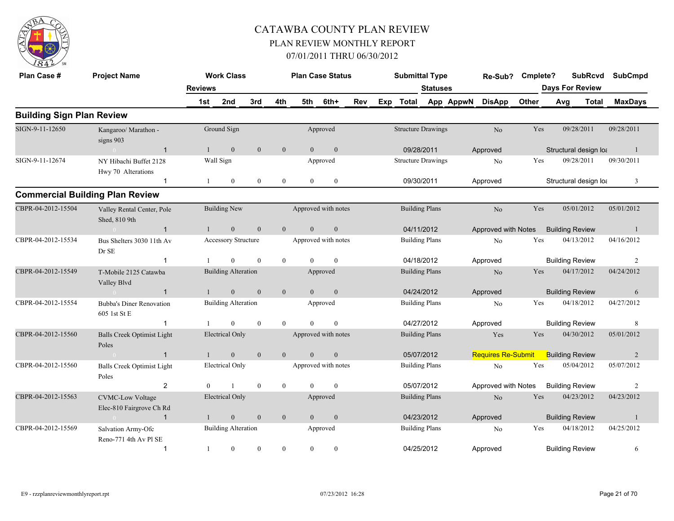

| Plan Case #                      | <b>Project Name</b>                                 |                | <b>Work Class</b>          |                |                  |                | <b>Plan Case Status</b> |     |              | <b>Submittal Type</b>     |           | Re-Sub?                   | Cmplete? |                        | <b>SubRcvd</b> | <b>SubCmpd</b> |
|----------------------------------|-----------------------------------------------------|----------------|----------------------------|----------------|------------------|----------------|-------------------------|-----|--------------|---------------------------|-----------|---------------------------|----------|------------------------|----------------|----------------|
|                                  |                                                     | <b>Reviews</b> |                            |                |                  |                |                         |     |              | <b>Statuses</b>           |           |                           |          | <b>Days For Review</b> |                |                |
|                                  |                                                     | 1st            | 2nd                        | 3rd            | 4th              | 5th            | 6th+                    | Rev | Exp<br>Total |                           | App AppwN | <b>DisApp</b>             | Other    | Avg                    | <b>Total</b>   | <b>MaxDays</b> |
| <b>Building Sign Plan Review</b> |                                                     |                |                            |                |                  |                |                         |     |              |                           |           |                           |          |                        |                |                |
| SIGN-9-11-12650                  | Kangaroo/ Marathon -<br>signs 903                   |                | Ground Sign                |                |                  |                | Approved                |     |              | <b>Structure Drawings</b> |           | No                        | Yes      |                        | 09/28/2011     | 09/28/2011     |
|                                  | $\overline{1}$                                      |                | $\mathbf{0}$               | $\mathbf{0}$   | $\boldsymbol{0}$ | $\overline{0}$ | $\mathbf{0}$            |     |              | 09/28/2011                |           | Approved                  |          | Structural design loa  |                | $\mathbf{1}$   |
| SIGN-9-11-12674                  | NY Hibachi Buffet 2128<br>Hwy 70 Alterations        |                | Wall Sign                  |                |                  |                | Approved                |     |              | <b>Structure Drawings</b> |           | No                        | Yes      |                        | 09/28/2011     | 09/30/2011     |
|                                  | $\overline{1}$                                      |                | $\mathbf{0}$               | $\overline{0}$ | $\mathbf{0}$     | $\overline{0}$ | $\mathbf{0}$            |     |              | 09/30/2011                |           | Approved                  |          | Structural design loa  |                | 3              |
|                                  | <b>Commercial Building Plan Review</b>              |                |                            |                |                  |                |                         |     |              |                           |           |                           |          |                        |                |                |
| CBPR-04-2012-15504               | Valley Rental Center, Pole<br>Shed, 810 9th         |                | <b>Building New</b>        |                |                  |                | Approved with notes     |     |              | <b>Building Plans</b>     |           | No                        | Yes      |                        | 05/01/2012     | 05/01/2012     |
|                                  | $\overline{1}$                                      |                | $\mathbf{0}$               | $\mathbf{0}$   | $\overline{0}$   | $\overline{0}$ | $\mathbf{0}$            |     |              | 04/11/2012                |           | Approved with Notes       |          | <b>Building Review</b> |                | -1             |
| CBPR-04-2012-15534               | Bus Shelters 3030 11th Av<br>Dr SE                  |                | Accessory Structure        |                |                  |                | Approved with notes     |     |              | <b>Building Plans</b>     |           | No                        | Yes      |                        | 04/13/2012     | 04/16/2012     |
|                                  | -1                                                  |                | $\mathbf{0}$               | $\mathbf{0}$   | $\bf{0}$         | $\mathbf{0}$   | $\mathbf{0}$            |     |              | 04/18/2012                |           | Approved                  |          | <b>Building Review</b> |                | $\overline{2}$ |
| CBPR-04-2012-15549               | T-Mobile 2125 Catawba<br>Valley Blvd                |                | <b>Building Alteration</b> |                |                  |                | Approved                |     |              | <b>Building Plans</b>     |           | N <sub>o</sub>            | Yes      |                        | 04/17/2012     | 04/24/2012     |
|                                  | $\overline{1}$                                      |                | $\theta$                   | $\theta$       | $\mathbf{0}$     | $\Omega$       | $\theta$                |     |              | 04/24/2012                |           | Approved                  |          | <b>Building Review</b> |                | 6              |
| CBPR-04-2012-15554               | <b>Bubba's Diner Renovation</b><br>605 1st St E     |                | <b>Building Alteration</b> |                |                  |                | Approved                |     |              | <b>Building Plans</b>     |           | No                        | Yes      |                        | 04/18/2012     | 04/27/2012     |
|                                  | $\mathbf 1$                                         | $\mathbf{1}$   | $\theta$                   | $\theta$       | $\theta$         | $\Omega$       | $\theta$                |     |              | 04/27/2012                |           | Approved                  |          | <b>Building Review</b> |                | 8              |
| CBPR-04-2012-15560               | <b>Balls Creek Optimist Light</b><br>Poles          |                | <b>Electrical Only</b>     |                |                  |                | Approved with notes     |     |              | <b>Building Plans</b>     |           | Yes                       | Yes      |                        | 04/30/2012     | 05/01/2012     |
|                                  | $\overline{1}$                                      |                | $\mathbf{0}$               | $\mathbf{0}$   | $\mathbf{0}$     | $\Omega$       | $\mathbf{0}$            |     |              | 05/07/2012                |           | <b>Requires Re-Submit</b> |          | <b>Building Review</b> |                | $\overline{2}$ |
| CBPR-04-2012-15560               | <b>Balls Creek Optimist Light</b><br>Poles          |                | <b>Electrical Only</b>     |                |                  |                | Approved with notes     |     |              | <b>Building Plans</b>     |           | $\rm No$                  | Yes      |                        | 05/04/2012     | 05/07/2012     |
|                                  | $\overline{2}$                                      | $\theta$       |                            | $\mathbf{0}$   | $\boldsymbol{0}$ | $\Omega$       | $\Omega$                |     |              | 05/07/2012                |           | Approved with Notes       |          | <b>Building Review</b> |                | $\overline{c}$ |
| CBPR-04-2012-15563               | <b>CVMC-Low Voltage</b><br>Elec-810 Fairgrove Ch Rd |                | <b>Electrical Only</b>     |                |                  |                | Approved                |     |              | <b>Building Plans</b>     |           | $\rm No$                  | Yes      |                        | 04/23/2012     | 04/23/2012     |
|                                  | $\overline{1}$                                      |                | $\boldsymbol{0}$           | $\mathbf{0}$   | $\boldsymbol{0}$ | $\overline{0}$ | $\boldsymbol{0}$        |     |              | 04/23/2012                |           | Approved                  |          | <b>Building Review</b> |                | $\overline{1}$ |
| CBPR-04-2012-15569               | Salvation Army-Ofc<br>Reno-771 4th Av Pl SE         |                | <b>Building Alteration</b> |                |                  |                | Approved                |     |              | <b>Building Plans</b>     |           | No                        | Yes      |                        | 04/18/2012     | 04/25/2012     |
|                                  | $\overline{\mathbf{1}}$                             | -1             | $\mathbf{0}$               | $\mathbf{0}$   | $\mathbf{0}$     | $\mathbf{0}$   | $\mathbf{0}$            |     |              | 04/25/2012                |           | Approved                  |          | <b>Building Review</b> |                | 6              |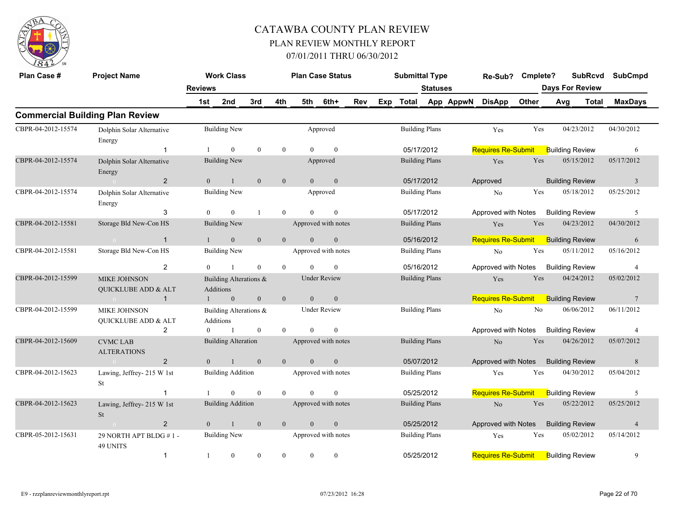

| Plan Case #        | <b>Project Name</b>                        |                | <b>Work Class</b>                   |                  |                |          | <b>Plan Case Status</b> |     |     | <b>Submittal Type</b> |                 |           | Re-Sub?                                   | Cmplete? |     | <b>SubRcvd</b>         | <b>SubCmpd</b>  |
|--------------------|--------------------------------------------|----------------|-------------------------------------|------------------|----------------|----------|-------------------------|-----|-----|-----------------------|-----------------|-----------|-------------------------------------------|----------|-----|------------------------|-----------------|
|                    |                                            | <b>Reviews</b> |                                     |                  |                |          |                         |     |     |                       | <b>Statuses</b> |           |                                           |          |     | <b>Days For Review</b> |                 |
|                    |                                            | 1st            | 2nd                                 | 3rd              | 4th            | 5th      | 6th+                    | Rev | Exp | Total                 |                 | App AppwN | <b>DisApp</b>                             | Other    | Avg | <b>Total</b>           | <b>MaxDays</b>  |
|                    | <b>Commercial Building Plan Review</b>     |                |                                     |                  |                |          |                         |     |     |                       |                 |           |                                           |          |     |                        |                 |
| CBPR-04-2012-15574 | Dolphin Solar Alternative<br>Energy        |                | <b>Building New</b>                 |                  |                |          | Approved                |     |     | <b>Building Plans</b> |                 |           | Yes                                       | Yes      |     | 04/23/2012             | 04/30/2012      |
|                    | -1                                         |                | $\theta$                            | $\mathbf{0}$     | $\mathbf{0}$   | $\Omega$ | $\theta$                |     |     | 05/17/2012            |                 |           | <b>Requires Re-Submit</b>                 |          |     | <b>Building Review</b> | 6               |
| CBPR-04-2012-15574 | Dolphin Solar Alternative<br>Energy        |                | <b>Building New</b>                 |                  |                |          | Approved                |     |     | <b>Building Plans</b> |                 |           | Yes                                       | Yes      |     | 05/15/2012             | 05/17/2012      |
|                    | 2<br>$\overline{0}$                        | $\overline{0}$ | $\mathbf{1}$                        | $\mathbf{0}$     | $\overline{0}$ | $\Omega$ | $\overline{0}$          |     |     | 05/17/2012            |                 |           | Approved                                  |          |     | <b>Building Review</b> | $\overline{3}$  |
| CBPR-04-2012-15574 | Dolphin Solar Alternative<br>Energy        |                | <b>Building New</b>                 |                  |                |          | Approved                |     |     | <b>Building Plans</b> |                 |           | No                                        | Yes      |     | 05/18/2012             | 05/25/2012      |
|                    | 3                                          | $\theta$       | $\theta$                            |                  | $\mathbf{0}$   | $\theta$ | $\theta$                |     |     | 05/17/2012            |                 |           | Approved with Notes                       |          |     | <b>Building Review</b> | 5               |
| CBPR-04-2012-15581 | Storage Bld New-Con HS                     |                | <b>Building New</b>                 |                  |                |          | Approved with notes     |     |     | <b>Building Plans</b> |                 |           | Yes                                       | Yes      |     | 04/23/2012             | 04/30/2012      |
|                    | $\overline{1}$<br>$\sim 0$                 | $\mathbf{1}$   | $\overline{0}$                      | $\mathbf{0}$     | $\mathbf{0}$   | $\theta$ | $\mathbf{0}$            |     |     | 05/16/2012            |                 |           | <b>Requires Re-Submit</b>                 |          |     | <b>Building Review</b> | 6               |
| CBPR-04-2012-15581 | Storage Bld New-Con HS                     |                | <b>Building New</b>                 |                  |                |          | Approved with notes     |     |     | <b>Building Plans</b> |                 |           | No                                        | Yes      |     | 05/11/2012             | 05/16/2012      |
|                    | $\overline{2}$                             | $\Omega$       | $\overline{1}$                      | $\theta$         | $\theta$       | $\Omega$ | $\Omega$                |     |     | 05/16/2012            |                 |           | Approved with Notes                       |          |     | <b>Building Review</b> | $\overline{4}$  |
| CBPR-04-2012-15599 | <b>MIKE JOHNSON</b><br>QUICKLUBE ADD & ALT |                | Building Alterations &<br>Additions |                  |                |          | <b>Under Review</b>     |     |     | <b>Building Plans</b> |                 |           | Yes                                       | Yes      |     | 04/24/2012             | 05/02/2012      |
|                    | $\overline{1}$<br>$\sim 0$                 |                | $\mathbf{0}$                        | $\mathbf{0}$     | $\mathbf{0}$   | $\theta$ | $\boldsymbol{0}$        |     |     |                       |                 |           | Requires Re-Submit                        |          |     | <b>Building Review</b> | $7\phantom{.0}$ |
| CBPR-04-2012-15599 | <b>MIKE JOHNSON</b><br>QUICKLUBE ADD & ALT |                | Building Alterations &<br>Additions |                  |                |          | <b>Under Review</b>     |     |     | <b>Building Plans</b> |                 |           | No                                        | No       |     | 06/06/2012             | 06/11/2012      |
|                    | $\overline{2}$                             | $\theta$       | $\overline{1}$                      | $\boldsymbol{0}$ | $\mathbf{0}$   | $\Omega$ | $\theta$                |     |     |                       |                 |           | Approved with Notes                       |          |     | <b>Building Review</b> | $\overline{4}$  |
| CBPR-04-2012-15609 | <b>CVMC LAB</b><br><b>ALTERATIONS</b>      |                | <b>Building Alteration</b>          |                  |                |          | Approved with notes     |     |     | <b>Building Plans</b> |                 |           | No                                        | Yes      |     | 04/26/2012             | 05/07/2012      |
|                    | $\overline{2}$<br>$\sim 0$                 | $\Omega$       | $\overline{1}$                      | $\mathbf{0}$     | $\mathbf{0}$   | $\theta$ | $\mathbf{0}$            |     |     | 05/07/2012            |                 |           | Approved with Notes                       |          |     | <b>Building Review</b> | 8               |
| CBPR-04-2012-15623 | Lawing, Jeffrey-215 W 1st<br>St            |                | <b>Building Addition</b>            |                  |                |          | Approved with notes     |     |     | <b>Building Plans</b> |                 |           | Yes                                       | Yes      |     | 04/30/2012             | 05/04/2012      |
|                    | $\overline{1}$                             |                | $\Omega$                            | $\theta$         | $\theta$       | $\Omega$ | $\theta$                |     |     | 05/25/2012            |                 |           | <b>Requires Re-Submit</b>                 |          |     | <b>Building Review</b> | 5               |
| CBPR-04-2012-15623 | Lawing, Jeffrey- 215 W 1st<br>St           |                | <b>Building Addition</b>            |                  |                |          | Approved with notes     |     |     | <b>Building Plans</b> |                 |           | N <sub>o</sub>                            | Yes      |     | 05/22/2012             | 05/25/2012      |
|                    | $\overline{2}$<br>$\sim 0$                 | $\theta$       | $\overline{1}$                      | $\mathbf{0}$     | $\mathbf{0}$   | $\theta$ | $\boldsymbol{0}$        |     |     | 05/25/2012            |                 |           | Approved with Notes                       |          |     | <b>Building Review</b> | $\overline{4}$  |
| CBPR-05-2012-15631 | 29 NORTH APT BLDG #1-<br>49 UNITS          |                | <b>Building New</b>                 |                  |                |          | Approved with notes     |     |     | <b>Building Plans</b> |                 |           | Yes                                       | Yes      |     | 05/02/2012             | 05/14/2012      |
|                    | $\overline{1}$                             | $\mathbf{1}$   | $\mathbf{0}$                        | $\theta$         | $\mathbf{0}$   | $\theta$ | $\mathbf{0}$            |     |     | 05/25/2012            |                 |           | <b>Requires Re-Submit</b> Building Review |          |     |                        | 9               |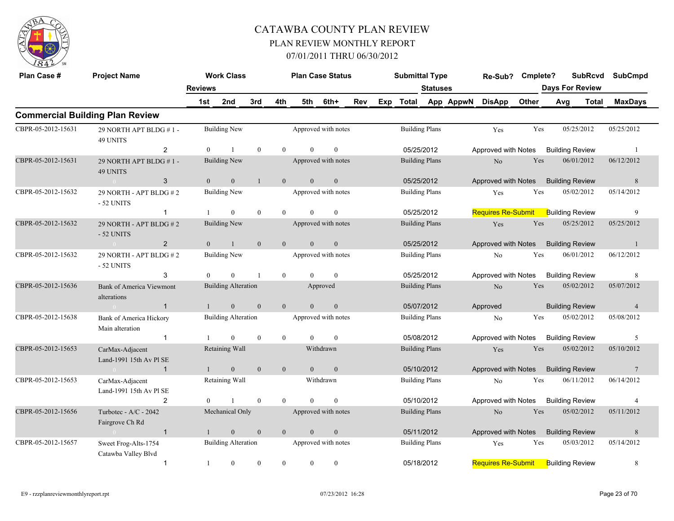

| Plan Case #        | <b>Project Name</b>                            |                | <b>Work Class</b>          |              |                  |                | <b>Plan Case Status</b> |     | <b>Submittal Type</b> |                 |           | Re-Sub? Cmplete?          |       | <b>SubRcvd</b>         |       | <b>SubCmpd</b>  |
|--------------------|------------------------------------------------|----------------|----------------------------|--------------|------------------|----------------|-------------------------|-----|-----------------------|-----------------|-----------|---------------------------|-------|------------------------|-------|-----------------|
|                    |                                                | <b>Reviews</b> |                            |              |                  |                |                         |     |                       | <b>Statuses</b> |           |                           |       | <b>Days For Review</b> |       |                 |
|                    |                                                | 1st            | 2nd                        | 3rd          | 4th              | 5th            | 6th+                    | Rev | Exp Total             |                 | App AppwN | <b>DisApp</b>             | Other | Avg                    | Total | <b>MaxDays</b>  |
|                    | <b>Commercial Building Plan Review</b>         |                |                            |              |                  |                |                         |     |                       |                 |           |                           |       |                        |       |                 |
| CBPR-05-2012-15631 | 29 NORTH APT BLDG #1-<br><b>49 UNITS</b>       |                | <b>Building New</b>        |              |                  |                | Approved with notes     |     | <b>Building Plans</b> |                 |           | Yes                       | Yes   | 05/25/2012             |       | 05/25/2012      |
|                    | $\overline{2}$                                 | $\Omega$       | $\mathbf{1}$               | $\theta$     | $\Omega$         | $\Omega$       | $\mathbf{0}$            |     | 05/25/2012            |                 |           | Approved with Notes       |       | <b>Building Review</b> |       | $\overline{1}$  |
| CBPR-05-2012-15631 | 29 NORTH APT BLDG #1-<br>49 UNITS              |                | <b>Building New</b>        |              |                  |                | Approved with notes     |     | <b>Building Plans</b> |                 |           | $\rm No$                  | Yes   | 06/01/2012             |       | 06/12/2012      |
|                    | 3<br>$\sim 0$                                  | $\overline{0}$ | $\mathbf{0}$               | $\mathbf{1}$ | $\overline{0}$   | $\overline{0}$ | $\mathbf{0}$            |     | 05/25/2012            |                 |           | Approved with Notes       |       | <b>Building Review</b> |       | $8\phantom{.}$  |
| CBPR-05-2012-15632 | 29 NORTH - APT BLDG #2<br>- 52 UNITS           |                | <b>Building New</b>        |              |                  |                | Approved with notes     |     | <b>Building Plans</b> |                 |           | Yes                       | Yes   | 05/02/2012             |       | 05/14/2012      |
|                    | $\mathbf{1}$                                   |                | $\theta$                   | $\theta$     | $\overline{0}$   | $\theta$       | $\theta$                |     | 05/25/2012            |                 |           | <b>Requires Re-Submit</b> |       | <b>Building Review</b> |       | 9               |
| CBPR-05-2012-15632 | 29 NORTH - APT BLDG #2<br>- 52 UNITS           |                | Building New               |              |                  |                | Approved with notes     |     | <b>Building Plans</b> |                 |           | Yes                       | Yes   | 05/25/2012             |       | 05/25/2012      |
|                    | $\overline{2}$<br>$\sim 0$                     | $\theta$       | $\mathbf{1}$               | $\mathbf{0}$ | $\mathbf{0}$     | $\overline{0}$ | $\mathbf{0}$            |     | 05/25/2012            |                 |           | Approved with Notes       |       | <b>Building Review</b> |       | $\mathbf{1}$    |
| CBPR-05-2012-15632 | 29 NORTH - APT BLDG #2<br>- 52 UNITS           |                | Building New               |              |                  |                | Approved with notes     |     | <b>Building Plans</b> |                 |           | No                        | Yes   | 06/01/2012             |       | 06/12/2012      |
|                    | 3                                              | $\theta$       | $\theta$                   | $\mathbf{1}$ | $\overline{0}$   | $\Omega$       | $\theta$                |     | 05/25/2012            |                 |           | Approved with Notes       |       | <b>Building Review</b> |       | 8               |
| CBPR-05-2012-15636 | <b>Bank of America Viewmont</b><br>alterations |                | <b>Building Alteration</b> |              |                  |                | Approved                |     | <b>Building Plans</b> |                 |           | $\rm No$                  | Yes   | 05/02/2012             |       | 05/07/2012      |
|                    | $\mathbf{1}$<br>$\sim 0$                       | $\mathbf{1}$   | $\mathbf{0}$               | $\theta$     | $\overline{0}$   | $\overline{0}$ | $\boldsymbol{0}$        |     | 05/07/2012            |                 |           | Approved                  |       | <b>Building Review</b> |       | $\overline{4}$  |
| CBPR-05-2012-15638 | Bank of America Hickory<br>Main alteration     |                | <b>Building Alteration</b> |              |                  |                | Approved with notes     |     | <b>Building Plans</b> |                 |           | No                        | Yes   | 05/02/2012             |       | 05/08/2012      |
|                    | $\mathbf{1}$                                   |                | $\theta$                   | $\theta$     | $\boldsymbol{0}$ | $\theta$       | $\theta$                |     | 05/08/2012            |                 |           | Approved with Notes       |       | <b>Building Review</b> |       | 5               |
| CBPR-05-2012-15653 | CarMax-Adjacent<br>Land-1991 15th Av Pl SE     |                | Retaining Wall             |              |                  |                | Withdrawn               |     | <b>Building Plans</b> |                 |           | Yes                       | Yes   | 05/02/2012             |       | 05/10/2012      |
|                    | $\mathbf{1}$<br>$\overline{0}$                 |                | $\mathbf{0}$               | $\mathbf{0}$ | $\mathbf{0}$     | $\overline{0}$ | $\mathbf{0}$            |     | 05/10/2012            |                 |           | Approved with Notes       |       | <b>Building Review</b> |       | $7\phantom{.0}$ |
| CBPR-05-2012-15653 | CarMax-Adjacent<br>Land-1991 15th Av Pl SE     |                | Retaining Wall             |              |                  |                | Withdrawn               |     | <b>Building Plans</b> |                 |           | N <sub>o</sub>            | Yes   | 06/11/2012             |       | 06/14/2012      |
|                    | $\overline{2}$                                 | $\theta$       |                            | $\mathbf{0}$ | $\theta$         | $\theta$       | $\mathbf{0}$            |     | 05/10/2012            |                 |           | Approved with Notes       |       | <b>Building Review</b> |       | 4               |
| CBPR-05-2012-15656 | Turbotec - $A/C - 2042$<br>Fairgrove Ch Rd     |                | Mechanical Only            |              |                  |                | Approved with notes     |     | <b>Building Plans</b> |                 |           | No                        | Yes   | 05/02/2012             |       | 05/11/2012      |
|                    | $\overline{1}$<br>$\sim 0$                     | $\mathbf{1}$   | $\mathbf{0}$               | $\mathbf{0}$ | $\mathbf{0}$     | $\overline{0}$ | $\boldsymbol{0}$        |     | 05/11/2012            |                 |           | Approved with Notes       |       | <b>Building Review</b> |       | $8\phantom{.}$  |
| CBPR-05-2012-15657 | Sweet Frog-Alts-1754<br>Catawba Valley Blvd    |                | <b>Building Alteration</b> |              |                  |                | Approved with notes     |     | <b>Building Plans</b> |                 |           | Yes                       | Yes   | 05/03/2012             |       | 05/14/2012      |
|                    | $\mathbf{1}$                                   | $\mathbf{1}$   | $\mathbf{0}$               | $\theta$     | $\overline{0}$   | $\overline{0}$ | $\mathbf{0}$            |     | 05/18/2012            |                 |           | <b>Requires Re-Submit</b> |       | <b>Building Review</b> |       | 8               |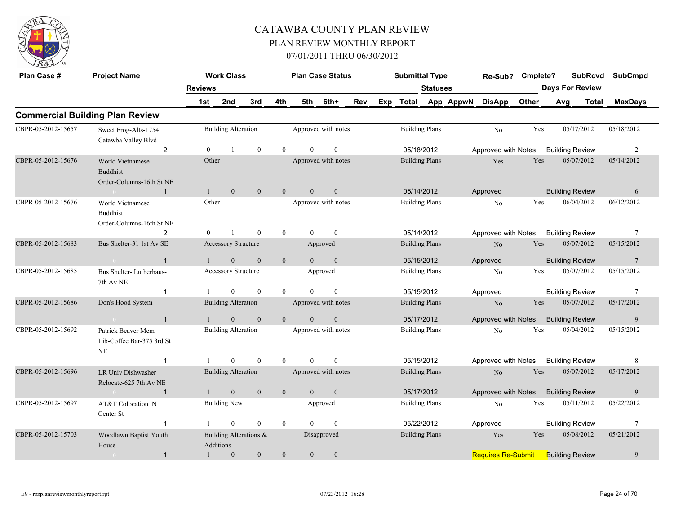

| Plan Case #        | <b>Project Name</b>                                             |                | <b>Work Class</b>                   |              |                |              | <b>Plan Case Status</b> |     |     | <b>Submittal Type</b> |                       |           | Re-Sub?                                   | Cmplete? |     | <b>SubRcvd</b>         | <b>SubCmpd</b>  |
|--------------------|-----------------------------------------------------------------|----------------|-------------------------------------|--------------|----------------|--------------|-------------------------|-----|-----|-----------------------|-----------------------|-----------|-------------------------------------------|----------|-----|------------------------|-----------------|
|                    |                                                                 | <b>Reviews</b> |                                     |              |                |              |                         |     |     |                       | <b>Statuses</b>       |           |                                           |          |     | <b>Days For Review</b> |                 |
|                    |                                                                 | 1st            | 2nd                                 | 3rd          | 4th            | 5th          | 6th+                    | Rev | Exp | Total                 |                       | App AppwN | <b>DisApp</b>                             | Other    | Avg | <b>Total</b>           | <b>MaxDays</b>  |
|                    | <b>Commercial Building Plan Review</b>                          |                |                                     |              |                |              |                         |     |     |                       |                       |           |                                           |          |     |                        |                 |
| CBPR-05-2012-15657 | Sweet Frog-Alts-1754<br>Catawba Valley Blvd                     |                | <b>Building Alteration</b>          |              |                |              | Approved with notes     |     |     |                       | <b>Building Plans</b> |           | N <sub>0</sub>                            | Yes      |     | 05/17/2012             | 05/18/2012      |
|                    | $\overline{2}$                                                  | $\theta$       | $\mathbf{1}$                        | $\mathbf{0}$ | $\theta$       | $\theta$     | $\mathbf{0}$            |     |     |                       | 05/18/2012            |           | Approved with Notes                       |          |     | <b>Building Review</b> | 2               |
| CBPR-05-2012-15676 | World Vietnamese<br><b>Buddhist</b><br>Order-Columns-16th St NE | Other          |                                     |              |                |              | Approved with notes     |     |     |                       | <b>Building Plans</b> |           | Yes                                       | Yes      |     | 05/07/2012             | 05/14/2012      |
|                    | $\mathbf{1}$<br>$\overline{0}$                                  | $\mathbf{1}$   | $\overline{0}$                      | $\mathbf{0}$ | $\mathbf{0}$   | $\mathbf{0}$ | $\mathbf{0}$            |     |     |                       | 05/14/2012            |           | Approved                                  |          |     | <b>Building Review</b> | 6               |
| CBPR-05-2012-15676 | World Vietnamese<br><b>Buddhist</b><br>Order-Columns-16th St NE | Other          |                                     |              |                |              | Approved with notes     |     |     |                       | <b>Building Plans</b> |           | No                                        | Yes      |     | 06/04/2012             | 06/12/2012      |
|                    | 2                                                               | $\theta$       |                                     | $\theta$     | $\overline{0}$ | $\theta$     | $\theta$                |     |     |                       | 05/14/2012            |           | Approved with Notes                       |          |     | <b>Building Review</b> | $7\phantom{.0}$ |
| CBPR-05-2012-15683 | Bus Shelter-31 1st Av SE                                        |                | Accessory Structure                 |              |                |              | Approved                |     |     |                       | <b>Building Plans</b> |           | N <sub>o</sub>                            | Yes      |     | 05/07/2012             | 05/15/2012      |
|                    | $\mathbf{1}$<br>$\sim 0$                                        | $\overline{1}$ | $\mathbf{0}$                        | $\mathbf{0}$ | $\overline{0}$ | $\theta$     | $\mathbf{0}$            |     |     |                       | 05/15/2012            |           | Approved                                  |          |     | <b>Building Review</b> | $7\phantom{.0}$ |
| CBPR-05-2012-15685 | Bus Shelter-Lutherhaus-<br>7th Av NE                            |                | <b>Accessory Structure</b>          |              |                |              | Approved                |     |     |                       | <b>Building Plans</b> |           | No                                        | Yes      |     | 05/07/2012             | 05/15/2012      |
|                    | $\mathbf{1}$                                                    |                | $\mathbf{0}$                        | $\mathbf{0}$ | $\overline{0}$ | $\theta$     | $\mathbf{0}$            |     |     |                       | 05/15/2012            |           | Approved                                  |          |     | <b>Building Review</b> | $7\phantom{.0}$ |
| CBPR-05-2012-15686 | Don's Hood System                                               |                | <b>Building Alteration</b>          |              |                |              | Approved with notes     |     |     |                       | <b>Building Plans</b> |           | N <sub>o</sub>                            | Yes      |     | 05/07/2012             | 05/17/2012      |
|                    | $\mathbf{1}$                                                    |                | $\mathbf{0}$                        | $\mathbf{0}$ | $\overline{0}$ | $\theta$     | $\mathbf{0}$            |     |     |                       | 05/17/2012            |           | Approved with Notes                       |          |     | <b>Building Review</b> | 9               |
| CBPR-05-2012-15692 | Patrick Beaver Mem<br>Lib-Coffee Bar-375 3rd St<br>NE           |                | <b>Building Alteration</b>          |              |                |              | Approved with notes     |     |     |                       | <b>Building Plans</b> |           | No                                        | Yes      |     | 05/04/2012             | 05/15/2012      |
|                    | $\mathbf{1}$                                                    |                | $\Omega$                            | $\theta$     | $\theta$       | $\Omega$     | $\theta$                |     |     |                       | 05/15/2012            |           | Approved with Notes                       |          |     | <b>Building Review</b> | 8               |
| CBPR-05-2012-15696 | LR Univ Dishwasher<br>Relocate-625 7th Av NE                    |                | <b>Building Alteration</b>          |              |                |              | Approved with notes     |     |     |                       | <b>Building Plans</b> |           | N <sub>o</sub>                            | Yes      |     | 05/07/2012             | 05/17/2012      |
|                    | $\mathbf{1}$<br>$\sim 0$                                        |                | $\mathbf{0}$                        | $\theta$     | $\mathbf{0}$   | $\theta$     | $\mathbf{0}$            |     |     |                       | 05/17/2012            |           | Approved with Notes                       |          |     | <b>Building Review</b> | 9               |
| CBPR-05-2012-15697 | AT&T Colocation N<br>Center St                                  |                | <b>Building New</b>                 |              |                |              | Approved                |     |     |                       | <b>Building Plans</b> |           | N <sub>o</sub>                            | Yes      |     | 05/11/2012             | 05/22/2012      |
|                    | $\mathbf{1}$                                                    |                | $\overline{0}$                      | $\mathbf{0}$ | $\overline{0}$ | $\theta$     | $\mathbf{0}$            |     |     |                       | 05/22/2012            |           | Approved                                  |          |     | <b>Building Review</b> | 7               |
| CBPR-05-2012-15703 | Woodlawn Baptist Youth<br>House                                 |                | Building Alterations &<br>Additions |              |                |              | Disapproved             |     |     |                       | <b>Building Plans</b> |           | Yes                                       | Yes      |     | 05/08/2012             | 05/21/2012      |
|                    | $\mathbf{1}$                                                    | $\mathbf{1}$   | $\mathbf{0}$                        | $\mathbf{0}$ | $\mathbf{0}$   | $\mathbf{0}$ | $\mathbf{0}$            |     |     |                       |                       |           | <b>Requires Re-Submit</b> Building Review |          |     |                        | 9               |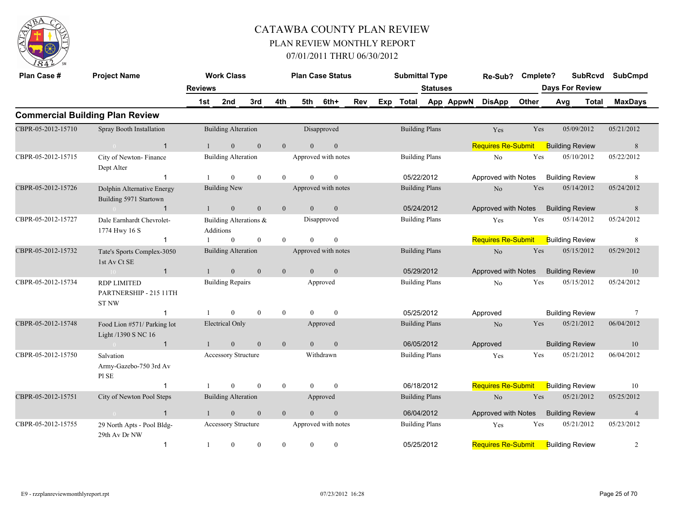

| Plan Case #        | <b>Project Name</b>                                          |                | <b>Work Class</b>                   |                  |                  |                  | <b>Plan Case Status</b> |            |     | <b>Submittal Type</b> |                 |           | Re-Sub?                   | Cmplete? |     | <b>SubRcvd</b>         | SubCmpd        |  |
|--------------------|--------------------------------------------------------------|----------------|-------------------------------------|------------------|------------------|------------------|-------------------------|------------|-----|-----------------------|-----------------|-----------|---------------------------|----------|-----|------------------------|----------------|--|
|                    |                                                              | <b>Reviews</b> |                                     |                  |                  |                  |                         |            |     |                       | <b>Statuses</b> |           |                           |          |     | <b>Days For Review</b> |                |  |
|                    |                                                              | 1st            | 2nd                                 | 3rd              | 4th              | 5th              | 6th+                    | <b>Rev</b> | Exp | Total                 |                 | App AppwN | <b>DisApp</b>             | Other    | Avg | Total                  | <b>MaxDays</b> |  |
|                    | <b>Commercial Building Plan Review</b>                       |                |                                     |                  |                  |                  |                         |            |     |                       |                 |           |                           |          |     |                        |                |  |
| CBPR-05-2012-15710 | Spray Booth Installation                                     |                | <b>Building Alteration</b>          |                  |                  |                  | Disapproved             |            |     | <b>Building Plans</b> |                 |           | Yes                       | Yes      |     | 05/09/2012             | 05/21/2012     |  |
|                    | $\overline{1}$                                               |                | $\mathbf{0}$                        | $\mathbf{0}$     | $\mathbf{0}$     | $\overline{0}$   | $\mathbf{0}$            |            |     |                       |                 |           | <b>Requires Re-Submit</b> |          |     | <b>Building Review</b> | 8              |  |
| CBPR-05-2012-15715 | City of Newton-Finance<br>Dept Alter                         |                | <b>Building Alteration</b>          |                  |                  |                  | Approved with notes     |            |     | <b>Building Plans</b> |                 |           | N <sub>o</sub>            | Yes      |     | 05/10/2012             | 05/22/2012     |  |
|                    | -1                                                           |                | $\mathbf{0}$                        | $\mathbf{0}$     | $\overline{0}$   | $\theta$         | $\mathbf{0}$            |            |     | 05/22/2012            |                 |           | Approved with Notes       |          |     | <b>Building Review</b> | 8              |  |
| CBPR-05-2012-15726 | Dolphin Alternative Energy<br>Building 5971 Startown         |                | <b>Building New</b>                 |                  |                  |                  | Approved with notes     |            |     | <b>Building Plans</b> |                 |           | N <sub>o</sub>            | Yes      |     | 05/14/2012             | 05/24/2012     |  |
|                    | $\mathbf{1}$<br>$\theta$                                     | $\mathbf{1}$   | $\mathbf{0}$                        | $\mathbf{0}$     | $\mathbf{0}$     | $\overline{0}$   | $\mathbf{0}$            |            |     | 05/24/2012            |                 |           | Approved with Notes       |          |     | <b>Building Review</b> | $\,$ 8 $\,$    |  |
| CBPR-05-2012-15727 | Dale Earnhardt Chevrolet-<br>1774 Hwy 16 S                   |                | Building Alterations &<br>Additions |                  |                  |                  | Disapproved             |            |     | <b>Building Plans</b> |                 |           | Yes                       | Yes      |     | 05/14/2012             | 05/24/2012     |  |
|                    | $\mathbf{1}$                                                 |                | $\mathbf{0}$                        | $\mathbf{0}$     | $\overline{0}$   | $\theta$         | $\mathbf{0}$            |            |     |                       |                 |           | <b>Requires Re-Submit</b> |          |     | <b>Building Review</b> | 8              |  |
| CBPR-05-2012-15732 | Tate's Sports Complex-3050<br>1st Av Ct SE                   |                | <b>Building Alteration</b>          |                  |                  |                  | Approved with notes     |            |     | <b>Building Plans</b> |                 |           | No                        | Yes      |     | 05/15/2012             | 05/29/2012     |  |
|                    | $\mathbf{1}$<br>10 <sup>°</sup>                              | $\mathbf{1}$   | $\mathbf{0}$                        | $\mathbf{0}$     | $\mathbf{0}$     | $\overline{0}$   | $\mathbf{0}$            |            |     | 05/29/2012            |                 |           | Approved with Notes       |          |     | <b>Building Review</b> | 10             |  |
| CBPR-05-2012-15734 | <b>RDP LIMITED</b><br>PARTNERSHIP - 215 11TH<br><b>ST NW</b> |                | <b>Building Repairs</b>             |                  |                  |                  | Approved                |            |     | <b>Building Plans</b> |                 |           | No                        | Yes      |     | 05/15/2012             | 05/24/2012     |  |
|                    | $\mathbf{1}$                                                 |                | $\Omega$                            | $\mathbf{0}$     | $\bf{0}$         | $\theta$         | $\mathbf{0}$            |            |     | 05/25/2012            |                 |           | Approved                  |          |     | <b>Building Review</b> | $\tau$         |  |
| CBPR-05-2012-15748 | Food Lion #571/ Parking lot<br>Light /1390 S NC 16           |                | <b>Electrical Only</b>              |                  |                  |                  | Approved                |            |     | <b>Building Plans</b> |                 |           | $\rm No$                  | Yes      |     | 05/21/2012             | 06/04/2012     |  |
|                    | $\mathbf{1}$<br>$\sim 0$                                     |                | $\boldsymbol{0}$                    | $\mathbf{0}$     | $\mathbf{0}$     | $\overline{0}$   | $\boldsymbol{0}$        |            |     | 06/05/2012            |                 |           | Approved                  |          |     | <b>Building Review</b> | 10             |  |
| CBPR-05-2012-15750 | Salvation<br>Army-Gazebo-750 3rd Av<br>PI SE                 |                | <b>Accessory Structure</b>          |                  |                  |                  | Withdrawn               |            |     | <b>Building Plans</b> |                 |           | Yes                       | Yes      |     | 05/21/2012             | 06/04/2012     |  |
|                    | -1                                                           |                | $\overline{0}$                      | $\mathbf{0}$     | $\mathbf{0}$     | $\overline{0}$   | $\mathbf{0}$            |            |     | 06/18/2012            |                 |           | <b>Requires Re-Submit</b> |          |     | <b>Building Review</b> | 10             |  |
| CBPR-05-2012-15751 | City of Newton Pool Steps                                    |                | <b>Building Alteration</b>          |                  |                  |                  | Approved                |            |     | <b>Building Plans</b> |                 |           | N <sub>o</sub>            | Yes      |     | 05/21/2012             | 05/25/2012     |  |
|                    | $\mathbf{1}$<br>$\sim$ 0                                     |                | $\mathbf{0}$                        | $\boldsymbol{0}$ | $\mathbf{0}$     | $\mathbf{0}$     | $\boldsymbol{0}$        |            |     | 06/04/2012            |                 |           | Approved with Notes       |          |     | <b>Building Review</b> | $\overline{4}$ |  |
| CBPR-05-2012-15755 | 29 North Apts - Pool Bldg-<br>29th Av Dr NW                  |                | <b>Accessory Structure</b>          |                  |                  |                  | Approved with notes     |            |     | <b>Building Plans</b> |                 |           | Yes                       | Yes      |     | 05/21/2012             | 05/23/2012     |  |
|                    | $\mathbf{1}$                                                 |                | $\boldsymbol{0}$                    | $\boldsymbol{0}$ | $\boldsymbol{0}$ | $\boldsymbol{0}$ | $\boldsymbol{0}$        |            |     | 05/25/2012            |                 |           | <b>Requires Re-Submit</b> |          |     | <b>Building Review</b> | $\overline{c}$ |  |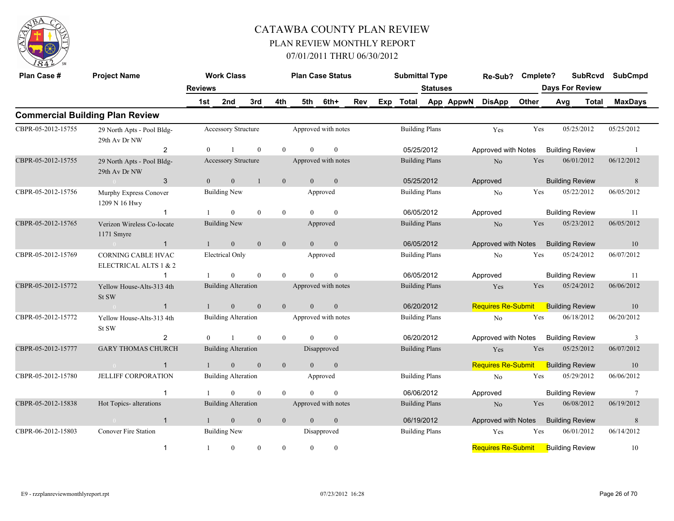

| Plan Case #        | <b>Project Name</b>                                |                | <b>Work Class</b>                      |              |                             | <b>Plan Case Status</b> |                      |     |     | <b>Submittal Type</b> |                       |           | Re-Sub?                   | Cmplete? |            | <b>SubRcvd</b>         | <b>SubCmpd</b> |
|--------------------|----------------------------------------------------|----------------|----------------------------------------|--------------|-----------------------------|-------------------------|----------------------|-----|-----|-----------------------|-----------------------|-----------|---------------------------|----------|------------|------------------------|----------------|
|                    |                                                    | <b>Reviews</b> |                                        |              |                             |                         |                      |     |     |                       | <b>Statuses</b>       |           |                           |          |            | <b>Days For Review</b> |                |
|                    |                                                    | 1st            | 2nd                                    | 3rd          | 4th                         | 5th                     | 6th+                 | Rev | Exp | Total                 |                       | App AppwN | <b>DisApp</b>             | Other    | Avg        | Total                  | <b>MaxDays</b> |
|                    | <b>Commercial Building Plan Review</b>             |                |                                        |              |                             |                         |                      |     |     |                       |                       |           |                           |          |            |                        |                |
| CBPR-05-2012-15755 | 29 North Apts - Pool Bldg-<br>29th Av Dr NW        |                | Accessory Structure                    |              |                             | Approved with notes     |                      |     |     |                       | <b>Building Plans</b> |           | Yes                       | Yes      |            | 05/25/2012             | 05/25/2012     |
|                    | 2                                                  | $\Omega$       |                                        | $\mathbf{0}$ | $\theta$                    | $\theta$                | $\mathbf{0}$         |     |     |                       | 05/25/2012            |           | Approved with Notes       |          |            | <b>Building Review</b> | -1             |
| CBPR-05-2012-15755 | 29 North Apts - Pool Bldg-<br>29th Av Dr NW        |                | Accessory Structure                    |              |                             | Approved with notes     |                      |     |     |                       | <b>Building Plans</b> |           | N <sub>o</sub>            | Yes      |            | 06/01/2012             | 06/12/2012     |
|                    | 3<br>$\sim 0$                                      | $\Omega$       | $\mathbf{0}$                           | $\mathbf{1}$ | $\overline{0}$              | $\theta$                | $\overline{0}$       |     |     |                       | 05/25/2012            |           | Approved                  |          |            | <b>Building Review</b> | 8              |
| CBPR-05-2012-15756 | Murphy Express Conover<br>1209 N 16 Hwy            |                | <b>Building New</b>                    |              |                             |                         | Approved             |     |     |                       | <b>Building Plans</b> |           | N <sub>o</sub>            | Yes      |            | 05/22/2012             | 06/05/2012     |
|                    | $\mathbf{1}$                                       |                | $\theta$                               | $\theta$     | $\mathbf{0}$                | $\theta$                | $\theta$             |     |     |                       | 06/05/2012            |           | Approved                  |          |            | <b>Building Review</b> | 11             |
| CBPR-05-2012-15765 | Verizon Wireless Co-locate<br>1171 Smyre           |                | <b>Building New</b>                    |              |                             |                         | Approved             |     |     |                       | <b>Building Plans</b> |           | N <sub>o</sub>            | Yes      |            | 05/23/2012             | 06/05/2012     |
|                    | $\mathbf{1}$<br>$\sim 0$                           | $\mathbf{1}$   | $\mathbf{0}$                           | $\mathbf{0}$ | $\mathbf{0}$                | $\overline{0}$          | $\mathbf{0}$         |     |     |                       | 06/05/2012            |           | Approved with Notes       |          |            | <b>Building Review</b> | 10             |
| CBPR-05-2012-15769 | <b>CORNING CABLE HVAC</b><br>ELECTRICAL ALTS 1 & 2 |                | <b>Electrical Only</b>                 |              |                             |                         | Approved             |     |     |                       | <b>Building Plans</b> |           | No                        | Yes      |            | 05/24/2012             | 06/07/2012     |
|                    | -1                                                 |                | $\Omega$                               | $\theta$     | $\theta$                    | $\Omega$                | $\theta$             |     |     |                       | 06/05/2012            |           | Approved                  |          |            | <b>Building Review</b> | 11             |
| CBPR-05-2012-15772 | Yellow House-Alts-313 4th<br>St SW                 |                | <b>Building Alteration</b>             |              |                             | Approved with notes     |                      |     |     |                       | <b>Building Plans</b> |           | Yes                       | Yes      |            | 05/24/2012             | 06/06/2012     |
|                    | $\mathbf{1}$<br>$\sim 0$                           |                | $\mathbf{0}$                           | $\Omega$     | $\theta$                    | $\theta$                | $\mathbf{0}$         |     |     |                       | 06/20/2012            |           | <b>Requires Re-Submit</b> |          |            | <b>Building Review</b> | 10             |
| CBPR-05-2012-15772 | Yellow House-Alts-313 4th<br>St SW                 |                | <b>Building Alteration</b>             |              |                             | Approved with notes     |                      |     |     |                       | <b>Building Plans</b> |           | No                        | Yes      |            | 06/18/2012             | 06/20/2012     |
|                    | $\overline{2}$                                     | $\theta$       | $\overline{1}$                         | $\theta$     | $\theta$                    | $\Omega$                | $\theta$             |     |     |                       | 06/20/2012            |           | Approved with Notes       |          |            | <b>Building Review</b> | 3              |
| CBPR-05-2012-15777 | <b>GARY THOMAS CHURCH</b>                          |                | <b>Building Alteration</b>             |              |                             |                         | Disapproved          |     |     |                       | <b>Building Plans</b> |           | Yes                       | Yes      |            | 05/25/2012             | 06/07/2012     |
|                    | $\mathbf{1}$<br>$\overline{0}$                     |                | $\mathbf{0}$                           | $\mathbf{0}$ | $\mathbf{0}$                | $\overline{0}$          | $\mathbf{0}$         |     |     |                       |                       |           | <b>Requires Re-Submit</b> |          |            | <b>Building Review</b> | 10             |
| CBPR-05-2012-15780 | <b>JELLIFF CORPORATION</b><br>-1                   |                | <b>Building Alteration</b><br>$\theta$ | $\theta$     | $\theta$                    | $\theta$                | Approved<br>$\theta$ |     |     |                       | <b>Building Plans</b> |           | No                        | Yes      |            | 05/29/2012             | 06/06/2012     |
|                    |                                                    |                |                                        |              |                             |                         |                      |     |     |                       | 06/06/2012            |           | Approved                  |          |            | <b>Building Review</b> | 7              |
| CBPR-05-2012-15838 | Hot Topics- alterations                            |                | <b>Building Alteration</b>             |              |                             | Approved with notes     |                      |     |     |                       | <b>Building Plans</b> |           | N <sub>o</sub>            | Yes      |            | 06/08/2012             | 06/19/2012     |
|                    | $\mathbf{1}$                                       |                | $\boldsymbol{0}$                       | $\mathbf{0}$ | $\mathbf{0}$                | $\overline{0}$          |                      |     |     |                       | 06/19/2012            |           | Approved with Notes       |          |            | <b>Building Review</b> | 8              |
| CBPR-06-2012-15803 | <b>Conover Fire Station</b>                        |                | <b>Building New</b>                    |              | $\mathbf{0}$<br>Disapproved |                         |                      |     |     | <b>Building Plans</b> |                       | Yes       | Yes                       |          | 06/01/2012 | 06/14/2012             |                |
|                    | $\mathbf{1}$                                       | 1              | $\mathbf{0}$                           | $\mathbf{0}$ | $\overline{0}$              | $\theta$                | $\mathbf{0}$         |     |     |                       |                       |           | <b>Requires Re-Submit</b> |          |            | <b>Building Review</b> | 10             |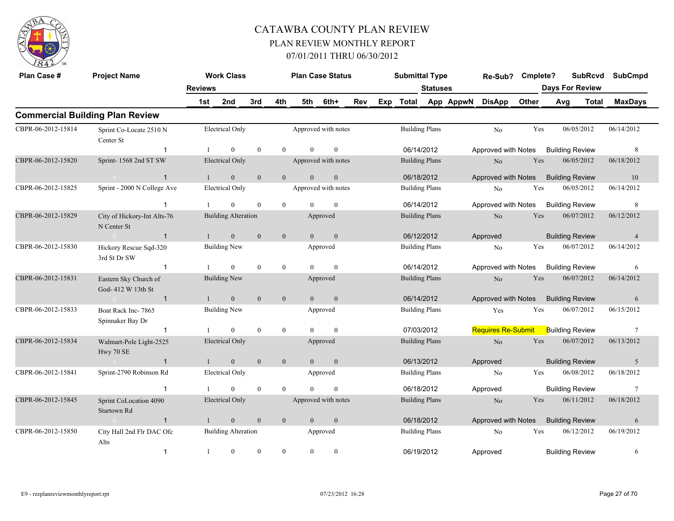

| Plan Case #        | <b>Project Name</b>                         |                | <b>Work Class</b>          |              |                | <b>Plan Case Status</b> |                     |     |     | <b>Submittal Type</b> |                 |           | Re-Sub?                   | Cmplete? |     | <b>SubRcvd</b>         | <b>SubCmpd</b> |
|--------------------|---------------------------------------------|----------------|----------------------------|--------------|----------------|-------------------------|---------------------|-----|-----|-----------------------|-----------------|-----------|---------------------------|----------|-----|------------------------|----------------|
|                    |                                             | <b>Reviews</b> |                            |              |                |                         |                     |     |     |                       | <b>Statuses</b> |           |                           |          |     | <b>Days For Review</b> |                |
|                    |                                             | 1st            | 2nd                        | 3rd          | 4th            | 5th                     | 6th+                | Rev | Exp | <b>Total</b>          |                 | App AppwN | <b>DisApp</b>             | Other    | Avg | Total                  | <b>MaxDays</b> |
|                    | <b>Commercial Building Plan Review</b>      |                |                            |              |                |                         |                     |     |     |                       |                 |           |                           |          |     |                        |                |
| CBPR-06-2012-15814 | Sprint Co-Locate 2510 N<br>Center St        |                | Electrical Only            |              |                | Approved with notes     |                     |     |     | <b>Building Plans</b> |                 |           | N <sub>o</sub>            | Yes      |     | 06/05/2012             | 06/14/2012     |
|                    | -1                                          |                | $\Omega$                   | $\theta$     | $\theta$       | $\Omega$                | $\theta$            |     |     | 06/14/2012            |                 |           | Approved with Notes       |          |     | <b>Building Review</b> | 8              |
| CBPR-06-2012-15820 | Sprint-1568 2nd ST SW                       |                | <b>Electrical Only</b>     |              |                |                         | Approved with notes |     |     | <b>Building Plans</b> |                 |           | $\rm No$                  | Yes      |     | 06/05/2012             | 06/18/2012     |
|                    | $\mathbf{1}$<br>$\sim 0$ and $\sim$         | $\mathbf{1}$   | $\overline{0}$             | $\mathbf{0}$ | $\mathbf{0}$   | $\overline{0}$          | $\mathbf{0}$        |     |     | 06/18/2012            |                 |           | Approved with Notes       |          |     | <b>Building Review</b> | 10             |
| CBPR-06-2012-15825 | Sprint - 2000 N College Ave                 |                | <b>Electrical Only</b>     |              |                |                         | Approved with notes |     |     | <b>Building Plans</b> |                 |           | $\rm No$                  | Yes      |     | 06/05/2012             | 06/14/2012     |
|                    | $\overline{1}$                              |                | $\theta$                   | $\theta$     | $\theta$       | $\Omega$                | $\mathbf{0}$        |     |     | 06/14/2012            |                 |           | Approved with Notes       |          |     | <b>Building Review</b> | 8              |
| CBPR-06-2012-15829 | City of Hickory-Int Alts-76<br>N Center St  |                | <b>Building Alteration</b> |              |                |                         | Approved            |     |     | <b>Building Plans</b> |                 |           | N <sub>o</sub>            | Yes      |     | 06/07/2012             | 06/12/2012     |
|                    | $\overline{1}$                              |                | $\mathbf{0}$               | $\mathbf{0}$ | $\mathbf{0}$   | $\overline{0}$          | $\overline{0}$      |     |     | 06/12/2012            |                 |           | Approved                  |          |     | <b>Building Review</b> | $\overline{4}$ |
| CBPR-06-2012-15830 | Hickory Rescue Sqd-320<br>3rd St Dr SW      |                | <b>Building New</b>        |              |                |                         | Approved            |     |     | <b>Building Plans</b> |                 |           | No                        | Yes      |     | 06/07/2012             | 06/14/2012     |
|                    | $\mathbf{1}$                                |                | $\overline{0}$             | $\theta$     | $\mathbf{0}$   | $\theta$                | $\mathbf{0}$        |     |     | 06/14/2012            |                 |           | Approved with Notes       |          |     | <b>Building Review</b> | 6              |
| CBPR-06-2012-15831 | Eastern Sky Church of<br>God- 412 W 13th St |                | <b>Building New</b>        |              |                |                         | Approved            |     |     | <b>Building Plans</b> |                 |           | $\rm No$                  | Yes      |     | 06/07/2012             | 06/14/2012     |
|                    | $\mathbf{1}$                                |                | $\mathbf{0}$               | $\mathbf{0}$ | $\mathbf{0}$   | $\overline{0}$          | $\mathbf{0}$        |     |     | 06/14/2012            |                 |           | Approved with Notes       |          |     | <b>Building Review</b> | 6              |
| CBPR-06-2012-15833 | Boat Rack Inc-7865<br>Spinnaker Bay Dr      |                | <b>Building New</b>        |              |                |                         | Approved            |     |     | <b>Building Plans</b> |                 |           | Yes                       | Yes      |     | 06/07/2012             | 06/15/2012     |
|                    | $\overline{1}$                              |                | $\overline{0}$             | $\theta$     | $\mathbf{0}$   | $\Omega$                | $\theta$            |     |     | 07/03/2012            |                 |           | <b>Requires Re-Submit</b> |          |     | <b>Building Review</b> | $\tau$         |
| CBPR-06-2012-15834 | Walmart-Pole Light-2525<br>Hwy 70 SE        |                | <b>Electrical Only</b>     |              |                |                         | Approved            |     |     | <b>Building Plans</b> |                 |           | N <sub>o</sub>            | Yes      |     | 06/07/2012             | 06/13/2012     |
|                    | $\overline{1}$<br>$\sim 0$                  | $\mathbf{1}$   | $\overline{0}$             | $\mathbf{0}$ | $\overline{0}$ | $\overline{0}$          | $\mathbf{0}$        |     |     | 06/13/2012            |                 |           | Approved                  |          |     | <b>Building Review</b> | $\mathfrak{S}$ |
| CBPR-06-2012-15841 | Sprint-2790 Robinson Rd                     |                | <b>Electrical Only</b>     |              |                |                         | Approved            |     |     | <b>Building Plans</b> |                 |           | No                        | Yes      |     | 06/08/2012             | 06/18/2012     |
|                    | $\overline{1}$                              |                | $\Omega$                   | $\mathbf{0}$ | $\theta$       | $\Omega$                | $\theta$            |     |     | 06/18/2012            |                 |           | Approved                  |          |     | <b>Building Review</b> | $\overline{7}$ |
| CBPR-06-2012-15845 | Sprint CoLocation 4090<br>Startown Rd       |                | Electrical Only            |              |                | Approved with notes     |                     |     |     | <b>Building Plans</b> |                 |           | N <sub>o</sub>            | Yes      |     | 06/11/2012             | 06/18/2012     |
|                    | $\mathbf{1}$<br>$\sim 0$                    |                | $\mathbf{0}$               | $\mathbf{0}$ | $\mathbf{0}$   | $\theta$                | $\mathbf{0}$        |     |     | 06/18/2012            |                 |           | Approved with Notes       |          |     | <b>Building Review</b> | 6              |
| CBPR-06-2012-15850 | City Hall 2nd Flr DAC Ofc<br>Alts           |                | <b>Building Alteration</b> |              |                |                         | Approved            |     |     | <b>Building Plans</b> |                 |           | No                        | Yes      |     | 06/12/2012             | 06/19/2012     |
|                    | $\mathbf{1}$                                |                | $\mathbf{0}$               | $\theta$     | $\overline{0}$ | $\theta$                | $\mathbf{0}$        |     |     | 06/19/2012            |                 |           | Approved                  |          |     | <b>Building Review</b> | 6              |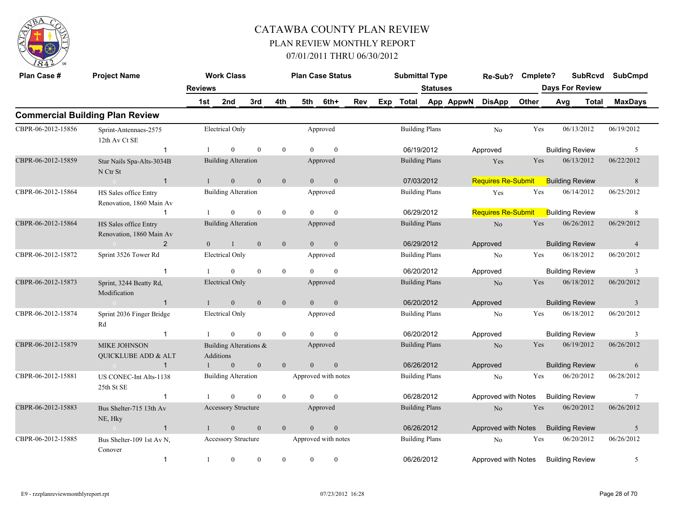

| Plan Case #        | <b>Project Name</b>                               |                | <b>Work Class</b>                   |                  |                  | <b>Plan Case Status</b> |                     |     |     | <b>Submittal Type</b> |                       |           | Re-Sub?                   | Cmplete? |                        | <b>SubRcvd</b> | <b>SubCmpd</b>  |
|--------------------|---------------------------------------------------|----------------|-------------------------------------|------------------|------------------|-------------------------|---------------------|-----|-----|-----------------------|-----------------------|-----------|---------------------------|----------|------------------------|----------------|-----------------|
|                    |                                                   | <b>Reviews</b> |                                     |                  |                  |                         |                     |     |     |                       | <b>Statuses</b>       |           |                           |          | <b>Days For Review</b> |                |                 |
|                    |                                                   | 1st            | 2nd                                 | 3rd              | 4th              | 5th                     | 6th+                | Rev | Exp | <b>Total</b>          |                       | App AppwN | <b>DisApp</b>             | Other    | Avg                    | <b>Total</b>   | <b>MaxDays</b>  |
|                    | <b>Commercial Building Plan Review</b>            |                |                                     |                  |                  |                         |                     |     |     |                       |                       |           |                           |          |                        |                |                 |
| CBPR-06-2012-15856 | Sprint-Antennaes-2575<br>12th Av Ct SE            |                | Electrical Only                     |                  |                  |                         | Approved            |     |     |                       | <b>Building Plans</b> |           | N <sub>o</sub>            | Yes      | 06/13/2012             |                | 06/19/2012      |
|                    | $\mathbf{1}$                                      |                | $\overline{0}$                      | $\mathbf{0}$     | $\mathbf{0}$     | $\theta$                | $\mathbf{0}$        |     |     |                       | 06/19/2012            |           | Approved                  |          | <b>Building Review</b> |                | -5              |
| CBPR-06-2012-15859 | Star Nails Spa-Alts-3034B<br>N Ctr St             |                | <b>Building Alteration</b>          |                  |                  |                         | Approved            |     |     | <b>Building Plans</b> |                       |           | Yes                       | Yes      | 06/13/2012             |                | 06/22/2012      |
|                    | $\overline{1}$                                    |                | $\overline{0}$                      | $\theta$         | $\mathbf{0}$     | $\theta$                | $\mathbf{0}$        |     |     |                       | 07/03/2012            |           | <b>Requires Re-Submit</b> |          | <b>Building Review</b> |                | 8               |
| CBPR-06-2012-15864 | HS Sales office Entry<br>Renovation, 1860 Main Av |                | <b>Building Alteration</b>          |                  |                  |                         | Approved            |     |     |                       | <b>Building Plans</b> |           | Yes                       | Yes      | 06/14/2012             |                | 06/25/2012      |
|                    | -1                                                |                | $\theta$                            | $\mathbf{0}$     | $\boldsymbol{0}$ | $\Omega$                | $\mathbf{0}$        |     |     |                       | 06/29/2012            |           | <b>Requires Re-Submit</b> |          | <b>Building Review</b> |                | 8               |
| CBPR-06-2012-15864 | HS Sales office Entry<br>Renovation, 1860 Main Av |                | <b>Building Alteration</b>          |                  |                  |                         | Approved            |     |     | <b>Building Plans</b> |                       |           | No                        | Yes      | 06/26/2012             |                | 06/29/2012      |
|                    | 2                                                 | $\overline{0}$ | $\mathbf{1}$                        | $\mathbf{0}$     | $\mathbf{0}$     | $\overline{0}$          | $\mathbf{0}$        |     |     |                       | 06/29/2012            |           | Approved                  |          | <b>Building Review</b> |                | $\overline{4}$  |
| CBPR-06-2012-15872 | Sprint 3526 Tower Rd                              |                | <b>Electrical Only</b>              |                  |                  |                         | Approved            |     |     |                       | <b>Building Plans</b> |           | No                        | Yes      | 06/18/2012             |                | 06/20/2012      |
|                    | $\overline{1}$                                    |                | $\mathbf{0}$                        | $\mathbf{0}$     | $\boldsymbol{0}$ |                         | $\mathbf{0}$        |     |     |                       | 06/20/2012            |           | Approved                  |          | <b>Building Review</b> |                | 3               |
| CBPR-06-2012-15873 | Sprint, 3244 Beatty Rd,<br>Modification           |                | <b>Electrical Only</b>              |                  |                  |                         | Approved            |     |     |                       | <b>Building Plans</b> |           | N <sub>o</sub>            | Yes      | 06/18/2012             |                | 06/20/2012      |
|                    | $\overline{1}$                                    |                | $\boldsymbol{0}$                    | $\mathbf{0}$     | $\mathbf{0}$     | $\overline{0}$          | $\boldsymbol{0}$    |     |     |                       | 06/20/2012            |           | Approved                  |          | <b>Building Review</b> |                | $\overline{3}$  |
| CBPR-06-2012-15874 | Sprint 2036 Finger Bridge<br>Rd                   |                | <b>Electrical Only</b>              |                  |                  |                         | Approved            |     |     |                       | <b>Building Plans</b> |           | N <sub>0</sub>            | Yes      | 06/18/2012             |                | 06/20/2012      |
|                    | $\mathbf{1}$                                      |                | $\mathbf{0}$                        | $\theta$         | $\mathbf{0}$     | $\theta$                | $\theta$            |     |     | 06/20/2012            |                       |           | Approved                  |          | <b>Building Review</b> |                | 3               |
| CBPR-06-2012-15879 | <b>MIKE JOHNSON</b><br>QUICKLUBE ADD & ALT        |                | Building Alterations &<br>Additions |                  |                  |                         | Approved            |     |     |                       | <b>Building Plans</b> |           | No                        | Yes      | 06/19/2012             |                | 06/26/2012      |
|                    | $\mathbf{1}$<br>$\sim$ 0.4                        |                | $\mathbf{0}$                        | $\boldsymbol{0}$ | $\mathbf{0}$     | $\theta$                | $\boldsymbol{0}$    |     |     |                       | 06/26/2012            |           | Approved                  |          | <b>Building Review</b> |                | 6               |
| CBPR-06-2012-15881 | US CONEC-Int Alts-1138<br>25th St SE              |                | <b>Building Alteration</b>          |                  |                  |                         | Approved with notes |     |     |                       | <b>Building Plans</b> |           | No                        | Yes      | 06/20/2012             |                | 06/28/2012      |
|                    | $\overline{1}$                                    |                | $\theta$                            | $\mathbf{0}$     | $\mathbf{0}$     | $\Omega$                | $\mathbf{0}$        |     |     |                       | 06/28/2012            |           | Approved with Notes       |          | <b>Building Review</b> |                | $7\phantom{.0}$ |
| CBPR-06-2012-15883 | Bus Shelter-715 13th Av<br>NE, Hky                |                | Accessory Structure                 |                  |                  |                         | Approved            |     |     |                       | <b>Building Plans</b> |           | No                        | Yes      | 06/20/2012             |                | 06/26/2012      |
|                    | $\overline{1}$<br>$\sim 0$                        |                | $\mathbf{0}$                        | $\mathbf{0}$     | $\mathbf{0}$     | $\theta$                | $\boldsymbol{0}$    |     |     | 06/26/2012            |                       |           | Approved with Notes       |          | <b>Building Review</b> |                | 5               |
| CBPR-06-2012-15885 | Bus Shelter-109 1st Av N,<br>Conover              |                | Accessory Structure                 |                  |                  |                         | Approved with notes |     |     |                       | <b>Building Plans</b> |           | No                        | Yes      | 06/20/2012             |                | 06/26/2012      |
|                    | $\mathbf{1}$                                      | 1              | $\mathbf{0}$                        | $\theta$         | $\mathbf{0}$     | $\overline{0}$          | $\mathbf{0}$        |     |     | 06/26/2012            |                       |           | Approved with Notes       |          | <b>Building Review</b> |                | 5               |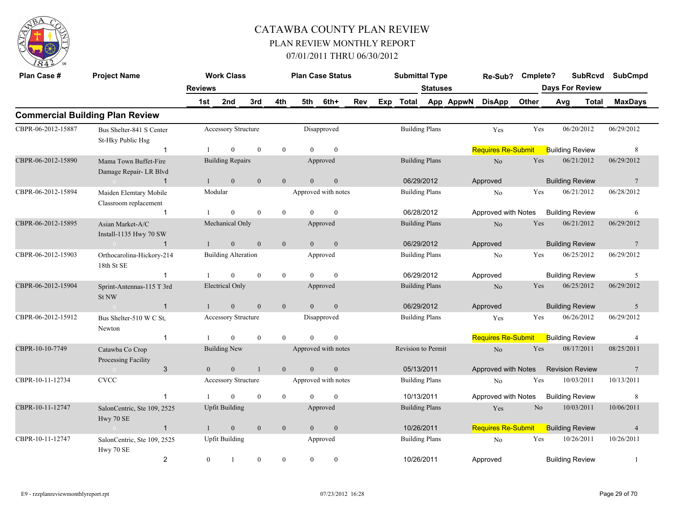

| Plan Case #        | <b>Project Name</b>                             |                       | <b>Work Class</b>          |              |                |                | <b>Plan Case Status</b> |     | <b>Submittal Type</b> |                       |           | Re-Sub?                   | Cmplete?       | <b>SubRcvd</b>         |            | <b>SubCmpd</b>  |
|--------------------|-------------------------------------------------|-----------------------|----------------------------|--------------|----------------|----------------|-------------------------|-----|-----------------------|-----------------------|-----------|---------------------------|----------------|------------------------|------------|-----------------|
|                    |                                                 | <b>Reviews</b>        |                            |              |                |                |                         |     |                       | <b>Statuses</b>       |           |                           |                | <b>Days For Review</b> |            |                 |
|                    |                                                 | 1st                   | 2nd                        | 3rd          | 4th            | 5th            | 6th+                    | Rev | Exp Total             |                       | App AppwN | <b>DisApp</b>             | Other          | Avg                    | Total      | <b>MaxDays</b>  |
|                    | <b>Commercial Building Plan Review</b>          |                       |                            |              |                |                |                         |     |                       |                       |           |                           |                |                        |            |                 |
| CBPR-06-2012-15887 | Bus Shelter-841 S Center<br>St-Hky Public Hsg   |                       | Accessory Structure        |              |                |                | Disapproved             |     |                       | <b>Building Plans</b> |           | Yes                       | Yes            | 06/20/2012             |            | 06/29/2012      |
|                    | $\mathbf{1}$                                    |                       | $\mathbf{0}$               | $\mathbf{0}$ | $\overline{0}$ | $\theta$       | $\mathbf{0}$            |     |                       |                       |           | <b>Requires Re-Submit</b> |                | <b>Building Review</b> |            | 8               |
| CBPR-06-2012-15890 | Mama Town Buffet-Fire<br>Damage Repair- LR Blvd |                       | <b>Building Repairs</b>    |              |                |                | Approved                |     |                       | <b>Building Plans</b> |           | No                        | Yes            | 06/21/2012             |            | 06/29/2012      |
|                    | -1                                              |                       | $\mathbf{0}$               | $\mathbf{0}$ | $\mathbf{0}$   | $\overline{0}$ | $\boldsymbol{0}$        |     | 06/29/2012            |                       |           | Approved                  |                | <b>Building Review</b> |            | $7\phantom{.0}$ |
| CBPR-06-2012-15894 | Maiden Elemtary Mobile<br>Classroom replacement |                       | Modular                    |              |                |                | Approved with notes     |     |                       | <b>Building Plans</b> |           | N <sub>o</sub>            | Yes            | 06/21/2012             |            | 06/28/2012      |
|                    | $\mathbf{1}$                                    |                       | $\theta$                   | $\theta$     | $\theta$       | $\theta$       | $\theta$                |     |                       | 06/28/2012            |           | Approved with Notes       |                | <b>Building Review</b> |            | 6               |
| CBPR-06-2012-15895 | Asian Market-A/C<br>Install-1135 Hwy 70 SW      |                       | Mechanical Only            |              |                |                | Approved                |     |                       | <b>Building Plans</b> |           | No                        | Yes            | 06/21/2012             |            | 06/29/2012      |
|                    | $\overline{1}$<br>$\sim 0$                      | $\mathbf{1}$          | $\overline{0}$             | $\mathbf{0}$ | $\mathbf{0}$   | $\overline{0}$ | $\mathbf{0}$            |     | 06/29/2012            |                       |           | Approved                  |                | <b>Building Review</b> |            | $7\phantom{.0}$ |
| CBPR-06-2012-15903 | Orthocarolina-Hickory-214<br>18th St SE         |                       | <b>Building Alteration</b> |              |                |                | Approved                |     |                       | <b>Building Plans</b> |           | No                        | Yes            | 06/25/2012             |            | 06/29/2012      |
|                    | $\mathbf 1$                                     |                       | $\theta$                   | $\theta$     | $\overline{0}$ | $\Omega$       | $\theta$                |     | 06/29/2012            |                       |           | Approved                  |                | <b>Building Review</b> |            | 5               |
| CBPR-06-2012-15904 | Sprint-Antennas-115 T 3rd<br>St NW              |                       | <b>Electrical Only</b>     |              |                |                | Approved                |     |                       | <b>Building Plans</b> |           | No                        | Yes            | 06/25/2012             |            | 06/29/2012      |
|                    | $\overline{1}$<br>$\sim 0$                      |                       | $\mathbf{0}$               | $\theta$     | $\overline{0}$ | $\theta$       | $\mathbf{0}$            |     | 06/29/2012            |                       |           | Approved                  |                | <b>Building Review</b> |            | 5               |
| CBPR-06-2012-15912 | Bus Shelter-510 W C St,<br>Newton               |                       | Accessory Structure        |              |                |                | Disapproved             |     |                       | <b>Building Plans</b> |           | Yes                       | Yes            | 06/26/2012             |            | 06/29/2012      |
|                    | $\mathbf{1}$                                    |                       | $\Omega$                   | $\theta$     | $\theta$       | $\theta$       | $\mathbf{0}$            |     |                       |                       |           | <b>Requires Re-Submit</b> |                | <b>Building Review</b> |            | $\overline{4}$  |
| CBPR-10-10-7749    | Catawba Co Crop<br>Processing Facility          |                       | <b>Building New</b>        |              |                |                | Approved with notes     |     | Revision to Permit    |                       |           | $\rm No$                  | Yes            | 08/17/2011             |            | 08/25/2011      |
|                    | 3                                               | $\mathbf{0}$          | $\mathbf{0}$               | $\mathbf{1}$ | $\overline{0}$ | $\mathbf{0}$   | $\mathbf{0}$            |     | 05/13/2011            |                       |           | Approved with Notes       |                | <b>Revision Review</b> |            | $7\phantom{.0}$ |
| CBPR-10-11-12734   | <b>CVCC</b>                                     |                       | <b>Accessory Structure</b> |              |                |                | Approved with notes     |     |                       | <b>Building Plans</b> |           | N <sub>0</sub>            | Yes            | 10/03/2011             |            | 10/13/2011      |
|                    | $\overline{1}$                                  |                       | $\Omega$                   | $\mathbf{0}$ | $\overline{0}$ | $\Omega$       | $\mathbf{0}$            |     | 10/13/2011            |                       |           | Approved with Notes       |                | <b>Building Review</b> |            | 8               |
| CBPR-10-11-12747   | SalonCentric, Ste 109, 2525<br>Hwy 70 SE        |                       | <b>Upfit Building</b>      |              |                |                | Approved                |     |                       | <b>Building Plans</b> |           | Yes                       | N <sub>o</sub> | 10/03/2011             |            | 10/06/2011      |
|                    | $\overline{1}$                                  |                       | $\mathbf{0}$               | $\mathbf{0}$ | $\mathbf{0}$   | $\theta$       | $\mathbf{0}$            |     | 10/26/2011            |                       |           | <b>Requires Re-Submit</b> |                | <b>Building Review</b> |            | $\overline{4}$  |
| CBPR-10-11-12747   | SalonCentric, Ste 109, 2525                     | <b>Upfit Building</b> |                            |              |                | Approved       |                         |     | <b>Building Plans</b> |                       | No        | Yes                       | 10/26/2011     |                        | 10/26/2011 |                 |
|                    | $\overline{2}$                                  | $\mathbf{0}$          | 1                          | $\mathbf{0}$ | $\overline{0}$ | $\overline{0}$ | $\boldsymbol{0}$        |     | 10/26/2011            |                       |           | Approved                  |                | <b>Building Review</b> |            | -1              |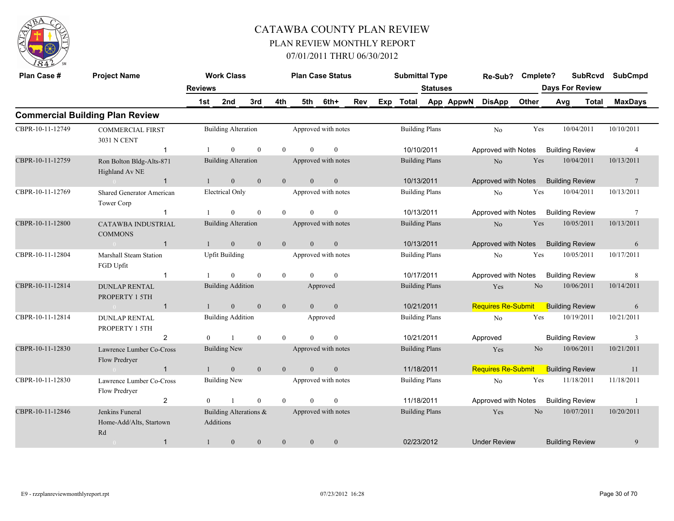

| Plan Case #      | <b>Project Name</b>                              |                | <b>Work Class</b>                   |              |                | <b>Plan Case Status</b> |                     |     |     | <b>Submittal Type</b> |                       |           | Re-Sub?                   | Cmplete?       |                        | <b>SubRcvd</b> | <b>SubCmpd</b>  |
|------------------|--------------------------------------------------|----------------|-------------------------------------|--------------|----------------|-------------------------|---------------------|-----|-----|-----------------------|-----------------------|-----------|---------------------------|----------------|------------------------|----------------|-----------------|
|                  |                                                  | <b>Reviews</b> |                                     |              |                |                         |                     |     |     |                       | <b>Statuses</b>       |           |                           |                | <b>Days For Review</b> |                |                 |
|                  |                                                  | 1st            | 2nd                                 | 3rd          | 4th            | 5th                     | 6th+                | Rev | Exp | Total                 |                       | App AppwN | <b>DisApp</b>             | Other          | Avg                    | <b>Total</b>   | <b>MaxDays</b>  |
|                  | <b>Commercial Building Plan Review</b>           |                |                                     |              |                |                         |                     |     |     |                       |                       |           |                           |                |                        |                |                 |
| CBPR-10-11-12749 | <b>COMMERCIAL FIRST</b><br>3031 N CENT           |                | <b>Building Alteration</b>          |              |                |                         | Approved with notes |     |     |                       | <b>Building Plans</b> |           | No                        | Yes            |                        | 10/04/2011     | 10/10/2011      |
|                  | $\mathbf{1}$                                     |                | $\theta$                            | $\mathbf{0}$ | $\theta$       | $\Omega$                | $\theta$            |     |     |                       | 10/10/2011            |           | Approved with Notes       |                | <b>Building Review</b> |                | $\overline{4}$  |
| CBPR-10-11-12759 | Ron Bolton Bldg-Alts-871<br>Highland Av NE       |                | <b>Building Alteration</b>          |              |                |                         | Approved with notes |     |     |                       | <b>Building Plans</b> |           | N <sub>o</sub>            | Yes            |                        | 10/04/2011     | 10/13/2011      |
|                  | $\mathbf{1}$<br>$\sim$ 0 $\sim$                  |                | $\mathbf{0}$                        | $\mathbf{0}$ | $\mathbf{0}$   | $\overline{0}$          | $\mathbf{0}$        |     |     |                       | 10/13/2011            |           | Approved with Notes       |                | <b>Building Review</b> |                | $\overline{7}$  |
| CBPR-10-11-12769 | <b>Shared Generator American</b><br>Tower Corp   |                | Electrical Only                     |              |                |                         | Approved with notes |     |     |                       | <b>Building Plans</b> |           | No                        | Yes            |                        | 10/04/2011     | 10/13/2011      |
|                  | $\mathbf{1}$                                     |                | $\Omega$                            | $\mathbf{0}$ | $\theta$       | $\Omega$                | $\overline{0}$      |     |     |                       | 10/13/2011            |           | Approved with Notes       |                | <b>Building Review</b> |                | $7\phantom{.0}$ |
| CBPR-10-11-12800 | <b>CATAWBA INDUSTRIAL</b><br><b>COMMONS</b>      |                | <b>Building Alteration</b>          |              |                |                         | Approved with notes |     |     |                       | <b>Building Plans</b> |           | N <sub>o</sub>            | Yes            |                        | 10/05/2011     | 10/13/2011      |
|                  | $\mathbf{1}$<br>$\sim 0$                         |                | $\mathbf{0}$                        | $\mathbf{0}$ | $\mathbf{0}$   | $\overline{0}$          | $\mathbf{0}$        |     |     |                       | 10/13/2011            |           | Approved with Notes       |                | <b>Building Review</b> |                | 6               |
| CBPR-10-11-12804 | Marshall Steam Station<br>FGD Upfit              |                | <b>Upfit Building</b>               |              |                |                         | Approved with notes |     |     |                       | <b>Building Plans</b> |           | N <sub>o</sub>            | Yes            |                        | 10/05/2011     | 10/17/2011      |
|                  | $\mathbf 1$                                      |                | $\Omega$                            | $\theta$     | $\overline{0}$ | $\Omega$                | $\theta$            |     |     |                       | 10/17/2011            |           | Approved with Notes       |                | <b>Building Review</b> |                | 8               |
| CBPR-10-11-12814 | <b>DUNLAP RENTAL</b><br>PROPERTY 1 5TH           |                | <b>Building Addition</b>            |              |                |                         | Approved            |     |     |                       | <b>Building Plans</b> |           | Yes                       | N <sub>o</sub> |                        | 10/06/2011     | 10/14/2011      |
|                  | $\mathbf{1}$<br>$\sim 0$                         | $\mathbf{1}$   | $\mathbf{0}$                        | $\mathbf{0}$ | $\mathbf{0}$   | $\overline{0}$          | $\mathbf{0}$        |     |     |                       | 10/21/2011            |           | <b>Requires Re-Submit</b> |                | <b>Building Review</b> |                | 6               |
| CBPR-10-11-12814 | <b>DUNLAP RENTAL</b><br>PROPERTY 1 5TH           |                | <b>Building Addition</b>            |              |                |                         | Approved            |     |     |                       | <b>Building Plans</b> |           | No                        | Yes            |                        | 10/19/2011     | 10/21/2011      |
|                  | $\overline{2}$                                   | $\theta$       | $\mathbf{1}$                        | $\theta$     | $\theta$       | $\Omega$                | $\theta$            |     |     |                       | 10/21/2011            |           | Approved                  |                | <b>Building Review</b> |                | 3               |
| CBPR-10-11-12830 | Lawrence Lumber Co-Cross<br>Flow Predryer        |                | <b>Building New</b>                 |              |                |                         | Approved with notes |     |     |                       | <b>Building Plans</b> |           | Yes                       | N <sub>o</sub> |                        | 10/06/2011     | 10/21/2011      |
|                  | $\mathbf{1}$<br>$\sim$ 0                         |                | $\overline{0}$                      | $\mathbf{0}$ | $\overline{0}$ | $\overline{0}$          | $\mathbf{0}$        |     |     |                       | 11/18/2011            |           | <b>Requires Re-Submit</b> |                | <b>Building Review</b> |                | 11              |
| CBPR-10-11-12830 | Lawrence Lumber Co-Cross<br>Flow Predryer        |                | <b>Building New</b>                 |              |                |                         | Approved with notes |     |     |                       | <b>Building Plans</b> |           | No                        | Yes            |                        | 11/18/2011     | 11/18/2011      |
|                  | $\overline{2}$                                   | $\theta$       | $\overline{1}$                      | $\mathbf{0}$ | $\theta$       | $\Omega$                | $\theta$            |     |     |                       | 11/18/2011            |           | Approved with Notes       |                | <b>Building Review</b> |                | -1              |
| CBPR-10-11-12846 | Jenkins Funeral<br>Home-Add/Alts, Startown<br>Rd |                | Building Alterations &<br>Additions |              |                |                         | Approved with notes |     |     |                       | <b>Building Plans</b> |           | Yes                       | N <sub>o</sub> |                        | 10/07/2011     | 10/20/2011      |
|                  | $\mathbf{1}$<br>$\sim$ 0                         | 1              | $\mathbf{0}$                        | $\mathbf{0}$ | $\mathbf{0}$   | $\overline{0}$          | $\mathbf{0}$        |     |     |                       | 02/23/2012            |           | <b>Under Review</b>       |                | <b>Building Review</b> |                | 9               |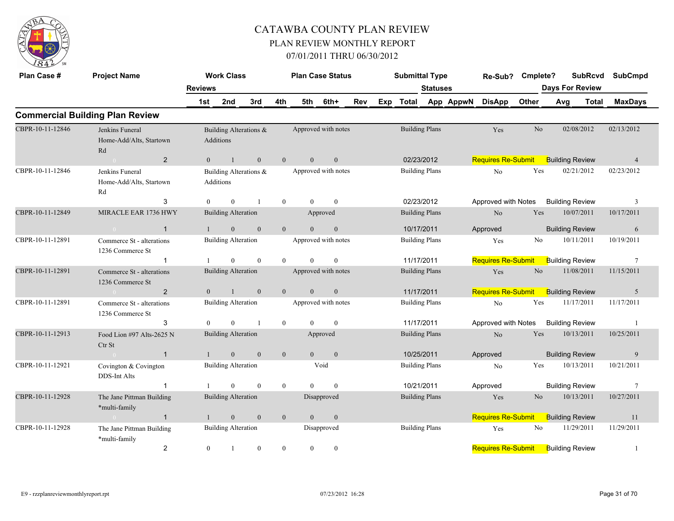

| Plan Case #      | <b>Project Name</b>                           |                | <b>Work Class</b>          |                        |                  |                | <b>Plan Case Status</b> |     | <b>Submittal Type</b> |                       |           | Re-Sub?                   | Cmplete?       |     | <b>SubRcvd</b>         |              | <b>SubCmpd</b>  |
|------------------|-----------------------------------------------|----------------|----------------------------|------------------------|------------------|----------------|-------------------------|-----|-----------------------|-----------------------|-----------|---------------------------|----------------|-----|------------------------|--------------|-----------------|
|                  |                                               | <b>Reviews</b> |                            |                        |                  |                |                         |     |                       | <b>Statuses</b>       |           |                           |                |     | <b>Days For Review</b> |              |                 |
|                  |                                               | 1st            | 2nd                        | 3rd                    | 4th              | 5th            | 6th+                    | Rev | Exp Total             |                       | App AppwN | <b>DisApp</b>             | Other          | Avg |                        | <b>Total</b> | <b>MaxDays</b>  |
|                  | <b>Commercial Building Plan Review</b>        |                |                            |                        |                  |                |                         |     |                       |                       |           |                           |                |     |                        |              |                 |
| CBPR-10-11-12846 | Jenkins Funeral                               |                |                            | Building Alterations & |                  |                | Approved with notes     |     |                       | <b>Building Plans</b> |           | Yes                       | No             |     | 02/08/2012             |              | 02/13/2012      |
|                  | Home-Add/Alts, Startown<br>Rd                 |                | Additions                  |                        |                  |                |                         |     |                       |                       |           |                           |                |     |                        |              |                 |
|                  | $\overline{2}$                                | $\overline{0}$ | $\mathbf{1}$               | $\mathbf{0}$           | $\mathbf{0}$     | $\overline{0}$ | $\boldsymbol{0}$        |     |                       | 02/23/2012            |           | <b>Requires Re-Submit</b> |                |     | <b>Building Review</b> |              | $\overline{4}$  |
| CBPR-10-11-12846 | Jenkins Funeral                               |                |                            | Building Alterations & |                  |                | Approved with notes     |     |                       | <b>Building Plans</b> |           | No                        | Yes            |     | 02/21/2012             |              | 02/23/2012      |
|                  | Home-Add/Alts, Startown<br>Rd                 |                | Additions                  |                        |                  |                |                         |     |                       |                       |           |                           |                |     |                        |              |                 |
|                  | 3                                             | $\mathbf{0}$   | $\mathbf{0}$               | -1                     | $\boldsymbol{0}$ | $\Omega$       | $\mathbf{0}$            |     |                       | 02/23/2012            |           | Approved with Notes       |                |     | <b>Building Review</b> |              | 3               |
| CBPR-10-11-12849 | MIRACLE EAR 1736 HWY                          |                | <b>Building Alteration</b> |                        |                  |                | Approved                |     |                       | <b>Building Plans</b> |           | N <sub>o</sub>            | Yes            |     | 10/07/2011             |              | 10/17/2011      |
|                  | $\overline{1}$<br>$\sim 0$                    |                | $\mathbf{0}$               | $\mathbf{0}$           | $\overline{0}$   | $\theta$       | $\mathbf{0}$            |     |                       | 10/17/2011            |           | Approved                  |                |     | <b>Building Review</b> |              | 6               |
| CBPR-10-11-12891 | Commerce St - alterations<br>1236 Commerce St |                | <b>Building Alteration</b> |                        |                  |                | Approved with notes     |     |                       | <b>Building Plans</b> |           | Yes                       | No             |     | 10/11/2011             |              | 10/19/2011      |
|                  | $\mathbf{1}$                                  |                | $\mathbf{0}$               | $\mathbf{0}$           | $\mathbf{0}$     | $\theta$       | $\mathbf{0}$            |     |                       | 11/17/2011            |           | <b>Requires Re-Submit</b> |                |     | <b>Building Review</b> |              | $7\phantom{.0}$ |
| CBPR-10-11-12891 | Commerce St - alterations<br>1236 Commerce St |                | <b>Building Alteration</b> |                        |                  |                | Approved with notes     |     |                       | <b>Building Plans</b> |           | Yes                       | No             |     | 11/08/2011             |              | 11/15/2011      |
|                  | $\overline{2}$                                | $\overline{0}$ | $\mathbf{1}$               | $\mathbf{0}$           | $\mathbf{0}$     | $\overline{0}$ | $\mathbf{0}$            |     |                       | 11/17/2011            |           | <b>Requires Re-Submit</b> |                |     | <b>Building Review</b> |              | 5               |
| CBPR-10-11-12891 | Commerce St - alterations<br>1236 Commerce St |                | <b>Building Alteration</b> |                        |                  |                | Approved with notes     |     |                       | <b>Building Plans</b> |           | No                        | Yes            |     | 11/17/2011             |              | 11/17/2011      |
|                  | 3                                             | $\theta$       | $\Omega$                   | $\overline{1}$         | $\mathbf{0}$     | $\Omega$       | $\theta$                |     |                       | 11/17/2011            |           | Approved with Notes       |                |     | <b>Building Review</b> |              | $\overline{1}$  |
| CBPR-10-11-12913 | Food Lion #97 Alts-2625 N<br>Ctr St           |                | <b>Building Alteration</b> |                        |                  |                | Approved                |     |                       | <b>Building Plans</b> |           | N <sub>o</sub>            | Yes            |     | 10/13/2011             |              | 10/25/2011      |
|                  | $\overline{1}$<br>$\bigcap$                   | $\mathbf{1}$   | $\boldsymbol{0}$           | $\mathbf{0}$           | $\mathbf{0}$     | $\mathbf{0}$   | $\boldsymbol{0}$        |     |                       | 10/25/2011            |           | Approved                  |                |     | <b>Building Review</b> |              | 9               |
| CBPR-10-11-12921 | Covington & Covington<br>DDS-Int Alts         |                | <b>Building Alteration</b> |                        |                  |                | Void                    |     |                       | <b>Building Plans</b> |           | N <sub>0</sub>            | Yes            |     | 10/13/2011             |              | 10/21/2011      |
|                  | $\overline{1}$                                |                | $\Omega$                   | $\theta$               | $\mathbf{0}$     | $\Omega$       | $\theta$                |     |                       | 10/21/2011            |           | Approved                  |                |     | <b>Building Review</b> |              | $\tau$          |
| CBPR-10-11-12928 | The Jane Pittman Building<br>*multi-family    |                | <b>Building Alteration</b> |                        |                  |                | Disapproved             |     |                       | <b>Building Plans</b> |           | Yes                       | N <sub>o</sub> |     | 10/13/2011             |              | 10/27/2011      |
|                  | $\mathbf{1}$                                  |                | $\mathbf{0}$               | $\mathbf{0}$           | $\mathbf{0}$     | $\mathbf{0}$   | $\mathbf{0}$            |     |                       |                       |           | <b>Requires Re-Submit</b> |                |     | <b>Building Review</b> |              | 11              |
| CBPR-10-11-12928 | The Jane Pittman Building<br>*multi-family    |                | <b>Building Alteration</b> |                        |                  |                | Disapproved             |     |                       | <b>Building Plans</b> |           | Yes                       | No             |     | 11/29/2011             |              | 11/29/2011      |
|                  | $\overline{2}$                                | $\mathbf{0}$   | $\mathbf{1}$               | $\mathbf{0}$           | $\overline{0}$   | $\overline{0}$ | $\mathbf{0}$            |     |                       |                       |           | <b>Requires Re-Submit</b> |                |     | <b>Building Review</b> |              | $\mathbf{1}$    |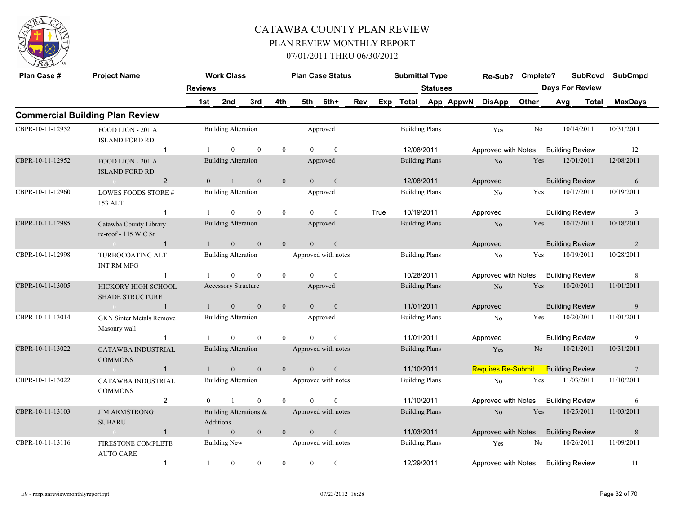

| Plan Case #      | <b>Project Name</b>                             |                | <b>Work Class</b>                   |              |                | <b>Plan Case Status</b> |                     |            |      | <b>Submittal Type</b> |                       |           | Re-Sub? Cmplete?          |                | <b>SubRcvd</b>         | <b>SubCmpd</b>  |
|------------------|-------------------------------------------------|----------------|-------------------------------------|--------------|----------------|-------------------------|---------------------|------------|------|-----------------------|-----------------------|-----------|---------------------------|----------------|------------------------|-----------------|
|                  |                                                 | <b>Reviews</b> |                                     |              |                |                         |                     |            |      |                       | <b>Statuses</b>       |           |                           |                | <b>Days For Review</b> |                 |
|                  |                                                 | 1st            | 2nd                                 | 3rd          | 4th            | 5th                     | 6th+                | <b>Rev</b> |      | Exp Total             |                       | App AppwN | <b>DisApp</b>             | Other          | Avg<br>Total           | <b>MaxDays</b>  |
|                  | <b>Commercial Building Plan Review</b>          |                |                                     |              |                |                         |                     |            |      |                       |                       |           |                           |                |                        |                 |
| CBPR-10-11-12952 | FOOD LION - 201 A<br><b>ISLAND FORD RD</b>      |                | <b>Building Alteration</b>          |              |                |                         | Approved            |            |      | <b>Building Plans</b> |                       |           | Yes                       | No             | 10/14/2011             | 10/31/2011      |
|                  | $\mathbf{1}$                                    | -1             | $\Omega$                            | $\theta$     | $\theta$       | $\Omega$                | $\theta$            |            |      | 12/08/2011            |                       |           | Approved with Notes       |                | <b>Building Review</b> | 12              |
| CBPR-10-11-12952 | FOOD LION - 201 A<br><b>ISLAND FORD RD</b>      |                | <b>Building Alteration</b>          |              |                |                         | Approved            |            |      | <b>Building Plans</b> |                       |           | $\rm No$                  | Yes            | 12/01/2011             | 12/08/2011      |
|                  | $\overline{2}$<br>$\sim 0$                      | $\theta$       | $\overline{1}$                      | $\theta$     | $\overline{0}$ | $\Omega$                | $\overline{0}$      |            |      | 12/08/2011            |                       |           | Approved                  |                | <b>Building Review</b> | 6               |
| CBPR-10-11-12960 | LOWES FOODS STORE #<br>153 ALT                  |                | <b>Building Alteration</b>          |              |                |                         | Approved            |            |      | <b>Building Plans</b> |                       |           | No                        | Yes            | 10/17/2011             | 10/19/2011      |
|                  | $\mathbf{1}$                                    | $\mathbf{1}$   | $\theta$                            | $\theta$     | $\theta$       | $\Omega$                | $\mathbf{0}$        |            | True | 10/19/2011            |                       |           | Approved                  |                | <b>Building Review</b> | 3               |
| CBPR-10-11-12985 | Catawba County Library-<br>re-roof - 115 W C St |                | <b>Building Alteration</b>          |              |                |                         | Approved            |            |      | <b>Building Plans</b> |                       |           | No                        | Yes            | 10/17/2011             | 10/18/2011      |
|                  | $\sim 0$ and $\sim 0$<br>$\mathbf{1}$           | $\mathbf{1}$   | $\overline{0}$                      | $\mathbf{0}$ | $\mathbf{0}$   | $\overline{0}$          | $\boldsymbol{0}$    |            |      |                       |                       |           | Approved                  |                | <b>Building Review</b> | 2               |
| CBPR-10-11-12998 | <b>TURBOCOATING ALT</b><br><b>INT RM MFG</b>    |                | <b>Building Alteration</b>          |              |                |                         | Approved with notes |            |      | <b>Building Plans</b> |                       |           | N <sub>o</sub>            | Yes            | 10/19/2011             | 10/28/2011      |
|                  | $\mathbf{1}$                                    | $\mathbf{1}$   | $\overline{0}$                      | $\mathbf{0}$ | $\mathbf{0}$   | $\theta$                | $\mathbf{0}$        |            |      |                       | 10/28/2011            |           | Approved with Notes       |                | <b>Building Review</b> | 8               |
| CBPR-10-11-13005 | HICKORY HIGH SCHOOL<br><b>SHADE STRUCTURE</b>   |                | Accessory Structure                 |              |                |                         | Approved            |            |      | <b>Building Plans</b> |                       |           | $\rm No$                  | Yes            | 10/20/2011             | 11/01/2011      |
|                  | $\sim 0$<br>$\mathbf{1}$                        | 1              | $\mathbf{0}$                        | $\mathbf{0}$ | $\mathbf{0}$   | $\overline{0}$          | $\mathbf{0}$        |            |      | 11/01/2011            |                       |           | Approved                  |                | <b>Building Review</b> | 9               |
| CBPR-10-11-13014 | <b>GKN Sinter Metals Remove</b><br>Masonry wall |                | <b>Building Alteration</b>          |              |                |                         | Approved            |            |      | <b>Building Plans</b> |                       |           | $\rm No$                  | Yes            | 10/20/2011             | 11/01/2011      |
|                  | $\mathbf{1}$                                    | -1             | $\overline{0}$                      | $\theta$     | $\mathbf{0}$   | $\theta$                | $\mathbf{0}$        |            |      | 11/01/2011            |                       |           | Approved                  |                | <b>Building Review</b> | 9               |
| CBPR-10-11-13022 | <b>CATAWBA INDUSTRIAL</b><br><b>COMMONS</b>     |                | <b>Building Alteration</b>          |              |                |                         | Approved with notes |            |      | <b>Building Plans</b> |                       |           | Yes                       | N <sub>o</sub> | 10/21/2011             | 10/31/2011      |
|                  | $\mathbf{1}$<br>$\overline{0}$                  | $\mathbf{1}$   | $\mathbf{0}$                        | $\mathbf{0}$ | $\mathbf{0}$   | $\overline{0}$          | $\mathbf{0}$        |            |      | 11/10/2011            |                       |           | <b>Requires Re-Submit</b> |                | <b>Building Review</b> | $7\phantom{.0}$ |
| CBPR-10-11-13022 | <b>CATAWBA INDUSTRIAL</b><br><b>COMMONS</b>     |                | <b>Building Alteration</b>          |              |                |                         | Approved with notes |            |      | <b>Building Plans</b> |                       |           | N <sub>0</sub>            | Yes            | 11/03/2011             | 11/10/2011      |
|                  | $\overline{2}$                                  | $\mathbf{0}$   | $\overline{1}$                      | $\mathbf{0}$ | $\theta$       | $\Omega$                | $\mathbf{0}$        |            |      | 11/10/2011            |                       |           | Approved with Notes       |                | <b>Building Review</b> | 6               |
| CBPR-10-11-13103 | <b>JIM ARMSTRONG</b><br><b>SUBARU</b>           |                | Building Alterations &<br>Additions |              |                |                         | Approved with notes |            |      | <b>Building Plans</b> |                       |           | No                        | Yes            | 10/25/2011             | 11/03/2011      |
|                  | $\mathbf{1}$<br>$\sim 0$                        | $\mathbf{1}$   | $\overline{0}$                      | $\mathbf{0}$ | $\mathbf{0}$   | $\overline{0}$          | $\mathbf{0}$        |            |      | 11/03/2011            |                       |           | Approved with Notes       |                | <b>Building Review</b> | 8               |
| CBPR-10-11-13116 | FIRESTONE COMPLETE<br><b>AUTO CARE</b>          |                | <b>Building New</b>                 |              |                |                         | Approved with notes |            |      |                       | <b>Building Plans</b> |           | Yes                       | No             | 10/26/2011             | 11/09/2011      |
|                  | $\mathbf{1}$                                    | -1             | $\overline{0}$                      | $\theta$     | $\theta$       | $\theta$                | $\mathbf{0}$        |            |      | 12/29/2011            |                       |           | Approved with Notes       |                | <b>Building Review</b> | 11              |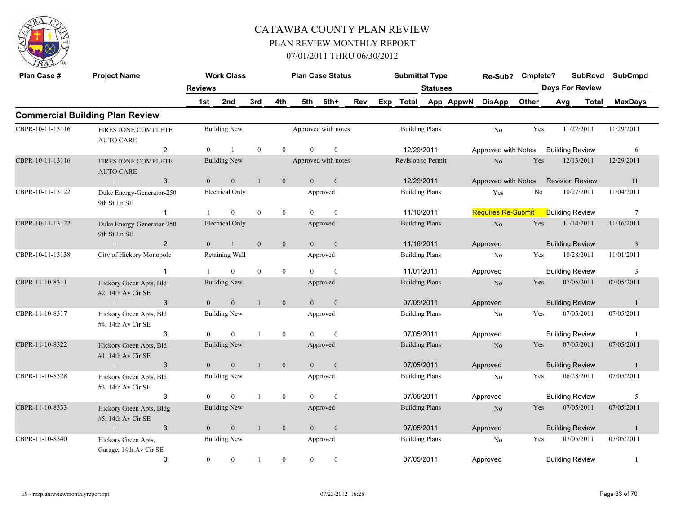

| Plan Case #      | <b>Project Name</b>                               |                | <b>Work Class</b>      |              |                  |                | <b>Plan Case Status</b> |     | <b>Submittal Type</b> |                       |           | Re-Sub? Cmplete?          |       | <b>SubRcvd</b>         |       | <b>SubCmpd</b>  |
|------------------|---------------------------------------------------|----------------|------------------------|--------------|------------------|----------------|-------------------------|-----|-----------------------|-----------------------|-----------|---------------------------|-------|------------------------|-------|-----------------|
|                  |                                                   | <b>Reviews</b> |                        |              |                  |                |                         |     |                       | <b>Statuses</b>       |           |                           |       | <b>Days For Review</b> |       |                 |
|                  |                                                   | 1st            | 2nd                    | 3rd          | 4th              | 5th            | 6th+                    | Rev | Exp Total             |                       | App AppwN | <b>DisApp</b>             | Other | Avg                    | Total | <b>MaxDays</b>  |
|                  | <b>Commercial Building Plan Review</b>            |                |                        |              |                  |                |                         |     |                       |                       |           |                           |       |                        |       |                 |
| CBPR-10-11-13116 | FIRESTONE COMPLETE<br><b>AUTO CARE</b>            |                | <b>Building New</b>    |              |                  |                | Approved with notes     |     |                       | <b>Building Plans</b> |           | No                        | Yes   | 11/22/2011             |       | 11/29/2011      |
|                  | $\overline{2}$                                    | $\Omega$       |                        | $\theta$     | $\Omega$         | $\Omega$       | $\theta$                |     | 12/29/2011            |                       |           | Approved with Notes       |       | <b>Building Review</b> |       | 6               |
| CBPR-10-11-13116 | FIRESTONE COMPLETE<br><b>AUTO CARE</b>            |                | <b>Building New</b>    |              |                  |                | Approved with notes     |     | Revision to Permit    |                       |           | $\rm No$                  | Yes   | 12/13/2011             |       | 12/29/2011      |
|                  | 3<br>$\sim 0$                                     | $\mathbf{0}$   | $\mathbf{0}$           | $\mathbf{1}$ | $\mathbf{0}$     | $\overline{0}$ | $\mathbf{0}$            |     | 12/29/2011            |                       |           | Approved with Notes       |       | <b>Revision Review</b> |       | 11              |
| CBPR-10-11-13122 | Duke Energy-Generator-250<br>9th St Ln SE         |                | Electrical Only        |              |                  |                | Approved                |     | <b>Building Plans</b> |                       |           | Yes                       | No    | 10/27/2011             |       | 11/04/2011      |
|                  | $\mathbf{1}$                                      |                | $\Omega$               | $\theta$     | $\overline{0}$   | $\Omega$       | $\theta$                |     | 11/16/2011            |                       |           | <b>Requires Re-Submit</b> |       | <b>Building Review</b> |       | $7\phantom{.0}$ |
| CBPR-10-11-13122 | Duke Energy-Generator-250<br>9th St Ln SE         |                | <b>Electrical Only</b> |              |                  |                | Approved                |     | <b>Building Plans</b> |                       |           | $\rm No$                  | Yes   | 11/14/2011             |       | 11/16/2011      |
|                  | $\overline{2}$<br>$\sim 0$                        | $\mathbf{0}$   | $\mathbf{1}$           | $\mathbf{0}$ | $\mathbf{0}$     | $\overline{0}$ | $\mathbf{0}$            |     | 11/16/2011            |                       |           | Approved                  |       | <b>Building Review</b> |       | $\overline{3}$  |
| CBPR-10-11-13138 | City of Hickory Monopole                          |                | Retaining Wall         |              |                  |                | Approved                |     | <b>Building Plans</b> |                       |           | $\rm No$                  | Yes   | 10/28/2011             |       | 11/01/2011      |
|                  | $\mathbf{1}$                                      |                | $\overline{0}$         | $\mathbf{0}$ | $\bf{0}$         | $\Omega$       | $\mathbf{0}$            |     | 11/01/2011            |                       |           | Approved                  |       | <b>Building Review</b> |       | 3               |
| CBPR-11-10-8311  | Hickory Green Apts, Bld<br>#2, 14th Av Cir SE     |                | <b>Building New</b>    |              |                  |                | Approved                |     | <b>Building Plans</b> |                       |           | N <sub>o</sub>            | Yes   | 07/05/2011             |       | 07/05/2011      |
|                  | 3<br>$\mathbf{0}$                                 | $\overline{0}$ | $\overline{0}$         | $\mathbf{1}$ | $\overline{0}$   | $\overline{0}$ | $\mathbf{0}$            |     | 07/05/2011            |                       |           | Approved                  |       | <b>Building Review</b> |       | $\mathbf{1}$    |
| CBPR-11-10-8317  | Hickory Green Apts, Bld<br>#4, 14th Av Cir SE     |                | Building New           |              |                  |                | Approved                |     | <b>Building Plans</b> |                       |           | N <sub>o</sub>            | Yes   | 07/05/2011             |       | 07/05/2011      |
|                  | 3                                                 | $\Omega$       | $\Omega$               | $\mathbf{1}$ | $\mathbf{0}$     | $\Omega$       | $\theta$                |     | 07/05/2011            |                       |           | Approved                  |       | <b>Building Review</b> |       | $\overline{1}$  |
| CBPR-11-10-8322  | Hickory Green Apts, Bld<br>$#1$ , 14th Av Cir SE  |                | <b>Building New</b>    |              |                  |                | Approved                |     | <b>Building Plans</b> |                       |           | $\rm No$                  | Yes   | 07/05/2011             |       | 07/05/2011      |
|                  | 3<br>$\sim 0$                                     | $\overline{0}$ | $\mathbf{0}$           |              | $\mathbf{0}$     | $\overline{0}$ | $\mathbf{0}$            |     | 07/05/2011            |                       |           | Approved                  |       | <b>Building Review</b> |       | $\overline{1}$  |
| CBPR-11-10-8328  | Hickory Green Apts, Bld<br>$#3$ , 14th Av Cir SE  |                | <b>Building New</b>    |              |                  |                | Approved                |     | <b>Building Plans</b> |                       |           | No                        | Yes   | 06/28/2011             |       | 07/05/2011      |
|                  | 3                                                 | $\Omega$       | $\Omega$               | $\mathbf{1}$ | $\overline{0}$   | $\Omega$       | $\mathbf{0}$            |     | 07/05/2011            |                       |           | Approved                  |       | <b>Building Review</b> |       | 5               |
| CBPR-11-10-8333  | Hickory Green Apts, Bldg<br>$#5$ , 14th Av Cir SE |                | <b>Building New</b>    |              |                  |                | Approved                |     |                       | <b>Building Plans</b> |           | $\rm No$                  | Yes   | 07/05/2011             |       | 07/05/2011      |
|                  | 3                                                 | $\theta$       | $\mathbf{0}$           | $\mathbf{1}$ | $\mathbf{0}$     | $\overline{0}$ | $\mathbf{0}$            |     | 07/05/2011            |                       |           | Approved                  |       | <b>Building Review</b> |       | $\mathbf{1}$    |
| CBPR-11-10-8340  | Hickory Green Apts,<br>Garage, 14th Av Cir SE     |                | <b>Building New</b>    |              |                  |                | Approved                |     |                       | <b>Building Plans</b> |           | No                        | Yes   | 07/05/2011             |       | 07/05/2011      |
|                  | 3                                                 | $\mathbf{0}$   | $\mathbf{0}$           | $\mathbf{1}$ | $\boldsymbol{0}$ | $\overline{0}$ | $\boldsymbol{0}$        |     | 07/05/2011            |                       |           | Approved                  |       | <b>Building Review</b> |       | -1              |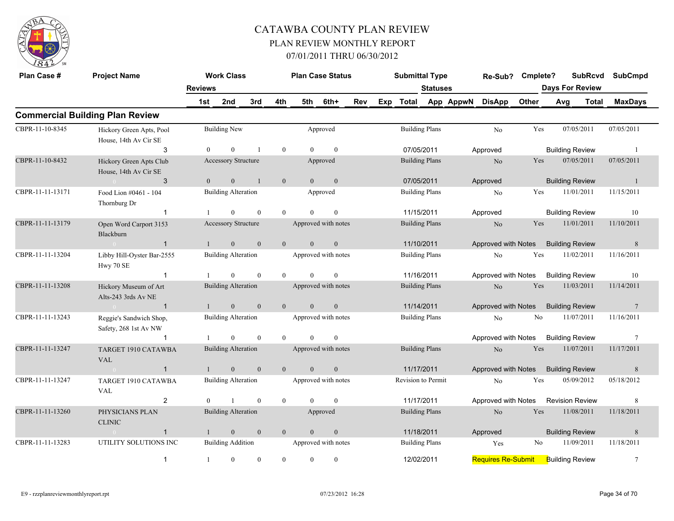

| Plan Case #      | <b>Project Name</b>                               |                | <b>Work Class</b>          |              |                |                | <b>Plan Case Status</b> |     | <b>Submittal Type</b> |                       |           | Re-Sub?                             | Cmplete? |     |                        | <b>SubRcvd</b> | <b>SubCmpd</b>  |  |
|------------------|---------------------------------------------------|----------------|----------------------------|--------------|----------------|----------------|-------------------------|-----|-----------------------|-----------------------|-----------|-------------------------------------|----------|-----|------------------------|----------------|-----------------|--|
|                  |                                                   | <b>Reviews</b> |                            |              |                |                |                         |     |                       | <b>Statuses</b>       |           |                                     |          |     | <b>Days For Review</b> |                |                 |  |
|                  |                                                   | 1st            | 2nd                        | 3rd          | 4th            | 5th            | 6th+                    | Rev | Exp Total             |                       | App AppwN | <b>DisApp</b>                       | Other    | Avg |                        | Total          | <b>MaxDays</b>  |  |
|                  | <b>Commercial Building Plan Review</b>            |                |                            |              |                |                |                         |     |                       |                       |           |                                     |          |     |                        |                |                 |  |
| CBPR-11-10-8345  | Hickory Green Apts, Pool<br>House, 14th Av Cir SE |                | <b>Building New</b>        |              |                |                | Approved                |     |                       | <b>Building Plans</b> |           | No                                  | Yes      |     | 07/05/2011             |                | 07/05/2011      |  |
|                  | 3                                                 |                | $\theta$                   |              | $\mathbf{0}$   | $\theta$       | $\mathbf{0}$            |     | 07/05/2011            |                       |           | Approved                            |          |     | <b>Building Review</b> |                | -1              |  |
| CBPR-11-10-8432  | Hickory Green Apts Club<br>House, 14th Av Cir SE  |                | Accessory Structure        |              |                |                | Approved                |     |                       | <b>Building Plans</b> |           | No                                  | Yes      |     | 07/05/2011             |                | 07/05/2011      |  |
|                  | 3                                                 | $\overline{0}$ | $\overline{0}$             |              | $\mathbf{0}$   | $\overline{0}$ | $\mathbf{0}$            |     | 07/05/2011            |                       |           | Approved                            |          |     | <b>Building Review</b> |                | -1              |  |
| CBPR-11-11-13171 | Food Lion #0461 - 104<br>Thornburg Dr             |                | <b>Building Alteration</b> |              |                |                | Approved                |     |                       | <b>Building Plans</b> |           | No                                  | Yes      |     | 11/01/2011             |                | 11/15/2011      |  |
|                  | $\mathbf 1$                                       |                | $\Omega$                   | $\theta$     | $\theta$       | $\Omega$       | $\theta$                |     | 11/15/2011            |                       |           | Approved                            |          |     | <b>Building Review</b> |                | 10              |  |
| CBPR-11-11-13179 | Open Word Carport 3153<br>Blackburn               |                | Accessory Structure        |              |                |                | Approved with notes     |     |                       | <b>Building Plans</b> |           | No                                  | Yes      |     | 11/01/2011             |                | 11/10/2011      |  |
|                  | $\overline{1}$<br>$\sim 0$                        |                | $\overline{0}$             | $\mathbf{0}$ | $\mathbf{0}$   | $\theta$       | $\mathbf{0}$            |     | 11/10/2011            |                       |           | Approved with Notes                 |          |     | <b>Building Review</b> |                | 8               |  |
| CBPR-11-11-13204 | Libby Hill-Oyster Bar-2555<br>Hwy 70 SE           |                | <b>Building Alteration</b> |              |                |                | Approved with notes     |     |                       | <b>Building Plans</b> |           | No                                  | Yes      |     | 11/02/2011             |                | 11/16/2011      |  |
|                  |                                                   |                | $\theta$                   | $\theta$     | $\mathbf{0}$   | $\theta$       | $\theta$                |     | 11/16/2011            |                       |           | Approved with Notes                 |          |     | <b>Building Review</b> |                | 10              |  |
| CBPR-11-11-13208 | Hickory Museum of Art<br>Alts-243 3rds Av NE      |                | <b>Building Alteration</b> |              |                |                | Approved with notes     |     |                       | <b>Building Plans</b> |           | No                                  | Yes      |     | 11/03/2011             |                | 11/14/2011      |  |
|                  | $\sim 0$ and $\sim 0$<br>$\overline{1}$           |                | $\overline{0}$             | $\mathbf{0}$ | $\mathbf{0}$   | $\theta$       | $\mathbf{0}$            |     | 11/14/2011            |                       |           | Approved with Notes                 |          |     | <b>Building Review</b> |                | $\overline{7}$  |  |
| CBPR-11-11-13243 | Reggie's Sandwich Shop,<br>Safety, 268 1st Av NW  |                | <b>Building Alteration</b> |              |                |                | Approved with notes     |     |                       | <b>Building Plans</b> |           | No                                  | No       |     | 11/07/2011             |                | 11/16/2011      |  |
|                  |                                                   |                | $\theta$                   | $\theta$     | $\theta$       | $\theta$       | $\theta$                |     |                       |                       |           | Approved with Notes Building Review |          |     |                        |                | $7\phantom{.0}$ |  |
| CBPR-11-11-13247 | TARGET 1910 CATAWBA<br><b>VAL</b>                 |                | <b>Building Alteration</b> |              |                |                | Approved with notes     |     |                       | <b>Building Plans</b> |           | No                                  | Yes      |     | 11/07/2011             |                | 11/17/2011      |  |
|                  | $\overline{1}$<br>$\sim 0$                        |                | $\overline{0}$             | $\theta$     | $\overline{0}$ | $\overline{0}$ | $\mathbf{0}$            |     | 11/17/2011            |                       |           | Approved with Notes Building Review |          |     |                        |                | 8               |  |
| CBPR-11-11-13247 | TARGET 1910 CATAWBA<br>VAL                        |                | <b>Building Alteration</b> |              |                |                | Approved with notes     |     | Revision to Permit    |                       |           | N <sub>0</sub>                      | Yes      |     | 05/09/2012             |                | 05/18/2012      |  |
|                  | $\overline{2}$                                    | $\Omega$       |                            | $\theta$     | $\mathbf{0}$   | $\Omega$       | $\mathbf{0}$            |     | 11/17/2011            |                       |           | Approved with Notes                 |          |     | <b>Revision Review</b> |                | 8               |  |
| CBPR-11-11-13260 | PHYSICIANS PLAN<br><b>CLINIC</b>                  |                | <b>Building Alteration</b> |              |                |                | Approved                |     |                       | <b>Building Plans</b> |           | No                                  | Yes      |     | 11/08/2011             |                | 11/18/2011      |  |
|                  | $\overline{0}$<br>$\mathbf 1$                     |                | $\mathbf{0}$               | $\mathbf{0}$ | $\mathbf{0}$   | $\overline{0}$ | $\boldsymbol{0}$        |     | 11/18/2011            |                       |           | Approved                            |          |     | <b>Building Review</b> |                | $\,8\,$         |  |
| CBPR-11-11-13283 | UTILITY SOLUTIONS INC                             |                | <b>Building Addition</b>   |              |                |                | Approved with notes     |     |                       | <b>Building Plans</b> |           | Yes                                 | No       |     | 11/09/2011             |                | 11/18/2011      |  |
|                  | $\overline{1}$                                    | -1             | $\theta$                   | $\theta$     | $\mathbf{0}$   | $\theta$       | $\theta$                |     | 12/02/2011            |                       |           | Requires Re-Submit Building Review  |          |     |                        |                | 7               |  |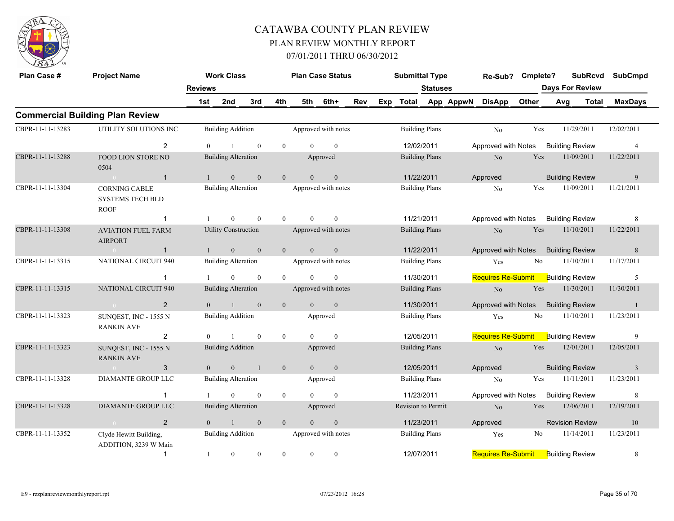

| Plan Case #      | <b>Project Name</b>                                            |                | <b>Work Class</b>           |                |                |                | <b>Plan Case Status</b> |            |     | <b>Submittal Type</b> |                       |                 | Re-Sub?                   | Cmplete?       |                        | <b>SubRcvd</b>         | <b>SubCmpd</b> |  |
|------------------|----------------------------------------------------------------|----------------|-----------------------------|----------------|----------------|----------------|-------------------------|------------|-----|-----------------------|-----------------------|-----------------|---------------------------|----------------|------------------------|------------------------|----------------|--|
|                  |                                                                | <b>Reviews</b> |                             |                |                |                |                         |            |     |                       | <b>Statuses</b>       |                 |                           |                |                        | <b>Days For Review</b> |                |  |
|                  |                                                                | 1st            | 2nd                         | 3rd            | 4th            | 5th            | 6th+                    | <b>Rev</b> | Exp |                       |                       | Total App AppwN | <b>DisApp</b>             | Other          | Avg                    | Total                  | <b>MaxDays</b> |  |
|                  | <b>Commercial Building Plan Review</b>                         |                |                             |                |                |                |                         |            |     |                       |                       |                 |                           |                |                        |                        |                |  |
| CBPR-11-11-13283 | UTILITY SOLUTIONS INC                                          |                | <b>Building Addition</b>    |                |                |                | Approved with notes     |            |     |                       | <b>Building Plans</b> |                 | N <sub>o</sub>            | Yes            |                        | 11/29/2011             | 12/02/2011     |  |
|                  | 2                                                              | $\Omega$       |                             | $\theta$       | $\theta$       |                | $\mathbf{0}$            |            |     |                       | 12/02/2011            |                 | Approved with Notes       |                |                        | <b>Building Review</b> | $\overline{4}$ |  |
| CBPR-11-11-13288 | <b>FOOD LION STORE NO</b><br>0504                              |                | <b>Building Alteration</b>  |                |                |                | Approved                |            |     |                       | <b>Building Plans</b> |                 | N <sub>o</sub>            | Yes            |                        | 11/09/2011             | 11/22/2011     |  |
|                  | $\mathbf{1}$<br>$\sim 0$                                       | $\mathbf{1}$   | $\overline{0}$              | $\mathbf{0}$   | $\overline{0}$ | $\theta$       | $\overline{0}$          |            |     |                       | 11/22/2011            |                 | Approved                  |                |                        | <b>Building Review</b> | 9              |  |
| CBPR-11-11-13304 | <b>CORNING CABLE</b><br><b>SYSTEMS TECH BLD</b><br><b>ROOF</b> |                | <b>Building Alteration</b>  |                |                |                | Approved with notes     |            |     |                       | <b>Building Plans</b> |                 | N <sub>o</sub>            | Yes            |                        | 11/09/2011             | 11/21/2011     |  |
|                  | $\mathbf 1$                                                    |                | $\theta$                    | $\theta$       | $\theta$       | $\theta$       | $\theta$                |            |     | 11/21/2011            |                       |                 | Approved with Notes       |                |                        | <b>Building Review</b> | 8              |  |
| CBPR-11-11-13308 | <b>AVIATION FUEL FARM</b><br><b>AIRPORT</b>                    |                | <b>Utility Construction</b> |                |                |                | Approved with notes     |            |     |                       | <b>Building Plans</b> |                 | No                        | Yes            |                        | 11/10/2011             | 11/22/2011     |  |
|                  | $\sim 0$<br>$\mathbf{1}$                                       | $\mathbf{1}$   | $\mathbf{0}$                | $\mathbf{0}$   | $\overline{0}$ | $\mathbf{0}$   | $\mathbf{0}$            |            |     |                       | 11/22/2011            |                 | Approved with Notes       |                |                        | <b>Building Review</b> | 8              |  |
| CBPR-11-11-13315 | <b>NATIONAL CIRCUIT 940</b>                                    |                | <b>Building Alteration</b>  |                |                |                | Approved with notes     |            |     |                       | <b>Building Plans</b> |                 | Yes                       | N <sub>0</sub> |                        | 11/10/2011             | 11/17/2011     |  |
|                  | $\mathbf 1$                                                    |                | $\Omega$                    | $\mathbf{0}$   | $\theta$       | $\Omega$       | $\theta$                |            |     | 11/30/2011            |                       |                 | <b>Requires Re-Submit</b> |                |                        | <b>Building Review</b> | 5              |  |
| CBPR-11-11-13315 | <b>NATIONAL CIRCUIT 940</b>                                    |                | <b>Building Alteration</b>  |                |                |                | Approved with notes     |            |     |                       | <b>Building Plans</b> |                 | $\rm No$                  | Yes            |                        | 11/30/2011             | 11/30/2011     |  |
|                  | $\overline{2}$                                                 | $\Omega$       |                             | $\mathbf{0}$   | $\mathbf{0}$   | $\overline{0}$ | $\overline{0}$          |            |     |                       | 11/30/2011            |                 | Approved with Notes       |                | <b>Building Review</b> |                        | $\overline{1}$ |  |
| CBPR-11-11-13323 | SUNQEST, INC - 1555 N<br><b>RANKIN AVE</b>                     |                | <b>Building Addition</b>    |                |                |                | Approved                |            |     |                       | <b>Building Plans</b> |                 | Yes                       | No             |                        | 11/10/2011             | 11/23/2011     |  |
|                  | 2                                                              | $\mathbf{0}$   |                             | $\mathbf{0}$   | $\mathbf{0}$   | $\theta$       | $\mathbf{0}$            |            |     |                       | 12/05/2011            |                 | <b>Requires Re-Submit</b> |                |                        | <b>Building Review</b> | 9              |  |
| CBPR-11-11-13323 | SUNQEST, INC - 1555 N<br><b>RANKIN AVE</b>                     |                | <b>Building Addition</b>    |                |                |                | Approved                |            |     |                       | <b>Building Plans</b> |                 | $\rm No$                  | Yes            |                        | 12/01/2011             | 12/05/2011     |  |
|                  | 3                                                              | $\overline{0}$ | $\overline{0}$              | $\overline{1}$ | $\overline{0}$ | $\theta$       | $\overline{0}$          |            |     |                       | 12/05/2011            |                 | Approved                  |                |                        | <b>Building Review</b> | $\overline{3}$ |  |
| CBPR-11-11-13328 | DIAMANTE GROUP LLC                                             |                | <b>Building Alteration</b>  |                |                |                | Approved                |            |     |                       | <b>Building Plans</b> |                 | No                        | Yes            |                        | 11/11/2011             | 11/23/2011     |  |
|                  | $\mathbf{1}$                                                   |                | $\theta$                    | $\mathbf{0}$   | $\overline{0}$ | $\Omega$       | $\mathbf{0}$            |            |     | 11/23/2011            |                       |                 | Approved with Notes       |                |                        | <b>Building Review</b> | 8              |  |
| CBPR-11-11-13328 | DIAMANTE GROUP LLC                                             |                | <b>Building Alteration</b>  |                |                |                | Approved                |            |     | Revision to Permit    |                       |                 | $\rm No$                  | Yes            |                        | 12/06/2011             | 12/19/2011     |  |
|                  | 2                                                              | $\Omega$       | $\overline{1}$              | $\mathbf{0}$   | $\overline{0}$ | $\Omega$       | $\mathbf{0}$            |            |     | 11/23/2011            |                       |                 | Approved                  |                |                        | <b>Revision Review</b> | 10             |  |
| CBPR-11-11-13352 | Clyde Hewitt Building,<br>ADDITION, 3239 W Main                |                | <b>Building Addition</b>    |                |                |                | Approved with notes     |            |     |                       | <b>Building Plans</b> |                 | Yes                       | No             |                        | 11/14/2011             | 11/23/2011     |  |
|                  | $\mathbf{1}$                                                   | 1              | $\overline{0}$              | $\mathbf{0}$   | $\mathbf{0}$   | $\overline{0}$ | $\mathbf{0}$            |            |     | 12/07/2011            |                       |                 | <b>Requires Re-Submit</b> |                |                        | <b>Building Review</b> | 8              |  |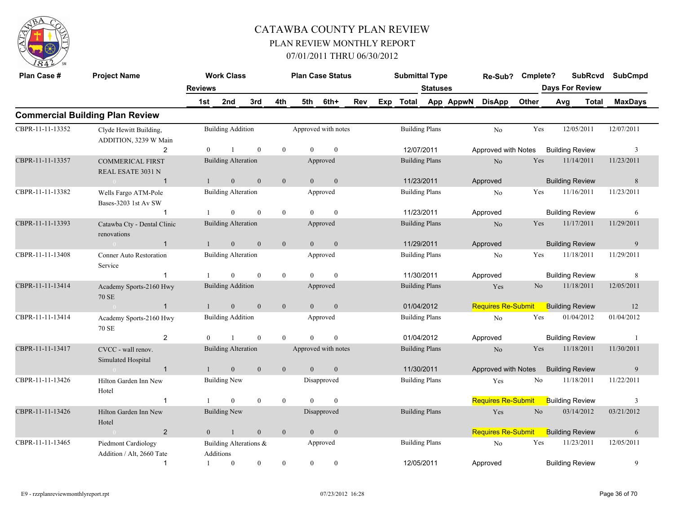

| Plan Case #      | <b>Project Name</b>                              |                | <b>Work Class</b>                   |                  |                |                | <b>Plan Case Status</b> |     | <b>Submittal Type</b> |                       |           | Re-Sub? Cmplete?          |                | <b>SubRcvd</b>         |            | <b>SubCmpd</b> |
|------------------|--------------------------------------------------|----------------|-------------------------------------|------------------|----------------|----------------|-------------------------|-----|-----------------------|-----------------------|-----------|---------------------------|----------------|------------------------|------------|----------------|
|                  |                                                  | <b>Reviews</b> |                                     |                  |                |                |                         |     |                       | <b>Statuses</b>       |           |                           |                | <b>Days For Review</b> |            |                |
|                  |                                                  | 1st            | 2nd                                 | 3rd              | 4th            | 5th            | 6th+                    | Rev | Exp Total             |                       | App AppwN | <b>DisApp</b>             | Other          | Avg<br>Total           |            | <b>MaxDays</b> |
|                  | <b>Commercial Building Plan Review</b>           |                |                                     |                  |                |                |                         |     |                       |                       |           |                           |                |                        |            |                |
| CBPR-11-11-13352 | Clyde Hewitt Building,<br>ADDITION, 3239 W Main  |                | <b>Building Addition</b>            |                  |                |                | Approved with notes     |     |                       | <b>Building Plans</b> |           | N <sub>o</sub>            | Yes            | 12/05/2011             | 12/07/2011 |                |
|                  | $\overline{2}$                                   | $\Omega$       | $\mathbf{1}$                        | $\mathbf{0}$     | $\overline{0}$ | $\Omega$       | $\overline{0}$          |     | 12/07/2011            |                       |           | Approved with Notes       |                | <b>Building Review</b> |            | 3              |
| CBPR-11-11-13357 | <b>COMMERICAL FIRST</b><br>REAL ESATE 3031 N     |                | <b>Building Alteration</b>          |                  |                |                | Approved                |     | <b>Building Plans</b> |                       |           | No                        | Yes            | 11/14/2011             | 11/23/2011 |                |
|                  | $\sim 0$<br>$\overline{1}$                       | $\mathbf{1}$   | $\mathbf{0}$                        | $\mathbf{0}$     | $\mathbf{0}$   | $\overline{0}$ | $\mathbf{0}$            |     | 11/23/2011            |                       |           | Approved                  |                | <b>Building Review</b> |            | 8              |
| CBPR-11-11-13382 | Wells Fargo ATM-Pole<br>Bases-3203 1st Av SW     |                | <b>Building Alteration</b>          |                  |                |                | Approved                |     | <b>Building Plans</b> |                       |           | N <sub>o</sub>            | Yes            | 11/16/2011             | 11/23/2011 |                |
|                  | $\mathbf{1}$                                     |                | $\theta$                            | $\mathbf{0}$     | $\overline{0}$ | $\Omega$       | $\mathbf{0}$            |     | 11/23/2011            |                       |           | Approved                  |                | <b>Building Review</b> |            | 6              |
| CBPR-11-11-13393 | Catawba Cty - Dental Clinic<br>renovations       |                | <b>Building Alteration</b>          |                  |                |                | Approved                |     |                       | <b>Building Plans</b> |           | No                        | Yes            | 11/17/2011             | 11/29/2011 |                |
|                  | $\sim 0$ and $\sim 0$<br>$\overline{1}$          | $\mathbf{1}$   | $\mathbf{0}$                        | $\mathbf{0}$     | $\mathbf{0}$   | $\overline{0}$ | $\mathbf{0}$            |     | 11/29/2011            |                       |           | Approved                  |                | <b>Building Review</b> |            | 9              |
| CBPR-11-11-13408 | Conner Auto Restoration<br>Service               |                | <b>Building Alteration</b>          |                  |                |                | Approved                |     |                       | <b>Building Plans</b> |           | No                        | Yes            | 11/18/2011             | 11/29/2011 |                |
|                  | $\mathbf{1}$                                     |                | $\overline{0}$                      | $\theta$         | $\overline{0}$ | $\Omega$       | $\theta$                |     | 11/30/2011            |                       |           | Approved                  |                | <b>Building Review</b> |            | 8              |
| CBPR-11-11-13414 | Academy Sports-2160 Hwy<br><b>70 SE</b>          |                | <b>Building Addition</b>            |                  |                |                | Approved                |     | <b>Building Plans</b> |                       |           | Yes                       | N <sub>o</sub> | 11/18/2011             | 12/05/2011 |                |
|                  | $\sim 0$ and $\sim 0$<br>$\mathbf{1}$            | 1              | $\overline{0}$                      | $\mathbf{0}$     | $\mathbf{0}$   | $\overline{0}$ | $\mathbf{0}$            |     | 01/04/2012            |                       |           | <b>Requires Re-Submit</b> |                | <b>Building Review</b> |            | 12             |
| CBPR-11-11-13414 | Academy Sports-2160 Hwy<br>70 SE                 |                | <b>Building Addition</b>            |                  |                |                | Approved                |     | <b>Building Plans</b> |                       |           | No                        | Yes            | 01/04/2012             | 01/04/2012 |                |
|                  | 2                                                | $\Omega$       | $\mathbf{1}$                        | $\theta$         | $\theta$       | $\theta$       | $\theta$                |     | 01/04/2012            |                       |           | Approved                  |                | <b>Building Review</b> |            | $\overline{1}$ |
| CBPR-11-11-13417 | CVCC - wall renov.<br>Simulated Hospital         |                | <b>Building Alteration</b>          |                  |                |                | Approved with notes     |     | <b>Building Plans</b> |                       |           | No                        | Yes            | 11/18/2011             | 11/30/2011 |                |
|                  | $\mathbf{1}$<br>$\sim 0$ and $\sim 0$            |                | $\mathbf{0}$                        | $\mathbf{0}$     | $\mathbf{0}$   | $\overline{0}$ | $\mathbf{0}$            |     | 11/30/2011            |                       |           | Approved with Notes       |                | <b>Building Review</b> |            | 9              |
| CBPR-11-11-13426 | Hilton Garden Inn New<br>Hotel                   |                | Building New                        |                  |                |                | Disapproved             |     | <b>Building Plans</b> |                       |           | Yes                       | No             | 11/18/2011             | 11/22/2011 |                |
|                  | $\mathbf{1}$                                     |                | $\overline{0}$                      | $\mathbf{0}$     | $\overline{0}$ | $\Omega$       | $\mathbf{0}$            |     |                       |                       |           | Requires Re-Submit        |                | <b>Building Review</b> |            | 3              |
| CBPR-11-11-13426 | Hilton Garden Inn New<br>Hotel                   |                | <b>Building New</b>                 |                  |                |                | Disapproved             |     | <b>Building Plans</b> |                       |           | Yes                       | N <sub>o</sub> | 03/14/2012             | 03/21/2012 |                |
|                  | $\overline{2}$<br>$\sim 0$                       | $\overline{0}$ | -1                                  | $\mathbf{0}$     | $\overline{0}$ | $\overline{0}$ | $\mathbf{0}$            |     |                       |                       |           | Requires Re-Submit        |                | <b>Building Review</b> |            | 6              |
| CBPR-11-11-13465 | Piedmont Cardiology<br>Addition / Alt, 2660 Tate |                | Building Alterations &<br>Additions |                  |                |                | Approved                |     |                       | <b>Building Plans</b> |           | No                        | Yes            | 11/23/2011             | 12/05/2011 |                |
|                  | $\mathbf{1}$                                     |                | $\overline{0}$                      | $\boldsymbol{0}$ | $\overline{0}$ | $\overline{0}$ | $\mathbf{0}$            |     | 12/05/2011            |                       |           | Approved                  |                | <b>Building Review</b> |            | 9              |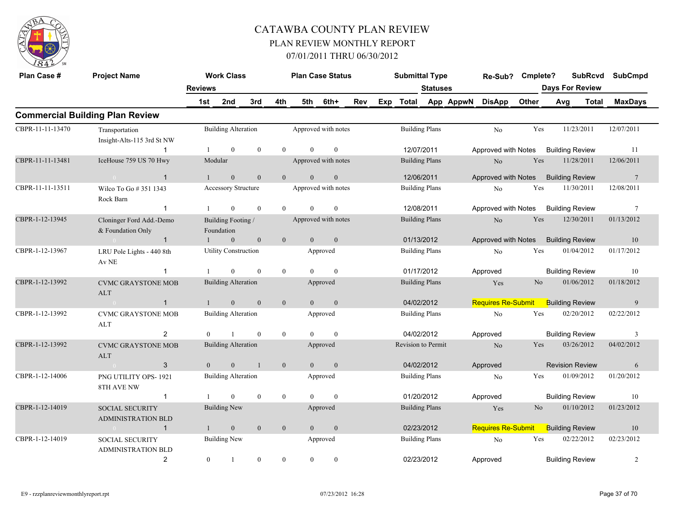

| Plan Case #      | <b>Project Name</b>                                 |                | <b>Work Class</b>                |                |                  |                | <b>Plan Case Status</b> |     | <b>Submittal Type</b> |                       |           | Re-Sub?                   | Cmplete?       |     | <b>SubRcvd</b>         | <b>SubCmpd</b>  |  |
|------------------|-----------------------------------------------------|----------------|----------------------------------|----------------|------------------|----------------|-------------------------|-----|-----------------------|-----------------------|-----------|---------------------------|----------------|-----|------------------------|-----------------|--|
|                  |                                                     | <b>Reviews</b> |                                  |                |                  |                |                         |     |                       | <b>Statuses</b>       |           |                           |                |     | <b>Days For Review</b> |                 |  |
|                  |                                                     | 1st            | 2nd                              | 3rd            | 4th              | 5th            | 6th+                    | Rev | Exp Total             |                       | App AppwN | <b>DisApp</b>             | Other          | Avg | <b>Total</b>           | <b>MaxDays</b>  |  |
|                  | <b>Commercial Building Plan Review</b>              |                |                                  |                |                  |                |                         |     |                       |                       |           |                           |                |     |                        |                 |  |
| CBPR-11-11-13470 | Transportation<br>Insight-Alts-115 3rd St NW        |                | <b>Building Alteration</b>       |                |                  |                | Approved with notes     |     |                       | <b>Building Plans</b> |           | No                        | Yes            |     | 11/23/2011             | 12/07/2011      |  |
|                  | $\mathbf 1$                                         |                | $\overline{0}$                   | $\mathbf{0}$   | $\mathbf{0}$     | $\theta$       | $\mathbf{0}$            |     |                       | 12/07/2011            |           | Approved with Notes       |                |     | <b>Building Review</b> | 11              |  |
| CBPR-11-11-13481 | IceHouse 759 US 70 Hwy                              |                | Modular                          |                |                  |                | Approved with notes     |     |                       | <b>Building Plans</b> |           | No                        | Yes            |     | 11/28/2011             | 12/06/2011      |  |
|                  | $\overline{1}$<br>$\sim 0$                          |                | $\boldsymbol{0}$                 | $\mathbf{0}$   | $\overline{0}$   | $\mathbf{0}$   | $\boldsymbol{0}$        |     |                       | 12/06/2011            |           | Approved with Notes       |                |     | <b>Building Review</b> | $7\phantom{.0}$ |  |
| CBPR-11-11-13511 | Wilco To Go # 351 1343<br>Rock Barn                 |                | <b>Accessory Structure</b>       |                |                  |                | Approved with notes     |     |                       | <b>Building Plans</b> |           | No                        | Yes            |     | 11/30/2011             | 12/08/2011      |  |
|                  | $\mathbf{1}$                                        |                | $\mathbf{0}$                     | $\mathbf{0}$   | $\mathbf{0}$     | $\overline{0}$ | $\mathbf{0}$            |     |                       | 12/08/2011            |           | Approved with Notes       |                |     | <b>Building Review</b> | $\tau$          |  |
| CBPR-1-12-13945  | Cloninger Ford Add.-Demo<br>& Foundation Only       |                | Building Footing /<br>Foundation |                |                  |                | Approved with notes     |     |                       | <b>Building Plans</b> |           | No                        | Yes            |     | 12/30/2011             | 01/13/2012      |  |
|                  | $\mathbf{1}$                                        |                | $\mathbf{0}$                     | $\mathbf{0}$   | $\mathbf{0}$     | $\overline{0}$ | $\overline{0}$          |     |                       | 01/13/2012            |           | Approved with Notes       |                |     | <b>Building Review</b> | 10              |  |
| CBPR-1-12-13967  | LRU Pole Lights - 440 8th<br>Av NE                  |                | <b>Utility Construction</b>      |                |                  |                | Approved                |     |                       | <b>Building Plans</b> |           | No                        | Yes            |     | 01/04/2012             | 01/17/2012      |  |
|                  | $\mathbf{1}$                                        |                | $\overline{0}$                   | $\mathbf{0}$   | $\boldsymbol{0}$ | $\theta$       | $\mathbf{0}$            |     |                       | 01/17/2012            |           | Approved                  |                |     | <b>Building Review</b> | 10              |  |
| CBPR-1-12-13992  | <b>CVMC GRAYSTONE MOB</b><br><b>ALT</b>             |                | <b>Building Alteration</b>       |                |                  |                | Approved                |     |                       | <b>Building Plans</b> |           | Yes                       | N <sub>o</sub> |     | 01/06/2012             | 01/18/2012      |  |
|                  | $\mathbf{1}$<br>$\sim 0$                            | $\mathbf{1}$   | $\boldsymbol{0}$                 | $\mathbf{0}$   | $\mathbf{0}$     | $\overline{0}$ | $\mathbf{0}$            |     |                       | 04/02/2012            |           | <b>Requires Re-Submit</b> |                |     | <b>Building Review</b> | 9               |  |
| CBPR-1-12-13992  | <b>CVMC GRAYSTONE MOB</b><br><b>ALT</b>             |                | <b>Building Alteration</b>       |                |                  |                | Approved                |     |                       | <b>Building Plans</b> |           | No                        | Yes            |     | 02/20/2012             | 02/22/2012      |  |
|                  | 2                                                   | $\theta$       |                                  | $\mathbf{0}$   | $\mathbf{0}$     | $\theta$       | $\mathbf{0}$            |     |                       | 04/02/2012            |           | Approved                  |                |     | <b>Building Review</b> | 3               |  |
| CBPR-1-12-13992  | <b>CVMC GRAYSTONE MOB</b><br><b>ALT</b>             |                | <b>Building Alteration</b>       |                |                  |                | Approved                |     | Revision to Permit    |                       |           | N <sub>o</sub>            | Yes            |     | 03/26/2012             | 04/02/2012      |  |
|                  | 3<br>$\sim 0$                                       | $\overline{0}$ | $\overline{0}$                   | $\overline{1}$ | $\mathbf{0}$     | $\theta$       | $\mathbf{0}$            |     |                       | 04/02/2012            |           | Approved                  |                |     | <b>Revision Review</b> | 6               |  |
| CBPR-1-12-14006  | PNG UTILITY OPS-1921<br>8TH AVE NW                  |                | <b>Building Alteration</b>       |                |                  |                | Approved                |     |                       | <b>Building Plans</b> |           | No                        | Yes            |     | 01/09/2012             | 01/20/2012      |  |
|                  | $\mathbf{1}$                                        |                | $\theta$                         | $\mathbf{0}$   | $\mathbf{0}$     | $\theta$       | $\mathbf{0}$            |     |                       | 01/20/2012            |           | Approved                  |                |     | <b>Building Review</b> | 10              |  |
| CBPR-1-12-14019  | <b>SOCIAL SECURITY</b><br><b>ADMINISTRATION BLD</b> |                | <b>Building New</b>              |                |                  |                | Approved                |     |                       | <b>Building Plans</b> |           | Yes                       | N <sub>o</sub> |     | 01/10/2012             | 01/23/2012      |  |
|                  | $\mathbf{1}$<br>$\sim 0$ and $\sim 0.000$           |                | $\overline{0}$                   | $\mathbf{0}$   | $\mathbf{0}$     | $\theta$       | $\mathbf{0}$            |     |                       | 02/23/2012            |           | <b>Requires Re-Submit</b> |                |     | <b>Building Review</b> | 10              |  |
| CBPR-1-12-14019  | <b>SOCIAL SECURITY</b><br><b>ADMINISTRATION BLD</b> |                | <b>Building New</b>              |                |                  |                | Approved                |     |                       | <b>Building Plans</b> |           | No                        | Yes            |     | 02/22/2012             | 02/23/2012      |  |
|                  | $\overline{2}$                                      | $\overline{0}$ | -1                               | $\mathbf{0}$   | $\mathbf{0}$     | $\overline{0}$ | $\boldsymbol{0}$        |     |                       | 02/23/2012            |           | Approved                  |                |     | <b>Building Review</b> | 2               |  |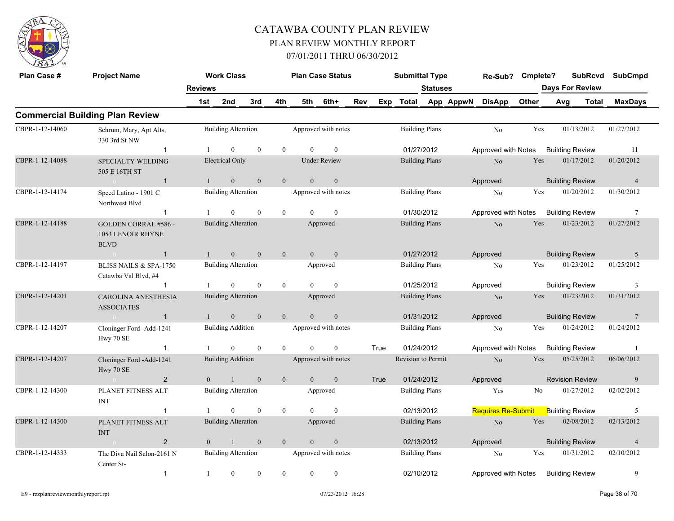

| Plan Case #     | <b>Project Name</b>                                             | <b>Reviews</b> | <b>Work Class</b>          |              |                |                | <b>Plan Case Status</b> |     |      | <b>Submittal Type</b> | <b>Statuses</b> | Re-Sub?                   | Cmplete? | <b>Days For Review</b> | <b>SubRcvd</b> | <b>SubCmpd</b>  |
|-----------------|-----------------------------------------------------------------|----------------|----------------------------|--------------|----------------|----------------|-------------------------|-----|------|-----------------------|-----------------|---------------------------|----------|------------------------|----------------|-----------------|
|                 |                                                                 | 1st            | 2nd                        | 3rd          | 4th            |                | 5th 6th+                | Rev |      | Exp Total App AppwN   |                 | <b>DisApp</b>             | Other    | Avg                    | <b>Total</b>   | <b>MaxDays</b>  |
|                 | <b>Commercial Building Plan Review</b>                          |                |                            |              |                |                |                         |     |      |                       |                 |                           |          |                        |                |                 |
| CBPR-1-12-14060 | Schrum, Mary, Apt Alts,<br>330 3rd St NW                        |                | <b>Building Alteration</b> |              |                |                | Approved with notes     |     |      | <b>Building Plans</b> |                 | No                        | Yes      | 01/13/2012             |                | 01/27/2012      |
|                 | $\mathbf{1}$                                                    | -1             | $\overline{0}$             | $\mathbf{0}$ | $\theta$       | $\theta$       | $\mathbf{0}$            |     |      | 01/27/2012            |                 | Approved with Notes       |          | <b>Building Review</b> |                | 11              |
| CBPR-1-12-14088 | SPECIALTY WELDING-<br>505 E 16TH ST                             |                | <b>Electrical Only</b>     |              |                |                | <b>Under Review</b>     |     |      | <b>Building Plans</b> |                 | $\rm No$                  | Yes      | 01/17/2012             |                | 01/20/2012      |
|                 | $\overline{0}$<br>$\mathbf{1}$                                  | $\mathbf{1}$   | $\mathbf{0}$               | $\mathbf{0}$ | $\mathbf{0}$   | $\overline{0}$ | $\mathbf{0}$            |     |      |                       |                 | Approved                  |          | <b>Building Review</b> |                | $\overline{4}$  |
| CBPR-1-12-14174 | Speed Latino - 1901 C<br>Northwest Blvd                         |                | <b>Building Alteration</b> |              |                |                | Approved with notes     |     |      | <b>Building Plans</b> |                 | No                        | Yes      | 01/20/2012             |                | 01/30/2012      |
|                 | $\mathbf{1}$                                                    |                | $\theta$                   | $\theta$     | $\mathbf{0}$   | $\Omega$       | $\theta$                |     |      | 01/30/2012            |                 | Approved with Notes       |          | <b>Building Review</b> |                | $7\phantom{.0}$ |
| CBPR-1-12-14188 | <b>GOLDEN CORRAL #586 -</b><br>1053 LENOIR RHYNE<br><b>BLVD</b> |                | <b>Building Alteration</b> |              |                |                | Approved                |     |      | <b>Building Plans</b> |                 | N <sub>o</sub>            | Yes      | 01/23/2012             |                | 01/27/2012      |
|                 | $\overline{1}$<br>$\sim 0$                                      | $\mathbf{1}$   | $\mathbf{0}$               | $\mathbf{0}$ | $\mathbf{0}$   | $\overline{0}$ | $\overline{0}$          |     |      | 01/27/2012            |                 | Approved                  |          | <b>Building Review</b> |                | 5               |
| CBPR-1-12-14197 | BLISS NAILS & SPA-1750<br>Catawba Val Blvd, #4                  |                | <b>Building Alteration</b> |              |                |                | Approved                |     |      | <b>Building Plans</b> |                 | No                        | Yes      | 01/23/2012             |                | 01/25/2012      |
|                 | -1                                                              | -1             | $\overline{0}$             | $\mathbf{0}$ | $\overline{0}$ | $\theta$       | $\mathbf{0}$            |     |      | 01/25/2012            |                 | Approved                  |          | <b>Building Review</b> |                | 3               |
| CBPR-1-12-14201 | <b>CAROLINA ANESTHESIA</b><br><b>ASSOCIATES</b>                 |                | <b>Building Alteration</b> |              |                |                | Approved                |     |      | <b>Building Plans</b> |                 | N <sub>o</sub>            | Yes      | 01/23/2012             |                | 01/31/2012      |
|                 | $\mathbf{1}$<br>$0 -$                                           | $\mathbf{1}$   | $\overline{0}$             | $\mathbf{0}$ | $\overline{0}$ | $\theta$       | $\mathbf{0}$            |     |      | 01/31/2012            |                 | Approved                  |          | <b>Building Review</b> |                | 7               |
| CBPR-1-12-14207 | Cloninger Ford -Add-1241<br>Hwy $70\;{\rm SE}$                  |                | <b>Building Addition</b>   |              |                |                | Approved with notes     |     |      | <b>Building Plans</b> |                 | N <sub>0</sub>            | Yes      | 01/24/2012             |                | 01/24/2012      |
|                 | $\mathbf{1}$                                                    | $\mathbf{1}$   | $\Omega$                   | $\theta$     | $\theta$       | $\Omega$       | $\overline{0}$          |     | True | 01/24/2012            |                 | Approved with Notes       |          | <b>Building Review</b> |                | $\overline{1}$  |
| CBPR-1-12-14207 | Cloninger Ford -Add-1241<br>Hwy 70 SE                           |                | <b>Building Addition</b>   |              |                |                | Approved with notes     |     |      | Revision to Permit    |                 | No                        | Yes      | 05/25/2012             |                | 06/06/2012      |
|                 | $\overline{2}$<br>$\sim 0$                                      | $\theta$       | $\overline{1}$             | $\mathbf{0}$ | $\overline{0}$ | $\theta$       | $\mathbf{0}$            |     | True | 01/24/2012            |                 | Approved                  |          | <b>Revision Review</b> |                | 9               |
| CBPR-1-12-14300 | PLANET FITNESS ALT<br><b>INT</b>                                |                | <b>Building Alteration</b> |              |                |                | Approved                |     |      | <b>Building Plans</b> |                 | Yes                       | No       | 01/27/2012             |                | 02/02/2012      |
|                 | -1                                                              | -1             | $\overline{0}$             | $\mathbf{0}$ | $\mathbf{0}$   | $\theta$       | $\mathbf{0}$            |     |      | 02/13/2012            |                 | <b>Requires Re-Submit</b> |          | <b>Building Review</b> |                | 5               |
| CBPR-1-12-14300 | PLANET FITNESS ALT<br><b>INT</b>                                |                | <b>Building Alteration</b> |              |                |                | Approved                |     |      | <b>Building Plans</b> |                 | N <sub>o</sub>            | Yes      | 02/08/2012             |                | 02/13/2012      |
|                 | $\overline{2}$                                                  | $\overline{0}$ | $\mathbf{1}$               | $\mathbf{0}$ | $\overline{0}$ | $\overline{0}$ | $\mathbf{0}$            |     |      | 02/13/2012            |                 | Approved                  |          | <b>Building Review</b> |                | $\overline{4}$  |
| CBPR-1-12-14333 | The Diva Nail Salon-2161 N<br>Center St-                        |                | <b>Building Alteration</b> |              |                |                | Approved with notes     |     |      | <b>Building Plans</b> |                 | N <sub>0</sub>            | Yes      | 01/31/2012             |                | 02/10/2012      |
|                 | $\mathbf{1}$                                                    | -1             | $\overline{0}$             | $\theta$     | $\theta$       | $\mathbf{0}$   | $\mathbf{0}$            |     |      | 02/10/2012            |                 | Approved with Notes       |          | <b>Building Review</b> |                | 9               |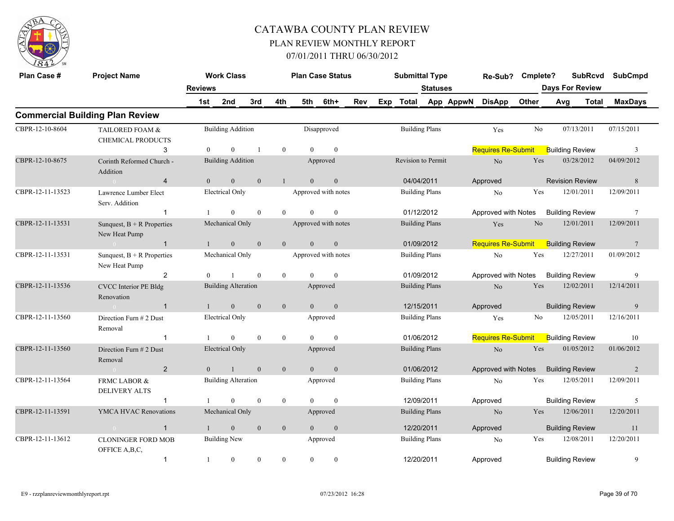

| Plan Case #      | <b>Project Name</b>                           | <b>Reviews</b> | <b>Work Class</b>          |                |                |                | <b>Plan Case Status</b> |     |     | <b>Submittal Type</b>     | <b>Statuses</b>       |           | Re-Sub?                   | Cmplete? | <b>Days For Review</b> | <b>SubRcvd</b> | SubCmpd        |  |
|------------------|-----------------------------------------------|----------------|----------------------------|----------------|----------------|----------------|-------------------------|-----|-----|---------------------------|-----------------------|-----------|---------------------------|----------|------------------------|----------------|----------------|--|
|                  |                                               | 1st            | 2nd                        | 3rd            | 4th            | 5th            | 6th+                    | Rev | Exp | <b>Total</b>              |                       | App AppwN | <b>DisApp</b>             | Other    | Avg                    | <b>Total</b>   | <b>MaxDays</b> |  |
|                  | <b>Commercial Building Plan Review</b>        |                |                            |                |                |                |                         |     |     |                           |                       |           |                           |          |                        |                |                |  |
| CBPR-12-10-8604  | TAILORED FOAM &<br><b>CHEMICAL PRODUCTS</b>   |                | <b>Building Addition</b>   |                |                |                | Disapproved             |     |     |                           | <b>Building Plans</b> |           | Yes                       | No       | 07/13/2011             |                | 07/15/2011     |  |
|                  | 3                                             | $\overline{0}$ | $\overline{0}$             | $\overline{1}$ | $\mathbf{0}$   | $\theta$       | $\mathbf{0}$            |     |     |                           |                       |           | <b>Requires Re-Submit</b> |          | <b>Building Review</b> |                | 3              |  |
| CBPR-12-10-8675  | Corinth Reformed Church -<br>Addition         |                | <b>Building Addition</b>   |                |                |                | Approved                |     |     | <b>Revision to Permit</b> |                       |           | No                        | Yes      | 03/28/2012             |                | 04/09/2012     |  |
|                  | $\overline{4}$                                | $\overline{0}$ | $\mathbf{0}$               | $\mathbf{0}$   | $\mathbf{1}$   | $\mathbf{0}$   | $\mathbf{0}$            |     |     | 04/04/2011                |                       |           | Approved                  |          | <b>Revision Review</b> |                | 8              |  |
| CBPR-12-11-13523 | Lawrence Lumber Elect<br>Serv. Addition       |                | <b>Electrical Only</b>     |                |                |                | Approved with notes     |     |     |                           | <b>Building Plans</b> |           | No                        | Yes      | 12/01/2011             |                | 12/09/2011     |  |
|                  | $\mathbf{1}$                                  |                | $\theta$                   | $\theta$       | $\theta$       | $\Omega$       | $\theta$                |     |     |                           | 01/12/2012            |           | Approved with Notes       |          | <b>Building Review</b> |                | 7              |  |
| CBPR-12-11-13531 | Sunquest, $B + R$ Properties<br>New Heat Pump |                | Mechanical Only            |                |                |                | Approved with notes     |     |     |                           | <b>Building Plans</b> |           | Yes                       | No       | 12/01/2011             |                | 12/09/2011     |  |
|                  | $\mathbf{1}$                                  | $\overline{1}$ | $\mathbf{0}$               | $\mathbf{0}$   | $\overline{0}$ | $\overline{0}$ | $\mathbf{0}$            |     |     |                           | 01/09/2012            |           | <b>Requires Re-Submit</b> |          | <b>Building Review</b> |                | $\overline{7}$ |  |
| CBPR-12-11-13531 | Sunquest, $B + R$ Properties<br>New Heat Pump |                | Mechanical Only            |                |                |                | Approved with notes     |     |     |                           | <b>Building Plans</b> |           | $\rm No$                  | Yes      | 12/27/2011             |                | 01/09/2012     |  |
|                  | 2                                             | $\Omega$       |                            | $\theta$       | $\theta$       | $\Omega$       | $\theta$                |     |     |                           | 01/09/2012            |           | Approved with Notes       |          | <b>Building Review</b> |                | 9              |  |
| CBPR-12-11-13536 | <b>CVCC</b> Interior PE Bldg<br>Renovation    |                | <b>Building Alteration</b> |                |                |                | Approved                |     |     |                           | <b>Building Plans</b> |           | $\rm No$                  | Yes      | 12/02/2011             |                | 12/14/2011     |  |
|                  | $\overline{1}$<br>$\sim 0$                    | $\mathbf{1}$   | $\overline{0}$             | $\theta$       | $\overline{0}$ | $\theta$       | $\mathbf{0}$            |     |     |                           | 12/15/2011            |           | Approved                  |          | <b>Building Review</b> |                | 9              |  |
| CBPR-12-11-13560 | Direction Furn # 2 Dust<br>Removal            |                | <b>Electrical Only</b>     |                |                |                | Approved                |     |     |                           | <b>Building Plans</b> |           | Yes                       | No       | 12/05/2011             |                | 12/16/2011     |  |
|                  |                                               |                | $\theta$                   | $\theta$       | $\overline{0}$ | $\Omega$       | $\theta$                |     |     |                           | 01/06/2012            |           | <b>Requires Re-Submit</b> |          | <b>Building Review</b> |                | 10             |  |
| CBPR-12-11-13560 | Direction Furn # 2 Dust<br>Removal            |                | <b>Electrical Only</b>     |                |                |                | Approved                |     |     |                           | <b>Building Plans</b> |           | $\rm No$                  | Yes      | 01/05/2012             |                | 01/06/2012     |  |
|                  | $\overline{2}$<br>$\sim 0$                    | $\overline{0}$ | 1                          | $\mathbf{0}$   | $\mathbf{0}$   | $\overline{0}$ | $\mathbf{0}$            |     |     |                           | 01/06/2012            |           | Approved with Notes       |          | <b>Building Review</b> |                | 2              |  |
| CBPR-12-11-13564 | FRMC LABOR &<br><b>DELIVERY ALTS</b>          |                | <b>Building Alteration</b> |                |                |                | Approved                |     |     |                           | <b>Building Plans</b> |           | N <sub>o</sub>            | Yes      | 12/05/2011             |                | 12/09/2011     |  |
|                  | $\mathbf{1}$                                  | $\mathbf{1}$   | $\theta$                   | $\theta$       | $\overline{0}$ | $\Omega$       | $\theta$                |     |     |                           | 12/09/2011            |           | Approved                  |          | <b>Building Review</b> |                | 5              |  |
| CBPR-12-11-13591 | YMCA HVAC Renovations                         |                | Mechanical Only            |                |                |                | Approved                |     |     |                           | <b>Building Plans</b> |           | No.                       | Yes      | 12/06/2011             |                | 12/20/2011     |  |
|                  | $\mathbf{1}$                                  |                | $\mathbf{0}$               | $\mathbf{0}$   | $\mathbf{0}$   | $\Omega$       | $\mathbf{0}$            |     |     | 12/20/2011                |                       |           | Approved                  |          | <b>Building Review</b> |                | 11             |  |
| CBPR-12-11-13612 | <b>CLONINGER FORD MOB</b><br>OFFICE A, B, C,  |                | <b>Building New</b>        |                |                |                | Approved                |     |     |                           | <b>Building Plans</b> |           | No                        | Yes      | 12/08/2011             |                | 12/20/2011     |  |
|                  | $\mathbf{1}$                                  | -1             | $\overline{0}$             | $\mathbf{0}$   | $\overline{0}$ | $\mathbf{0}$   | $\bf{0}$                |     |     | 12/20/2011                |                       |           | Approved                  |          | <b>Building Review</b> |                | 9              |  |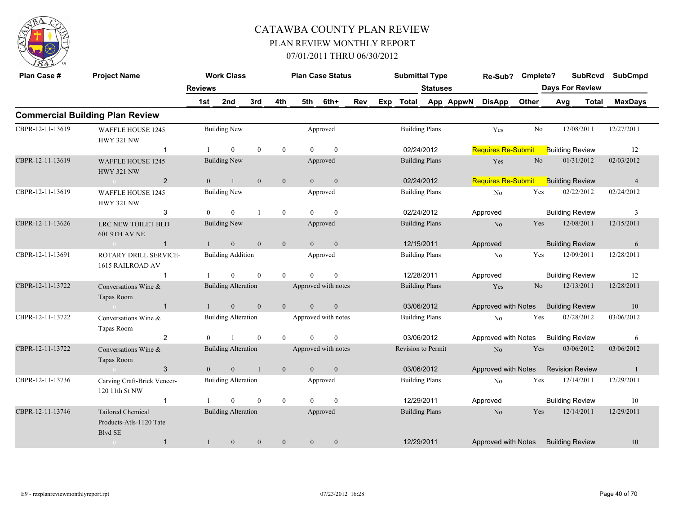

| Plan Case #      | <b>Project Name</b>                                                   |                | <b>Work Class</b>          |                |                |                | <b>Plan Case Status</b> |     |                                     | <b>Submittal Type</b> |                       |           | Re-Sub?                   | Cmplete?                  |                        | <b>SubRcvd</b>         | <b>SubCmpd</b> |  |
|------------------|-----------------------------------------------------------------------|----------------|----------------------------|----------------|----------------|----------------|-------------------------|-----|-------------------------------------|-----------------------|-----------------------|-----------|---------------------------|---------------------------|------------------------|------------------------|----------------|--|
|                  |                                                                       | <b>Reviews</b> |                            |                |                |                |                         |     |                                     |                       | <b>Statuses</b>       |           |                           |                           |                        | <b>Days For Review</b> |                |  |
|                  |                                                                       | 1st            | 2nd                        | 3rd            | 4th            | 5th            | 6th+                    | Rev | Exp                                 | Total                 |                       | App AppwN | <b>DisApp</b>             | Other                     | Avg                    | <b>Total</b>           | <b>MaxDays</b> |  |
|                  | <b>Commercial Building Plan Review</b>                                |                |                            |                |                |                |                         |     |                                     |                       |                       |           |                           |                           |                        |                        |                |  |
| CBPR-12-11-13619 | <b>WAFFLE HOUSE 1245</b><br><b>HWY 321 NW</b>                         |                | <b>Building New</b>        |                |                |                | Approved                |     |                                     |                       | <b>Building Plans</b> |           | Yes                       | N <sub>0</sub>            |                        | 12/08/2011             | 12/27/2011     |  |
|                  | -1                                                                    |                | $\overline{0}$             | $\mathbf{0}$   | $\mathbf{0}$   | $\theta$       | $\mathbf{0}$            |     |                                     |                       | 02/24/2012            |           | <b>Requires Re-Submit</b> |                           | <b>Building Review</b> |                        | 12             |  |
| CBPR-12-11-13619 | <b>WAFFLE HOUSE 1245</b><br><b>HWY 321 NW</b>                         |                | <b>Building New</b>        |                |                |                | Approved                |     |                                     |                       | <b>Building Plans</b> |           | Yes                       | N <sub>o</sub>            |                        | 01/31/2012             | 02/03/2012     |  |
|                  | $\overline{2}$<br>$\sim 0$                                            | $\mathbf{0}$   | $\mathbf{1}$               | $\mathbf{0}$   | $\mathbf{0}$   | $\mathbf{0}$   | $\mathbf{0}$            |     | 02/24/2012<br><b>Building Plans</b> |                       |                       |           |                           | <b>Requires Re-Submit</b> |                        | <b>Building Review</b> | $\overline{4}$ |  |
| CBPR-12-11-13619 | <b>WAFFLE HOUSE 1245</b><br><b>HWY 321 NW</b>                         |                | <b>Building New</b>        |                |                |                | Approved                |     |                                     |                       |                       |           | No                        | Yes                       |                        | 02/22/2012             | 02/24/2012     |  |
|                  | 3                                                                     | $\mathbf{0}$   | $\overline{0}$             | $\overline{1}$ | $\overline{0}$ | $\theta$       | $\mathbf{0}$            |     |                                     |                       | 02/24/2012            |           | Approved                  |                           |                        | <b>Building Review</b> | 3              |  |
| CBPR-12-11-13626 | LRC NEW TOILET BLD<br><b>601 9TH AV NE</b>                            |                | <b>Building New</b>        |                |                |                | Approved                |     |                                     |                       | <b>Building Plans</b> |           | N <sub>o</sub>            | Yes                       |                        | 12/08/2011             | 12/15/2011     |  |
|                  | $\mathbf{1}$<br>$\sim 0$                                              | $\mathbf{1}$   | $\mathbf{0}$               | $\mathbf{0}$   | $\mathbf{0}$   | $\overline{0}$ | $\mathbf{0}$            |     |                                     |                       | 12/15/2011            |           | Approved                  |                           |                        | <b>Building Review</b> | 6              |  |
| CBPR-12-11-13691 | ROTARY DRILL SERVICE-<br>1615 RAILROAD AV                             |                | <b>Building Addition</b>   |                |                |                | Approved                |     |                                     |                       | <b>Building Plans</b> |           | N <sub>o</sub>            | Yes                       |                        | 12/09/2011             | 12/28/2011     |  |
|                  | -1                                                                    | -1             | $\overline{0}$             | $\mathbf{0}$   | $\overline{0}$ | $\theta$       | $\mathbf{0}$            |     |                                     |                       | 12/28/2011            |           | Approved                  |                           |                        | <b>Building Review</b> | 12             |  |
| CBPR-12-11-13722 | Conversations Wine &<br>Tapas Room                                    |                | <b>Building Alteration</b> |                |                |                | Approved with notes     |     |                                     |                       | <b>Building Plans</b> |           | Yes                       | No                        |                        | 12/13/2011             | 12/28/2011     |  |
|                  | $\sim 0$<br>$\mathbf{1}$                                              | $\mathbf{1}$   | $\overline{0}$             | $\mathbf{0}$   | $\overline{0}$ | $\overline{0}$ | $\mathbf{0}$            |     |                                     |                       | 03/06/2012            |           | Approved with Notes       |                           | <b>Building Review</b> |                        | 10             |  |
| CBPR-12-11-13722 | Conversations Wine &<br>Tapas Room                                    |                | <b>Building Alteration</b> |                |                |                | Approved with notes     |     |                                     |                       | <b>Building Plans</b> |           | N <sub>o</sub>            | Yes                       |                        | 02/28/2012             | 03/06/2012     |  |
|                  | $\overline{2}$                                                        | $\theta$       |                            | $\theta$       | $\theta$       | $\Omega$       | $\theta$                |     |                                     |                       | 03/06/2012            |           | Approved with Notes       |                           |                        | <b>Building Review</b> | 6              |  |
| CBPR-12-11-13722 | Conversations Wine &<br>Tapas Room                                    |                | <b>Building Alteration</b> |                |                |                | Approved with notes     |     |                                     | Revision to Permit    |                       |           | $\rm No$                  | Yes                       |                        | 03/06/2012             | 03/06/2012     |  |
|                  | 3                                                                     | $\overline{0}$ | $\overline{0}$             | $\overline{1}$ | $\mathbf{0}$   | $\overline{0}$ | $\mathbf{0}$            |     |                                     |                       | 03/06/2012            |           | Approved with Notes       |                           |                        | <b>Revision Review</b> | -1             |  |
| CBPR-12-11-13736 | Carving Craft-Brick Veneer-<br>120 11th St NW                         |                | <b>Building Alteration</b> |                |                |                | Approved                |     |                                     |                       | <b>Building Plans</b> |           | No                        | Yes                       |                        | 12/14/2011             | 12/29/2011     |  |
|                  | $\mathbf{1}$                                                          | -1             | $\overline{0}$             | $\mathbf{0}$   | $\overline{0}$ | $\overline{0}$ | $\mathbf{0}$            |     |                                     |                       | 12/29/2011            |           | Approved                  |                           |                        | <b>Building Review</b> | 10             |  |
| CBPR-12-11-13746 | <b>Tailored Chemical</b><br>Products-Atls-1120 Tate<br><b>Blvd SE</b> |                | <b>Building Alteration</b> |                |                |                | Approved                |     |                                     |                       | <b>Building Plans</b> |           | No                        | Yes                       |                        | 12/14/2011             | 12/29/2011     |  |
|                  | $\mathbf{1}$<br>$\sim 0$                                              | $\mathbf{1}$   | $\mathbf{0}$               | $\mathbf{0}$   | $\mathbf{0}$   | $\mathbf{0}$   | $\mathbf{0}$            |     |                                     |                       | 12/29/2011            |           | Approved with Notes       |                           | <b>Building Review</b> |                        | 10             |  |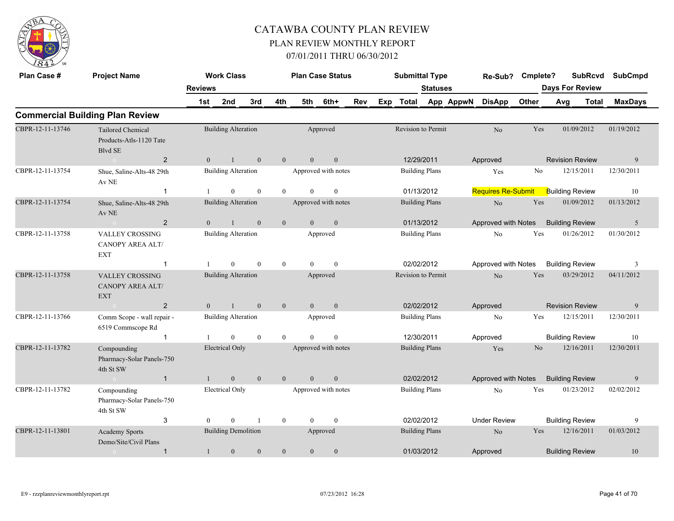

| Plan Case #      | <b>Project Name</b>                                                   |                | <b>Work Class</b>                          |                  |                  |                | <b>Plan Case Status</b>                 |     |     | <b>Submittal Type</b> |                       |           | Re-Sub?                   | Cmplete?       |     | <b>SubRcvd</b>                       | <b>SubCmpd</b>  |
|------------------|-----------------------------------------------------------------------|----------------|--------------------------------------------|------------------|------------------|----------------|-----------------------------------------|-----|-----|-----------------------|-----------------------|-----------|---------------------------|----------------|-----|--------------------------------------|-----------------|
|                  |                                                                       | <b>Reviews</b> |                                            |                  |                  |                |                                         |     |     |                       | <b>Statuses</b>       |           |                           |                |     | <b>Days For Review</b>               |                 |
|                  |                                                                       | 1st            | 2nd                                        | 3rd              | 4th              | 5th            | 6th+                                    | Rev | Exp | Total                 |                       | App AppwN | <b>DisApp</b>             | Other          | Avg | <b>Total</b>                         | <b>MaxDays</b>  |
|                  | <b>Commercial Building Plan Review</b>                                |                |                                            |                  |                  |                |                                         |     |     |                       |                       |           |                           |                |     |                                      |                 |
| CBPR-12-11-13746 | <b>Tailored Chemical</b><br>Products-Atls-1120 Tate<br><b>Blvd SE</b> |                | <b>Building Alteration</b>                 |                  |                  |                | Approved                                |     |     | Revision to Permit    |                       |           | N <sub>o</sub>            | Yes            |     | 01/09/2012                           | 01/19/2012      |
| CBPR-12-11-13754 | $\overline{2}$<br>$\bigcirc$<br>Shue, Saline-Alts-48 29th             | $\overline{0}$ | $\mathbf{1}$<br><b>Building Alteration</b> | $\mathbf{0}$     | $\mathbf{0}$     | $\overline{0}$ | $\boldsymbol{0}$<br>Approved with notes |     |     | 12/29/2011            | <b>Building Plans</b> |           | Approved<br>Yes           | No             |     | <b>Revision Review</b><br>12/15/2011 | 9<br>12/30/2011 |
|                  | Av NE<br>-1                                                           |                | $\mathbf{0}$                               | $\mathbf{0}$     | $\mathbf{0}$     | $\theta$       | $\mathbf{0}$                            |     |     |                       | 01/13/2012            |           | <b>Requires Re-Submit</b> |                |     | <b>Building Review</b>               | 10              |
| CBPR-12-11-13754 | Shue, Saline-Alts-48 29th<br>Av NE                                    |                | <b>Building Alteration</b>                 |                  |                  |                | Approved with notes                     |     |     |                       | <b>Building Plans</b> |           | N <sub>o</sub>            | Yes            |     | 01/09/2012                           | 01/13/2012      |
|                  | $\overline{2}$                                                        | $\mathbf{0}$   | $\mathbf{1}$                               | $\boldsymbol{0}$ | $\boldsymbol{0}$ | $\mathbf{0}$   | $\boldsymbol{0}$                        |     |     |                       | 01/13/2012            |           | Approved with Notes       |                |     | <b>Building Review</b>               | $\mathfrak{S}$  |
| CBPR-12-11-13758 | <b>VALLEY CROSSING</b><br><b>CANOPY AREA ALT/</b><br><b>EXT</b>       |                | <b>Building Alteration</b>                 |                  |                  |                | Approved                                |     |     |                       | <b>Building Plans</b> |           | No                        | Yes            |     | 01/26/2012                           | 01/30/2012      |
|                  | $\mathbf{1}$                                                          |                | $\mathbf{0}$                               | $\mathbf{0}$     | $\mathbf{0}$     | $\theta$       | $\mathbf{0}$                            |     |     |                       | 02/02/2012            |           | Approved with Notes       |                |     | <b>Building Review</b>               | 3               |
| CBPR-12-11-13758 | <b>VALLEY CROSSING</b><br><b>CANOPY AREA ALT/</b><br><b>EXT</b>       |                | <b>Building Alteration</b>                 |                  |                  |                | Approved                                |     |     | Revision to Permit    |                       |           | $\rm No$                  | Yes            |     | 03/29/2012                           | 04/11/2012      |
|                  | $\overline{2}$                                                        | $\overline{0}$ | $\mathbf{1}$                               | $\mathbf{0}$     | $\mathbf{0}$     | $\overline{0}$ | $\mathbf{0}$                            |     |     |                       | 02/02/2012            |           | Approved                  |                |     | <b>Revision Review</b>               | 9               |
| CBPR-12-11-13766 | Comm Scope - wall repair -<br>6519 Commscope Rd                       |                | <b>Building Alteration</b>                 |                  |                  |                | Approved                                |     |     |                       | <b>Building Plans</b> |           | No                        | Yes            |     | 12/15/2011                           | 12/30/2011      |
|                  | $\mathbf{1}$                                                          |                | $\Omega$                                   | $\mathbf{0}$     | $\mathbf{0}$     | $\theta$       | $\mathbf{0}$                            |     |     | 12/30/2011            |                       |           | Approved                  |                |     | <b>Building Review</b>               | 10              |
| CBPR-12-11-13782 | Compounding<br>Pharmacy-Solar Panels-750<br>4th St SW                 |                | <b>Electrical Only</b>                     |                  |                  |                | Approved with notes                     |     |     |                       | <b>Building Plans</b> |           | Yes                       | N <sub>o</sub> |     | 12/16/2011                           | 12/30/2011      |
|                  | $\mathbf{1}$<br>$\sim 0$                                              |                | $\overline{0}$                             | $\mathbf{0}$     | $\mathbf{0}$     | $\theta$       | $\boldsymbol{0}$                        |     |     |                       | 02/02/2012            |           | Approved with Notes       |                |     | <b>Building Review</b>               | 9               |
| CBPR-12-11-13782 | Compounding<br>Pharmacy-Solar Panels-750<br>4th St SW                 |                | <b>Electrical Only</b>                     |                  |                  |                | Approved with notes                     |     |     |                       | <b>Building Plans</b> |           | No                        | Yes            |     | 01/23/2012                           | 02/02/2012      |
|                  | 3                                                                     | $\Omega$       | $\Omega$                                   | $\mathbf{1}$     | $\mathbf{0}$     | $\theta$       | $\theta$                                |     |     |                       | 02/02/2012            |           | <b>Under Review</b>       |                |     | <b>Building Review</b>               | 9               |
| CBPR-12-11-13801 | <b>Academy Sports</b><br>Demo/Site/Civil Plans                        |                | <b>Building Demolition</b>                 |                  |                  |                | Approved                                |     |     |                       | <b>Building Plans</b> |           | N <sub>o</sub>            | Yes            |     | 12/16/2011                           | 01/03/2012      |
|                  | $\overline{1}$                                                        | 1              | $\mathbf{0}$                               | $\mathbf{0}$     | $\mathbf{0}$     | $\overline{0}$ | $\boldsymbol{0}$                        |     |     | 01/03/2012            |                       |           | Approved                  |                |     | <b>Building Review</b>               | 10              |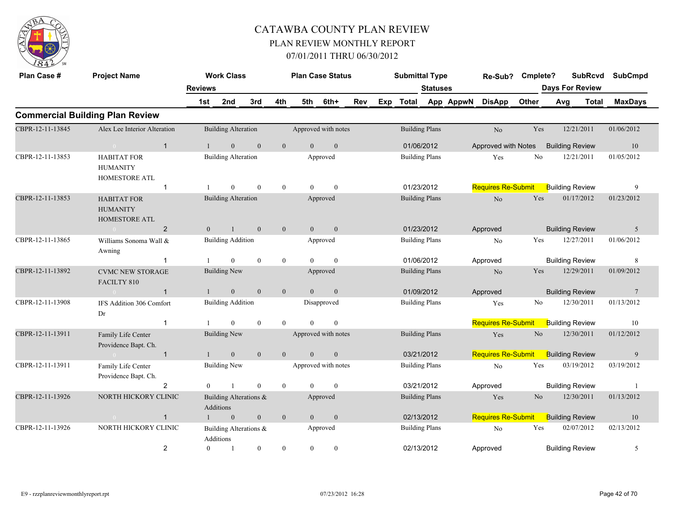

| Plan Case #                                                                     | <b>Project Name</b>                                    |                | <b>Work Class</b>                          |                                                                                        |                  | <b>Plan Case Status</b> |                                                                                                              |     |     | <b>Submittal Type</b> |                           |                | Re-Sub?                   | Cmplete?       |                        | <b>SubRcvd</b> | <b>SubCmpd</b> |
|---------------------------------------------------------------------------------|--------------------------------------------------------|----------------|--------------------------------------------|----------------------------------------------------------------------------------------|------------------|-------------------------|--------------------------------------------------------------------------------------------------------------|-----|-----|-----------------------|---------------------------|----------------|---------------------------|----------------|------------------------|----------------|----------------|
|                                                                                 |                                                        | <b>Reviews</b> |                                            |                                                                                        |                  |                         |                                                                                                              |     |     |                       | <b>Statuses</b>           |                |                           |                | <b>Days For Review</b> |                |                |
|                                                                                 |                                                        | 1st            | 2nd                                        | 3rd                                                                                    | 4th              | 5th                     | 6th+                                                                                                         | Rev | Exp | Total                 |                           | App AppwN      | <b>DisApp</b>             | Other          | Avg                    | <b>Total</b>   | <b>MaxDays</b> |
|                                                                                 | <b>Commercial Building Plan Review</b>                 |                |                                            |                                                                                        |                  |                         |                                                                                                              |     |     |                       |                           |                |                           |                |                        |                |                |
| CBPR-12-11-13845                                                                | Alex Lee Interior Alteration                           |                | <b>Building Alteration</b>                 |                                                                                        |                  | Approved with notes     |                                                                                                              |     |     |                       | <b>Building Plans</b>     |                | No                        | Yes            |                        | 12/21/2011     | 01/06/2012     |
|                                                                                 | $\overline{1}$<br>$\overline{0}$                       |                | $\mathbf{0}$                               | $\mathbf{0}$                                                                           | $\boldsymbol{0}$ | $\overline{0}$          | $\mathbf{0}$                                                                                                 |     |     |                       | 01/06/2012                |                | Approved with Notes       |                | <b>Building Review</b> |                | 10             |
| CBPR-12-11-13853                                                                | <b>HABITAT FOR</b><br><b>HUMANITY</b><br>HOMESTORE ATL |                | <b>Building Alteration</b>                 |                                                                                        |                  |                         | <b>Building Plans</b><br>Approved<br>01/23/2012<br>$\theta$<br>$\theta$<br><b>Building Plans</b><br>Approved |     |     |                       |                           |                | Yes                       | N <sub>0</sub> |                        | 12/21/2011     | 01/05/2012     |
|                                                                                 | $\overline{1}$                                         |                | $\theta$                                   | $\mathbf{0}$                                                                           | $\overline{0}$   |                         |                                                                                                              |     |     |                       |                           |                | <b>Requires Re-Submit</b> |                | <b>Building Review</b> |                | 9              |
| CBPR-12-11-13853                                                                | <b>HABITAT FOR</b><br><b>HUMANITY</b><br>HOMESTORE ATL |                | <b>Building Alteration</b>                 |                                                                                        |                  |                         |                                                                                                              |     |     |                       |                           |                | No                        | Yes            |                        | 01/17/2012     | 01/23/2012     |
|                                                                                 | 2<br>$\bigcap$                                         | $\overline{0}$ |                                            | $\mathbf{0}$                                                                           | $\mathbf{0}$     | $\overline{0}$          | $\mathbf{0}$                                                                                                 |     |     |                       | 01/23/2012                |                | Approved                  |                | <b>Building Review</b> |                | 5              |
| CBPR-12-11-13865                                                                | Williams Sonoma Wall &<br>Awning                       |                | <b>Building Addition</b>                   |                                                                                        |                  |                         | Approved                                                                                                     |     |     |                       | <b>Building Plans</b>     |                | N <sub>o</sub>            | Yes            |                        | 12/27/2011     | 01/06/2012     |
|                                                                                 |                                                        |                | $\overline{0}$                             | $\mathbf{0}$                                                                           | $\bf{0}$         | $\theta$                | $\mathbf{0}$                                                                                                 |     |     |                       | 01/06/2012                |                | Approved                  |                | <b>Building Review</b> |                | 8              |
| CBPR-12-11-13892                                                                | <b>CVMC NEW STORAGE</b><br>FACILTY 810                 |                | <b>Building New</b>                        |                                                                                        |                  |                         | Approved                                                                                                     |     |     |                       | <b>Building Plans</b>     |                | No                        | Yes            |                        | 12/29/2011     | 01/09/2012     |
|                                                                                 | $\overline{1}$                                         |                | $\overline{0}$                             | $\mathbf{0}$                                                                           | $\mathbf{0}$     | $\Omega$                | $\mathbf{0}$                                                                                                 |     |     |                       | 01/09/2012                |                | Approved                  |                | <b>Building Review</b> |                | 7              |
| CBPR-12-11-13908                                                                | IFS Addition 306 Comfort<br>Dr                         |                | <b>Building Addition</b>                   |                                                                                        |                  |                         | Disapproved                                                                                                  |     |     |                       | <b>Building Plans</b>     |                | Yes                       | No             |                        | 12/30/2011     | 01/13/2012     |
|                                                                                 | $\overline{1}$                                         |                | $\theta$                                   | $\mathbf{0}$                                                                           | $\overline{0}$   | $\Omega$                | $\theta$                                                                                                     |     |     |                       |                           |                | <b>Requires Re-Submit</b> |                | <b>Building Review</b> |                | 10             |
| CBPR-12-11-13911                                                                | Family Life Center<br>Providence Bapt. Ch.             |                | <b>Building New</b>                        |                                                                                        |                  | Approved with notes     |                                                                                                              |     |     |                       | <b>Building Plans</b>     |                | Yes                       | $\rm No$       |                        | 12/30/2011     | 01/12/2012     |
|                                                                                 | $\overline{1}$<br>$\theta$                             |                | $\mathbf{0}$                               | $\mathbf{0}$                                                                           | $\mathbf{0}$     | $\mathbf{0}$            | $\mathbf{0}$                                                                                                 |     |     |                       | 03/21/2012                |                | <b>Requires Re-Submit</b> |                | <b>Building Review</b> |                | 9              |
| CBPR-12-11-13911                                                                | Family Life Center<br>Providence Bapt. Ch.             |                | <b>Building New</b>                        |                                                                                        |                  | Approved with notes     |                                                                                                              |     |     |                       | <b>Building Plans</b>     |                | No                        | Yes            |                        | 03/19/2012     | 03/19/2012     |
|                                                                                 | $\overline{c}$                                         | $\overline{0}$ |                                            | $\mathbf{0}$                                                                           | $\bf{0}$         | $\Omega$                | $\theta$                                                                                                     |     |     |                       | 03/21/2012                |                | Approved                  |                | <b>Building Review</b> |                |                |
| CBPR-12-11-13926                                                                | NORTH HICKORY CLINIC                                   |                | Building Alterations &<br><b>Additions</b> |                                                                                        |                  |                         | Approved                                                                                                     |     |     |                       | <b>Building Plans</b>     |                | Yes                       | $\rm No$       |                        | 12/30/2011     | 01/13/2012     |
|                                                                                 | $\overline{1}$<br>$\Omega$                             |                | $\boldsymbol{0}$                           | $\boldsymbol{0}$<br>$\boldsymbol{0}$<br>02/13/2012<br>$\mathbf{0}$<br>$\boldsymbol{0}$ |                  |                         |                                                                                                              |     |     |                       | <b>Requires Re-Submit</b> |                | <b>Building Review</b>    |                | 10                     |                |                |
| CBPR-12-11-13926<br>NORTH HICKORY CLINIC<br>Building Alterations &<br>Additions |                                                        |                |                                            |                                                                                        |                  | Approved                |                                                                                                              |     |     | <b>Building Plans</b> |                           | N <sub>o</sub> | Yes                       |                | 02/07/2012             | 02/13/2012     |                |
|                                                                                 | $\overline{c}$                                         | $\overline{0}$ | 1                                          | $\boldsymbol{0}$                                                                       | $\boldsymbol{0}$ | $\overline{0}$          | $\mathbf{0}$                                                                                                 |     |     |                       | 02/13/2012                |                | Approved                  |                | <b>Building Review</b> |                | 5              |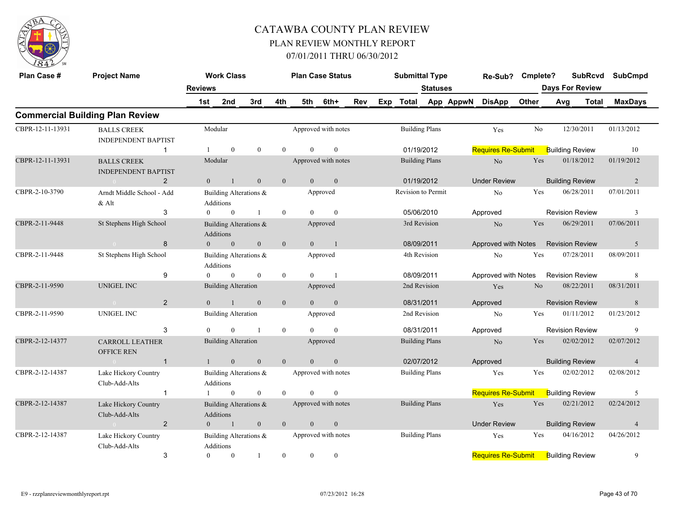

| Plan Case #      | <b>Project Name</b>                                 |                | <b>Work Class</b>                   |                  |                |                | <b>Plan Case Status</b> |     |     | <b>Submittal Type</b> |                       |                 | Re-Sub? Cmplete?          |                |     | <b>SubRcvd</b>         | <b>SubCmpd</b> |
|------------------|-----------------------------------------------------|----------------|-------------------------------------|------------------|----------------|----------------|-------------------------|-----|-----|-----------------------|-----------------------|-----------------|---------------------------|----------------|-----|------------------------|----------------|
|                  |                                                     | <b>Reviews</b> |                                     |                  |                |                |                         |     |     |                       | <b>Statuses</b>       |                 |                           |                |     | <b>Days For Review</b> |                |
|                  |                                                     | 1st            | 2nd                                 | 3rd              | 4th            | 5th            | 6th+                    | Rev | Exp |                       |                       | Total App AppwN | <b>DisApp</b>             | Other          | Avg | Total                  | <b>MaxDays</b> |
|                  | <b>Commercial Building Plan Review</b>              |                |                                     |                  |                |                |                         |     |     |                       |                       |                 |                           |                |     |                        |                |
| CBPR-12-11-13931 | <b>BALLS CREEK</b><br><b>INDEPENDENT BAPTIST</b>    |                | Modular                             |                  |                |                | Approved with notes     |     |     |                       | <b>Building Plans</b> |                 | Yes                       | No             |     | 12/30/2011             | 01/13/2012     |
|                  | $\mathbf{1}$                                        | -1             | $\overline{0}$                      | $\mathbf{0}$     | $\overline{0}$ | $\overline{0}$ | $\mathbf{0}$            |     |     |                       | 01/19/2012            |                 | <b>Requires Re-Submit</b> |                |     | <b>Building Review</b> | 10             |
| CBPR-12-11-13931 | <b>BALLS CREEK</b><br><b>INDEPENDENT BAPTIST</b>    |                | Modular                             |                  |                |                | Approved with notes     |     |     |                       | <b>Building Plans</b> |                 | No                        | Yes            |     | 01/18/2012             | 01/19/2012     |
|                  | $\overline{2}$<br>$\sim 0$                          | $\overline{0}$ | $\mathbf{1}$                        | $\mathbf{0}$     | $\mathbf{0}$   | $\overline{0}$ | $\boldsymbol{0}$        |     |     |                       | 01/19/2012            |                 | <b>Under Review</b>       |                |     | <b>Building Review</b> | 2              |
| CBPR-2-10-3790   | Arndt Middle School - Add<br>$&$ Alt                |                | Building Alterations &<br>Additions |                  |                |                | Approved                |     |     | Revision to Permit    |                       |                 | No                        | Yes            |     | 06/28/2011             | 07/01/2011     |
|                  | 3                                                   | $\theta$       | $\overline{0}$                      | $\overline{1}$   | $\overline{0}$ | $\theta$       | $\theta$                |     |     |                       | 05/06/2010            |                 | Approved                  |                |     | <b>Revision Review</b> | 3              |
| CBPR-2-11-9448   | St Stephens High School                             |                | Building Alterations &<br>Additions |                  |                |                | Approved                |     |     |                       | 3rd Revision          |                 | N <sub>o</sub>            | Yes            |     | 06/29/2011             | 07/06/2011     |
|                  | 8<br>$\sim 0$                                       | $\overline{0}$ | $\overline{0}$                      | $\boldsymbol{0}$ | $\mathbf{0}$   |                | 0<br>$\overline{1}$     |     |     |                       | 08/09/2011            |                 | Approved with Notes       |                |     | <b>Revision Review</b> | $\overline{5}$ |
| CBPR-2-11-9448   | St Stephens High School                             |                | Building Alterations &<br>Additions |                  |                |                | Approved                |     |     |                       | 4th Revision          |                 | No                        | Yes            |     | 07/28/2011             | 08/09/2011     |
|                  | 9                                                   | $\overline{0}$ | $\overline{0}$                      | $\mathbf{0}$     | $\overline{0}$ | $\overline{0}$ | $\overline{1}$          |     |     |                       | 08/09/2011            |                 | Approved with Notes       |                |     | <b>Revision Review</b> | 8              |
| CBPR-2-11-9590   | UNIGEL INC                                          |                | <b>Building Alteration</b>          |                  |                |                | Approved                |     |     |                       | 2nd Revision          |                 | Yes                       | N <sub>o</sub> |     | 08/22/2011             | 08/31/2011     |
|                  | $\overline{2}$<br>$\sim 0$                          | $\theta$       | $\overline{1}$                      | $\overline{0}$   | $\mathbf{0}$   | $\theta$       | $\mathbf{0}$            |     |     |                       | 08/31/2011            |                 | Approved                  |                |     | <b>Revision Review</b> | 8              |
| CBPR-2-11-9590   | <b>UNIGEL INC</b>                                   |                | <b>Building Alteration</b>          |                  |                |                | Approved                |     |     |                       | 2nd Revision          |                 | N <sub>0</sub>            | Yes            |     | 01/11/2012             | 01/23/2012     |
|                  | 3                                                   | $\Omega$       | $\theta$                            | $\overline{1}$   | $\overline{0}$ | $\Omega$       | $\theta$                |     |     |                       | 08/31/2011            |                 | Approved                  |                |     | <b>Revision Review</b> | 9              |
| CBPR-2-12-14377  | <b>CARROLL LEATHER</b><br><b>OFFICE REN</b>         |                | <b>Building Alteration</b>          |                  |                |                | Approved                |     |     |                       | <b>Building Plans</b> |                 | N <sub>o</sub>            | Yes            |     | 02/02/2012             | 02/07/2012     |
|                  | $\overline{1}$<br><b>Contract Contract Contract</b> |                | $\overline{0}$<br>$1 -$             | $\mathbf{0}$     | $\overline{0}$ | $\theta$       | $\mathbf{0}$            |     |     |                       | 02/07/2012            |                 | Approved                  |                |     | <b>Building Review</b> | $\overline{4}$ |
| CBPR-2-12-14387  | Lake Hickory Country<br>Club-Add-Alts               |                | Building Alterations &<br>Additions |                  |                |                | Approved with notes     |     |     |                       | <b>Building Plans</b> |                 | Yes                       | Yes            |     | 02/02/2012             | 02/08/2012     |
|                  | $\mathbf{1}$                                        | $\mathbf{1}$   | $\overline{0}$                      | $\mathbf{0}$     | $\overline{0}$ | $\theta$       | $\mathbf{0}$            |     |     |                       |                       |                 | Requires Re-Submit        |                |     | <b>Building Review</b> | 5              |
| CBPR-2-12-14387  | Lake Hickory Country<br>Club-Add-Alts               |                | Building Alterations &<br>Additions |                  |                |                | Approved with notes     |     |     |                       | <b>Building Plans</b> |                 | Yes                       | Yes            |     | 02/21/2012             | 02/24/2012     |
|                  | $\overline{2}$<br>$\sim 0$ and $\sim 0.000$         | $\Omega$       | $\sim$ 1                            | $\mathbf{0}$     | $\mathbf{0}$   | $\theta$       | $\boldsymbol{0}$        |     |     |                       |                       |                 | <b>Under Review</b>       |                |     | <b>Building Review</b> | $\overline{4}$ |
| CBPR-2-12-14387  | Lake Hickory Country<br>Club-Add-Alts               |                | Building Alterations &<br>Additions |                  |                |                | Approved with notes     |     |     |                       | <b>Building Plans</b> |                 | Yes                       | Yes            |     | 04/16/2012             | 04/26/2012     |
|                  | 3                                                   | $\theta$       | $\overline{0}$                      | -1               | $\overline{0}$ | $\overline{0}$ | $\mathbf{0}$            |     |     |                       |                       |                 | <b>Requires Re-Submit</b> |                |     | <b>Building Review</b> | 9              |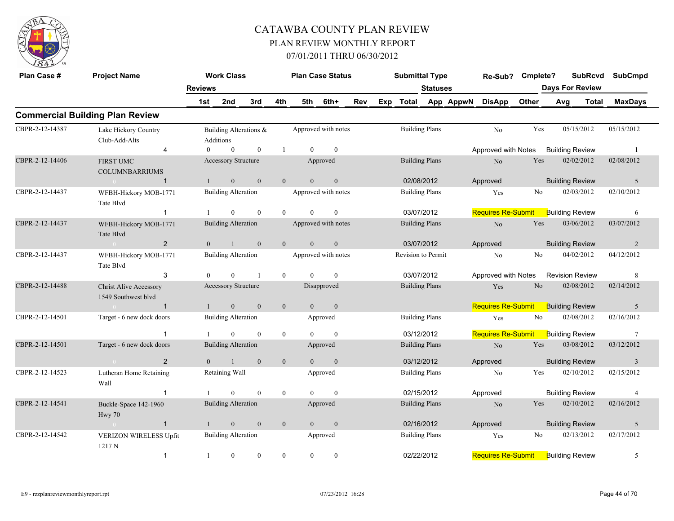

| Plan Case #     | <b>Project Name</b>                                  |                                                                                                              | <b>Work Class</b>                   |              |                |                | <b>Plan Case Status</b> |     |     | <b>Submittal Type</b> |                 |                        | Re-Sub? Cmplete?          |                | <b>SubRcvd</b>         |              | <b>SubCmpd</b>  |
|-----------------|------------------------------------------------------|--------------------------------------------------------------------------------------------------------------|-------------------------------------|--------------|----------------|----------------|-------------------------|-----|-----|-----------------------|-----------------|------------------------|---------------------------|----------------|------------------------|--------------|-----------------|
|                 |                                                      | <b>Reviews</b>                                                                                               |                                     |              |                |                |                         |     |     |                       | <b>Statuses</b> |                        |                           |                | <b>Days For Review</b> |              |                 |
|                 |                                                      | 1st                                                                                                          | 2nd                                 | 3rd          | 4th            | 5th            | 6th+                    | Rev | Exp | Total                 |                 | App AppwN              | <b>DisApp</b>             | Other          | Avg                    | <b>Total</b> | <b>MaxDays</b>  |
|                 | <b>Commercial Building Plan Review</b>               |                                                                                                              |                                     |              |                |                |                         |     |     |                       |                 |                        |                           |                |                        |              |                 |
| CBPR-2-12-14387 | Lake Hickory Country<br>Club-Add-Alts                |                                                                                                              | Building Alterations &<br>Additions |              |                |                | Approved with notes     |     |     | <b>Building Plans</b> |                 |                        | N <sub>o</sub>            | Yes            | 05/15/2012             |              | 05/15/2012      |
|                 | $\overline{4}$                                       | $\theta$                                                                                                     | $\mathbf{0}$                        | $\mathbf{0}$ | -1             | $\theta$       | $\mathbf{0}$            |     |     |                       |                 |                        | Approved with Notes       |                | <b>Building Review</b> |              | $\overline{1}$  |
| CBPR-2-12-14406 | <b>FIRST UMC</b><br><b>COLUMNBARRIUMS</b>            |                                                                                                              | Accessory Structure                 |              |                |                | Approved                |     |     | <b>Building Plans</b> |                 |                        | N <sub>o</sub>            | Yes            | 02/02/2012             |              | 02/08/2012      |
|                 | $\overline{1}$                                       |                                                                                                              | $\mathbf{0}$                        | $\mathbf{0}$ | $\mathbf{0}$   | $\overline{0}$ | $\mathbf{0}$            |     |     | 02/08/2012            |                 |                        | Approved                  |                | <b>Building Review</b> |              | 5               |
| CBPR-2-12-14437 | WFBH-Hickory MOB-1771<br>Tate Blvd                   |                                                                                                              | <b>Building Alteration</b>          |              |                |                | Approved with notes     |     |     | <b>Building Plans</b> |                 |                        | Yes                       | No             | 02/03/2012             |              | 02/10/2012      |
|                 | $\mathbf{1}$                                         |                                                                                                              | $\mathbf{0}$                        | $\theta$     | $\theta$       | $\Omega$       | $\theta$                |     |     | 03/07/2012            |                 |                        | <b>Requires Re-Submit</b> |                | <b>Building Review</b> |              | 6               |
| CBPR-2-12-14437 | WFBH-Hickory MOB-1771<br>Tate Blvd                   |                                                                                                              | <b>Building Alteration</b>          |              |                |                | Approved with notes     |     |     | <b>Building Plans</b> |                 |                        | No                        | Yes            | 03/06/2012             |              | 03/07/2012      |
|                 | $\overline{2}$<br>$\bigcap$                          | $\overline{0}$                                                                                               | $\mathbf{1}$                        | $\mathbf{0}$ | $\mathbf{0}$   | $\mathbf{0}$   | $\mathbf{0}$            |     |     | 03/07/2012            |                 |                        | Approved                  |                | <b>Building Review</b> |              | $\overline{2}$  |
| CBPR-2-12-14437 | WFBH-Hickory MOB-1771<br>Tate Blvd                   |                                                                                                              | <b>Building Alteration</b>          |              |                |                | Approved with notes     |     |     | Revision to Permit    |                 |                        | No                        | No             | 04/02/2012             |              | 04/12/2012      |
|                 | 3                                                    | $\theta$                                                                                                     | $\mathbf{0}$                        | $\mathbf{1}$ | $\overline{0}$ | $\theta$       | $\theta$                |     |     | 03/07/2012            |                 |                        | Approved with Notes       |                | <b>Revision Review</b> |              | 8               |
| CBPR-2-12-14488 | <b>Christ Alive Accessory</b><br>1549 Southwest blvd |                                                                                                              | Accessory Structure                 |              |                |                | Disapproved             |     |     | <b>Building Plans</b> |                 |                        | Yes                       | N <sub>o</sub> | 02/08/2012             |              | 02/14/2012      |
|                 | $\mathbf{1}$                                         | $\mathbf{1}$                                                                                                 | $\overline{0}$                      | $\mathbf{0}$ | $\mathbf{0}$   | $\overline{0}$ | $\mathbf{0}$            |     |     |                       |                 |                        | Requires Re-Submit        |                | <b>Building Review</b> |              | 5               |
| CBPR-2-12-14501 | Target - 6 new dock doors                            |                                                                                                              | <b>Building Alteration</b>          |              |                |                | Approved                |     |     | <b>Building Plans</b> |                 |                        | Yes                       | No             | 02/08/2012             |              | 02/16/2012      |
|                 | $\overline{1}$                                       |                                                                                                              | $\theta$                            | $\theta$     | $\overline{0}$ | $\Omega$       | $\theta$                |     |     | 03/12/2012            |                 |                        | <b>Requires Re-Submit</b> |                | <b>Building Review</b> |              | $7\phantom{.0}$ |
| CBPR-2-12-14501 | Target - 6 new dock doors                            |                                                                                                              | <b>Building Alteration</b>          |              |                |                | Approved                |     |     | <b>Building Plans</b> |                 |                        | No                        | Yes            | 03/08/2012             |              | 03/12/2012      |
|                 | 2                                                    | $\Omega$                                                                                                     | $\mathbf{1}$                        | $\theta$     | $\overline{0}$ | $\Omega$       | $\theta$                |     |     | 03/12/2012            |                 |                        | Approved                  |                | <b>Building Review</b> |              | $\overline{3}$  |
| CBPR-2-12-14523 | Lutheran Home Retaining<br>Wall                      |                                                                                                              | Retaining Wall                      |              |                |                | Approved                |     |     | <b>Building Plans</b> |                 |                        | No                        | Yes            | 02/10/2012             |              | 02/15/2012      |
|                 | $\mathbf{1}$                                         |                                                                                                              | $\theta$                            | $\theta$     | $\overline{0}$ | $\theta$       | $\mathbf{0}$            |     |     | 02/15/2012            |                 |                        | Approved                  |                | <b>Building Review</b> |              | $\overline{4}$  |
| CBPR-2-12-14541 | Buckle-Space 142-1960<br>Hwy 70                      |                                                                                                              | <b>Building Alteration</b>          |              |                |                | Approved                |     |     | <b>Building Plans</b> |                 |                        | No                        | Yes            | 02/10/2012             |              | 02/16/2012      |
|                 | $\overline{1}$<br>$\sim 0$                           | $\mathbf{0}$<br>$\mathbf{0}$<br>$\mathbf{0}$<br>02/16/2012<br>$\mathbf{0}$<br>$\overline{0}$<br>$\mathbf{1}$ |                                     |              |                |                |                         |     |     | Approved              |                 | <b>Building Review</b> |                           | 5              |                        |              |                 |
| CBPR-2-12-14542 | VERIZON WIRELESS Upfit<br>1217N                      |                                                                                                              | <b>Building Alteration</b>          |              |                |                | Approved                |     |     | <b>Building Plans</b> |                 |                        | Yes                       | No             | 02/13/2012             |              | 02/17/2012      |
|                 | $\mathbf{1}$                                         | $\mathbf{1}$                                                                                                 | $\mathbf{0}$                        | $\mathbf{0}$ | $\overline{0}$ | $\overline{0}$ | $\mathbf{0}$            |     |     | 02/22/2012            |                 |                        | <b>Requires Re-Submit</b> |                | <b>Building Review</b> |              | 5               |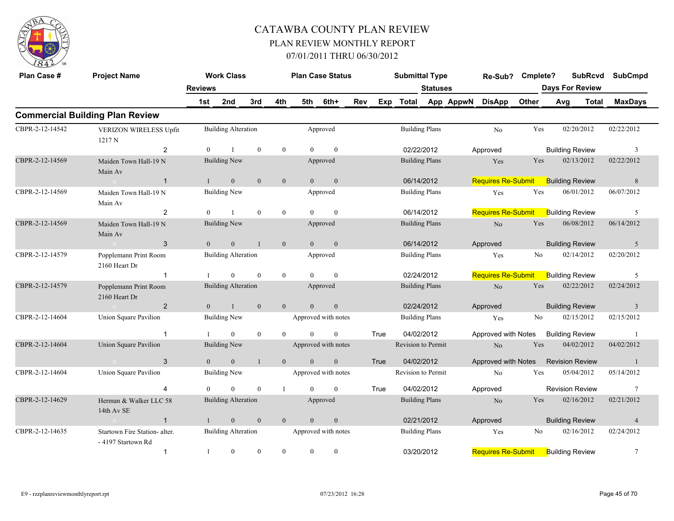

| Plan Case #                                                                                          | <b>Project Name</b>                                                                                                      |                                                                                                                                                                          | <b>Work Class</b>          |                                                                               |                |                | <b>Plan Case Status</b> |                        |      | <b>Submittal Type</b> |                 |                           | Re-Sub?                            | Cmplete?             |                        | <b>SubRcvd</b>         |                | <b>SubCmpd</b> |
|------------------------------------------------------------------------------------------------------|--------------------------------------------------------------------------------------------------------------------------|--------------------------------------------------------------------------------------------------------------------------------------------------------------------------|----------------------------|-------------------------------------------------------------------------------|----------------|----------------|-------------------------|------------------------|------|-----------------------|-----------------|---------------------------|------------------------------------|----------------------|------------------------|------------------------|----------------|----------------|
|                                                                                                      |                                                                                                                          | <b>Reviews</b>                                                                                                                                                           |                            |                                                                               |                |                |                         |                        |      |                       | <b>Statuses</b> |                           |                                    |                      |                        | <b>Days For Review</b> |                |                |
|                                                                                                      |                                                                                                                          | 1st                                                                                                                                                                      | 2nd                        | 3rd                                                                           | 4th            | 5th            | 6th+                    | Rev                    | Exp  | <b>Total</b>          |                 | App AppwN                 | <b>DisApp</b>                      | Other                | Avg                    |                        | <b>Total</b>   | <b>MaxDays</b> |
|                                                                                                      | <b>Commercial Building Plan Review</b>                                                                                   |                                                                                                                                                                          |                            |                                                                               |                |                |                         |                        |      |                       |                 |                           |                                    |                      |                        |                        |                |                |
| CBPR-2-12-14542                                                                                      | VERIZON WIRELESS Upfit<br>1217 N                                                                                         |                                                                                                                                                                          | <b>Building Alteration</b> |                                                                               |                |                | Approved                |                        |      | <b>Building Plans</b> |                 |                           | No                                 | Yes                  |                        | 02/20/2012             |                | 02/22/2012     |
|                                                                                                      | 2                                                                                                                        | $\theta$                                                                                                                                                                 |                            | $\mathbf{0}$                                                                  | $\overline{0}$ | $\Omega$       | $\mathbf{0}$            |                        |      | 02/22/2012            |                 |                           | Approved                           |                      |                        | <b>Building Review</b> |                | 3              |
| CBPR-2-12-14569                                                                                      | Maiden Town Hall-19 N<br>Main Av                                                                                         | <b>Building New</b><br><b>Building Plans</b><br>Approved<br>$\mathbf{0}$<br>$\mathbf{0}$<br>$\mathbf{0}$<br>$\mathbf{0}$<br>$\overline{0}$<br>06/14/2012<br>$\mathbf{1}$ |                            |                                                                               |                |                |                         |                        | Yes  | Yes                   |                 | 02/13/2012                |                                    | 02/22/2012           |                        |                        |                |                |
|                                                                                                      | $\sim$ 0<br>$\mathbf{1}$                                                                                                 |                                                                                                                                                                          |                            |                                                                               |                |                |                         |                        |      |                       |                 | <b>Requires Re-Submit</b> |                                    |                      | <b>Building Review</b> |                        | $8\phantom{1}$ |                |
| CBPR-2-12-14569                                                                                      | Maiden Town Hall-19 N<br>Main Av                                                                                         |                                                                                                                                                                          | <b>Building New</b>        |                                                                               |                |                | Approved                |                        |      | <b>Building Plans</b> |                 |                           | Yes                                | $\operatorname{Yes}$ |                        | 06/01/2012             |                | 06/07/2012     |
|                                                                                                      | $\overline{2}$                                                                                                           | $\theta$                                                                                                                                                                 |                            | $\mathbf{0}$                                                                  | $\mathbf{0}$   | $\Omega$       | $\theta$                |                        |      | 06/14/2012            |                 |                           | Requires Re-Submit                 |                      |                        | <b>Building Review</b> |                | 5              |
| CBPR-2-12-14569                                                                                      | Maiden Town Hall-19 N<br>Main Av                                                                                         |                                                                                                                                                                          | <b>Building New</b>        |                                                                               |                |                | Approved                |                        |      | <b>Building Plans</b> |                 |                           | $\rm No$                           | Yes                  |                        | 06/08/2012             |                | 06/14/2012     |
|                                                                                                      | 3<br>$\sim$ 0 $\sim$                                                                                                     | $\overline{0}$                                                                                                                                                           | $\mathbf{0}$               | $\mathbf{1}$                                                                  | $\mathbf{0}$   | $\theta$       | $\mathbf{0}$            |                        |      | 06/14/2012            |                 |                           | Approved                           |                      |                        | <b>Building Review</b> |                | 5              |
| CBPR-2-12-14579                                                                                      | Popplemann Print Room<br>2160 Heart Dr                                                                                   |                                                                                                                                                                          | <b>Building Alteration</b> |                                                                               |                |                | Approved                |                        |      | <b>Building Plans</b> |                 |                           | Yes                                | No                   |                        | 02/14/2012             |                | 02/20/2012     |
|                                                                                                      | $\mathbf{1}$                                                                                                             |                                                                                                                                                                          | $\theta$                   | $\mathbf{0}$                                                                  | $\overline{0}$ | $\Omega$       | $\theta$                |                        |      | 02/24/2012            |                 |                           | <b>Requires Re-Submit</b>          |                      |                        | <b>Building Review</b> |                | 5              |
| CBPR-2-12-14579                                                                                      | Popplemann Print Room<br>2160 Heart Dr                                                                                   |                                                                                                                                                                          | <b>Building Alteration</b> |                                                                               |                |                | Approved                |                        |      | <b>Building Plans</b> |                 |                           | $\rm No$                           | Yes                  |                        | 02/22/2012             |                | 02/24/2012     |
|                                                                                                      | $\overline{2}$                                                                                                           | $\Omega$                                                                                                                                                                 | $\mathbf{1}$               | $\theta$                                                                      | $\overline{0}$ | $\Omega$       | $\mathbf{0}$            |                        |      | 02/24/2012            |                 |                           | Approved                           |                      |                        | <b>Building Review</b> |                | $\overline{3}$ |
| CBPR-2-12-14604                                                                                      | Union Square Pavilion                                                                                                    |                                                                                                                                                                          | <b>Building New</b>        |                                                                               |                |                | Approved with notes     |                        |      | <b>Building Plans</b> |                 |                           | Yes                                | No                   |                        | 02/15/2012             |                | 02/15/2012     |
|                                                                                                      | $\overline{1}$                                                                                                           |                                                                                                                                                                          | $\overline{0}$             | $\mathbf{0}$                                                                  | $\theta$       | $\Omega$       | $\mathbf{0}$            |                        | True | 04/02/2012            |                 |                           | Approved with Notes                |                      |                        | <b>Building Review</b> |                | -1             |
| CBPR-2-12-14604                                                                                      | Union Square Pavilion                                                                                                    |                                                                                                                                                                          | <b>Building New</b>        |                                                                               |                |                | Approved with notes     |                        |      | Revision to Permit    |                 |                           | No                                 | Yes                  |                        | 04/02/2012             |                | 04/02/2012     |
|                                                                                                      | 3<br>$\overline{0}$                                                                                                      | $\overline{0}$                                                                                                                                                           | $\mathbf{0}$               |                                                                               | $\mathbf{0}$   | $\overline{0}$ | $\boldsymbol{0}$        |                        | True | 04/02/2012            |                 |                           | Approved with Notes                |                      |                        | <b>Revision Review</b> |                | $\mathbf{1}$   |
| CBPR-2-12-14604                                                                                      | Union Square Pavilion                                                                                                    |                                                                                                                                                                          | <b>Building New</b>        |                                                                               |                |                | Approved with notes     |                        |      | Revision to Permit    |                 |                           | No                                 | Yes                  |                        | 05/04/2012             |                | 05/14/2012     |
|                                                                                                      |                                                                                                                          | $\Omega$                                                                                                                                                                 | $\theta$                   | $\mathbf{0}$                                                                  | $\mathbf{1}$   | $\Omega$       | $\mathbf{0}$            |                        | True |                       |                 |                           | Approved                           |                      |                        | <b>Revision Review</b> |                | 7              |
| CBPR-2-12-14629                                                                                      | Herman & Walker LLC 58<br>14th Av SE                                                                                     |                                                                                                                                                                          |                            | 04/02/2012<br><b>Building Alteration</b><br><b>Building Plans</b><br>Approved |                |                |                         | N <sub>o</sub>         | Yes  |                       | 02/16/2012      |                           | 02/21/2012                         |                      |                        |                        |                |                |
|                                                                                                      | $\mathbf{0}$<br>$\mathbf{0}$<br>$\overline{0}$<br>$\theta$<br>$\mathbf{0}$<br>02/21/2012<br>$\mathbf{1}$<br>$\mathbf{1}$ |                                                                                                                                                                          |                            |                                                                               | Approved       |                |                         | <b>Building Review</b> |      | $\overline{4}$        |                 |                           |                                    |                      |                        |                        |                |                |
| CBPR-2-12-14635<br><b>Building Alteration</b><br>Startown Fire Station- alter.<br>- 4197 Startown Rd |                                                                                                                          |                                                                                                                                                                          |                            |                                                                               |                |                | Approved with notes     |                        |      | <b>Building Plans</b> |                 |                           | Yes                                | No                   |                        | 02/16/2012             |                | 02/24/2012     |
|                                                                                                      | $\mathbf{1}$                                                                                                             | 1                                                                                                                                                                        | $\overline{0}$             | $\mathbf{0}$                                                                  | $\theta$       | $\overline{0}$ | $\mathbf{0}$            |                        |      | 03/20/2012            |                 |                           | Requires Re-Submit Building Review |                      |                        |                        |                | 7              |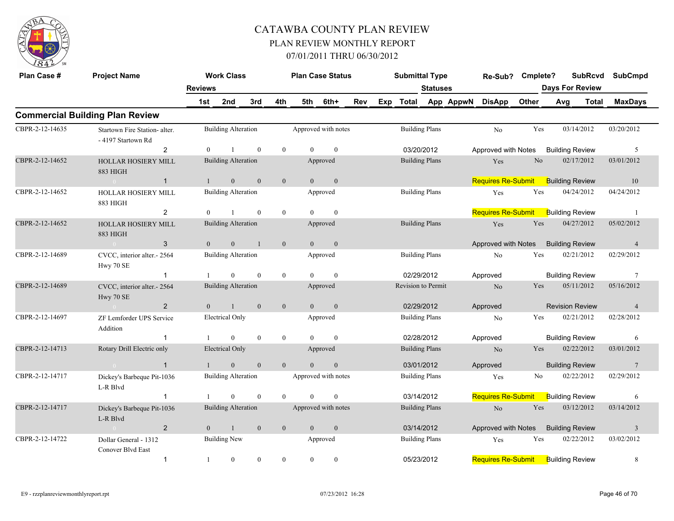

| Plan Case #     | <b>Project Name</b>                                 | <b>Reviews</b> | <b>Work Class</b>          |                  |                |                | <b>Plan Case Status</b> |     |     | <b>Submittal Type</b> | <b>Statuses</b>       |           | Re-Sub? Cmplete?          |                | <b>SubRcvd</b><br><b>Days For Review</b> |       | <b>SubCmpd</b>  |
|-----------------|-----------------------------------------------------|----------------|----------------------------|------------------|----------------|----------------|-------------------------|-----|-----|-----------------------|-----------------------|-----------|---------------------------|----------------|------------------------------------------|-------|-----------------|
|                 |                                                     | 1st            | 2nd                        | 3rd              | 4th            | 5th            | 6th+                    | Rev | Exp | <b>Total</b>          |                       | App AppwN | <b>DisApp</b>             | Other          | Avg                                      | Total | <b>MaxDays</b>  |
|                 | <b>Commercial Building Plan Review</b>              |                |                            |                  |                |                |                         |     |     |                       |                       |           |                           |                |                                          |       |                 |
| CBPR-2-12-14635 | Startown Fire Station- alter.<br>- 4197 Startown Rd |                | <b>Building Alteration</b> |                  |                |                | Approved with notes     |     |     |                       | <b>Building Plans</b> |           | N <sub>o</sub>            | Yes            | 03/14/2012                               |       | 03/20/2012      |
|                 | 2                                                   | $\theta$       |                            | $\mathbf{0}$     | $\mathbf{0}$   | $\Omega$       | $\mathbf{0}$            |     |     |                       | 03/20/2012            |           | Approved with Notes       |                | <b>Building Review</b>                   |       | 5               |
| CBPR-2-12-14652 | <b>HOLLAR HOSIERY MILL</b><br>883 HIGH              |                | <b>Building Alteration</b> |                  |                |                | Approved                |     |     |                       | <b>Building Plans</b> |           | Yes                       | N <sub>o</sub> | 02/17/2012                               |       | 03/01/2012      |
|                 | $\mathbf{1}$<br>$\sim 0$                            | $\mathbf{1}$   | $\mathbf{0}$               | $\boldsymbol{0}$ | $\mathbf{0}$   | $\overline{0}$ | $\mathbf{0}$            |     |     |                       |                       |           | <b>Requires Re-Submit</b> |                | <b>Building Review</b>                   |       | 10              |
| CBPR-2-12-14652 | <b>HOLLAR HOSIERY MILL</b><br>883 HIGH              |                | <b>Building Alteration</b> |                  |                |                | Approved                |     |     |                       | <b>Building Plans</b> |           | Yes                       | Yes            | 04/24/2012                               |       | 04/24/2012      |
|                 | 2                                                   | $\overline{0}$ |                            | $\theta$         | $\mathbf{0}$   | $\theta$       | $\theta$                |     |     |                       |                       |           | <b>Requires Re-Submit</b> |                | <b>Building Review</b>                   |       | $\overline{1}$  |
| CBPR-2-12-14652 | <b>HOLLAR HOSIERY MILL</b><br>883 HIGH              |                | <b>Building Alteration</b> |                  |                |                | Approved                |     |     |                       | <b>Building Plans</b> |           | Yes                       | Yes            | 04/27/2012                               |       | 05/02/2012      |
|                 | 3<br>$\sim 0$                                       | $\overline{0}$ | $\overline{0}$             | $\overline{1}$   | $\overline{0}$ | $\overline{0}$ | $\overline{0}$          |     |     |                       |                       |           | Approved with Notes       |                | <b>Building Review</b>                   |       | $\overline{4}$  |
| CBPR-2-12-14689 | CVCC, interior alter.- 2564<br>Hwy 70 SE            |                | <b>Building Alteration</b> |                  |                |                | Approved                |     |     |                       | <b>Building Plans</b> |           | No                        | Yes            | 02/21/2012                               |       | 02/29/2012      |
|                 | $\mathbf{1}$                                        | $\mathbf{1}$   | $\Omega$                   | $\mathbf{0}$     | $\mathbf{0}$   | $\Omega$       | $\mathbf{0}$            |     |     |                       | 02/29/2012            |           | Approved                  |                | <b>Building Review</b>                   |       | $7\phantom{.0}$ |
| CBPR-2-12-14689 | CVCC, interior alter.- 2564<br>Hwy 70 SE            |                | <b>Building Alteration</b> |                  |                |                | Approved                |     |     | Revision to Permit    |                       |           | No                        | Yes            | 05/11/2012                               |       | 05/16/2012      |
|                 | $\overline{2}$<br>$\sim 0$ and $\sim$               | $\theta$       | $\overline{1}$             | $\theta$         | $\overline{0}$ | $\theta$       | $\overline{0}$          |     |     |                       | 02/29/2012            |           | Approved                  |                | <b>Revision Review</b>                   |       | $\overline{4}$  |
| CBPR-2-12-14697 | ZF Lemforder UPS Service<br>Addition                |                | Electrical Only            |                  |                |                | Approved                |     |     |                       | <b>Building Plans</b> |           | N <sub>0</sub>            | Yes            | 02/21/2012                               |       | 02/28/2012      |
|                 | $\mathbf{1}$                                        | $\mathbf{1}$   | $\theta$                   | $\theta$         | $\mathbf{0}$   | $\Omega$       | $\theta$                |     |     |                       | 02/28/2012            |           | Approved                  |                | <b>Building Review</b>                   |       | 6               |
| CBPR-2-12-14713 | Rotary Drill Electric only                          |                | <b>Electrical Only</b>     |                  |                |                | Approved                |     |     |                       | <b>Building Plans</b> |           | N <sub>o</sub>            | Yes            | 02/22/2012                               |       | 03/01/2012      |
|                 | $\overline{1}$<br>$\sim 0$ and $\sim 0$             | $\mathbf{1}$   | $\overline{0}$             | $\mathbf{0}$     | $\mathbf{0}$   | $\Omega$       | $\mathbf{0}$            |     |     |                       | 03/01/2012            |           | Approved                  |                | <b>Building Review</b>                   |       | 7               |
| CBPR-2-12-14717 | Dickey's Barbeque Pit-1036<br>L-R Blvd              |                | <b>Building Alteration</b> |                  |                |                | Approved with notes     |     |     |                       | <b>Building Plans</b> |           | Yes                       | No.            | 02/22/2012                               |       | 02/29/2012      |
|                 | $\mathbf{1}$                                        |                | $\Omega$                   | $\mathbf{0}$     | $\theta$       | $\Omega$       | $\mathbf{0}$            |     |     |                       | 03/14/2012            |           | Requires Re-Submit        |                | <b>Building Review</b>                   |       | 6               |
| CBPR-2-12-14717 | Dickey's Barbeque Pit-1036<br>L-R Blvd              |                | <b>Building Alteration</b> |                  |                |                | Approved with notes     |     |     |                       | <b>Building Plans</b> |           | $\rm No$                  | Yes            | 03/12/2012                               |       | 03/14/2012      |
|                 | $\overline{2}$<br>$\sim 0$                          | $\overline{0}$ | <sup>1</sup>               | $\mathbf{0}$     | $\mathbf{0}$   | $\overline{0}$ | $\mathbf{0}$            |     |     |                       | 03/14/2012            |           | Approved with Notes       |                | <b>Building Review</b>                   |       | $\overline{3}$  |
| CBPR-2-12-14722 | Dollar General - 1312<br>Conover Blvd East          |                | <b>Building New</b>        |                  |                |                | Approved                |     |     |                       | <b>Building Plans</b> |           | Yes                       | Yes            | 02/22/2012                               |       | 03/02/2012      |
|                 | $\mathbf{1}$                                        | 1              | $\overline{0}$             | $\theta$         | $\theta$       | $\mathbf{0}$   | $\boldsymbol{0}$        |     |     |                       | 05/23/2012            |           | <b>Requires Re-Submit</b> |                | <b>Building Review</b>                   |       | 8               |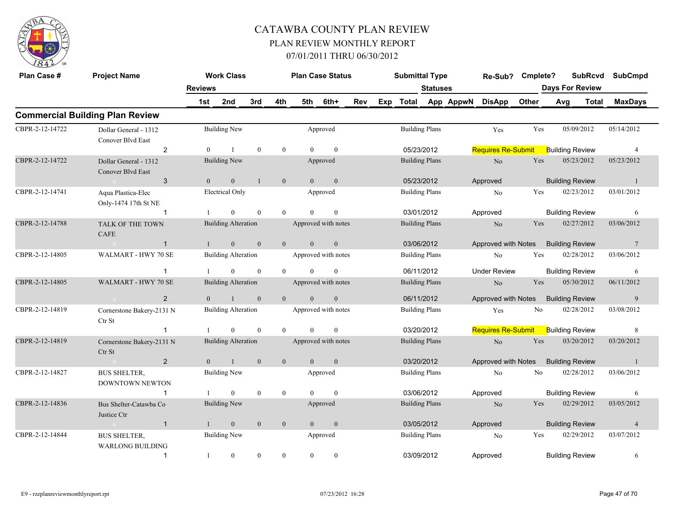

| Plan Case #     | <b>Project Name</b>                            |                | <b>Work Class</b>          |              |                |                | <b>Plan Case Status</b> |     |                                                         | <b>Submittal Type</b> |                 |           | Re-Sub?                   | Cmplete? |                        | <b>SubRcvd</b> | <b>SubCmpd</b>  |
|-----------------|------------------------------------------------|----------------|----------------------------|--------------|----------------|----------------|-------------------------|-----|---------------------------------------------------------|-----------------------|-----------------|-----------|---------------------------|----------|------------------------|----------------|-----------------|
|                 |                                                | <b>Reviews</b> |                            |              |                |                |                         |     |                                                         |                       | <b>Statuses</b> |           |                           |          | <b>Days For Review</b> |                |                 |
|                 |                                                | 1st            | 2nd                        | 3rd          | 4th            | 5th            | 6th+                    | Rev | Exp                                                     | <b>Total</b>          |                 | App AppwN | <b>DisApp</b>             | Other    | Avg                    | <b>Total</b>   | <b>MaxDays</b>  |
|                 | <b>Commercial Building Plan Review</b>         |                |                            |              |                |                |                         |     |                                                         |                       |                 |           |                           |          |                        |                |                 |
| CBPR-2-12-14722 | Dollar General - 1312<br>Conover Blvd East     |                | <b>Building New</b>        |              |                |                | Approved                |     |                                                         | <b>Building Plans</b> |                 |           | Yes                       | Yes      | 05/09/2012             |                | 05/14/2012      |
|                 | $\overline{2}$                                 | $\mathbf{0}$   | $\mathbf{1}$               | $\mathbf{0}$ | $\mathbf{0}$   | $\theta$       | $\mathbf{0}$            |     |                                                         | 05/23/2012            |                 |           | <b>Requires Re-Submit</b> |          | <b>Building Review</b> |                | $\overline{4}$  |
| CBPR-2-12-14722 | Dollar General - 1312<br>Conover Blvd East     |                | <b>Building New</b>        |              |                |                | Approved                |     |                                                         | <b>Building Plans</b> |                 |           | No                        | Yes      | 05/23/2012             |                | 05/23/2012      |
|                 | 3                                              | $\Omega$       | $\mathbf{0}$               | $\mathbf{1}$ | $\mathbf{0}$   | $\overline{0}$ | $\overline{0}$          |     |                                                         |                       |                 |           | Approved                  |          | <b>Building Review</b> |                | -1              |
| CBPR-2-12-14741 | Aqua Plastica-Elec<br>Only-1474 17th St NE     |                | <b>Electrical Only</b>     |              |                |                | Approved                |     | 05/23/2012<br><b>Building Plans</b><br>No<br>03/01/2012 |                       |                 |           |                           | Yes      | 02/23/2012             |                | 03/01/2012      |
|                 | -1                                             |                | $\Omega$                   | $\theta$     | $\theta$       | $\Omega$       | $\theta$                |     |                                                         |                       |                 |           | Approved                  |          | <b>Building Review</b> |                | 6               |
| CBPR-2-12-14788 | <b>TALK OF THE TOWN</b><br><b>CAFE</b>         |                | <b>Building Alteration</b> |              |                |                | Approved with notes     |     |                                                         | <b>Building Plans</b> |                 |           | No                        | Yes      | 02/27/2012             |                | 03/06/2012      |
|                 | $\mathbf{1}$                                   | $\mathbf{1}$   | $\mathbf{0}$               | $\mathbf{0}$ | $\mathbf{0}$   | $\mathbf{0}$   | $\mathbf{0}$            |     |                                                         | 03/06/2012            |                 |           | Approved with Notes       |          | <b>Building Review</b> |                | $7\phantom{.0}$ |
| CBPR-2-12-14805 | WALMART - HWY 70 SE                            |                | <b>Building Alteration</b> |              |                |                | Approved with notes     |     |                                                         | <b>Building Plans</b> |                 |           | N <sub>o</sub>            | Yes      | 02/28/2012             |                | 03/06/2012      |
|                 | $\overline{1}$                                 |                | $\mathbf{0}$               | $\mathbf{0}$ | $\mathbf{0}$   | $\theta$       | $\mathbf{0}$            |     |                                                         | 06/11/2012            |                 |           | <b>Under Review</b>       |          | <b>Building Review</b> |                | 6               |
| CBPR-2-12-14805 | WALMART - HWY 70 SE                            |                | <b>Building Alteration</b> |              |                |                | Approved with notes     |     |                                                         | <b>Building Plans</b> |                 |           | No                        | Yes      | 05/30/2012             |                | 06/11/2012      |
|                 | $\overline{2}$                                 | $\theta$       | $\mathbf{1}$               | $\mathbf{0}$ | $\mathbf{0}$   | $\theta$       | $\mathbf{0}$            |     |                                                         | 06/11/2012            |                 |           | Approved with Notes       |          | <b>Building Review</b> |                | 9               |
| CBPR-2-12-14819 | Cornerstone Bakery-2131 N<br>Ctr St            |                | <b>Building Alteration</b> |              |                |                | Approved with notes     |     |                                                         | <b>Building Plans</b> |                 |           | Yes                       | No       | 02/28/2012             |                | 03/08/2012      |
|                 | $\mathbf{1}$                                   |                | $\Omega$                   | $\mathbf{0}$ | $\theta$       | $\Omega$       | $\theta$                |     |                                                         | 03/20/2012            |                 |           | <b>Requires Re-Submit</b> |          | <b>Building Review</b> |                | 8               |
| CBPR-2-12-14819 | Cornerstone Bakery-2131 N<br>Ctr St            |                | <b>Building Alteration</b> |              |                |                | Approved with notes     |     |                                                         | <b>Building Plans</b> |                 |           | N <sub>o</sub>            | Yes      | 03/20/2012             |                | 03/20/2012      |
|                 | $\overline{2}$                                 | $\Omega$       | $\mathbf{1}$               | $\theta$     | $\mathbf{0}$   | $\theta$       | $\mathbf{0}$            |     |                                                         | 03/20/2012            |                 |           | Approved with Notes       |          | <b>Building Review</b> |                | $\overline{1}$  |
| CBPR-2-12-14827 | <b>BUS SHELTER,</b><br>DOWNTOWN NEWTON         |                | <b>Building New</b>        |              |                |                | Approved                |     |                                                         | <b>Building Plans</b> |                 |           | No                        | No       | 02/28/2012             |                | 03/06/2012      |
|                 | $\mathbf{1}$                                   |                | $\overline{0}$             | $\mathbf{0}$ | $\mathbf{0}$   | $\theta$       | $\mathbf{0}$            |     |                                                         | 03/06/2012            |                 |           | Approved                  |          | <b>Building Review</b> |                | 6               |
| CBPR-2-12-14836 | Bus Shelter-Catawba Co<br>Justice Ctr          |                | <b>Building New</b>        |              |                |                | Approved                |     |                                                         | <b>Building Plans</b> |                 |           | No                        | Yes      | 02/29/2012             |                | 03/05/2012      |
|                 | $\mathbf{1}$                                   | $\mathbf{1}$   | $\boldsymbol{0}$           | $\mathbf{0}$ | $\mathbf{0}$   | $\theta$       | $\mathbf{0}$            |     |                                                         | 03/05/2012            |                 |           | Approved                  |          | <b>Building Review</b> |                | $\overline{4}$  |
| CBPR-2-12-14844 | <b>BUS SHELTER,</b><br><b>WARLONG BUILDING</b> |                | <b>Building New</b>        |              |                |                | Approved                |     |                                                         | <b>Building Plans</b> |                 |           | No                        | Yes      | 02/29/2012             |                | 03/07/2012      |
|                 | $\mathbf{1}$                                   | 1              | $\mathbf{0}$               | $\theta$     | $\overline{0}$ | $\overline{0}$ | $\mathbf{0}$            |     |                                                         | 03/09/2012            |                 |           | Approved                  |          | <b>Building Review</b> |                | 6               |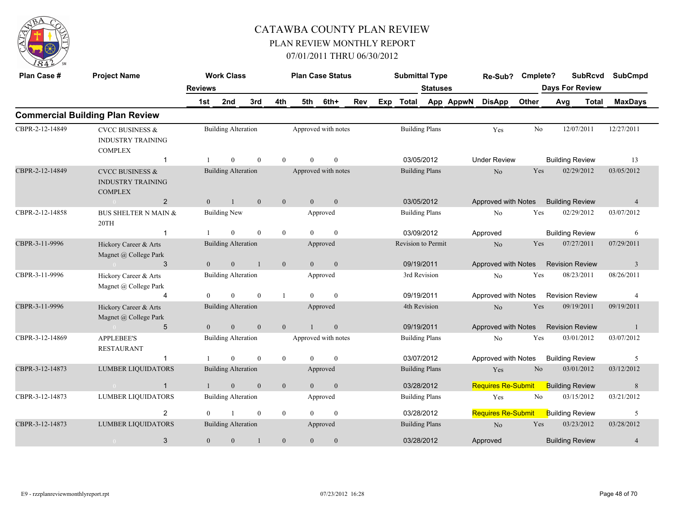

| Plan Case #     | <b>Project Name</b>                                                      |                | <b>Work Class</b>          |                  |                |                | <b>Plan Case Status</b> |     |     | <b>Submittal Type</b> |                 |           | Re-Sub?                   | Cmplete?       |     | <b>SubRcvd</b>         | <b>SubCmpd</b> |  |
|-----------------|--------------------------------------------------------------------------|----------------|----------------------------|------------------|----------------|----------------|-------------------------|-----|-----|-----------------------|-----------------|-----------|---------------------------|----------------|-----|------------------------|----------------|--|
|                 |                                                                          | <b>Reviews</b> |                            |                  |                |                |                         |     |     |                       | <b>Statuses</b> |           |                           |                |     | <b>Days For Review</b> |                |  |
|                 |                                                                          | 1st            | 2nd                        | 3rd              | 4th            | 5th            | 6th+                    | Rev | Exp | Total                 |                 | App AppwN | <b>DisApp</b>             | Other          | Avg | <b>Total</b>           | <b>MaxDays</b> |  |
|                 | <b>Commercial Building Plan Review</b>                                   |                |                            |                  |                |                |                         |     |     |                       |                 |           |                           |                |     |                        |                |  |
| CBPR-2-12-14849 | <b>CVCC BUSINESS &amp;</b><br><b>INDUSTRY TRAINING</b><br><b>COMPLEX</b> |                | <b>Building Alteration</b> |                  |                |                | Approved with notes     |     |     | <b>Building Plans</b> |                 |           | Yes                       | N <sub>0</sub> |     | 12/07/2011             | 12/27/2011     |  |
|                 | $\mathbf{1}$                                                             |                | $\Omega$                   | $\theta$         | $\Omega$       | $\Omega$       | $\theta$                |     |     | 03/05/2012            |                 |           | <b>Under Review</b>       |                |     | <b>Building Review</b> | 13             |  |
| CBPR-2-12-14849 | <b>CVCC BUSINESS &amp;</b><br><b>INDUSTRY TRAINING</b><br><b>COMPLEX</b> |                | <b>Building Alteration</b> |                  |                |                | Approved with notes     |     |     | <b>Building Plans</b> |                 |           | N <sub>o</sub>            | Yes            |     | 02/29/2012             | 03/05/2012     |  |
|                 | 2                                                                        | $\overline{0}$ | $\mathbf{1}$               | $\mathbf{0}$     | $\mathbf{0}$   | $\mathbf{0}$   | $\mathbf{0}$            |     |     | 03/05/2012            |                 |           | Approved with Notes       |                |     | <b>Building Review</b> | $\overline{4}$ |  |
| CBPR-2-12-14858 | <b>BUS SHELTER N MAIN &amp;</b><br>20TH                                  |                | <b>Building New</b>        |                  |                |                | Approved                |     |     | <b>Building Plans</b> |                 |           | N <sub>o</sub>            | Yes            |     | 02/29/2012             | 03/07/2012     |  |
|                 | $\mathbf{1}$                                                             |                | $\mathbf{0}$               | $\theta$         | $\overline{0}$ | $\theta$       | $\mathbf{0}$            |     |     | 03/09/2012            |                 |           | Approved                  |                |     | <b>Building Review</b> | 6              |  |
| CBPR-3-11-9996  | Hickory Career & Arts<br>Magnet @ College Park                           |                | <b>Building Alteration</b> |                  |                |                | Approved                |     |     | Revision to Permit    |                 |           | No                        | Yes            |     | 07/27/2011             | 07/29/2011     |  |
|                 | 3<br>$\sim 0$                                                            | $\overline{0}$ | $\mathbf{0}$               | $\mathbf{1}$     | $\mathbf{0}$   | $\mathbf{0}$   | $\mathbf{0}$            |     |     | 09/19/2011            |                 |           | Approved with Notes       |                |     | <b>Revision Review</b> | $\mathbf{3}$   |  |
| CBPR-3-11-9996  | Hickory Career & Arts<br>Magnet @ College Park                           |                | <b>Building Alteration</b> |                  |                |                | Approved                |     |     | 3rd Revision          |                 |           | No                        | Yes            |     | 08/23/2011             | 08/26/2011     |  |
|                 | $\overline{4}$                                                           | $\Omega$       | $\theta$                   | $\theta$         | $\mathbf{1}$   | $\Omega$       | $\mathbf{0}$            |     |     | 09/19/2011            |                 |           | Approved with Notes       |                |     | <b>Revision Review</b> | $\overline{4}$ |  |
| CBPR-3-11-9996  | Hickory Career & Arts<br>Magnet @ College Park                           |                | <b>Building Alteration</b> |                  |                |                | Approved                |     |     | 4th Revision          |                 |           | No                        | Yes            |     | 09/19/2011             | 09/19/2011     |  |
|                 | 5<br>$\sim 0$                                                            | $\theta$       | $\overline{0}$             | $\mathbf{0}$     | $\overline{0}$ |                | $\mathbf{0}$            |     |     | 09/19/2011            |                 |           | Approved with Notes       |                |     | <b>Revision Review</b> | $\overline{1}$ |  |
| CBPR-3-12-14869 | <b>APPLEBEE'S</b><br><b>RESTAURANT</b>                                   |                | <b>Building Alteration</b> |                  |                |                | Approved with notes     |     |     | <b>Building Plans</b> |                 |           | N <sub>o</sub>            | Yes            |     | 03/01/2012             | 03/07/2012     |  |
|                 | $\mathbf{1}$                                                             |                | $\theta$                   | $\mathbf{0}$     | $\overline{0}$ | $\theta$       | $\mathbf{0}$            |     |     | 03/07/2012            |                 |           | Approved with Notes       |                |     | <b>Building Review</b> | 5              |  |
| CBPR-3-12-14873 | <b>LUMBER LIQUIDATORS</b>                                                |                | <b>Building Alteration</b> |                  |                |                | Approved                |     |     | <b>Building Plans</b> |                 |           | Yes                       | N <sub>o</sub> |     | 03/01/2012             | 03/12/2012     |  |
|                 | $\mathbf{1}$<br>$\sim 0$                                                 | -1             | $\mathbf{0}$               | $\boldsymbol{0}$ | $\mathbf{0}$   | $\overline{0}$ | $\mathbf{0}$            |     |     | 03/28/2012            |                 |           | <b>Requires Re-Submit</b> |                |     | <b>Building Review</b> | $\,8\,$        |  |
| CBPR-3-12-14873 | <b>LUMBER LIQUIDATORS</b>                                                |                | <b>Building Alteration</b> |                  |                |                | Approved                |     |     | <b>Building Plans</b> |                 |           | Yes                       | No             |     | 03/15/2012             | 03/21/2012     |  |
|                 | $\overline{2}$                                                           | $\theta$       |                            | $\theta$         | $\theta$       | $\Omega$       | $\theta$                |     |     | 03/28/2012            |                 |           | <b>Requires Re-Submit</b> |                |     | <b>Building Review</b> | 5              |  |
| CBPR-3-12-14873 | <b>LUMBER LIQUIDATORS</b>                                                |                | <b>Building Alteration</b> |                  |                |                | Approved                |     |     | <b>Building Plans</b> |                 |           | $\rm No$                  | Yes            |     | 03/23/2012             | 03/28/2012     |  |
|                 | 3                                                                        | $\mathbf{0}$   | $\mathbf{0}$               | $\mathbf{1}$     | $\mathbf{0}$   | $\mathbf{0}$   | $\mathbf{0}$            |     |     | 03/28/2012            |                 |           | Approved                  |                |     | <b>Building Review</b> | $\overline{4}$ |  |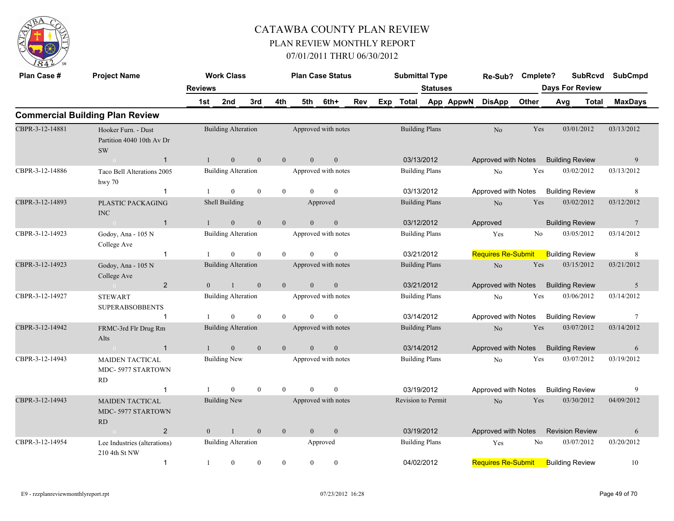

| Plan Case #     | <b>Project Name</b>                                           |                | <b>Work Class</b>          |                  |                |                | <b>Plan Case Status</b> |     |     | <b>Submittal Type</b>     |                       |           | Re-Sub?                   | Cmplete?       |                        | SubRcvd      | <b>SubCmpd</b>  |  |
|-----------------|---------------------------------------------------------------|----------------|----------------------------|------------------|----------------|----------------|-------------------------|-----|-----|---------------------------|-----------------------|-----------|---------------------------|----------------|------------------------|--------------|-----------------|--|
|                 |                                                               | <b>Reviews</b> |                            |                  |                |                |                         |     |     |                           | <b>Statuses</b>       |           |                           |                | <b>Days For Review</b> |              |                 |  |
|                 |                                                               | 1st            | 2nd                        | 3rd              | 4th            | 5th            | 6th+                    | Rev | Exp | Total                     |                       | App AppwN | <b>DisApp</b>             | Other          | Avg                    | <b>Total</b> | <b>MaxDays</b>  |  |
|                 | <b>Commercial Building Plan Review</b>                        |                |                            |                  |                |                |                         |     |     |                           |                       |           |                           |                |                        |              |                 |  |
| CBPR-3-12-14881 | Hooker Furn. - Dust<br>Partition 4040 10th Av Dr<br><b>SW</b> |                | <b>Building Alteration</b> |                  |                |                | Approved with notes     |     |     |                           | <b>Building Plans</b> |           | No                        | Yes            |                        | 03/01/2012   | 03/13/2012      |  |
|                 | $\mathbf{1}$<br>$\sim$ 0                                      | 1              | $\mathbf{0}$               | $\boldsymbol{0}$ | $\mathbf{0}$   | $\mathbf{0}$   | $\mathbf{0}$            |     |     |                           | 03/13/2012            |           | Approved with Notes       |                | <b>Building Review</b> |              | 9               |  |
| CBPR-3-12-14886 | Taco Bell Alterations 2005<br>hwy $70$                        |                | <b>Building Alteration</b> |                  |                |                | Approved with notes     |     |     |                           | <b>Building Plans</b> |           | N <sub>0</sub>            | Yes            |                        | 03/02/2012   | 03/13/2012      |  |
|                 | $\mathbf{1}$                                                  | -1             | $\theta$                   | $\theta$         | $\overline{0}$ | $\theta$       | $\mathbf{0}$            |     |     |                           | 03/13/2012            |           | Approved with Notes       |                | <b>Building Review</b> |              | 8               |  |
| CBPR-3-12-14893 | PLASTIC PACKAGING<br><b>INC</b>                               |                | Shell Building             |                  |                |                | Approved                |     |     |                           | <b>Building Plans</b> |           | N <sub>o</sub>            | Yes            |                        | 03/02/2012   | 03/12/2012      |  |
|                 | $\overline{1}$<br>$\sim 0$                                    | $\mathbf{1}$   | $\theta$                   | $\theta$         | $\theta$       | $\Omega$       | $\mathbf{0}$            |     |     |                           | 03/12/2012            |           | Approved                  |                | <b>Building Review</b> |              | $7\phantom{.0}$ |  |
| CBPR-3-12-14923 | Godoy, Ana - 105 N<br>College Ave                             |                | <b>Building Alteration</b> |                  |                |                | Approved with notes     |     |     |                           | <b>Building Plans</b> |           | Yes                       | N <sub>0</sub> |                        | 03/05/2012   | 03/14/2012      |  |
|                 | $\mathbf{1}$                                                  | -1             | $\overline{0}$             | $\mathbf{0}$     | $\theta$       | $\theta$       | $\mathbf{0}$            |     |     |                           | 03/21/2012            |           | <b>Requires Re-Submit</b> |                | <b>Building Review</b> |              | 8               |  |
| CBPR-3-12-14923 | Godoy, Ana - 105 N<br>College Ave                             |                | <b>Building Alteration</b> |                  |                |                | Approved with notes     |     |     |                           | <b>Building Plans</b> |           | N <sub>o</sub>            | Yes            |                        | 03/15/2012   | 03/21/2012      |  |
|                 | 2<br>$\sim 0$                                                 | $\overline{0}$ | -1                         | $\mathbf{0}$     | $\overline{0}$ | $\overline{0}$ | $\mathbf{0}$            |     |     |                           | 03/21/2012            |           | Approved with Notes       |                | <b>Building Review</b> |              | 5               |  |
| CBPR-3-12-14927 | <b>STEWART</b><br><b>SUPERABSOBBENTS</b>                      |                | <b>Building Alteration</b> |                  |                |                | Approved with notes     |     |     |                           | <b>Building Plans</b> |           | No                        | Yes            |                        | 03/06/2012   | 03/14/2012      |  |
|                 | -1                                                            |                | $\overline{0}$             | $\mathbf{0}$     | $\overline{0}$ | $\theta$       | $\mathbf{0}$            |     |     |                           | 03/14/2012            |           | Approved with Notes       |                | <b>Building Review</b> |              | $7\phantom{.0}$ |  |
| CBPR-3-12-14942 | FRMC-3rd Flr Drug Rm<br>Alts                                  |                | <b>Building Alteration</b> |                  |                |                | Approved with notes     |     |     |                           | <b>Building Plans</b> |           | No                        | Yes            |                        | 03/07/2012   | 03/14/2012      |  |
|                 | $\overline{1}$<br>$\sim$ 0 $\sim$                             | $\mathbf{1}$   | $\overline{0}$             | $\mathbf{0}$     | $\theta$       | $\theta$       | $\mathbf{0}$            |     |     |                           | 03/14/2012            |           | Approved with Notes       |                | <b>Building Review</b> |              | 6               |  |
| CBPR-3-12-14943 | <b>MAIDEN TACTICAL</b><br>MDC-5977 STARTOWN<br>RD             |                | <b>Building New</b>        |                  |                |                | Approved with notes     |     |     |                           | <b>Building Plans</b> |           | No                        | Yes            |                        | 03/07/2012   | 03/19/2012      |  |
|                 | $\mathbf{1}$                                                  | -1             | $\theta$                   | $\theta$         | $\theta$       | $\theta$       | $\mathbf{0}$            |     |     |                           | 03/19/2012            |           | Approved with Notes       |                | <b>Building Review</b> |              | 9               |  |
| CBPR-3-12-14943 | <b>MAIDEN TACTICAL</b><br>MDC-5977 STARTOWN<br>RD             |                | <b>Building New</b>        |                  |                |                | Approved with notes     |     |     | <b>Revision to Permit</b> |                       |           | No                        | Yes            |                        | 03/30/2012   | 04/09/2012      |  |
|                 | $\overline{2}$<br>$\sim 0$                                    | $\overline{0}$ | $\mathbf{1}$               | $\mathbf{0}$     | $\overline{0}$ | $\overline{0}$ | $\mathbf{0}$            |     |     |                           | 03/19/2012            |           | Approved with Notes       |                | <b>Revision Review</b> |              | 6               |  |
| CBPR-3-12-14954 | Lee Industries (alterations)<br>210 4th St NW                 |                | <b>Building Alteration</b> |                  |                |                | Approved                |     |     |                           | <b>Building Plans</b> |           | Yes                       | No             |                        | 03/07/2012   | 03/20/2012      |  |
|                 | $\mathbf{1}$                                                  | 1              | $\overline{0}$             | $\mathbf{0}$     | $\mathbf{0}$   | $\mathbf{0}$   | $\boldsymbol{0}$        |     |     | 04/02/2012                |                       |           | <b>Requires Re-Submit</b> |                | <b>Building Review</b> |              | 10              |  |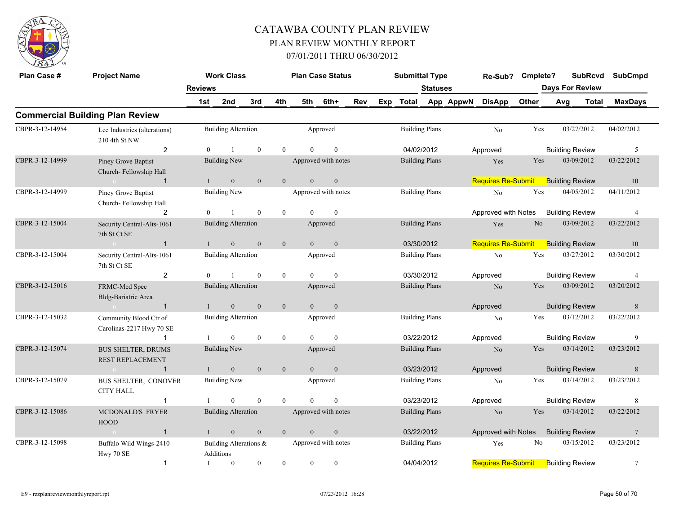

| Plan Case #     | <b>Project Name</b>                                  |                | <b>Work Class</b>                      |                |                |                | <b>Plan Case Status</b> |     |     | <b>Submittal Type</b> |                       |           | Re-Sub?                   | Cmplete?       | <b>SubRcvd</b>         | <b>SubCmpd</b>  |
|-----------------|------------------------------------------------------|----------------|----------------------------------------|----------------|----------------|----------------|-------------------------|-----|-----|-----------------------|-----------------------|-----------|---------------------------|----------------|------------------------|-----------------|
|                 |                                                      | <b>Reviews</b> |                                        |                |                |                |                         |     |     |                       | <b>Statuses</b>       |           |                           |                | <b>Days For Review</b> |                 |
|                 |                                                      | 1st            | 2nd                                    | 3rd            | 4th            | 5th            | 6th+                    | Rev | Exp | Total                 |                       | App AppwN | <b>DisApp</b>             | Other          | Avg<br><b>Total</b>    | <b>MaxDays</b>  |
|                 | <b>Commercial Building Plan Review</b>               |                |                                        |                |                |                |                         |     |     |                       |                       |           |                           |                |                        |                 |
| CBPR-3-12-14954 | Lee Industries (alterations)<br>210 4th St NW        |                | <b>Building Alteration</b>             |                |                |                | Approved                |     |     |                       | <b>Building Plans</b> |           | N <sub>o</sub>            | Yes            | 03/27/2012             | 04/02/2012      |
|                 | $\overline{2}$                                       | $\overline{0}$ |                                        | $\mathbf{0}$   | $\overline{0}$ | $\theta$       | $\mathbf{0}$            |     |     |                       | 04/02/2012            |           | Approved                  |                | <b>Building Review</b> | 5               |
| CBPR-3-12-14999 | Piney Grove Baptist<br>Church-Fellowship Hall        |                | <b>Building New</b>                    |                |                |                | Approved with notes     |     |     |                       | <b>Building Plans</b> |           | Yes                       | Yes            | 03/09/2012             | 03/22/2012      |
|                 | $\mathbf{1}$<br>$\sim 0$                             | $\overline{1}$ | $\overline{0}$                         | $\overline{0}$ | $\overline{0}$ | $\overline{0}$ | $\mathbf{0}$            |     |     |                       |                       |           | <b>Requires Re-Submit</b> |                | <b>Building Review</b> | 10              |
| CBPR-3-12-14999 | Piney Grove Baptist<br>Church-Fellowship Hall        |                | <b>Building New</b>                    |                |                |                | Approved with notes     |     |     |                       | <b>Building Plans</b> |           | $\rm No$                  | Yes            | 04/05/2012             | 04/11/2012      |
|                 | $\overline{2}$                                       | $\Omega$       | -1                                     | $\mathbf{0}$   | $\mathbf{0}$   | $\theta$       | $\mathbf{0}$            |     |     |                       |                       |           | Approved with Notes       |                | <b>Building Review</b> | $\overline{4}$  |
| CBPR-3-12-15004 | Security Central-Alts-1061<br>7th St Ct SE           |                | <b>Building Alteration</b>             |                |                |                | Approved                |     |     |                       | <b>Building Plans</b> |           | Yes                       | N <sub>o</sub> | 03/09/2012             | 03/22/2012      |
|                 | $\sim 0$ and $\sim 0$<br>$\overline{1}$              | $\mathbf{1}$   | $\overline{0}$                         | $\mathbf{0}$   | $\overline{0}$ | $\theta$       | $\mathbf{0}$            |     |     |                       | 03/30/2012            |           | <b>Requires Re-Submit</b> |                | <b>Building Review</b> | 10              |
| CBPR-3-12-15004 | Security Central-Alts-1061<br>7th St Ct SE           |                | <b>Building Alteration</b>             |                |                |                | Approved                |     |     |                       | <b>Building Plans</b> |           | No                        | Yes            | 03/27/2012             | 03/30/2012      |
|                 | $\overline{2}$                                       | $\theta$       | $\overline{1}$                         | $\theta$       | $\overline{0}$ | $\Omega$       | $\theta$                |     |     | 03/30/2012            |                       |           | Approved                  |                | <b>Building Review</b> | $\overline{4}$  |
| CBPR-3-12-15016 | FRMC-Med Spec<br>Bldg-Bariatric Area                 |                | <b>Building Alteration</b>             |                |                |                | Approved                |     |     |                       | <b>Building Plans</b> |           | N <sub>o</sub>            | Yes            | 03/09/2012             | 03/20/2012      |
|                 | $\sim 0$ and $\sim 0$<br>$\mathbf{1}$                | $\mathbf{1}$   | $\mathbf{0}$                           | $\mathbf{0}$   | $\mathbf{0}$   | $\mathbf{0}$   | $\mathbf{0}$            |     |     |                       |                       |           | Approved                  |                | <b>Building Review</b> | 8               |
| CBPR-3-12-15032 | Community Blood Ctr of<br>Carolinas-2217 Hwy 70 SE   |                | <b>Building Alteration</b>             |                |                |                | Approved                |     |     |                       | <b>Building Plans</b> |           | No                        | Yes            | 03/12/2012             | 03/22/2012      |
|                 | $\mathbf{1}$                                         |                | $\overline{0}$                         | $\theta$       | $\overline{0}$ | $\theta$       | $\mathbf{0}$            |     |     | 03/22/2012            |                       |           | Approved                  |                | <b>Building Review</b> | 9               |
| CBPR-3-12-15074 | <b>BUS SHELTER, DRUMS</b><br><b>REST REPLACEMENT</b> |                | <b>Building New</b>                    |                |                |                | Approved                |     |     |                       | <b>Building Plans</b> |           | No                        | Yes            | 03/14/2012             | 03/23/2012      |
|                 | $\overline{1}$<br>$\sim$ 0 $\sim$ 0 $\sim$           | $\mathbf{1}$   | $\overline{0}$                         | $\mathbf{0}$   | $\overline{0}$ | $\overline{0}$ | $\mathbf{0}$            |     |     |                       | 03/23/2012            |           | Approved                  |                | <b>Building Review</b> | 8               |
| CBPR-3-12-15079 | BUS SHELTER, CONOVER<br><b>CITY HALL</b>             |                | <b>Building New</b>                    |                |                |                | Approved                |     |     |                       | <b>Building Plans</b> |           | No                        | Yes            | 03/14/2012             | 03/23/2012      |
|                 | $\mathbf{1}$                                         |                | $\theta$                               | $\theta$       | $\theta$       | $\Omega$       | $\boldsymbol{0}$        |     |     | 03/23/2012            |                       |           | Approved                  |                | <b>Building Review</b> | 8               |
| CBPR-3-12-15086 | MCDONALD'S FRYER<br><b>HOOD</b>                      |                | <b>Building Alteration</b>             |                |                |                | Approved with notes     |     |     |                       | <b>Building Plans</b> |           | No                        | Yes            | 03/14/2012             | 03/22/2012      |
|                 | $\overline{1}$<br>$\sim 0$                           | $\mathbf{1}$   | $\mathbf{0}$                           | $\mathbf{0}$   | $\overline{0}$ | $\overline{0}$ | $\mathbf{0}$            |     |     |                       | 03/22/2012            |           | Approved with Notes       |                | <b>Building Review</b> | $7\phantom{.0}$ |
| CBPR-3-12-15098 | Buffalo Wild Wings-2410<br>Hwy 70 SE                 |                | Building Alterations $\&$<br>Additions |                |                |                | Approved with notes     |     |     |                       | <b>Building Plans</b> |           | Yes                       | No             | 03/15/2012             | 03/23/2012      |
|                 | $\mathbf{1}$                                         | -1             | $\overline{0}$                         | $\mathbf{0}$   | $\theta$       | $\mathbf{0}$   | $\overline{0}$          |     |     | 04/04/2012            |                       |           | <b>Requires Re-Submit</b> |                | <b>Building Review</b> | $7\phantom{.0}$ |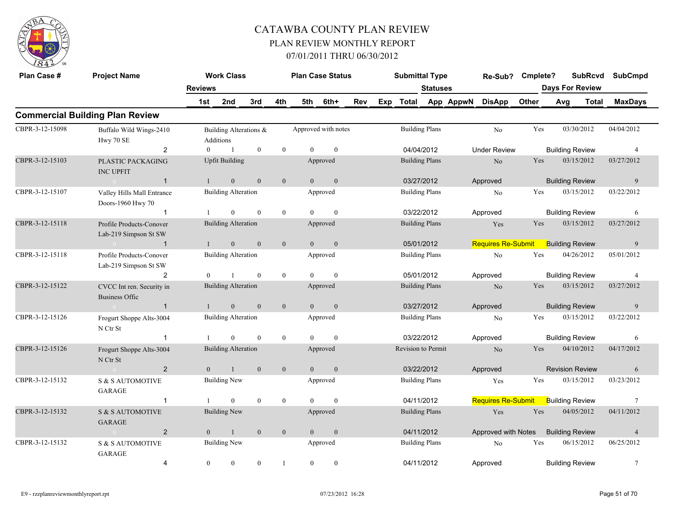

| Plan Case #     | <b>Project Name</b>                                                    | <b>Reviews</b> | <b>Work Class</b>                   |              |                |                | <b>Plan Case Status</b> |     | <b>Submittal Type</b> | <b>Statuses</b>       |           | Re-Sub? Cmplete?          |       | <b>SubRcvd</b><br><b>Days For Review</b> |       | <b>SubCmpd</b> |
|-----------------|------------------------------------------------------------------------|----------------|-------------------------------------|--------------|----------------|----------------|-------------------------|-----|-----------------------|-----------------------|-----------|---------------------------|-------|------------------------------------------|-------|----------------|
|                 |                                                                        | 1st            | 2nd                                 | 3rd          | 4th            | 5th            | 6th+                    | Rev | Exp Total             |                       | App AppwN | <b>DisApp</b>             | Other | Avg                                      | Total | <b>MaxDays</b> |
|                 | <b>Commercial Building Plan Review</b>                                 |                |                                     |              |                |                |                         |     |                       |                       |           |                           |       |                                          |       |                |
| CBPR-3-12-15098 | Buffalo Wild Wings-2410<br>Hwy 70 SE                                   |                | Building Alterations &<br>Additions |              |                |                | Approved with notes     |     |                       | <b>Building Plans</b> |           | No                        | Yes   | 03/30/2012                               |       | 04/04/2012     |
|                 | 2                                                                      | $\overline{0}$ | $\overline{1}$                      | $\mathbf{0}$ | $\overline{0}$ | $\theta$       | $\overline{0}$          |     | 04/04/2012            |                       |           | <b>Under Review</b>       |       | <b>Building Review</b>                   |       | $\overline{4}$ |
| CBPR-3-12-15103 | PLASTIC PACKAGING<br><b>INC UPFIT</b>                                  |                | <b>Upfit Building</b>               |              |                |                | Approved                |     | <b>Building Plans</b> |                       |           | $\rm No$                  | Yes   | 03/15/2012                               |       | 03/27/2012     |
|                 | $\sim 0$<br>$\overline{1}$                                             | $\mathbf{1}$   | $\mathbf{0}$                        | $\mathbf{0}$ | $\mathbf{0}$   | $\overline{0}$ | $\mathbf{0}$            |     | 03/27/2012            |                       |           | Approved                  |       | <b>Building Review</b>                   |       | 9              |
| CBPR-3-12-15107 | Valley Hills Mall Entrance<br>Doors-1960 Hwy 70                        |                | <b>Building Alteration</b>          |              |                |                | Approved                |     | <b>Building Plans</b> |                       |           | No                        | Yes   | 03/15/2012                               |       | 03/22/2012     |
|                 | $\mathbf{1}$                                                           | $\mathbf{1}$   | $\overline{0}$                      | $\theta$     | $\overline{0}$ | $\Omega$       | $\mathbf{0}$            |     | 03/22/2012            |                       |           | Approved                  |       | <b>Building Review</b>                   |       | 6              |
| CBPR-3-12-15118 | Profile Products-Conover<br>Lab-219 Simpson St SW                      |                | <b>Building Alteration</b>          |              |                |                | Approved                |     |                       | <b>Building Plans</b> |           | Yes                       | Yes   | 03/15/2012                               |       | 03/27/2012     |
|                 | $\begin{array}{ccc} 0 & \cdots & \cdots \end{array}$<br>$\overline{1}$ | $\overline{1}$ | $\mathbf{0}$                        | $\mathbf{0}$ | $\mathbf{0}$   | $\theta$       | $\mathbf{0}$            |     | 05/01/2012            |                       |           | <b>Requires Re-Submit</b> |       | <b>Building Review</b>                   |       | 9              |
| CBPR-3-12-15118 | Profile Products-Conover<br>Lab-219 Simpson St SW                      |                | <b>Building Alteration</b>          |              |                |                | Approved                |     | <b>Building Plans</b> |                       |           | No                        | Yes   | 04/26/2012                               |       | 05/01/2012     |
|                 | $\overline{2}$                                                         | $\theta$       | $\mathbf{1}$                        | $\mathbf{0}$ | $\overline{0}$ | $\Omega$       | $\mathbf{0}$            |     | 05/01/2012            |                       |           | Approved                  |       | <b>Building Review</b>                   |       | $\overline{4}$ |
| CBPR-3-12-15122 | CVCC Int ren. Security in<br><b>Business Offic</b>                     |                | <b>Building Alteration</b>          |              |                |                | Approved                |     |                       | <b>Building Plans</b> |           | N <sub>o</sub>            | Yes   | 03/15/2012                               |       | 03/27/2012     |
|                 | $\overline{1}$<br>$\sim 0$                                             | $\mathbf{1}$   | $\mathbf{0}$                        | $\mathbf{0}$ | $\mathbf{0}$   | $\overline{0}$ | $\mathbf{0}$            |     | 03/27/2012            |                       |           | Approved                  |       | <b>Building Review</b>                   |       | 9              |
| CBPR-3-12-15126 | Frogurt Shoppe Alts-3004<br>N Ctr St                                   |                | <b>Building Alteration</b>          |              |                |                | Approved                |     | <b>Building Plans</b> |                       |           | No                        | Yes   | 03/15/2012                               |       | 03/22/2012     |
|                 | $\mathbf{1}$                                                           |                | $\mathbf{0}$                        | $\mathbf{0}$ | $\overline{0}$ | $\theta$       | $\mathbf{0}$            |     | 03/22/2012            |                       |           | Approved                  |       | <b>Building Review</b>                   |       | 6              |
| CBPR-3-12-15126 | Frogurt Shoppe Alts-3004<br>N Ctr St                                   |                | <b>Building Alteration</b>          |              |                |                | Approved                |     | Revision to Permit    |                       |           | N <sub>o</sub>            | Yes   | 04/10/2012                               |       | 04/17/2012     |
|                 | $\overline{2}$                                                         | $\overline{0}$ | $\mathbf{1}$                        | $\mathbf{0}$ | $\mathbf{0}$   | $\overline{0}$ | $\mathbf{0}$            |     | 03/22/2012            |                       |           | Approved                  |       | <b>Revision Review</b>                   |       | 6              |
| CBPR-3-12-15132 | <b>S &amp; S AUTOMOTIVE</b><br>GARAGE                                  |                | <b>Building New</b>                 |              |                |                | Approved                |     |                       | <b>Building Plans</b> |           | Yes                       | Yes   | 03/15/2012                               |       | 03/23/2012     |
|                 | $\mathbf{1}$                                                           |                | $\overline{0}$                      | $\mathbf{0}$ | $\mathbf{0}$   | $\Omega$       | $\mathbf{0}$            |     | 04/11/2012            |                       |           | Requires Re-Submit        |       | <b>Building Review</b>                   |       | 7              |
| CBPR-3-12-15132 | <b>S &amp; S AUTOMOTIVE</b><br>GARAGE                                  |                | <b>Building New</b>                 |              |                |                | Approved                |     | <b>Building Plans</b> |                       |           | Yes                       | Yes   | 04/05/2012                               |       | 04/11/2012     |
|                 | $\overline{2}$<br>$\sim 0$                                             | $\theta$       | $\mathbf{1}$                        | $\mathbf{0}$ | $\mathbf{0}$   | $\overline{0}$ | $\mathbf{0}$            |     | 04/11/2012            |                       |           | Approved with Notes       |       | <b>Building Review</b>                   |       | $\overline{4}$ |
| CBPR-3-12-15132 | <b>S &amp; S AUTOMOTIVE</b><br><b>GARAGE</b>                           |                | <b>Building New</b>                 |              |                |                | Approved                |     |                       | <b>Building Plans</b> |           | N <sub>o</sub>            | Yes   | 06/15/2012                               |       | 06/25/2012     |
|                 | 4                                                                      | $\mathbf{0}$   | $\boldsymbol{0}$                    | $\mathbf{0}$ | $\mathbf{1}$   | $\overline{0}$ | $\bf{0}$                |     | 04/11/2012            |                       |           | Approved                  |       | <b>Building Review</b>                   |       | $\tau$         |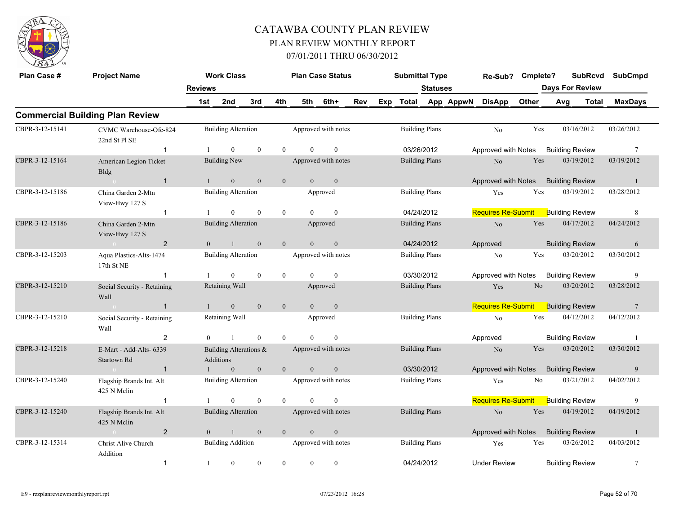

| Plan Case #     | <b>Project Name</b>                            |                        | <b>Work Class</b>                   |                |                |                | <b>Plan Case Status</b> |     | <b>Submittal Type</b> |                       |                     | Re-Sub? Cmplete?          |                | <b>SubRcvd</b>         | <b>SubCmpd</b>  |
|-----------------|------------------------------------------------|------------------------|-------------------------------------|----------------|----------------|----------------|-------------------------|-----|-----------------------|-----------------------|---------------------|---------------------------|----------------|------------------------|-----------------|
|                 |                                                | <b>Reviews</b>         |                                     |                |                |                |                         |     |                       | <b>Statuses</b>       |                     |                           |                | <b>Days For Review</b> |                 |
|                 |                                                | 1st                    | 2nd                                 | 3rd            | 4th            | 5th            | 6th+                    | Rev |                       |                       | Exp Total App AppwN | <b>DisApp</b>             | Other          | Avg<br>Total           | <b>MaxDays</b>  |
|                 | <b>Commercial Building Plan Review</b>         |                        |                                     |                |                |                |                         |     |                       |                       |                     |                           |                |                        |                 |
| CBPR-3-12-15141 | CVMC Warehouse-Ofc-824<br>22nd St Pl SE        |                        | <b>Building Alteration</b>          |                |                |                | Approved with notes     |     |                       | <b>Building Plans</b> |                     | No                        | Yes            | 03/16/2012             | 03/26/2012      |
|                 | $\mathbf{1}$                                   |                        | $\theta$                            | $\theta$       | $\theta$       | $\Omega$       | $\mathbf{0}$            |     |                       | 03/26/2012            |                     | Approved with Notes       |                | <b>Building Review</b> | 7               |
| CBPR-3-12-15164 | American Legion Ticket<br><b>Bldg</b>          |                        | <b>Building New</b>                 |                |                |                | Approved with notes     |     |                       | <b>Building Plans</b> |                     | $\rm No$                  | Yes            | 03/19/2012             | 03/19/2012      |
|                 | $\overline{1}$<br>$\sim 0$ and $\sim 10^{-10}$ | $\mathbf{1}$           | $\mathbf{0}$                        | $\mathbf{0}$   | $\overline{0}$ | $\overline{0}$ | $\mathbf{0}$            |     |                       |                       |                     | Approved with Notes       |                | <b>Building Review</b> | $\overline{1}$  |
| CBPR-3-12-15186 | China Garden 2-Mtn<br>View-Hwy 127 S           |                        | <b>Building Alteration</b>          |                |                |                | Approved                |     |                       | <b>Building Plans</b> |                     | Yes                       | Yes            | 03/19/2012             | 03/28/2012      |
|                 | $\mathbf{1}$                                   | $\mathbf{1}$           | $\theta$                            | $\theta$       | $\overline{0}$ | $\Omega$       | $\mathbf{0}$            |     |                       | 04/24/2012            |                     | Requires Re-Submit        |                | <b>Building Review</b> | 8               |
| CBPR-3-12-15186 | China Garden 2-Mtn<br>View-Hwy 127 S           |                        | <b>Building Alteration</b>          |                |                |                | Approved                |     |                       | <b>Building Plans</b> |                     | No.                       | Yes            | 04/17/2012             | 04/24/2012      |
|                 | $\overline{2}$<br>$\sim 0$ and $\sim$          | $\theta$               | -1                                  | $\mathbf{0}$   | $\overline{0}$ | $\overline{0}$ | $\mathbf{0}$            |     |                       | 04/24/2012            |                     | Approved                  |                | <b>Building Review</b> | 6               |
| CBPR-3-12-15203 | Aqua Plastics-Alts-1474<br>17th St NE          |                        | <b>Building Alteration</b>          |                |                |                | Approved with notes     |     |                       | <b>Building Plans</b> |                     | No                        | Yes            | 03/20/2012             | 03/30/2012      |
|                 | $\mathbf{1}$                                   |                        | $\theta$                            | $\mathbf{0}$   | $\overline{0}$ | $\Omega$       | $\mathbf{0}$            |     |                       | 03/30/2012            |                     | Approved with Notes       |                | <b>Building Review</b> | 9               |
| CBPR-3-12-15210 | Social Security - Retaining<br>Wall            |                        | Retaining Wall                      |                |                |                | Approved                |     |                       | <b>Building Plans</b> |                     | Yes                       | N <sub>o</sub> | 03/20/2012             | 03/28/2012      |
|                 | $\sim 0$<br>$\overline{1}$                     | $\left  \cdot \right $ | $\mathbf{0}$                        | $\overline{0}$ | $\mathbf{0}$   | $\overline{0}$ | $\mathbf{0}$            |     |                       |                       |                     | <b>Requires Re-Submit</b> |                | <b>Building Review</b> | $7\phantom{.0}$ |
| CBPR-3-12-15210 | Social Security - Retaining<br>Wall            |                        | Retaining Wall                      |                |                |                | Approved                |     |                       | <b>Building Plans</b> |                     | No                        | Yes            | 04/12/2012             | 04/12/2012      |
|                 | 2                                              | $\theta$               | $\mathbf{1}$                        | $\mathbf{0}$   | $\overline{0}$ | $\theta$       | $\mathbf{0}$            |     |                       |                       |                     | Approved                  |                | <b>Building Review</b> | -1              |
| CBPR-3-12-15218 | E-Mart - Add-Alts- 6339<br>Startown Rd         |                        | Building Alterations &<br>Additions |                |                |                | Approved with notes     |     |                       | <b>Building Plans</b> |                     | N <sub>o</sub>            | Yes            | 03/20/2012             | 03/30/2012      |
|                 | $\overline{1}$<br>$\sim 0$ and $\sim$          |                        | $\mathbf{0}$                        | $\mathbf{0}$   | $\overline{0}$ | $\overline{0}$ | $\mathbf{0}$            |     |                       | 03/30/2012            |                     | Approved with Notes       |                | <b>Building Review</b> | 9               |
| CBPR-3-12-15240 | Flagship Brands Int. Alt<br>425 N Melin        |                        | <b>Building Alteration</b>          |                |                |                | Approved with notes     |     |                       | <b>Building Plans</b> |                     | Yes                       | No             | 03/21/2012             | 04/02/2012      |
|                 | $\mathbf{1}$                                   |                        | $\theta$                            | $\theta$       | $\theta$       | $\Omega$       | $\mathbf{0}$            |     |                       |                       |                     | Requires Re-Submit        |                | <b>Building Review</b> | 9               |
| CBPR-3-12-15240 | Flagship Brands Int. Alt<br>425 N Melin        |                        | <b>Building Alteration</b>          |                |                |                | Approved with notes     |     |                       | <b>Building Plans</b> |                     | No                        | Yes            | 04/19/2012             | 04/19/2012      |
|                 | $\overline{2}$<br>$\sim 0$                     | $\overline{0}$         | $\overline{1}$                      | $\mathbf{0}$   | $\overline{0}$ | $\overline{0}$ | $\mathbf{0}$            |     |                       |                       |                     | Approved with Notes       |                | <b>Building Review</b> | -1              |
| CBPR-3-12-15314 | Christ Alive Church<br>Addition                |                        | <b>Building Addition</b>            |                |                |                | Approved with notes     |     |                       | <b>Building Plans</b> |                     | Yes                       | Yes            | 03/26/2012             | 04/03/2012      |
|                 | $\mathbf{1}$                                   | -1                     | $\overline{0}$                      | $\mathbf{0}$   | $\theta$       | $\overline{0}$ | $\mathbf{0}$            |     |                       | 04/24/2012            |                     | <b>Under Review</b>       |                | <b>Building Review</b> | 7               |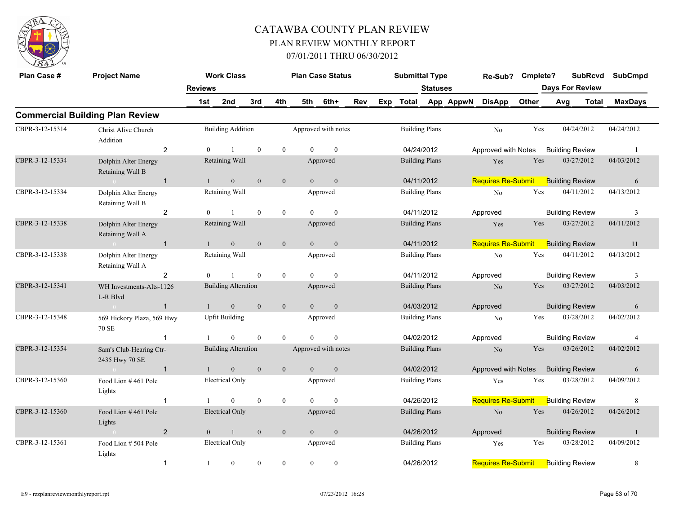

| Plan Case #     | <b>Project Name</b>                       |                | <b>Work Class</b>          |                |                |                | <b>Plan Case Status</b> |     |     | <b>Submittal Type</b> |                       |           | Re-Sub? Cmplete?                          |       |     | <b>SubRcvd</b>         |            | <b>SubCmpd</b> |
|-----------------|-------------------------------------------|----------------|----------------------------|----------------|----------------|----------------|-------------------------|-----|-----|-----------------------|-----------------------|-----------|-------------------------------------------|-------|-----|------------------------|------------|----------------|
|                 |                                           | <b>Reviews</b> |                            |                |                |                |                         |     |     |                       | <b>Statuses</b>       |           |                                           |       |     | <b>Days For Review</b> |            |                |
|                 |                                           | 1st            | 2nd                        | 3rd            | 4th            | 5th            | 6th+                    | Rev | Exp | Total                 |                       | App AppwN | <b>DisApp</b>                             | Other | Avg | Total                  |            | <b>MaxDays</b> |
|                 | <b>Commercial Building Plan Review</b>    |                |                            |                |                |                |                         |     |     |                       |                       |           |                                           |       |     |                        |            |                |
| CBPR-3-12-15314 | Christ Alive Church<br>Addition           |                | <b>Building Addition</b>   |                |                |                | Approved with notes     |     |     | <b>Building Plans</b> |                       |           | N <sub>o</sub>                            | Yes   |     | 04/24/2012             | 04/24/2012 |                |
|                 | $\overline{2}$                            | $\Omega$       |                            | $\mathbf{0}$   | $\overline{0}$ | $\Omega$       | $\mathbf{0}$            |     |     | 04/24/2012            |                       |           | Approved with Notes                       |       |     | <b>Building Review</b> |            | - 1            |
| CBPR-3-12-15334 | Dolphin Alter Energy<br>Retaining Wall B  |                | Retaining Wall             |                |                |                | Approved                |     |     | <b>Building Plans</b> |                       |           | Yes                                       | Yes   |     | 03/27/2012             | 04/03/2012 |                |
|                 | $\mathbf{1}$<br>$\sim 0$                  | $\mathbf{1}$   | $\mathbf{0}$               | $\overline{0}$ | $\mathbf{0}$   | $\overline{0}$ | $\mathbf{0}$            |     |     | 04/11/2012            |                       |           | <b>Requires Re-Submit</b>                 |       |     | <b>Building Review</b> |            | 6              |
| CBPR-3-12-15334 | Dolphin Alter Energy<br>Retaining Wall B  |                | Retaining Wall             |                |                |                | Approved                |     |     | <b>Building Plans</b> |                       |           | No                                        | Yes   |     | 04/11/2012             | 04/13/2012 |                |
|                 | 2                                         | $\Omega$       | -1                         | $\theta$       | $\overline{0}$ | $\Omega$       | $\mathbf{0}$            |     |     | 04/11/2012            |                       |           | Approved                                  |       |     | <b>Building Review</b> |            | 3              |
| CBPR-3-12-15338 | Dolphin Alter Energy<br>Retaining Wall A  |                | Retaining Wall             |                |                |                | Approved                |     |     | <b>Building Plans</b> |                       |           | Yes                                       | Yes   |     | 03/27/2012             | 04/11/2012 |                |
|                 | $\sim 0$ and $\sim 0$<br>$\mathbf{1}$     | $\overline{1}$ | $\mathbf{0}$               | $\mathbf{0}$   | $\mathbf{0}$   | $\overline{0}$ | $\mathbf{0}$            |     |     | 04/11/2012            |                       |           | <b>Requires Re-Submit</b>                 |       |     | <b>Building Review</b> |            | 11             |
| CBPR-3-12-15338 | Dolphin Alter Energy<br>Retaining Wall A  |                | Retaining Wall             |                |                |                | Approved                |     |     | <b>Building Plans</b> |                       |           | No                                        | Yes   |     | 04/11/2012             | 04/13/2012 |                |
|                 | 2                                         | $\Omega$       | $\mathbf{1}$               | $\theta$       | $\overline{0}$ | $\Omega$       | $\theta$                |     |     | 04/11/2012            |                       |           | Approved                                  |       |     | <b>Building Review</b> |            | 3              |
| CBPR-3-12-15341 | WH Investments-Alts-1126<br>L-R Blvd      |                | <b>Building Alteration</b> |                |                |                | Approved                |     |     | <b>Building Plans</b> |                       |           | N <sub>o</sub>                            | Yes   |     | 03/27/2012             | 04/03/2012 |                |
|                 | $\sim 0$<br>$\mathbf{1}$                  | $\mathbf{1}$   | $\mathbf{0}$               | $\mathbf{0}$   | $\overline{0}$ | $\overline{0}$ | $\overline{0}$          |     |     | 04/03/2012            |                       |           | Approved                                  |       |     | <b>Building Review</b> |            | 6              |
| CBPR-3-12-15348 | 569 Hickory Plaza, 569 Hwy<br>70 SE       |                | <b>Upfit Building</b>      |                |                |                | Approved                |     |     | <b>Building Plans</b> |                       |           | No                                        | Yes   |     | 03/28/2012             | 04/02/2012 |                |
|                 | $\mathbf{1}$                              |                | $\Omega$                   | $\theta$       | $\theta$       | $\Omega$       | $\theta$                |     |     | 04/02/2012            |                       |           | Approved                                  |       |     | <b>Building Review</b> |            | 4              |
| CBPR-3-12-15354 | Sam's Club-Hearing Ctr-<br>2435 Hwy 70 SE |                | <b>Building Alteration</b> |                |                |                | Approved with notes     |     |     | <b>Building Plans</b> |                       |           | N <sub>o</sub>                            | Yes   |     | 03/26/2012             | 04/02/2012 |                |
|                 | $\overline{1}$<br>$0<\infty$              | $\mathbf{1}$   | $\mathbf{0}$               | $\overline{0}$ | $\mathbf{0}$   | $\overline{0}$ | $\mathbf{0}$            |     |     | 04/02/2012            |                       |           | Approved with Notes                       |       |     | <b>Building Review</b> |            | 6              |
| CBPR-3-12-15360 | Food Lion #461 Pole<br>Lights             |                | <b>Electrical Only</b>     |                |                |                | Approved                |     |     | <b>Building Plans</b> |                       |           | Yes                                       | Yes   |     | 03/28/2012             | 04/09/2012 |                |
|                 | $\mathbf{1}$                              |                | $\mathbf{0}$               | $\mathbf{0}$   | $\overline{0}$ | $\theta$       | $\mathbf{0}$            |     |     | 04/26/2012            |                       |           | <b>Requires Re-Submit</b>                 |       |     | <b>Building Review</b> |            | 8              |
| CBPR-3-12-15360 | Food Lion #461 Pole<br>Lights             |                | Electrical Only            |                |                |                | Approved                |     |     | <b>Building Plans</b> |                       |           | No                                        | Yes   |     | 04/26/2012             | 04/26/2012 |                |
|                 | $\overline{2}$<br>$\sim 0$                | $\overline{0}$ | $\mathbf{1}$               | $\mathbf{0}$   | $\mathbf{0}$   | $\overline{0}$ | $\mathbf{0}$            |     |     | 04/26/2012            |                       |           | Approved                                  |       |     | <b>Building Review</b> |            | $\overline{1}$ |
| CBPR-3-12-15361 | Food Lion # 504 Pole<br>Lights            |                | Electrical Only            |                |                |                | Approved                |     |     |                       | <b>Building Plans</b> |           | Yes                                       | Yes   |     | 03/28/2012             | 04/09/2012 |                |
|                 | $\mathbf{1}$                              |                | $\mathbf{0}$               | $\theta$       | $\theta$       | $\overline{0}$ | $\mathbf{0}$            |     |     | 04/26/2012            |                       |           | <b>Requires Re-Submit</b> Building Review |       |     |                        |            | 8              |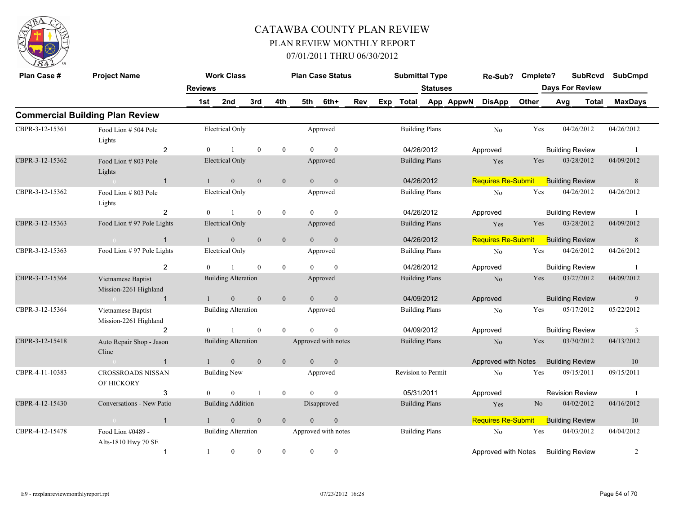

| Plan Case #     | <b>Project Name</b>                         |                | <b>Work Class</b>          |              |                |                | <b>Plan Case Status</b> |     |     | <b>Submittal Type</b> |                 |           | Re-Sub?                   | Cmplete?       |                        | <b>SubRcvd</b> | <b>SubCmpd</b> |
|-----------------|---------------------------------------------|----------------|----------------------------|--------------|----------------|----------------|-------------------------|-----|-----|-----------------------|-----------------|-----------|---------------------------|----------------|------------------------|----------------|----------------|
|                 |                                             | <b>Reviews</b> |                            |              |                |                |                         |     |     |                       | <b>Statuses</b> |           |                           |                | <b>Days For Review</b> |                |                |
|                 |                                             | 1st            | 2nd                        | 3rd          | 4th            | 5th            | 6th+                    | Rev | Exp | <b>Total</b>          |                 | App AppwN | <b>DisApp</b>             | Other          | Avg                    | Total          | <b>MaxDays</b> |
|                 | <b>Commercial Building Plan Review</b>      |                |                            |              |                |                |                         |     |     |                       |                 |           |                           |                |                        |                |                |
| CBPR-3-12-15361 | Food Lion # 504 Pole<br>Lights              |                | <b>Electrical Only</b>     |              |                |                | Approved                |     |     | <b>Building Plans</b> |                 |           | No                        | Yes            | 04/26/2012             |                | 04/26/2012     |
|                 | 2                                           | $\theta$       |                            | $\mathbf{0}$ | $\overline{0}$ | $\Omega$       | $\theta$                |     |     | 04/26/2012            |                 |           | Approved                  |                | <b>Building Review</b> |                | -1             |
| CBPR-3-12-15362 | Food Lion #803 Pole<br>Lights               |                | <b>Electrical Only</b>     |              |                |                | Approved                |     |     | <b>Building Plans</b> |                 |           | Yes                       | Yes            | 03/28/2012             |                | 04/09/2012     |
|                 | $\sim 0$<br>$\overline{1}$                  | $\overline{1}$ | $\mathbf{0}$               | $\mathbf{0}$ | $\mathbf{0}$   | $\overline{0}$ | $\mathbf{0}$            |     |     | 04/26/2012            |                 |           | <b>Requires Re-Submit</b> |                | <b>Building Review</b> |                | 8              |
| CBPR-3-12-15362 | Food Lion #803 Pole<br>Lights               |                | <b>Electrical Only</b>     |              |                |                | Approved                |     |     | <b>Building Plans</b> |                 |           | No                        | Yes            | 04/26/2012             |                | 04/26/2012     |
|                 | 2                                           | $\theta$       |                            | $\theta$     | $\overline{0}$ | $\Omega$       | $\theta$                |     |     | 04/26/2012            |                 |           | Approved                  |                | <b>Building Review</b> |                | -1             |
| CBPR-3-12-15363 | Food Lion #97 Pole Lights                   |                | <b>Electrical Only</b>     |              |                |                | Approved                |     |     | <b>Building Plans</b> |                 |           | Yes                       | Yes            | 03/28/2012             |                | 04/09/2012     |
|                 | $\sim 0$<br>$\overline{1}$                  | $\mathbf{1}$   | $\overline{0}$             | $\mathbf{0}$ | $\mathbf{0}$   | $\overline{0}$ | $\overline{0}$          |     |     | 04/26/2012            |                 |           | <b>Requires Re-Submit</b> |                | <b>Building Review</b> |                | 8              |
| CBPR-3-12-15363 | Food Lion #97 Pole Lights                   |                | <b>Electrical Only</b>     |              |                |                | Approved                |     |     | <b>Building Plans</b> |                 |           | No                        | Yes            | 04/26/2012             |                | 04/26/2012     |
|                 | 2                                           | $\theta$       |                            | $\theta$     | $\overline{0}$ | $\Omega$       | $\mathbf{0}$            |     |     | 04/26/2012            |                 |           | Approved                  |                | <b>Building Review</b> |                | -1             |
| CBPR-3-12-15364 | Vietnamese Baptist<br>Mission-2261 Highland |                | <b>Building Alteration</b> |              |                |                | Approved                |     |     | <b>Building Plans</b> |                 |           | N <sub>o</sub>            | Yes            | 03/27/2012             |                | 04/09/2012     |
|                 | $\overline{1}$<br>$\sim 0$ and $\sim 0.000$ | $\mathbf{1}$   | $\mathbf{0}$               | $\mathbf{0}$ | $\mathbf{0}$   | $\overline{0}$ | $\mathbf{0}$            |     |     | 04/09/2012            |                 |           | Approved                  |                | <b>Building Review</b> |                | 9              |
| CBPR-3-12-15364 | Vietnamese Baptist<br>Mission-2261 Highland |                | <b>Building Alteration</b> |              |                |                | Approved                |     |     | <b>Building Plans</b> |                 |           | $\rm No$                  | Yes            | 05/17/2012             |                | 05/22/2012     |
|                 | $\overline{2}$                              | $\theta$       | $\mathbf{1}$               | $\theta$     | $\theta$       | $\Omega$       | $\mathbf{0}$            |     |     | 04/09/2012            |                 |           | Approved                  |                | <b>Building Review</b> |                | 3              |
| CBPR-3-12-15418 | Auto Repair Shop - Jason<br>Cline           |                | <b>Building Alteration</b> |              |                |                | Approved with notes     |     |     | <b>Building Plans</b> |                 |           | $\rm No$                  | Yes            | 03/30/2012             |                | 04/13/2012     |
|                 | $\mathbf{1}$<br>$\sim 0$                    | $\overline{1}$ | $\mathbf{0}$               | $\mathbf{0}$ | $\mathbf{0}$   | $\overline{0}$ | $\mathbf{0}$            |     |     |                       |                 |           | Approved with Notes       |                | <b>Building Review</b> |                | 10             |
| CBPR-4-11-10383 | <b>CROSSROADS NISSAN</b><br>OF HICKORY      |                | <b>Building New</b>        |              |                |                | Approved                |     |     | Revision to Permit    |                 |           | No                        | Yes            | 09/15/2011             |                | 09/15/2011     |
|                 | 3                                           | $\Omega$       | $\theta$                   |              | $\theta$       | $\Omega$       | $\theta$                |     |     | 05/31/2011            |                 |           | Approved                  |                | <b>Revision Review</b> |                | -1             |
| CBPR-4-12-15430 | Conversations - New Patio                   |                | <b>Building Addition</b>   |              |                |                | Disapproved             |     |     | <b>Building Plans</b> |                 |           | Yes                       | N <sub>o</sub> | 04/02/2012             |                | 04/16/2012     |
|                 | $\mathbf{1}$<br>$\sim$ 0                    | $\mathbf{1}$   | $\mathbf{0}$               | $\mathbf{0}$ | $\overline{0}$ | $\theta$       | $\mathbf{0}$            |     |     |                       |                 |           | <b>Requires Re-Submit</b> |                | <b>Building Review</b> |                | 10             |
| CBPR-4-12-15478 | Food Lion #0489 -<br>Alts-1810 Hwy 70 SE    |                | <b>Building Alteration</b> |              |                |                | Approved with notes     |     |     | <b>Building Plans</b> |                 |           | No                        | Yes            | 04/03/2012             |                | 04/04/2012     |
|                 | $\mathbf 1$                                 | $\mathbf{1}$   | $\overline{0}$             | $\theta$     | $\Omega$       | $\theta$       | $\mathbf{0}$            |     |     |                       |                 |           | Approved with Notes       |                | <b>Building Review</b> |                | 2              |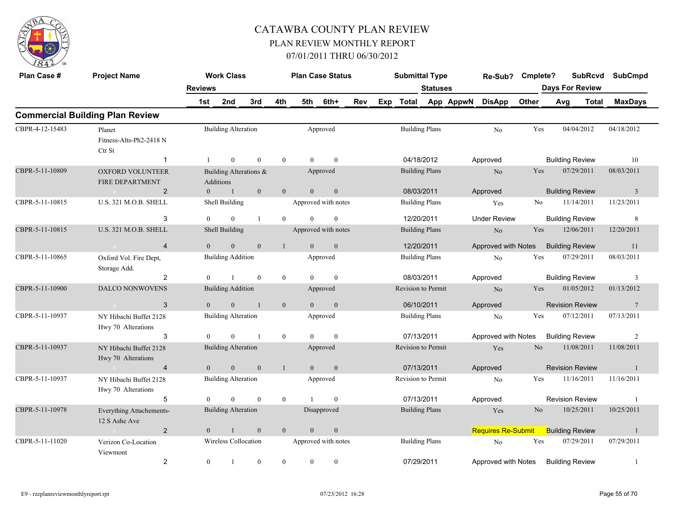

| Plan Case #     | <b>Project Name</b>                               |                       | <b>Work Class</b>          |                        |                |                  | <b>Plan Case Status</b> |     | <b>Submittal Type</b> |                       |           | Re-Sub?                   | Cmplete?       | <b>SubRcvd</b><br><b>Days For Review</b> | <b>SubCmpd</b>  |
|-----------------|---------------------------------------------------|-----------------------|----------------------------|------------------------|----------------|------------------|-------------------------|-----|-----------------------|-----------------------|-----------|---------------------------|----------------|------------------------------------------|-----------------|
|                 |                                                   | <b>Reviews</b><br>1st | 2nd                        | 3rd                    | 4th            | 5th              | 6th+                    | Rev | Exp Total             | <b>Statuses</b>       | App AppwN | <b>DisApp</b>             | Other          | Avg<br><b>Total</b>                      | <b>MaxDays</b>  |
|                 | <b>Commercial Building Plan Review</b>            |                       |                            |                        |                |                  |                         |     |                       |                       |           |                           |                |                                          |                 |
| CBPR-4-12-15483 | Planet<br>Fitness-Alts-Ph2-2418 N<br>Ctr St       |                       | <b>Building Alteration</b> |                        |                |                  | Approved                |     |                       | <b>Building Plans</b> |           | N <sub>o</sub>            | Yes            | 04/04/2012                               | 04/18/2012      |
|                 | $\mathbf{1}$                                      |                       | $\overline{0}$             | $\theta$               | $\overline{0}$ | $\Omega$         | $\theta$                |     | 04/18/2012            |                       |           | Approved                  |                | <b>Building Review</b>                   | 10              |
| CBPR-5-11-10809 | <b>OXFORD VOLUNTEER</b><br><b>FIRE DEPARTMENT</b> |                       | Additions                  | Building Alterations & |                |                  | Approved                |     |                       | <b>Building Plans</b> |           | $\rm No$                  | Yes            | 07/29/2011                               | 08/03/2011      |
|                 | $\overline{2}$<br>$\sim 0$ and $\sim$             | $\theta$              | -1                         | $\mathbf{0}$           | $\overline{0}$ | $\theta$         | $\mathbf{0}$            |     | 08/03/2011            |                       |           | Approved                  |                | <b>Building Review</b>                   | $\overline{3}$  |
| CBPR-5-11-10815 | U.S. 321 M.O.B. SHELL                             |                       | Shell Building             |                        |                |                  | Approved with notes     |     |                       | <b>Building Plans</b> |           | Yes                       | No             | 11/14/2011                               | 11/23/2011      |
|                 | 3                                                 | $\theta$              | $\Omega$                   | $\mathbf{1}$           | $\theta$       | $\Omega$         | $\theta$                |     | 12/20/2011            |                       |           | <b>Under Review</b>       |                | <b>Building Review</b>                   | 8               |
| CBPR-5-11-10815 | U.S. 321 M.O.B. SHELL                             |                       | Shell Building             |                        |                |                  | Approved with notes     |     |                       | <b>Building Plans</b> |           | $\rm No$                  | Yes            | 12/06/2011                               | 12/20/2011      |
|                 | $\overline{4}$<br>$\sim 0$                        | $\theta$              | $\overline{0}$             | $\mathbf{0}$           | $\mathbf{1}$   | $\theta$         | $\mathbf{0}$            |     | 12/20/2011            |                       |           | Approved with Notes       |                | <b>Building Review</b>                   | 11              |
| CBPR-5-11-10865 | Oxford Vol. Fire Dept,<br>Storage Add.            |                       | <b>Building Addition</b>   |                        |                |                  | Approved                |     |                       | <b>Building Plans</b> |           | No                        | Yes            | 07/29/2011                               | 08/03/2011      |
|                 | 2                                                 | $\Omega$              | $\mathbf{1}$               | $\theta$               | $\theta$       | $\Omega$         | $\theta$                |     | 08/03/2011            |                       |           | Approved                  |                | <b>Building Review</b>                   | $\overline{3}$  |
| CBPR-5-11-10900 | <b>DALCO NONWOVENS</b>                            |                       | <b>Building Addition</b>   |                        |                |                  | Approved                |     | Revision to Permit    |                       |           | $\rm No$                  | Yes            | 01/05/2012                               | 01/13/2012      |
|                 | 3<br>$\sim 0$                                     | $\overline{0}$        | $\mathbf{0}$               | $\overline{1}$         | $\mathbf{0}$   | $\Omega$         | $\mathbf{0}$            |     | 06/10/2011            |                       |           | Approved                  |                | <b>Revision Review</b>                   | $7\phantom{.0}$ |
| CBPR-5-11-10937 | NY Hibachi Buffet 2128<br>Hwy 70 Alterations      |                       | <b>Building Alteration</b> |                        |                |                  | Approved                |     |                       | <b>Building Plans</b> |           | No                        | Yes            | 07/12/2011                               | 07/13/2011      |
|                 | 3                                                 | $\theta$              | $\theta$                   | $\overline{1}$         | $\overline{0}$ | $\theta$         | $\mathbf{0}$            |     | 07/13/2011            |                       |           | Approved with Notes       |                | <b>Building Review</b>                   | 2               |
| CBPR-5-11-10937 | NY Hibachi Buffet 2128<br>Hwy 70 Alterations      |                       | <b>Building Alteration</b> |                        |                |                  | Approved                |     | Revision to Permit    |                       |           | Yes                       | No             | 11/08/2011                               | 11/08/2011      |
|                 | 4<br>$\sim 0$                                     | $\overline{0}$        | $\mathbf{0}$               | $\mathbf{0}$           | $\mathbf{1}$   | $\overline{0}$   | $\mathbf{0}$            |     | 07/13/2011            |                       |           | Approved                  |                | <b>Revision Review</b>                   | $\mathbf{1}$    |
| CBPR-5-11-10937 | NY Hibachi Buffet 2128<br>Hwy 70 Alterations      |                       | <b>Building Alteration</b> |                        |                |                  | Approved                |     | Revision to Permit    |                       |           | N <sub>o</sub>            | Yes            | 11/16/2011                               | 11/16/2011      |
|                 | 5                                                 | $\theta$              | $\Omega$                   | $\theta$               | $\overline{0}$ |                  | $\mathbf{0}$            |     | 07/13/2011            |                       |           | Approved                  |                | <b>Revision Review</b>                   | -1              |
| CBPR-5-11-10978 | Everything Attachements-<br>12 S Ashe Ave         |                       | <b>Building Alteration</b> |                        |                |                  | Disapproved             |     |                       | <b>Building Plans</b> |           | Yes                       | N <sub>o</sub> | 10/25/2011                               | 10/25/2011      |
|                 | $\overline{2}$                                    | $\theta$              | $\mathbf{1}$               | $\mathbf{0}$           | $\mathbf{0}$   | $\mathbf{0}$     | $\boldsymbol{0}$        |     |                       |                       |           | <b>Requires Re-Submit</b> |                | <b>Building Review</b>                   | $\mathbf{1}$    |
| CBPR-5-11-11020 | Verizon Co-Location<br>Viewmont                   |                       | Wireless Collocation       |                        |                |                  | Approved with notes     |     | <b>Building Plans</b> |                       |           | No                        | Yes            | 07/29/2011                               | 07/29/2011      |
|                 | $\overline{c}$                                    | $\boldsymbol{0}$      |                            | $\boldsymbol{0}$       | $\bf{0}$       | $\boldsymbol{0}$ | $\boldsymbol{0}$        |     | 07/29/2011            |                       |           | Approved with Notes       |                | <b>Building Review</b>                   | -1              |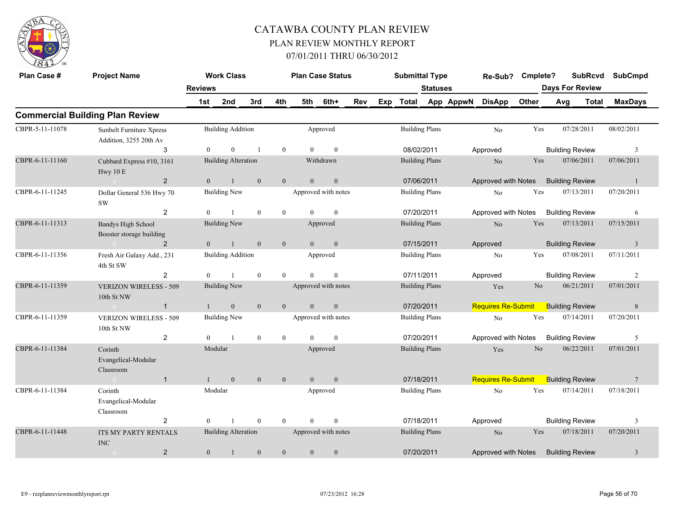

| Plan Case #     | <b>Project Name</b>                                |                | <b>Work Class</b>          |              |                |                | <b>Plan Case Status</b> |     |     | <b>Submittal Type</b> |                       |           | Re-Sub?                   | Cmplete? |     | <b>SubRcvd</b>         | <b>SubCmpd</b>  |
|-----------------|----------------------------------------------------|----------------|----------------------------|--------------|----------------|----------------|-------------------------|-----|-----|-----------------------|-----------------------|-----------|---------------------------|----------|-----|------------------------|-----------------|
|                 |                                                    | <b>Reviews</b> |                            |              |                |                |                         |     |     |                       | <b>Statuses</b>       |           |                           |          |     | <b>Days For Review</b> |                 |
|                 |                                                    | 1st            | 2nd                        | 3rd          | 4th            | 5th            | 6th+                    | Rev | Exp | <b>Total</b>          |                       | App AppwN | <b>DisApp</b>             | Other    | Avg | <b>Total</b>           | <b>MaxDays</b>  |
|                 | <b>Commercial Building Plan Review</b>             |                |                            |              |                |                |                         |     |     |                       |                       |           |                           |          |     |                        |                 |
| CBPR-5-11-11078 | Sunbelt Furniture Xpress<br>Addition, 3255 20th Av |                | <b>Building Addition</b>   |              |                |                | Approved                |     |     |                       | <b>Building Plans</b> |           | No                        | Yes      |     | 07/28/2011             | 08/02/2011      |
|                 | 3                                                  | $\theta$       | $\mathbf{0}$               |              | $\overline{0}$ | $\Omega$       | $\mathbf{0}$            |     |     | 08/02/2011            |                       |           | Approved                  |          |     | <b>Building Review</b> | 3               |
| CBPR-6-11-11160 | Cubbard Express #10, 3161<br>Hwy 10 E              |                | <b>Building Alteration</b> |              |                |                | Withdrawn               |     |     |                       | <b>Building Plans</b> |           | N <sub>o</sub>            | Yes      |     | 07/06/2011             | 07/06/2011      |
|                 | $\overline{2}$                                     | $\overline{0}$ | $\mathbf{1}$               | $\mathbf{0}$ | $\mathbf{0}$   | $\mathbf{0}$   | $\boldsymbol{0}$        |     |     | 07/06/2011            |                       |           | Approved with Notes       |          |     | <b>Building Review</b> | $\mathbf{1}$    |
| CBPR-6-11-11245 | Dollar General 536 Hwy 70<br><b>SW</b>             |                | <b>Building New</b>        |              |                |                | Approved with notes     |     |     |                       | <b>Building Plans</b> |           | N <sub>o</sub>            | Yes      |     | 07/13/2011             | 07/20/2011      |
|                 | $\overline{2}$                                     | $\theta$       |                            | $\mathbf{0}$ | $\overline{0}$ | $\Omega$       | $\theta$                |     |     |                       | 07/20/2011            |           | Approved with Notes       |          |     | <b>Building Review</b> | 6               |
| CBPR-6-11-11313 | Bandys High School<br>Booster storage building     |                | <b>Building New</b>        |              |                |                | Approved                |     |     |                       | <b>Building Plans</b> |           | N <sub>o</sub>            | Yes      |     | 07/13/2011             | 07/15/2011      |
|                 | 2                                                  | $\overline{0}$ | 1                          | $\mathbf{0}$ | $\mathbf{0}$   | $\overline{0}$ | $\mathbf{0}$            |     |     | 07/15/2011            |                       |           | Approved                  |          |     | <b>Building Review</b> | $\mathbf{3}$    |
| CBPR-6-11-11356 | Fresh Air Galaxy Add., 231<br>4th St SW            |                | <b>Building Addition</b>   |              |                |                | Approved                |     |     |                       | <b>Building Plans</b> |           | No                        | Yes      |     | 07/08/2011             | 07/11/2011      |
|                 | 2                                                  | $\Omega$       |                            | $\mathbf{0}$ | $\overline{0}$ | $\Omega$       | $\mathbf{0}$            |     |     | 07/11/2011            |                       |           | Approved                  |          |     | <b>Building Review</b> | 2               |
| CBPR-6-11-11359 | <b>VERIZON WIRELESS - 509</b><br>10th St NW        |                | <b>Building New</b>        |              |                |                | Approved with notes     |     |     |                       | <b>Building Plans</b> |           | Yes                       | No.      |     | 06/21/2011             | 07/01/2011      |
|                 | $\mathbf{1}$                                       |                | $\mathbf{0}$               | $\mathbf{0}$ | $\mathbf{0}$   | $\theta$       | $\mathbf{0}$            |     |     | 07/20/2011            |                       |           | <b>Requires Re-Submit</b> |          |     | <b>Building Review</b> | $\,$ 8 $\,$     |
| CBPR-6-11-11359 | <b>VERIZON WIRELESS - 509</b><br>10th St NW        |                | <b>Building New</b>        |              |                |                | Approved with notes     |     |     |                       | <b>Building Plans</b> |           | No                        | Yes      |     | 07/14/2011             | 07/20/2011      |
|                 | $\overline{2}$                                     | $\theta$       | $\mathbf{1}$               | $\mathbf{0}$ | $\overline{0}$ | $\theta$       | $\mathbf{0}$            |     |     | 07/20/2011            |                       |           | Approved with Notes       |          |     | <b>Building Review</b> | 5               |
| CBPR-6-11-11384 | Corinth<br>Evangelical-Modular<br>Classroom        |                | Modular                    |              |                |                | Approved                |     |     |                       | <b>Building Plans</b> |           | Yes                       | $\rm No$ |     | 06/22/2011             | 07/01/2011      |
|                 | $\mathbf{1}$                                       | $\mathbf{1}$   | $\mathbf{0}$               | $\mathbf{0}$ | $\mathbf{0}$   | $\theta$       | $\overline{0}$          |     |     | 07/18/2011            |                       |           | <b>Requires Re-Submit</b> |          |     | <b>Building Review</b> | $7\phantom{.0}$ |
| CBPR-6-11-11384 | Corinth<br>Evangelical-Modular<br>Classroom        |                | Modular                    |              |                |                | Approved                |     |     |                       | <b>Building Plans</b> |           | $\rm No$                  | Yes      |     | 07/14/2011             | 07/18/2011      |
|                 | 2                                                  | $\theta$       |                            | $\mathbf{0}$ | $\overline{0}$ | $\theta$       | $\mathbf{0}$            |     |     | 07/18/2011            |                       |           | Approved                  |          |     | <b>Building Review</b> | 3               |
| CBPR-6-11-11448 | <b>ITS MY PARTY RENTALS</b><br>INC                 |                | <b>Building Alteration</b> |              |                |                | Approved with notes     |     |     |                       | <b>Building Plans</b> |           | N <sub>o</sub>            | Yes      |     | 07/18/2011             | 07/20/2011      |
|                 | $\overline{2}$                                     | $\mathbf{0}$   | 1                          | $\mathbf{0}$ | $\mathbf{0}$   | $\overline{0}$ | $\boldsymbol{0}$        |     |     | 07/20/2011            |                       |           | Approved with Notes       |          |     | <b>Building Review</b> | 3               |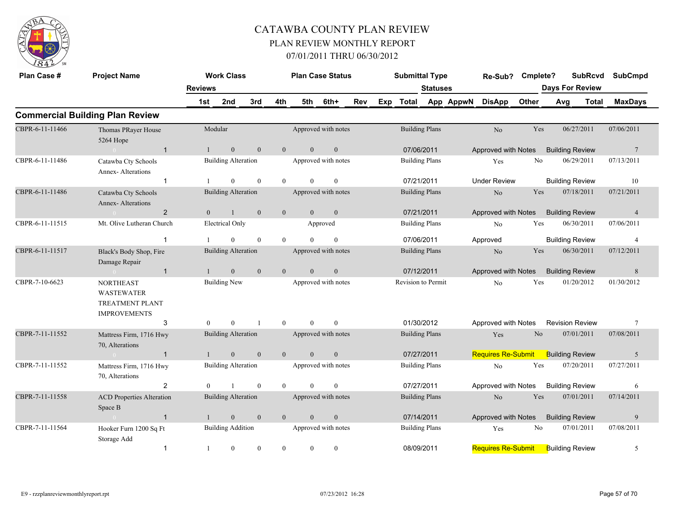

| Plan Case #     | <b>Project Name</b>                                                                    |                | <b>Work Class</b>          |                  |                |                | <b>Plan Case Status</b> |     |     | <b>Submittal Type</b> |                       |           | Re-Sub?                   | Cmplete? |                        | <b>SubRcvd</b>         | <b>SubCmpd</b>  |
|-----------------|----------------------------------------------------------------------------------------|----------------|----------------------------|------------------|----------------|----------------|-------------------------|-----|-----|-----------------------|-----------------------|-----------|---------------------------|----------|------------------------|------------------------|-----------------|
|                 |                                                                                        | <b>Reviews</b> |                            |                  |                |                |                         |     |     |                       | <b>Statuses</b>       |           |                           |          |                        | <b>Days For Review</b> |                 |
|                 |                                                                                        | 1st            | 2nd                        | 3rd              | 4th            | 5th            | 6th+                    | Rev | Exp | Total                 |                       | App AppwN | <b>DisApp</b>             | Other    | Avg                    | <b>Total</b>           | <b>MaxDays</b>  |
|                 | <b>Commercial Building Plan Review</b>                                                 |                |                            |                  |                |                |                         |     |     |                       |                       |           |                           |          |                        |                        |                 |
| CBPR-6-11-11466 | Thomas PRayer House<br>5264 Hope                                                       |                | Modular                    |                  |                |                | Approved with notes     |     |     |                       | <b>Building Plans</b> |           | No                        | Yes      |                        | 06/27/2011             | 07/06/2011      |
|                 | $\overline{1}$                                                                         |                | $\boldsymbol{0}$           | $\mathbf{0}$     | $\overline{0}$ | $\theta$       | $\boldsymbol{0}$        |     |     | 07/06/2011            |                       |           | Approved with Notes       |          | <b>Building Review</b> |                        | $7\phantom{.0}$ |
| CBPR-6-11-11486 | Catawba Cty Schools<br>Annex-Alterations                                               |                | <b>Building Alteration</b> |                  |                |                | Approved with notes     |     |     |                       | <b>Building Plans</b> |           | Yes                       | No       |                        | 06/29/2011             | 07/13/2011      |
|                 | $\mathbf{1}$                                                                           |                | $\mathbf{0}$               | $\mathbf{0}$     | $\mathbf{0}$   | $\theta$       | $\mathbf{0}$            |     |     | 07/21/2011            |                       |           | <b>Under Review</b>       |          | <b>Building Review</b> |                        | 10              |
| CBPR-6-11-11486 | Catawba Cty Schools<br>Annex-Alterations                                               |                | <b>Building Alteration</b> |                  |                |                | Approved with notes     |     |     |                       | <b>Building Plans</b> |           | N <sub>o</sub>            | Yes      |                        | 07/18/2011             | 07/21/2011      |
|                 | $\overline{2}$                                                                         | $\overline{0}$ | $\overline{1}$             | $\mathbf{0}$     | $\mathbf{0}$   | $\overline{0}$ | $\mathbf{0}$            |     |     | 07/21/2011            |                       |           | Approved with Notes       |          | <b>Building Review</b> |                        | $\overline{4}$  |
| CBPR-6-11-11515 | Mt. Olive Lutheran Church                                                              |                | <b>Electrical Only</b>     |                  |                |                | Approved                |     |     |                       | <b>Building Plans</b> |           | N <sub>o</sub>            | Yes      |                        | 06/30/2011             | 07/06/2011      |
|                 | $\overline{1}$                                                                         |                | $\theta$                   | $\theta$         | $\overline{0}$ | $\Omega$       | $\theta$                |     |     |                       | 07/06/2011            |           | Approved                  |          | <b>Building Review</b> |                        | $\overline{4}$  |
| CBPR-6-11-11517 | Black's Body Shop, Fire<br>Damage Repair                                               |                | <b>Building Alteration</b> |                  |                |                | Approved with notes     |     |     |                       | <b>Building Plans</b> |           | N <sub>o</sub>            | Yes      |                        | 06/30/2011             | 07/12/2011      |
|                 | $\overline{1}$                                                                         |                | $\overline{0}$             | $\mathbf{0}$     | $\overline{0}$ | $\theta$       | $\mathbf{0}$            |     |     | 07/12/2011            |                       |           | Approved with Notes       |          | <b>Building Review</b> |                        | 8               |
| CBPR-7-10-6623  | <b>NORTHEAST</b><br><b>WASTEWATER</b><br><b>TREATMENT PLANT</b><br><b>IMPROVEMENTS</b> |                | <b>Building New</b>        |                  |                |                | Approved with notes     |     |     | Revision to Permit    |                       |           | No                        | Yes      |                        | 01/20/2012             | 01/30/2012      |
|                 | 3                                                                                      | $\theta$       | $\theta$                   | $\mathbf{1}$     | $\overline{0}$ | $\theta$       | $\Omega$                |     |     |                       | 01/30/2012            |           | Approved with Notes       |          |                        | <b>Revision Review</b> | $\overline{7}$  |
| CBPR-7-11-11552 | Mattress Firm, 1716 Hwy<br>70, Alterations                                             |                | <b>Building Alteration</b> |                  |                |                | Approved with notes     |     |     |                       | <b>Building Plans</b> |           | Yes                       | $\rm No$ |                        | 07/01/2011             | 07/08/2011      |
|                 | $\mathbf{1}$                                                                           | $\mathbf{1}$   | $\boldsymbol{0}$           | $\mathbf{0}$     | $\overline{0}$ | $\overline{0}$ | $\boldsymbol{0}$        |     |     | 07/27/2011            |                       |           | <b>Requires Re-Submit</b> |          | <b>Building Review</b> |                        | 5               |
| CBPR-7-11-11552 | Mattress Firm, 1716 Hwy<br>70, Alterations                                             |                | <b>Building Alteration</b> |                  |                |                | Approved with notes     |     |     |                       | <b>Building Plans</b> |           | N <sub>o</sub>            | Yes      |                        | 07/20/2011             | 07/27/2011      |
|                 | 2                                                                                      | $\theta$       |                            | $\mathbf{0}$     | $\mathbf{0}$   | $\Omega$       | $\theta$                |     |     |                       | 07/27/2011            |           | Approved with Notes       |          | <b>Building Review</b> |                        | 6               |
| CBPR-7-11-11558 | <b>ACD Properties Alteration</b><br>Space B                                            |                | <b>Building Alteration</b> |                  |                |                | Approved with notes     |     |     |                       | <b>Building Plans</b> |           | N <sub>o</sub>            | Yes      |                        | 07/01/2011             | 07/14/2011      |
|                 | $\overline{1}$                                                                         |                | $\boldsymbol{0}$           | $\boldsymbol{0}$ | $\mathbf{0}$   | $\mathbf{0}$   | $\boldsymbol{0}$        |     |     | 07/14/2011            |                       |           | Approved with Notes       |          | <b>Building Review</b> |                        | 9               |
| CBPR-7-11-11564 | Hooker Furn 1200 Sq Ft<br>Storage Add                                                  |                | <b>Building Addition</b>   |                  |                |                | Approved with notes     |     |     |                       | <b>Building Plans</b> |           | Yes                       | No       |                        | 07/01/2011             | 07/08/2011      |
|                 | $\mathbf{1}$                                                                           | 1              | $\mathbf{0}$               | $\mathbf{0}$     | $\mathbf{0}$   | $\mathbf{0}$   | $\mathbf{0}$            |     |     | 08/09/2011            |                       |           | <b>Requires Re-Submit</b> |          | <b>Building Review</b> |                        | 5               |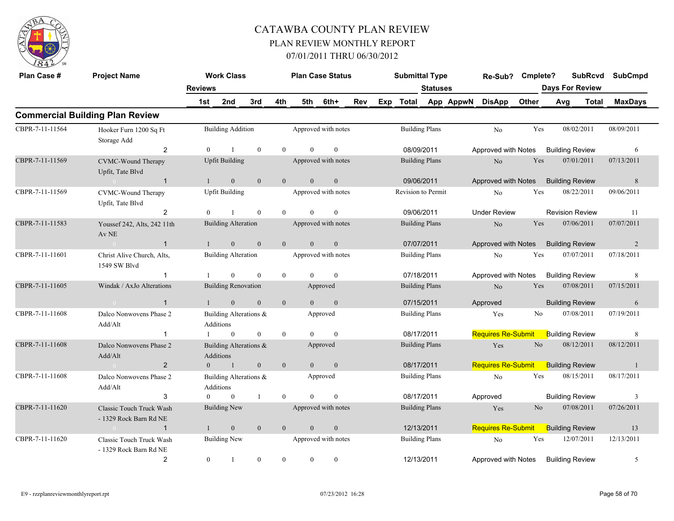

| Plan Case #     | <b>Project Name</b>                                       |                | <b>Work Class</b>                   |                  |                |                | <b>Plan Case Status</b> |     |     | <b>Submittal Type</b> |                       |           | Re-Sub? Cmplete?                    |                |                        | <b>SubRcvd</b> | <b>SubCmpd</b> |
|-----------------|-----------------------------------------------------------|----------------|-------------------------------------|------------------|----------------|----------------|-------------------------|-----|-----|-----------------------|-----------------------|-----------|-------------------------------------|----------------|------------------------|----------------|----------------|
|                 |                                                           | <b>Reviews</b> |                                     |                  |                |                |                         |     |     |                       | <b>Statuses</b>       |           |                                     |                | <b>Days For Review</b> |                |                |
|                 |                                                           | 1st            | 2nd                                 | 3rd              | 4th            | 5th            | 6th+                    | Rev | Exp | <b>Total</b>          |                       | App AppwN | <b>DisApp</b>                       | Other          | Avg                    | <b>Total</b>   | <b>MaxDays</b> |
|                 | <b>Commercial Building Plan Review</b>                    |                |                                     |                  |                |                |                         |     |     |                       |                       |           |                                     |                |                        |                |                |
| CBPR-7-11-11564 | Hooker Furn 1200 Sq Ft<br>Storage Add                     |                | <b>Building Addition</b>            |                  |                |                | Approved with notes     |     |     | <b>Building Plans</b> |                       |           | No                                  | Yes            | 08/02/2011             |                | 08/09/2011     |
|                 | $\overline{2}$                                            | $\overline{0}$ |                                     | $\mathbf{0}$     | $\mathbf{0}$   | $\theta$       | $\mathbf{0}$            |     |     |                       | 08/09/2011            |           | Approved with Notes                 |                | <b>Building Review</b> |                | 6              |
| CBPR-7-11-11569 | CVMC-Wound Therapy<br>Upfit, Tate Blvd                    |                | <b>Upfit Building</b>               |                  |                |                | Approved with notes     |     |     | <b>Building Plans</b> |                       |           | No                                  | Yes            | 07/01/2011             |                | 07/13/2011     |
|                 | $\mathbf{1}$                                              | $\mathbf{1}$   | $\overline{0}$                      | $\mathbf{0}$     | $\overline{0}$ | $\overline{0}$ | $\mathbf{0}$            |     |     | 09/06/2011            |                       |           | Approved with Notes                 |                | <b>Building Review</b> |                | 8              |
| CBPR-7-11-11569 | CVMC-Wound Therapy<br>Upfit, Tate Blvd                    |                | <b>Upfit Building</b>               |                  |                |                | Approved with notes     |     |     | Revision to Permit    |                       |           | No                                  | Yes            | 08/22/2011             |                | 09/06/2011     |
|                 | 2                                                         | $\theta$       |                                     | $\theta$         | $\theta$       | $\theta$       | $\mathbf{0}$            |     |     | 09/06/2011            |                       |           | <b>Under Review</b>                 |                | <b>Revision Review</b> |                | 11             |
| CBPR-7-11-11583 | Youssef 242, Alts, 242 11th<br>Av NE                      |                | <b>Building Alteration</b>          |                  |                |                | Approved with notes     |     |     | <b>Building Plans</b> |                       |           | $\rm No$                            | Yes            | 07/06/2011             |                | 07/07/2011     |
|                 | $\mathbf{1}$<br>$\sim 0$                                  | $\mathbf{1}$   | $\overline{0}$                      | $\mathbf{0}$     | $\overline{0}$ | $\overline{0}$ | $\mathbf{0}$            |     |     | 07/07/2011            |                       |           | Approved with Notes                 |                | <b>Building Review</b> |                | 2              |
| CBPR-7-11-11601 | Christ Alive Church, Alts,<br>1549 SW Blvd                |                | <b>Building Alteration</b>          |                  |                |                | Approved with notes     |     |     | <b>Building Plans</b> |                       |           | No                                  | Yes            | 07/07/2011             |                | 07/18/2011     |
|                 | $\mathbf{1}$                                              |                | $\theta$                            | $\mathbf{0}$     | $\mathbf{0}$   | $\theta$       | $\mathbf{0}$            |     |     |                       | 07/18/2011            |           | Approved with Notes                 |                | <b>Building Review</b> |                | 8              |
| CBPR-7-11-11605 | Windak / AxJo Alterations                                 |                | <b>Building Renovation</b>          |                  |                |                | Approved                |     |     |                       | <b>Building Plans</b> |           | No                                  | Yes            | 07/08/2011             |                | 07/15/2011     |
|                 | $\mathbf{1}$<br>$\sim 0$                                  |                | $\mathbf{0}$                        | $\mathbf{0}$     | $\mathbf{0}$   | $\overline{0}$ | $\mathbf{0}$            |     |     | 07/15/2011            |                       |           | Approved                            |                | <b>Building Review</b> |                | 6              |
| CBPR-7-11-11608 | Dalco Nonwovens Phase 2<br>Add/Alt                        |                | Building Alterations &<br>Additions |                  |                |                | Approved                |     |     | <b>Building Plans</b> |                       |           | Yes                                 | No             | 07/08/2011             |                | 07/19/2011     |
|                 | $\mathbf{1}$                                              |                | $\mathbf{0}$                        | $\mathbf{0}$     | $\mathbf{0}$   | $\theta$       | $\theta$                |     |     | 08/17/2011            |                       |           | Requires Re-Submit                  |                | <b>Building Review</b> |                | 8              |
| CBPR-7-11-11608 | Dalco Nonwovens Phase 2<br>Add/Alt                        |                | Building Alterations &<br>Additions |                  |                |                | Approved                |     |     | <b>Building Plans</b> |                       |           | Yes                                 | N <sub>o</sub> | 08/12/2011             |                | 08/12/2011     |
|                 | $\overline{2}$<br>$\sim 0$                                | $\overline{0}$ | $\sim$ 1                            | $\mathbf{0}$     | $\mathbf{0}$   | $\overline{0}$ | $\mathbf{0}$            |     |     | 08/17/2011            |                       |           | <b>Requires Re-Submit</b>           |                | <b>Building Review</b> |                | $\overline{1}$ |
| CBPR-7-11-11608 | Dalco Nonwovens Phase 2<br>Add/Alt                        |                | Building Alterations &<br>Additions |                  |                |                | Approved                |     |     | <b>Building Plans</b> |                       |           | No                                  | Yes            | 08/15/2011             |                | 08/17/2011     |
|                 | 3                                                         | $\theta$       | $\mathbf{0}$                        | $\mathbf{1}$     | $\mathbf{0}$   | $\Omega$       | $\theta$                |     |     |                       | 08/17/2011            |           | Approved                            |                | <b>Building Review</b> |                | 3              |
| CBPR-7-11-11620 | <b>Classic Touch Truck Wash</b><br>- 1329 Rock Barn Rd NE |                | <b>Building New</b>                 |                  |                |                | Approved with notes     |     |     |                       | <b>Building Plans</b> |           | Yes                                 | N <sub>0</sub> | 07/08/2011             |                | 07/26/2011     |
|                 | $\mathbf{1}$                                              |                | $\mathbf{0}$                        | $\mathbf{0}$     | $\mathbf{0}$   | $\overline{0}$ | $\mathbf{0}$            |     |     |                       | 12/13/2011            |           | <b>Requires Re-Submit</b>           |                | <b>Building Review</b> |                | 13             |
| CBPR-7-11-11620 | Classic Touch Truck Wash<br>- 1329 Rock Barn Rd NE        |                | <b>Building New</b>                 |                  |                |                | Approved with notes     |     |     | <b>Building Plans</b> |                       |           | No                                  | Yes            | 12/07/2011             |                | 12/13/2011     |
|                 | 2                                                         | $\mathbf{0}$   | -1                                  | $\boldsymbol{0}$ | $\overline{0}$ | $\overline{0}$ | $\bf{0}$                |     |     | 12/13/2011            |                       |           | Approved with Notes Building Review |                |                        |                | 5              |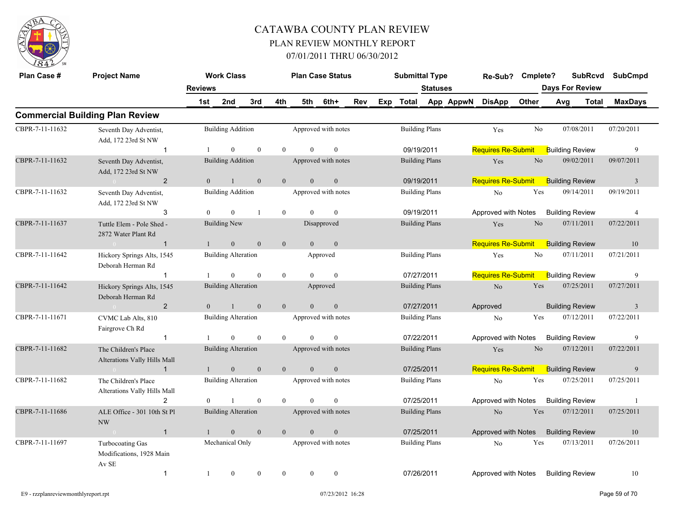

| Plan Case #     | <b>Project Name</b>                                        |                | <b>Work Class</b>          |                  |                  |                | <b>Plan Case Status</b> |     | <b>Submittal Type</b> |                       |                     | Re-Sub?                   | Cmplete?       |                        | <b>SubRcvd</b> | <b>SubCmpd</b> |  |
|-----------------|------------------------------------------------------------|----------------|----------------------------|------------------|------------------|----------------|-------------------------|-----|-----------------------|-----------------------|---------------------|---------------------------|----------------|------------------------|----------------|----------------|--|
|                 |                                                            | <b>Reviews</b> |                            |                  |                  |                |                         |     |                       | <b>Statuses</b>       |                     |                           |                | <b>Days For Review</b> |                |                |  |
|                 |                                                            | 1st            | 2nd                        | 3rd              | 4th              | 5th            | 6th+                    | Rev |                       |                       | Exp Total App AppwN | <b>DisApp</b>             | Other          | Avg                    | Total          | <b>MaxDays</b> |  |
|                 | <b>Commercial Building Plan Review</b>                     |                |                            |                  |                  |                |                         |     |                       |                       |                     |                           |                |                        |                |                |  |
| CBPR-7-11-11632 | Seventh Day Adventist,<br>Add, 172 23rd St NW              |                | <b>Building Addition</b>   |                  |                  |                | Approved with notes     |     | <b>Building Plans</b> |                       |                     | Yes                       | N <sub>0</sub> | 07/08/2011             |                | 07/20/2011     |  |
|                 | $\mathbf{1}$                                               |                | $\theta$                   | $\theta$         | $\theta$         | $\Omega$       | $\overline{0}$          |     | 09/19/2011            |                       |                     | <b>Requires Re-Submit</b> |                | <b>Building Review</b> |                | 9              |  |
| CBPR-7-11-11632 | Seventh Day Adventist,<br>Add, 172 23rd St NW              |                | <b>Building Addition</b>   |                  |                  |                | Approved with notes     |     |                       | <b>Building Plans</b> |                     | Yes                       | No             | 09/02/2011             |                | 09/07/2011     |  |
|                 | $\overline{2}$<br>$\sim$ 0                                 | $\overline{0}$ | $\mathbf{1}$               | $\mathbf{0}$     | $\mathbf{0}$     | $\overline{0}$ | $\mathbf{0}$            |     | 09/19/2011            |                       |                     | <b>Requires Re-Submit</b> |                | <b>Building Review</b> |                | $\overline{3}$ |  |
| CBPR-7-11-11632 | Seventh Day Adventist,<br>Add, 172 23rd St NW              |                | <b>Building Addition</b>   |                  |                  |                | Approved with notes     |     |                       | <b>Building Plans</b> |                     | No                        | Yes            | 09/14/2011             |                | 09/19/2011     |  |
|                 | 3                                                          |                | $\theta$                   | $\overline{1}$   | $\overline{0}$   | $\Omega$       | $\theta$                |     | 09/19/2011            |                       |                     | Approved with Notes       |                | <b>Building Review</b> |                | $\overline{4}$ |  |
| CBPR-7-11-11637 | Tuttle Elem - Pole Shed -<br>2872 Water Plant Rd           |                | <b>Building New</b>        |                  |                  |                | Disapproved             |     | <b>Building Plans</b> |                       |                     | Yes                       | No             | 07/11/2011             |                | 07/22/2011     |  |
|                 | $\overline{1}$<br>$\sim 0$ and $\sim 0.000$                |                | $\mathbf{0}$               | $\mathbf{0}$     | $\mathbf{0}$     | $\theta$       | $\mathbf{0}$            |     |                       |                       |                     | <b>Requires Re-Submit</b> |                | <b>Building Review</b> |                | 10             |  |
| CBPR-7-11-11642 | Hickory Springs Alts, 1545<br>Deborah Herman Rd            |                | <b>Building Alteration</b> |                  |                  |                | Approved                |     | <b>Building Plans</b> |                       |                     | Yes                       | No             | 07/11/2011             |                | 07/21/2011     |  |
|                 | $\mathbf{1}$                                               |                | $\overline{0}$             | $\theta$         | $\overline{0}$   | $\Omega$       | $\theta$                |     | 07/27/2011            |                       |                     | <b>Requires Re-Submit</b> |                | <b>Building Review</b> |                | 9              |  |
| CBPR-7-11-11642 | Hickory Springs Alts, 1545<br>Deborah Herman Rd            |                | <b>Building Alteration</b> |                  |                  |                | Approved                |     |                       | <b>Building Plans</b> |                     | $\rm No$                  | Yes            | 07/25/2011             |                | 07/27/2011     |  |
|                 | 2<br>$0 -$                                                 | $\theta$       | $\mathbf{1}$               | $\mathbf{0}$     | $\overline{0}$   | $\overline{0}$ | $\overline{0}$          |     | 07/27/2011            |                       |                     | Approved                  |                | <b>Building Review</b> |                | $\overline{3}$ |  |
| CBPR-7-11-11671 | CVMC Lab Alts, 810<br>Fairgrove Ch Rd                      |                | <b>Building Alteration</b> |                  |                  |                | Approved with notes     |     |                       | <b>Building Plans</b> |                     | N <sub>o</sub>            | Yes            | 07/12/2011             |                | 07/22/2011     |  |
|                 | $\mathbf{1}$                                               |                | $\theta$                   | $\mathbf{0}$     | $\theta$         | $\theta$       | $\theta$                |     | 07/22/2011            |                       |                     | Approved with Notes       |                | <b>Building Review</b> |                | 9              |  |
| CBPR-7-11-11682 | The Children's Place<br>Alterations Vally Hills Mall       |                | <b>Building Alteration</b> |                  |                  |                | Approved with notes     |     |                       | <b>Building Plans</b> |                     | Yes                       | N <sub>o</sub> | 07/12/2011             |                | 07/22/2011     |  |
|                 | $\mathbf{1}$<br><b>Contract Contract Contract Contract</b> | $\mathbf{1}$   | $\mathbf{0}$               | $\mathbf{0}$     | $\overline{0}$   | $\overline{0}$ | $\mathbf{0}$            |     | 07/25/2011            |                       |                     | <b>Requires Re-Submit</b> |                | <b>Building Review</b> |                | 9              |  |
| CBPR-7-11-11682 | The Children's Place<br>Alterations Vally Hills Mall       |                | <b>Building Alteration</b> |                  |                  |                | Approved with notes     |     |                       | <b>Building Plans</b> |                     | No                        | Yes            | 07/25/2011             |                | 07/25/2011     |  |
|                 | 2                                                          | $\theta$       | $\overline{1}$             | $\mathbf{0}$     | $\overline{0}$   | $\theta$       | $\overline{0}$          |     | 07/25/2011            |                       |                     | Approved with Notes       |                | <b>Building Review</b> |                | -1             |  |
| CBPR-7-11-11686 | ALE Office - 301 10th St Pl<br><b>NW</b>                   |                | <b>Building Alteration</b> |                  |                  |                | Approved with notes     |     |                       | <b>Building Plans</b> |                     | No                        | Yes            | 07/12/2011             |                | 07/25/2011     |  |
|                 | $\mathbf{1}$<br>$\sim 0$                                   |                | $\overline{0}$             | $\mathbf{0}$     | $\overline{0}$   | $\overline{0}$ | $\mathbf{0}$            |     | 07/25/2011            |                       |                     | Approved with Notes       |                | <b>Building Review</b> |                | 10             |  |
| CBPR-7-11-11697 | Turbocoating Gas<br>Modifications, 1928 Main<br>Av SE      |                | Mechanical Only            |                  |                  |                | Approved with notes     |     |                       | <b>Building Plans</b> |                     | N <sub>o</sub>            | Yes            | 07/13/2011             |                | 07/26/2011     |  |
|                 | $\mathbf{1}$                                               | 1              | $\mathbf{0}$               | $\boldsymbol{0}$ | $\boldsymbol{0}$ | $\mathbf{0}$   | $\mathbf{0}$            |     | 07/26/2011            |                       |                     | Approved with Notes       |                | <b>Building Review</b> |                | 10             |  |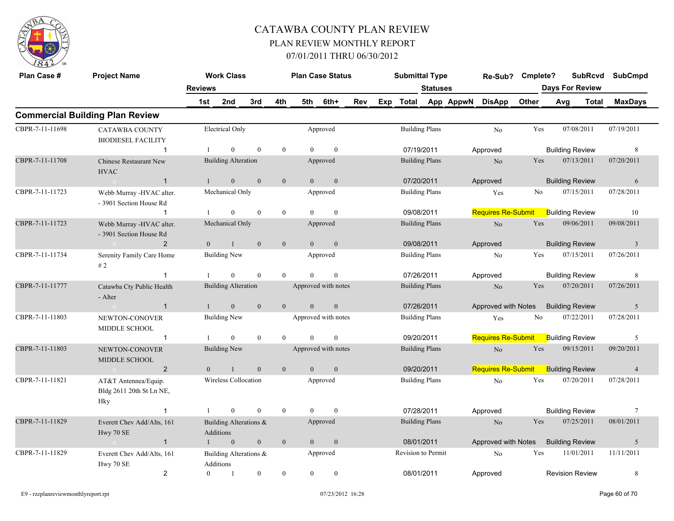

| Plan Case #     | <b>Project Name</b>                                     |                | <b>Work Class</b>                   |                |                  | <b>Plan Case Status</b> |                     |     | <b>Submittal Type</b> |                       |           | Re-Sub? Cmplete?          |       |                        | <b>SubRcvd</b> | <b>SubCmpd</b>  |
|-----------------|---------------------------------------------------------|----------------|-------------------------------------|----------------|------------------|-------------------------|---------------------|-----|-----------------------|-----------------------|-----------|---------------------------|-------|------------------------|----------------|-----------------|
|                 |                                                         | <b>Reviews</b> |                                     |                |                  |                         |                     |     |                       | <b>Statuses</b>       |           |                           |       | <b>Days For Review</b> |                |                 |
|                 |                                                         | 1st            | 2nd                                 | 3rd            | 4th              | 5th                     | 6th+                | Rev | Exp Total             |                       | App AppwN | <b>DisApp</b>             | Other | Avg                    | Total          | <b>MaxDays</b>  |
|                 | <b>Commercial Building Plan Review</b>                  |                |                                     |                |                  |                         |                     |     |                       |                       |           |                           |       |                        |                |                 |
| CBPR-7-11-11698 | <b>CATAWBA COUNTY</b><br><b>BIODIESEL FACILITY</b>      |                | <b>Electrical Only</b>              |                |                  |                         | Approved            |     |                       | <b>Building Plans</b> |           | N <sub>o</sub>            | Yes   | 07/08/2011             |                | 07/19/2011      |
|                 | $\mathbf{1}$                                            |                | $\boldsymbol{0}$                    | $\theta$       | $\boldsymbol{0}$ | $\Omega$                | $\mathbf{0}$        |     | 07/19/2011            |                       |           | Approved                  |       | <b>Building Review</b> |                | 8               |
| CBPR-7-11-11708 | <b>Chinese Restaurant New</b><br><b>HVAC</b>            |                | <b>Building Alteration</b>          |                |                  |                         | Approved            |     |                       | <b>Building Plans</b> |           | N <sub>o</sub>            | Yes   | 07/13/2011             |                | 07/20/2011      |
|                 | $\sim 0$<br>$\overline{1}$                              | $\mathbf{1}$   | $\mathbf{0}$                        | $\mathbf{0}$   | $\mathbf{0}$     | $\overline{0}$          | $\mathbf{0}$        |     | 07/20/2011            |                       |           | Approved                  |       | <b>Building Review</b> |                | 6               |
| CBPR-7-11-11723 | Webb Murray -HVAC alter.<br>- 3901 Section House Rd     |                | Mechanical Only                     |                |                  |                         | Approved            |     |                       | <b>Building Plans</b> |           | Yes                       | No    | 07/15/2011             |                | 07/28/2011      |
|                 | $\mathbf{1}$                                            |                | $\boldsymbol{0}$                    | $\theta$       | $\bf{0}$         | $\Omega$                | $\bf{0}$            |     | 09/08/2011            |                       |           | <b>Requires Re-Submit</b> |       | <b>Building Review</b> |                | 10              |
| CBPR-7-11-11723 | Webb Murray -HVAC alter.<br>- 3901 Section House Rd     |                | Mechanical Only                     |                |                  |                         | Approved            |     | <b>Building Plans</b> |                       |           | N <sub>o</sub>            | Yes   | 09/06/2011             |                | 09/08/2011      |
|                 | $\overline{2}$<br>$\sim 0$                              | $\overline{0}$ | $\mathbf{1}$                        | $\overline{0}$ | $\mathbf{0}$     | $\overline{0}$          | $\mathbf{0}$        |     | 09/08/2011            |                       |           | Approved                  |       | <b>Building Review</b> |                | $\overline{3}$  |
| CBPR-7-11-11734 | Serenity Family Care Home<br>#2                         |                | <b>Building New</b>                 |                |                  |                         | Approved            |     |                       | <b>Building Plans</b> |           | No                        | Yes   | 07/15/2011             |                | 07/26/2011      |
|                 | $\overline{1}$                                          |                | $\mathbf{0}$                        | $\theta$       | $\theta$         | $\Omega$                | $\theta$            |     | 07/26/2011            |                       |           | Approved                  |       | <b>Building Review</b> |                | 8               |
| CBPR-7-11-11777 | Catawba Cty Public Health<br>- Alter                    |                | <b>Building Alteration</b>          |                |                  |                         | Approved with notes |     | <b>Building Plans</b> |                       |           | N <sub>o</sub>            | Yes   | 07/20/2011             |                | 07/26/2011      |
|                 | $\mathbf{1}$                                            | $\mathbf{1}$   | $\mathbf{0}$                        | $\mathbf{0}$   | $\mathbf{0}$     | $\overline{0}$          | $\mathbf{0}$        |     | 07/26/2011            |                       |           | Approved with Notes       |       | <b>Building Review</b> |                | 5               |
| CBPR-7-11-11803 | NEWTON-CONOVER<br>MIDDLE SCHOOL                         |                | <b>Building New</b>                 |                |                  |                         | Approved with notes |     | <b>Building Plans</b> |                       |           | Yes                       | No    | 07/22/2011             |                | 07/28/2011      |
|                 | $\mathbf{1}$                                            |                | $\overline{0}$                      | $\mathbf{0}$   | $\theta$         | $\theta$                | $\theta$            |     | 09/20/2011            |                       |           | <b>Requires Re-Submit</b> |       | <b>Building Review</b> |                | 5               |
| CBPR-7-11-11803 | NEWTON-CONOVER<br>MIDDLE SCHOOL                         |                | <b>Building New</b>                 |                |                  |                         | Approved with notes |     | <b>Building Plans</b> |                       |           | $\rm No$                  | Yes   | 09/15/2011             |                | 09/20/2011      |
|                 | $\overline{2}$<br>$\sim 0$                              | $\Omega$       | $\mathbf{1}$                        | $\theta$       | $\overline{0}$   | $\overline{0}$          | $\mathbf{0}$        |     | 09/20/2011            |                       |           | Requires Re-Submit        |       | <b>Building Review</b> |                | $\overline{4}$  |
| CBPR-7-11-11821 | AT&T Antennea/Equip.<br>Bldg 2611 20th St Ln NE,<br>Hky |                | Wireless Collocation                |                |                  |                         | Approved            |     | <b>Building Plans</b> |                       |           | No                        | Yes   | 07/20/2011             |                | 07/28/2011      |
|                 | $\mathbf{1}$                                            | $\mathbf{1}$   | $\mathbf{0}$                        | $\mathbf{0}$   | $\overline{0}$   | $\theta$                | $\overline{0}$      |     | 07/28/2011            |                       |           | Approved                  |       | <b>Building Review</b> |                | $7\phantom{.0}$ |
| CBPR-7-11-11829 | Everett Chev Add/Alts, 161<br>Hwy 70 SE                 |                | Building Alterations &<br>Additions |                |                  |                         | Approved            |     |                       | <b>Building Plans</b> |           | No                        | Yes   | 07/25/2011             |                | 08/01/2011      |
|                 | $\mathbf{1}$                                            |                | $\mathbf{0}$                        | $\mathbf{0}$   | $\mathbf{0}$     | $\mathbf{0}$            | $\mathbf{0}$        |     | 08/01/2011            |                       |           | Approved with Notes       |       | <b>Building Review</b> |                | 5               |
| CBPR-7-11-11829 | Everett Chev Add/Alts, 161<br>Hwy 70 SE                 |                | Building Alterations &<br>Additions |                |                  |                         | Approved            |     | Revision to Permit    |                       |           | N <sub>0</sub>            | Yes   | 11/01/2011             |                | 11/11/2011      |
|                 | $\overline{2}$                                          | $\overline{0}$ | -1                                  | $\mathbf{0}$   | $\overline{0}$   | $\overline{0}$          | $\mathbf{0}$        |     | 08/01/2011            |                       |           | Approved                  |       | <b>Revision Review</b> |                | 8               |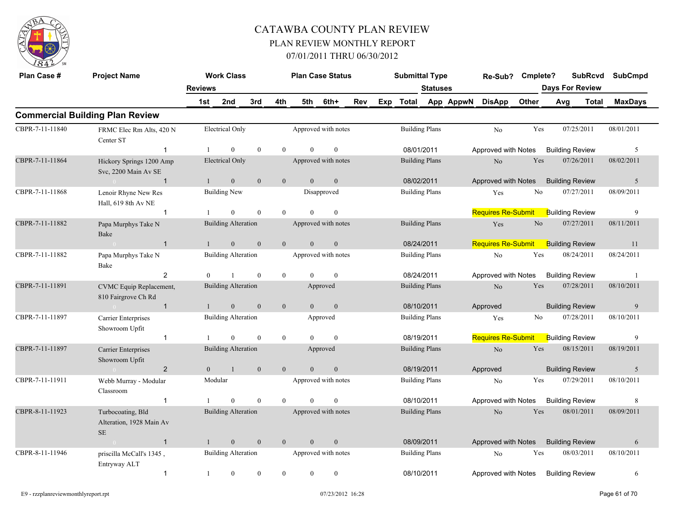

| Plan Case #     | <b>Project Name</b>                                       |                | <b>Work Class</b>          |              |                |                | <b>Plan Case Status</b> |     |     | <b>Submittal Type</b> |                 |           | Re-Sub?                   | Cmplete? |                        | <b>SubRcvd</b> | <b>SubCmpd</b> |  |
|-----------------|-----------------------------------------------------------|----------------|----------------------------|--------------|----------------|----------------|-------------------------|-----|-----|-----------------------|-----------------|-----------|---------------------------|----------|------------------------|----------------|----------------|--|
|                 |                                                           | <b>Reviews</b> |                            |              |                |                |                         |     |     |                       | <b>Statuses</b> |           |                           |          | <b>Days For Review</b> |                |                |  |
|                 |                                                           | 1st            | 2nd                        | 3rd          | 4th            | 5th            | 6th+                    | Rev | Exp | Total                 |                 | App AppwN | <b>DisApp</b>             | Other    | Avg                    | <b>Total</b>   | <b>MaxDays</b> |  |
|                 | <b>Commercial Building Plan Review</b>                    |                |                            |              |                |                |                         |     |     |                       |                 |           |                           |          |                        |                |                |  |
| CBPR-7-11-11840 | FRMC Elec Rm Alts, 420 N<br>Center ST                     |                | <b>Electrical Only</b>     |              |                |                | Approved with notes     |     |     | <b>Building Plans</b> |                 |           | N <sub>o</sub>            | Yes      | 07/25/2011             |                | 08/01/2011     |  |
|                 | 1                                                         |                | $\theta$                   | $\theta$     | $\theta$       | $\Omega$       | $\mathbf{0}$            |     |     | 08/01/2011            |                 |           | Approved with Notes       |          | <b>Building Review</b> |                | 5              |  |
| CBPR-7-11-11864 | Hickory Springs 1200 Amp<br>Svc, 2200 Main Av SE          |                | Electrical Only            |              |                |                | Approved with notes     |     |     | <b>Building Plans</b> |                 |           | No                        | Yes      | 07/26/2011             |                | 08/02/2011     |  |
|                 | $\sim 0$<br>$\mathbf{1}$                                  | $\mathbf{1}$   | $\mathbf{0}$               | $\mathbf{0}$ | $\mathbf{0}$   | $\overline{0}$ | $\mathbf{0}$            |     |     | 08/02/2011            |                 |           | Approved with Notes       |          | <b>Building Review</b> |                | 5              |  |
| CBPR-7-11-11868 | Lenoir Rhyne New Res<br>Hall, 619 8th Av NE               |                | <b>Building New</b>        |              |                |                | Disapproved             |     |     | <b>Building Plans</b> |                 |           | Yes                       | No       | 07/27/2011             |                | 08/09/2011     |  |
|                 | $\mathbf{1}$                                              |                | $\Omega$                   | $\theta$     | $\theta$       | $\Omega$       | $\overline{0}$          |     |     |                       |                 |           | <b>Requires Re-Submit</b> |          | <b>Building Review</b> |                | 9              |  |
| CBPR-7-11-11882 | Papa Murphys Take N<br>Bake                               |                | <b>Building Alteration</b> |              |                |                | Approved with notes     |     |     | <b>Building Plans</b> |                 |           | Yes                       | No       | 07/27/2011             |                | 08/11/2011     |  |
|                 | $\mathbf{1}$                                              | $\mathbf{1}$   | $\overline{0}$             | $\mathbf{0}$ | $\overline{0}$ | $\Omega$       | $\mathbf{0}$            |     |     | 08/24/2011            |                 |           | <b>Requires Re-Submit</b> |          | <b>Building Review</b> |                | 11             |  |
| CBPR-7-11-11882 | Papa Murphys Take N<br>Bake                               |                | <b>Building Alteration</b> |              |                |                | Approved with notes     |     |     | <b>Building Plans</b> |                 |           | No                        | Yes      | 08/24/2011             |                | 08/24/2011     |  |
|                 | 2                                                         | $\theta$       |                            | $\mathbf{0}$ | $\overline{0}$ | $\Omega$       | $\theta$                |     |     | 08/24/2011            |                 |           | Approved with Notes       |          | <b>Building Review</b> |                | $\overline{1}$ |  |
| CBPR-7-11-11891 | CVMC Equip Replacement,<br>810 Fairgrove Ch Rd            |                | <b>Building Alteration</b> |              |                |                | Approved                |     |     | <b>Building Plans</b> |                 |           | $\rm No$                  | Yes      | 07/28/2011             |                | 08/10/2011     |  |
|                 | $\overline{1}$                                            |                | $\mathbf{0}$               | $\mathbf{0}$ | $\mathbf{0}$   | $\overline{0}$ | $\mathbf{0}$            |     |     | 08/10/2011            |                 |           | Approved                  |          | <b>Building Review</b> |                | 9              |  |
| CBPR-7-11-11897 | Carrier Enterprises<br>Showroom Upfit                     |                | <b>Building Alteration</b> |              |                |                | Approved                |     |     | <b>Building Plans</b> |                 |           | Yes                       | No       | 07/28/2011             |                | 08/10/2011     |  |
|                 | $\mathbf{1}$                                              | -1             | $\theta$                   | $\theta$     | $\overline{0}$ | $\Omega$       | $\theta$                |     |     | 08/19/2011            |                 |           | <b>Requires Re-Submit</b> |          | <b>Building Review</b> |                | 9              |  |
| CBPR-7-11-11897 | Carrier Enterprises<br>Showroom Upfit                     |                | <b>Building Alteration</b> |              |                |                | Approved                |     |     | <b>Building Plans</b> |                 |           | $\rm No$                  | Yes      | 08/15/2011             |                | 08/19/2011     |  |
|                 | $\overline{2}$<br>$\sim 0$                                | $\theta$       | $\overline{1}$             | $\mathbf{0}$ | $\overline{0}$ | $\overline{0}$ | $\mathbf{0}$            |     |     | 08/19/2011            |                 |           | Approved                  |          | <b>Building Review</b> |                | 5              |  |
| CBPR-7-11-11911 | Webb Murray - Modular<br>Classroom                        |                | Modular                    |              |                |                | Approved with notes     |     |     | <b>Building Plans</b> |                 |           | N <sub>o</sub>            | Yes      | 07/29/2011             |                | 08/10/2011     |  |
|                 | $\overline{1}$                                            |                | $\overline{0}$             | $\mathbf{0}$ | $\overline{0}$ | $\overline{0}$ | $\boldsymbol{0}$        |     |     | 08/10/2011            |                 |           | Approved with Notes       |          | <b>Building Review</b> |                | 8              |  |
| CBPR-8-11-11923 | Turbocoating, Bld<br>Alteration, 1928 Main Av<br>$\rm SE$ |                | <b>Building Alteration</b> |              |                |                | Approved with notes     |     |     | <b>Building Plans</b> |                 |           | No                        | Yes      | 08/01/2011             |                | 08/09/2011     |  |
|                 | $\overline{1}$                                            | $\mathbf{1}$   | $\mathbf{0}$               | $\mathbf{0}$ | $\overline{0}$ | $\mathbf{0}$   | $\mathbf{0}$            |     |     | 08/09/2011            |                 |           | Approved with Notes       |          | <b>Building Review</b> |                | 6              |  |
| CBPR-8-11-11946 | priscilla McCall's 1345,<br>Entryway ALT                  |                | <b>Building Alteration</b> |              |                |                | Approved with notes     |     |     | <b>Building Plans</b> |                 |           | No                        | Yes      | 08/03/2011             |                | 08/10/2011     |  |
|                 | $\mathbf{1}$                                              | -1             | $\boldsymbol{0}$           | $\mathbf{0}$ | $\mathbf{0}$   | $\mathbf{0}$   | $\boldsymbol{0}$        |     |     | 08/10/2011            |                 |           | Approved with Notes       |          | <b>Building Review</b> |                | 6              |  |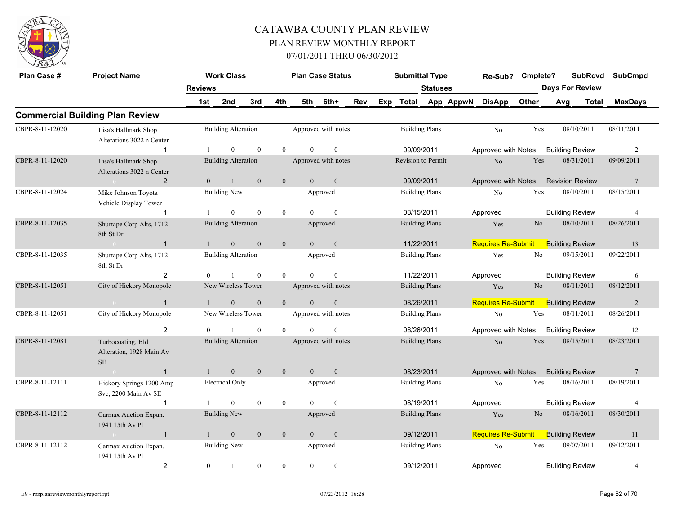

| Plan Case #     | <b>Project Name</b>                                       |                | <b>Work Class</b>          |                |              |                | <b>Plan Case Status</b> |     | <b>Submittal Type</b> |                       |           | Re-Sub?                   | Cmplete?       |                        | <b>SubRcvd</b> | <b>SubCmpd</b>  |  |
|-----------------|-----------------------------------------------------------|----------------|----------------------------|----------------|--------------|----------------|-------------------------|-----|-----------------------|-----------------------|-----------|---------------------------|----------------|------------------------|----------------|-----------------|--|
|                 |                                                           | <b>Reviews</b> |                            |                |              |                |                         |     |                       | <b>Statuses</b>       |           |                           |                | <b>Days For Review</b> |                |                 |  |
|                 |                                                           | 1st            | 2nd                        | 3rd            | 4th          | 5th            | 6th+                    | Rev | Exp Total             |                       | App AppwN | <b>DisApp</b>             | Other          | Avg                    | Total          | <b>MaxDays</b>  |  |
|                 | <b>Commercial Building Plan Review</b>                    |                |                            |                |              |                |                         |     |                       |                       |           |                           |                |                        |                |                 |  |
| CBPR-8-11-12020 | Lisa's Hallmark Shop<br>Alterations 3022 n Center         |                | <b>Building Alteration</b> |                |              |                | Approved with notes     |     | <b>Building Plans</b> |                       |           | No                        | Yes            | 08/10/2011             |                | 08/11/2011      |  |
|                 | $\overline{1}$                                            |                | $\Omega$                   | $\theta$       | $\theta$     | $\Omega$       | $\theta$                |     | 09/09/2011            |                       |           | Approved with Notes       |                | <b>Building Review</b> |                | 2               |  |
| CBPR-8-11-12020 | Lisa's Hallmark Shop<br>Alterations 3022 n Center         |                | <b>Building Alteration</b> |                |              |                | Approved with notes     |     | Revision to Permit    |                       |           | No                        | Yes            | 08/31/2011             |                | 09/09/2011      |  |
|                 | $\overline{2}$<br>$\sim 0$ and $\sim 0$                   | $\overline{0}$ | 1                          | $\overline{0}$ | $\mathbf{0}$ | $\overline{0}$ | $\mathbf{0}$            |     | 09/09/2011            |                       |           | Approved with Notes       |                | <b>Revision Review</b> |                | $7\phantom{.0}$ |  |
| CBPR-8-11-12024 | Mike Johnson Toyota<br>Vehicle Display Tower              |                | <b>Building New</b>        |                |              |                | Approved                |     |                       | <b>Building Plans</b> |           | No                        | Yes            | 08/10/2011             |                | 08/15/2011      |  |
|                 | $\mathbf{1}$                                              |                | $\overline{0}$             | $\theta$       | $\mathbf{0}$ | $\Omega$       | $\mathbf{0}$            |     | 08/15/2011            |                       |           | Approved                  |                | <b>Building Review</b> |                | $\overline{4}$  |  |
| CBPR-8-11-12035 | Shurtape Corp Alts, 1712<br>8th St Dr                     |                | <b>Building Alteration</b> |                |              |                | Approved                |     | <b>Building Plans</b> |                       |           | Yes                       | N <sub>o</sub> | 08/10/2011             |                | 08/26/2011      |  |
|                 | $\overline{1}$<br>$\sim 0$                                | $\mathbf{1}$   | $\mathbf{0}$               | $\mathbf{0}$   | $\mathbf{0}$ | $\overline{0}$ | $\mathbf{0}$            |     | 11/22/2011            |                       |           | <b>Requires Re-Submit</b> |                | <b>Building Review</b> |                | 13              |  |
| CBPR-8-11-12035 | Shurtape Corp Alts, 1712<br>8th St Dr                     |                | <b>Building Alteration</b> |                |              |                | Approved                |     |                       | <b>Building Plans</b> |           | Yes                       | No             | 09/15/2011             |                | 09/22/2011      |  |
|                 | 2                                                         | $\mathbf{0}$   | $\overline{1}$             | $\mathbf{0}$   | $\mathbf{0}$ | $\theta$       | $\mathbf{0}$            |     | 11/22/2011            |                       |           | Approved                  |                | <b>Building Review</b> |                | 6               |  |
| CBPR-8-11-12051 | City of Hickory Monopole                                  |                | New Wireless Tower         |                |              |                | Approved with notes     |     | <b>Building Plans</b> |                       |           | Yes                       | N <sub>o</sub> | 08/11/2011             |                | 08/12/2011      |  |
|                 | $\mathbf{1}$                                              |                | $\mathbf{0}$               | $\mathbf{0}$   | $\mathbf{0}$ | $\overline{0}$ | $\mathbf{0}$            |     | 08/26/2011            |                       |           | <b>Requires Re-Submit</b> |                | <b>Building Review</b> |                | 2               |  |
| CBPR-8-11-12051 | City of Hickory Monopole                                  |                | New Wireless Tower         |                |              |                | Approved with notes     |     | <b>Building Plans</b> |                       |           | $\rm No$                  | Yes            | 08/11/2011             |                | 08/26/2011      |  |
|                 | 2                                                         | $\theta$       | $\mathbf{1}$               | $\theta$       | $\theta$     | $\theta$       | $\mathbf{0}$            |     | 08/26/2011            |                       |           | Approved with Notes       |                | <b>Building Review</b> |                | 12              |  |
| CBPR-8-11-12081 | Turbocoating, Bld<br>Alteration, 1928 Main Av<br>$\rm SE$ |                | <b>Building Alteration</b> |                |              |                | Approved with notes     |     |                       | <b>Building Plans</b> |           | No                        | Yes            | 08/15/2011             |                | 08/23/2011      |  |
|                 | $\overline{1}$<br>$\sim 0$                                | $\mathbf{1}$   | $\overline{0}$             | $\mathbf{0}$   | $\mathbf{0}$ | $\overline{0}$ | $\mathbf{0}$            |     | 08/23/2011            |                       |           | Approved with Notes       |                | <b>Building Review</b> |                | $7\phantom{.0}$ |  |
| CBPR-8-11-12111 | Hickory Springs 1200 Amp<br>Svc, 2200 Main Av SE          |                | <b>Electrical Only</b>     |                |              |                | Approved                |     | <b>Building Plans</b> |                       |           | N <sub>o</sub>            | Yes            | 08/16/2011             |                | 08/19/2011      |  |
|                 | $\overline{1}$                                            |                | $\theta$                   | $\theta$       | $\mathbf{0}$ | $\Omega$       | $\theta$                |     | 08/19/2011            |                       |           | Approved                  |                | <b>Building Review</b> |                | $\overline{4}$  |  |
| CBPR-8-11-12112 | Carmax Auction Expan.<br>1941 15th Av Pl                  |                | <b>Building New</b>        |                |              |                | Approved                |     | <b>Building Plans</b> |                       |           | Yes                       | N <sub>o</sub> | 08/16/2011             |                | 08/30/2011      |  |
|                 | $\overline{1}$<br>$\sim 0$ and $\sim 0.000$               |                | $\mathbf{0}$               | $\mathbf{0}$   | $\mathbf{0}$ | $\overline{0}$ | $\mathbf{0}$            |     | 09/12/2011            |                       |           | <b>Requires Re-Submit</b> |                | <b>Building Review</b> |                | 11              |  |
| CBPR-8-11-12112 | Carmax Auction Expan.<br>1941 15th Av Pl                  |                | <b>Building New</b>        |                |              |                | Approved                |     |                       | <b>Building Plans</b> |           | No                        | Yes            | 09/07/2011             |                | 09/12/2011      |  |
|                 | $\overline{2}$                                            | $\bf{0}$       | -1                         | $\mathbf{0}$   | $\mathbf{0}$ | $\overline{0}$ | $\boldsymbol{0}$        |     | 09/12/2011            |                       |           | Approved                  |                | <b>Building Review</b> |                | $\overline{4}$  |  |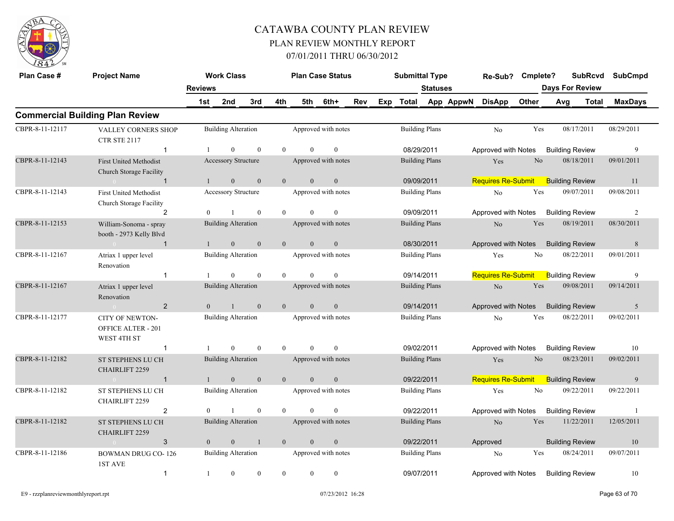

| Plan Case #     | <b>Project Name</b>                                         |                       | <b>Work Class</b>          |                |                |                | <b>Plan Case Status</b> |     | <b>Submittal Type</b> |                 |           | Re-Sub? Cmplete?          |                |                               | <b>SubRcvd</b> | <b>SubCmpd</b> |
|-----------------|-------------------------------------------------------------|-----------------------|----------------------------|----------------|----------------|----------------|-------------------------|-----|-----------------------|-----------------|-----------|---------------------------|----------------|-------------------------------|----------------|----------------|
|                 |                                                             | <b>Reviews</b><br>1st | 2nd                        | 3rd            | 4th            | 5th            | 6th+                    | Rev | Exp Total             | <b>Statuses</b> | App AppwN | <b>DisApp</b>             | Other          | <b>Days For Review</b><br>Avg | Total          | <b>MaxDays</b> |
|                 | <b>Commercial Building Plan Review</b>                      |                       |                            |                |                |                |                         |     |                       |                 |           |                           |                |                               |                |                |
|                 |                                                             |                       |                            |                |                |                |                         |     |                       |                 |           |                           |                |                               |                |                |
| CBPR-8-11-12117 | <b>VALLEY CORNERS SHOP</b><br><b>CTR STE 2117</b>           |                       | <b>Building Alteration</b> |                |                |                | Approved with notes     |     | <b>Building Plans</b> |                 |           | No                        | Yes            | 08/17/2011                    |                | 08/29/2011     |
|                 | $\mathbf{1}$                                                | -1                    | $\theta$                   | $\mathbf{0}$   | $\theta$       | $\Omega$       | $\mathbf{0}$            |     | 08/29/2011            |                 |           | Approved with Notes       |                | <b>Building Review</b>        |                | 9              |
| CBPR-8-11-12143 | <b>First United Methodist</b><br>Church Storage Facility    |                       | <b>Accessory Structure</b> |                |                |                | Approved with notes     |     | <b>Building Plans</b> |                 |           | Yes                       | No             | 08/18/2011                    |                | 09/01/2011     |
|                 | $\sim 0$<br>$\mathbf{1}$                                    | $\mathbf{1}$          | $\mathbf{0}$               | $\mathbf{0}$   | $\mathbf{0}$   | $\overline{0}$ | $\mathbf{0}$            |     | 09/09/2011            |                 |           | <b>Requires Re-Submit</b> |                | <b>Building Review</b>        |                | 11             |
| CBPR-8-11-12143 | <b>First United Methodist</b><br>Church Storage Facility    |                       | Accessory Structure        |                |                |                | Approved with notes     |     | <b>Building Plans</b> |                 |           | No                        | Yes            | 09/07/2011                    |                | 09/08/2011     |
|                 | 2                                                           | $\overline{0}$        |                            | $\mathbf{0}$   | $\overline{0}$ | $\theta$       | $\mathbf{0}$            |     | 09/09/2011            |                 |           | Approved with Notes       |                | <b>Building Review</b>        |                | 2              |
| CBPR-8-11-12153 | William-Sonoma - spray<br>booth - 2973 Kelly Blvd           |                       | <b>Building Alteration</b> |                |                |                | Approved with notes     |     | <b>Building Plans</b> |                 |           | No                        | Yes            | 08/19/2011                    |                | 08/30/2011     |
|                 | $\overline{1}$<br>$\sim 0$                                  | $\mathbf{1}$          | $\overline{0}$             | $\mathbf{0}$   | $\mathbf{0}$   | $\theta$       | $\mathbf{0}$            |     | 08/30/2011            |                 |           | Approved with Notes       |                | <b>Building Review</b>        |                | 8              |
| CBPR-8-11-12167 | Atriax 1 upper level<br>Renovation                          |                       | <b>Building Alteration</b> |                |                |                | Approved with notes     |     | <b>Building Plans</b> |                 |           | Yes                       | No             | 08/22/2011                    |                | 09/01/2011     |
|                 | $\mathbf{1}$                                                |                       | $\theta$                   | $\mathbf{0}$   | $\theta$       |                | $\theta$                |     | 09/14/2011            |                 |           | <b>Requires Re-Submit</b> |                | <b>Building Review</b>        |                | 9              |
| CBPR-8-11-12167 | Atriax 1 upper level<br>Renovation                          |                       | <b>Building Alteration</b> |                |                |                | Approved with notes     |     | <b>Building Plans</b> |                 |           | N <sub>o</sub>            | Yes            | 09/08/2011                    |                | 09/14/2011     |
|                 | $\overline{2}$<br>$\sim$ 0                                  | $\overline{0}$        | 1                          | $\mathbf{0}$   | $\mathbf{0}$   | $\overline{0}$ | $\mathbf{0}$            |     | 09/14/2011            |                 |           | Approved with Notes       |                | <b>Building Review</b>        |                | 5              |
| CBPR-8-11-12177 | CITY OF NEWTON-<br><b>OFFICE ALTER - 201</b><br>WEST 4TH ST |                       | <b>Building Alteration</b> |                |                |                | Approved with notes     |     | <b>Building Plans</b> |                 |           | No                        | Yes            | 08/22/2011                    |                | 09/02/2011     |
|                 | $\mathbf{1}$                                                |                       | $\theta$                   | $\theta$       | $\theta$       | $\Omega$       | $\theta$                |     | 09/02/2011            |                 |           | Approved with Notes       |                | <b>Building Review</b>        |                | 10             |
| CBPR-8-11-12182 | ST STEPHENS LU CH<br><b>CHAIRLIFT 2259</b>                  |                       | <b>Building Alteration</b> |                |                |                | Approved with notes     |     | <b>Building Plans</b> |                 |           | Yes                       | N <sub>o</sub> | 08/23/2011                    |                | 09/02/2011     |
|                 | $\mathbf{1}$<br>$\sim 0$                                    | $\mathbf{1}$          | $\overline{0}$             | $\theta$       | $\theta$       | $\theta$       | $\mathbf{0}$            |     | 09/22/2011            |                 |           | <b>Requires Re-Submit</b> |                | <b>Building Review</b>        |                | 9              |
| CBPR-8-11-12182 | ST STEPHENS LU CH<br><b>CHAIRLIFT 2259</b>                  |                       | <b>Building Alteration</b> |                |                |                | Approved with notes     |     | <b>Building Plans</b> |                 |           | Yes                       | No             | 09/22/2011                    |                | 09/22/2011     |
|                 | $\overline{2}$                                              | $\theta$              | $\overline{1}$             | $\mathbf{0}$   | $\mathbf{0}$   | $\overline{0}$ | $\mathbf{0}$            |     | 09/22/2011            |                 |           | Approved with Notes       |                | <b>Building Review</b>        |                | -1             |
| CBPR-8-11-12182 | <b>ST STEPHENS LU CH</b><br><b>CHAIRLIFT 2259</b>           |                       | <b>Building Alteration</b> |                |                |                | Approved with notes     |     | <b>Building Plans</b> |                 |           | N <sub>o</sub>            | Yes            | 11/22/2011                    |                | 12/05/2011     |
|                 | 3<br>$\overline{0}$                                         | $\overline{0}$        | $\overline{0}$             | $\overline{1}$ | $\mathbf{0}$   | $\overline{0}$ | $\mathbf{0}$            |     | 09/22/2011            |                 |           | Approved                  |                | <b>Building Review</b>        |                | 10             |
| CBPR-8-11-12186 | <b>BOWMAN DRUG CO-126</b><br>1ST AVE                        |                       | <b>Building Alteration</b> |                |                |                | Approved with notes     |     | <b>Building Plans</b> |                 |           | N <sub>o</sub>            | Yes            | 08/24/2011                    |                | 09/07/2011     |
|                 | $\mathbf{1}$                                                | -1                    | $\overline{0}$             | $\theta$       | $\theta$       | $\theta$       | $\mathbf{0}$            |     | 09/07/2011            |                 |           | Approved with Notes       |                | <b>Building Review</b>        |                | 10             |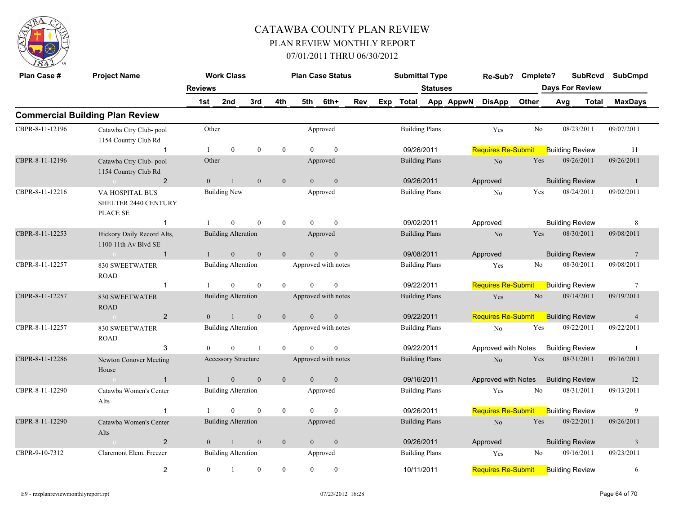

| Plan Case #     | <b>Project Name</b>                                        |                | <b>Work Class</b>          |                  |                  |                | <b>Plan Case Status</b> |            | <b>Submittal Type</b> |                 |           | Re-Sub?                   | Cmplete?       | <b>SubRcvd</b>         |       | <b>SubCmpd</b>          |
|-----------------|------------------------------------------------------------|----------------|----------------------------|------------------|------------------|----------------|-------------------------|------------|-----------------------|-----------------|-----------|---------------------------|----------------|------------------------|-------|-------------------------|
|                 |                                                            | <b>Reviews</b> |                            |                  |                  |                |                         |            |                       | <b>Statuses</b> |           |                           |                | <b>Days For Review</b> |       |                         |
|                 |                                                            | 1st            | 2nd                        | 3rd              | 4th              | 5th            | 6th+                    | <b>Rev</b> | Exp Total             |                 | App AppwN | <b>DisApp</b>             | Other          | Avg                    | Total | <b>MaxDays</b>          |
|                 | <b>Commercial Building Plan Review</b>                     |                |                            |                  |                  |                |                         |            |                       |                 |           |                           |                |                        |       |                         |
| CBPR-8-11-12196 | Catawba Ctry Club-pool<br>1154 Country Club Rd             | Other          |                            |                  |                  |                | Approved                |            | <b>Building Plans</b> |                 |           | Yes                       | No             | 08/23/2011             |       | 09/07/2011              |
|                 | $\mathbf{1}$                                               |                | $\mathbf{0}$               | $\mathbf{0}$     | $\overline{0}$   | $\Omega$       | $\mathbf{0}$            |            | 09/26/2011            |                 |           | <b>Requires Re-Submit</b> |                | <b>Building Review</b> |       | 11                      |
| CBPR-8-11-12196 | Catawba Ctry Club-pool<br>1154 Country Club Rd             | Other          |                            |                  |                  |                | Approved                |            | <b>Building Plans</b> |                 |           | $\rm No$                  | Yes            | 09/26/2011             |       | 09/26/2011              |
|                 | $\overline{2}$<br>$\sim 0$                                 | $\mathbf{0}$   | $\mathbf{1}$               | $\mathbf{0}$     | $\mathbf{0}$     | $\mathbf{0}$   | $\mathbf{0}$            |            | 09/26/2011            |                 |           | Approved                  |                | <b>Building Review</b> |       | $\mathbf{1}$            |
| CBPR-8-11-12216 | VA HOSPITAL BUS<br>SHELTER 2440 CENTURY<br><b>PLACE SE</b> |                | <b>Building New</b>        |                  |                  |                | Approved                |            | <b>Building Plans</b> |                 |           | No                        | Yes            | 08/24/2011             |       | 09/02/2011              |
|                 | $\mathbf{1}$                                               |                | $\mathbf{0}$               | $\theta$         | $\overline{0}$   | $\Omega$       | $\theta$                |            | 09/02/2011            |                 |           | Approved                  |                | <b>Building Review</b> |       | 8                       |
| CBPR-8-11-12253 | Hickory Daily Record Alts,<br>1100 11th Av Blvd SE         |                | <b>Building Alteration</b> |                  |                  |                | Approved                |            | <b>Building Plans</b> |                 |           | No                        | Yes            | 08/30/2011             |       | 09/08/2011              |
|                 | $\mathbf{1}$<br>$\sim 0$                                   | $\mathbf{1}$   | $\overline{0}$             | $\mathbf{0}$     | $\mathbf{0}$     | $\theta$       | $\mathbf{0}$            |            | 09/08/2011            |                 |           | Approved                  |                | <b>Building Review</b> |       | $7\phantom{.0}$         |
| CBPR-8-11-12257 | <b>830 SWEETWATER</b><br><b>ROAD</b>                       |                | <b>Building Alteration</b> |                  |                  |                | Approved with notes     |            | <b>Building Plans</b> |                 |           | Yes                       | No             | 08/30/2011             |       | 09/08/2011              |
|                 | $\mathbf{1}$                                               |                | $\overline{0}$             | $\mathbf{0}$     | $\overline{0}$   | $\Omega$       | $\mathbf{0}$            |            | 09/22/2011            |                 |           | <b>Requires Re-Submit</b> |                | <b>Building Review</b> |       | $7\phantom{.0}$         |
| CBPR-8-11-12257 | <b>830 SWEETWATER</b><br><b>ROAD</b>                       |                | <b>Building Alteration</b> |                  |                  |                | Approved with notes     |            | <b>Building Plans</b> |                 |           | Yes                       | N <sub>o</sub> | 09/14/2011             |       | 09/19/2011              |
|                 | $\overline{2}$<br>$\sim 0$                                 | $\overline{0}$ | $\mathbf{1}$               | $\mathbf{0}$     | $\mathbf{0}$     | $\mathbf{0}$   | $\boldsymbol{0}$        |            | 09/22/2011            |                 |           | <b>Requires Re-Submit</b> |                | <b>Building Review</b> |       | $\overline{4}$          |
| CBPR-8-11-12257 | <b>830 SWEETWATER</b><br><b>ROAD</b>                       |                | <b>Building Alteration</b> |                  |                  |                | Approved with notes     |            | <b>Building Plans</b> |                 |           | No                        | Yes            | 09/22/2011             |       | 09/22/2011              |
|                 | 3                                                          | $\Omega$       | $\Omega$                   | $\mathbf{1}$     | $\theta$         | $\theta$       | $\theta$                |            | 09/22/2011            |                 |           | Approved with Notes       |                | <b>Building Review</b> |       | $\overline{1}$          |
| CBPR-8-11-12286 | Newton Conover Meeting<br>House                            |                | <b>Accessory Structure</b> |                  |                  |                | Approved with notes     |            | <b>Building Plans</b> |                 |           | N <sub>o</sub>            | Yes            | 08/31/2011             |       | 09/16/2011              |
|                 | $\mathbf{1}$                                               | $\mathbf{1}$   | $\overline{0}$             | $\mathbf{0}$     | $\mathbf{0}$     | $\overline{0}$ | $\mathbf{0}$            |            | 09/16/2011            |                 |           | Approved with Notes       |                | <b>Building Review</b> |       | 12                      |
| CBPR-8-11-12290 | Catawba Women's Center<br>Alts                             |                | <b>Building Alteration</b> |                  |                  |                | Approved                |            | <b>Building Plans</b> |                 |           | Yes                       | No             | 08/31/2011             |       | 09/13/2011              |
|                 | $\mathbf{1}$                                               |                | $\Omega$                   | $\mathbf{0}$     | $\overline{0}$   | $\theta$       | $\mathbf{0}$            |            | 09/26/2011            |                 |           | <b>Requires Re-Submit</b> |                | <b>Building Review</b> |       | 9                       |
| CBPR-8-11-12290 | Catawba Women's Center<br>Alts                             |                | <b>Building Alteration</b> |                  |                  |                | Approved                |            | <b>Building Plans</b> |                 |           | No                        | Yes            | 09/22/2011             |       | 09/26/2011              |
|                 | $\overline{2}$                                             | $\overline{0}$ | $\mathbf{1}$               | $\mathbf{0}$     | $\mathbf{0}$     | $\mathbf{0}$   | $\mathbf{0}$            |            | 09/26/2011            |                 |           | Approved                  |                | <b>Building Review</b> |       | $\overline{\mathbf{3}}$ |
| CBPR-9-10-7312  | Claremont Elem. Freezer                                    |                | <b>Building Alteration</b> |                  |                  |                | Approved                |            | <b>Building Plans</b> |                 |           | Yes                       | No             | 09/16/2011             |       | 09/23/2011              |
|                 | 2                                                          | $\overline{0}$ | 1                          | $\boldsymbol{0}$ | $\boldsymbol{0}$ | $\overline{0}$ | $\boldsymbol{0}$        |            | 10/11/2011            |                 |           | Requires Re-Submit        |                | <b>Building Review</b> |       | 6                       |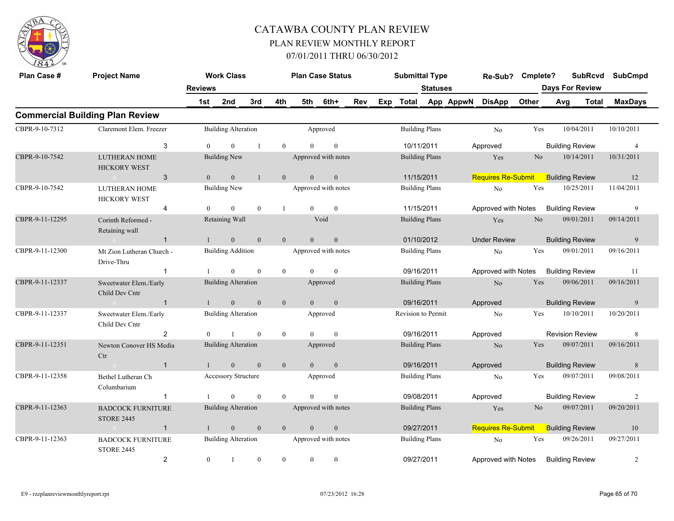

| Plan Case #     | <b>Project Name</b>                               |                | <b>Work Class</b>          |              |                | <b>Plan Case Status</b> |                     |     |     | <b>Submittal Type</b> |                       |           | Re-Sub?                   | Cmplete?       | <b>SubRcvd</b>         |              | <b>SubCmpd</b> |
|-----------------|---------------------------------------------------|----------------|----------------------------|--------------|----------------|-------------------------|---------------------|-----|-----|-----------------------|-----------------------|-----------|---------------------------|----------------|------------------------|--------------|----------------|
|                 |                                                   | <b>Reviews</b> |                            |              |                |                         |                     |     |     |                       | <b>Statuses</b>       |           |                           |                | <b>Days For Review</b> |              |                |
|                 |                                                   | 1st            | 2nd                        | 3rd          | 4th            | 5th                     | 6th+                | Rev | Exp | Total                 |                       | App AppwN | <b>DisApp</b>             | Other          | Avg                    | <b>Total</b> | <b>MaxDays</b> |
|                 | <b>Commercial Building Plan Review</b>            |                |                            |              |                |                         |                     |     |     |                       |                       |           |                           |                |                        |              |                |
| CBPR-9-10-7312  | Claremont Elem. Freezer                           |                | <b>Building Alteration</b> |              |                |                         | Approved            |     |     |                       | <b>Building Plans</b> |           | N <sub>o</sub>            | Yes            | 10/04/2011             |              | 10/10/2011     |
|                 | 3                                                 | $\theta$       | $\theta$                   | $\mathbf{1}$ | $\theta$       | $\Omega$                | $\mathbf{0}$        |     |     |                       | 10/11/2011            |           | Approved                  |                | <b>Building Review</b> |              | $\overline{4}$ |
| CBPR-9-10-7542  | <b>LUTHERAN HOME</b><br><b>HICKORY WEST</b>       |                | <b>Building New</b>        |              |                |                         | Approved with notes |     |     |                       | <b>Building Plans</b> |           | Yes                       | N <sub>o</sub> | 10/14/2011             |              | 10/31/2011     |
|                 | $\sqrt{3}$<br>$\sim 0$                            | $\overline{0}$ | $\mathbf{0}$               | $\mathbf{1}$ | $\overline{0}$ | $\mathbf{0}$            | $\boldsymbol{0}$    |     |     |                       | 11/15/2011            |           | <b>Requires Re-Submit</b> |                | <b>Building Review</b> |              | 12             |
| CBPR-9-10-7542  | <b>LUTHERAN HOME</b><br><b>HICKORY WEST</b>       |                | Building New               |              |                |                         | Approved with notes |     |     |                       | <b>Building Plans</b> |           | $\rm No$                  | Yes            | 10/25/2011             |              | 11/04/2011     |
|                 | $\overline{4}$                                    | $\Omega$       | $\mathbf{0}$               | $\theta$     |                | $\Omega$                | $\mathbf{0}$        |     |     |                       | 11/15/2011            |           | Approved with Notes       |                | <b>Building Review</b> |              | 9              |
| CBPR-9-11-12295 | Corinth Reformed -<br>Retaining wall              |                | Retaining Wall             |              |                |                         | Void                |     |     |                       | <b>Building Plans</b> |           | Yes                       | No.            | 09/01/2011             |              | 09/14/2011     |
|                 | $\overline{1}$<br>$\sim 0$ and $\sim 0$           |                | $\mathbf{0}$               | $\mathbf{0}$ | $\mathbf{0}$   | $\overline{0}$          | $\mathbf{0}$        |     |     |                       | 01/10/2012            |           | <b>Under Review</b>       |                | <b>Building Review</b> |              | 9              |
| CBPR-9-11-12300 | Mt Zion Lutheran Church -<br>Drive-Thru           |                | <b>Building Addition</b>   |              |                |                         | Approved with notes |     |     |                       | <b>Building Plans</b> |           | N <sub>o</sub>            | Yes            | 09/01/2011             |              | 09/16/2011     |
|                 | $\mathbf{1}$                                      |                | $\mathbf{0}$               | $\mathbf{0}$ | $\overline{0}$ | $\theta$                | $\overline{0}$      |     |     |                       | 09/16/2011            |           | Approved with Notes       |                | <b>Building Review</b> |              | 11             |
| CBPR-9-11-12337 | Sweetwater Elem./Early<br>Child Dev Cntr          |                | <b>Building Alteration</b> |              |                |                         | Approved            |     |     |                       | <b>Building Plans</b> |           | N <sub>o</sub>            | Yes            | 09/06/2011             |              | 09/16/2011     |
|                 | $\overline{1}$                                    |                | $\mathbf{0}$               | $\mathbf{0}$ | $\mathbf{0}$   | $\overline{0}$          | $\mathbf{0}$        |     |     | 09/16/2011            |                       |           | Approved                  |                | <b>Building Review</b> |              | 9              |
| CBPR-9-11-12337 | Sweetwater Elem./Early<br>Child Dev Cntr          |                | <b>Building Alteration</b> |              |                |                         | Approved            |     |     | Revision to Permit    |                       |           | No                        | Yes            | 10/10/2011             |              | 10/20/2011     |
|                 | $\overline{2}$                                    | $\Omega$       | $\mathbf{1}$               | $\theta$     | $\overline{0}$ | $\Omega$                | $\mathbf{0}$        |     |     | 09/16/2011            |                       |           | Approved                  |                | <b>Revision Review</b> |              | 8              |
| CBPR-9-11-12351 | Newton Conover HS Media<br>Ctr                    |                | <b>Building Alteration</b> |              |                |                         | Approved            |     |     |                       | <b>Building Plans</b> |           | N <sub>o</sub>            | Yes            | 09/07/2011             |              | 09/16/2011     |
|                 | $\overline{1}$<br>$\sim 0$                        | $\mathbf{1}$   | $\mathbf{0}$               | $\mathbf{0}$ | $\mathbf{0}$   | $\overline{0}$          | $\mathbf{0}$        |     |     | 09/16/2011            |                       |           | Approved                  |                | <b>Building Review</b> |              | $8\phantom{.}$ |
| CBPR-9-11-12358 | Bethel Lutheran Ch<br>Columbarium                 |                | Accessory Structure        |              |                |                         | Approved            |     |     |                       | <b>Building Plans</b> |           | No                        | Yes            | 09/07/2011             |              | 09/08/2011     |
|                 | $\mathbf{1}$                                      |                | $\theta$                   | $\theta$     | $\theta$       | $\Omega$                | $\theta$            |     |     | 09/08/2011            |                       |           | Approved                  |                | <b>Building Review</b> |              | 2              |
| CBPR-9-11-12363 | <b>BADCOCK FURNITURE</b><br><b>STORE 2445</b>     |                | <b>Building Alteration</b> |              |                |                         | Approved with notes |     |     |                       | <b>Building Plans</b> |           | Yes                       | No             | 09/07/2011             |              | 09/20/2011     |
|                 | $\mathbf{1}$<br>$\sim$ 0 $\sim$ 0 $\sim$ 0 $\sim$ |                | $\mathbf{0}$               | $\mathbf{0}$ | $\mathbf{0}$   | $\overline{0}$          | $\mathbf{0}$        |     |     |                       | 09/27/2011            |           | Requires Re-Submit        |                | <b>Building Review</b> |              | 10             |
| CBPR-9-11-12363 | <b>BADCOCK FURNITURE</b><br><b>STORE 2445</b>     |                | <b>Building Alteration</b> |              |                |                         | Approved with notes |     |     |                       | <b>Building Plans</b> |           | No                        | Yes            | 09/26/2011             |              | 09/27/2011     |
|                 | $\overline{2}$                                    | $\overline{0}$ | $\mathbf{1}$               | $\mathbf{0}$ | $\overline{0}$ | $\overline{0}$          | $\mathbf{0}$        |     |     | 09/27/2011            |                       |           | Approved with Notes       |                | <b>Building Review</b> |              | 2              |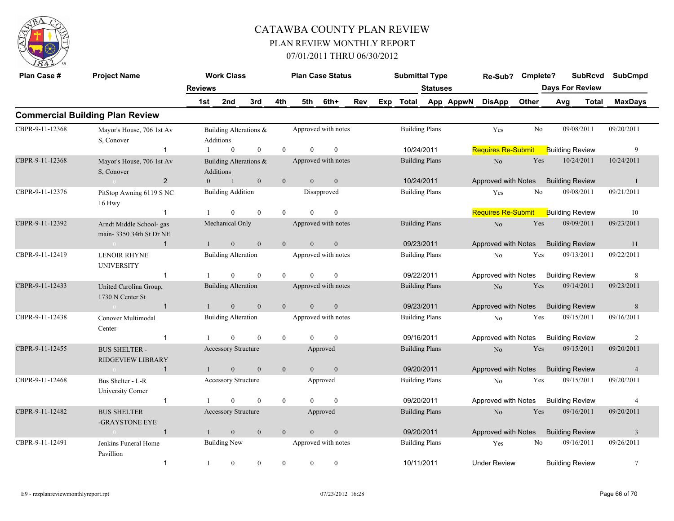

| Plan Case #     | <b>Project Name</b>                                                   |                | <b>Work Class</b>                                          |                  |                |                | <b>Plan Case Status</b>               |     |     | <b>Submittal Type</b> |                 |           | Re-Sub? Cmplete?          |       | <b>SubRcvd</b>         |       | SubCmpd                      |
|-----------------|-----------------------------------------------------------------------|----------------|------------------------------------------------------------|------------------|----------------|----------------|---------------------------------------|-----|-----|-----------------------|-----------------|-----------|---------------------------|-------|------------------------|-------|------------------------------|
|                 |                                                                       | <b>Reviews</b> |                                                            |                  |                |                |                                       |     |     |                       | <b>Statuses</b> |           |                           |       | <b>Days For Review</b> |       |                              |
|                 |                                                                       | 1st            | 2nd                                                        | 3rd              | 4th            | 5th            | 6th+                                  | Rev | Exp | Total                 |                 | App AppwN | <b>DisApp</b>             | Other | Avg                    | Total | <b>MaxDays</b>               |
|                 | <b>Commercial Building Plan Review</b>                                |                |                                                            |                  |                |                |                                       |     |     |                       |                 |           |                           |       |                        |       |                              |
| CBPR-9-11-12368 | Mayor's House, 706 1st Av<br>S. Conover                               |                | Building Alterations &<br>Additions                        |                  |                |                | Approved with notes                   |     |     | <b>Building Plans</b> |                 |           | Yes                       | No    | 09/08/2011             |       | 09/20/2011                   |
|                 | $\mathbf{1}$                                                          | -1             | $\overline{0}$                                             | $\boldsymbol{0}$ | $\overline{0}$ | $\Omega$       | $\mathbf{0}$                          |     |     | 10/24/2011            |                 |           | <b>Requires Re-Submit</b> |       | <b>Building Review</b> |       | 9                            |
| CBPR-9-11-12368 | Mayor's House, 706 1st Av<br>S, Conover<br>$\overline{2}$<br>$\sim 0$ |                | Building Alterations &<br>Additions<br>$0 \qquad \qquad 1$ | $\mathbf{0}$     | $\mathbf{0}$   | $\mathbf{0}$   | Approved with notes<br>$\overline{0}$ |     |     | <b>Building Plans</b> |                 |           | $\rm No$                  | Yes   | 10/24/2011             |       | 10/24/2011<br>$\overline{1}$ |
|                 |                                                                       |                |                                                            |                  |                |                |                                       |     |     | 10/24/2011            |                 |           | Approved with Notes       |       | <b>Building Review</b> |       |                              |
| CBPR-9-11-12376 | PitStop Awning 6119 S NC<br>16 Hwy                                    |                | <b>Building Addition</b>                                   |                  |                |                | Disapproved                           |     |     | <b>Building Plans</b> |                 |           | Yes                       | No    | 09/08/2011             |       | 09/21/2011                   |
|                 | $\mathbf{1}$                                                          |                | $\theta$                                                   | $\theta$         | $\theta$       | $\theta$       | $\mathbf{0}$                          |     |     |                       |                 |           | <b>Requires Re-Submit</b> |       | <b>Building Review</b> |       | 10                           |
| CBPR-9-11-12392 | Arndt Middle School- gas<br>main-3350 34th St Dr NE                   |                | Mechanical Only                                            |                  |                |                | Approved with notes                   |     |     | <b>Building Plans</b> |                 |           | No                        | Yes   | 09/09/2011             |       | 09/23/2011                   |
|                 | $\mathbf{1}$<br><b>Contract Contract Contract Contract Contract</b>   | $\mathbf{1}$   | $\mathbf{0}$                                               | $\mathbf{0}$     | $\overline{0}$ | $\overline{0}$ | $\mathbf{0}$                          |     |     | 09/23/2011            |                 |           | Approved with Notes       |       | <b>Building Review</b> |       | 11                           |
| CBPR-9-11-12419 | <b>LENOIR RHYNE</b><br><b>UNIVERSITY</b>                              |                | <b>Building Alteration</b>                                 |                  |                |                | Approved with notes                   |     |     | <b>Building Plans</b> |                 |           | No                        | Yes   | 09/13/2011             |       | 09/22/2011                   |
|                 | $\mathbf 1$                                                           |                | $\overline{0}$                                             | $\mathbf{0}$     | $\overline{0}$ | $\theta$       | $\mathbf{0}$                          |     |     | 09/22/2011            |                 |           | Approved with Notes       |       | <b>Building Review</b> |       | 8                            |
| CBPR-9-11-12433 | United Carolina Group,<br>1730 N Center St                            |                | <b>Building Alteration</b>                                 |                  |                |                | Approved with notes                   |     |     | <b>Building Plans</b> |                 |           | No                        | Yes   | 09/14/2011             |       | 09/23/2011                   |
|                 | $\sim 0$<br>$\mathbf{1}$                                              | $\mathbf{1}$   | $\mathbf{0}$                                               | $\mathbf{0}$     | $\mathbf{0}$   | $\overline{0}$ | $\mathbf{0}$                          |     |     | 09/23/2011            |                 |           | Approved with Notes       |       | <b>Building Review</b> |       | 8                            |
| CBPR-9-11-12438 | Conover Multimodal<br>Center                                          |                | <b>Building Alteration</b>                                 |                  |                |                | Approved with notes                   |     |     | <b>Building Plans</b> |                 |           | N <sub>o</sub>            | Yes   | 09/15/2011             |       | 09/16/2011                   |
|                 | $\mathbf{1}$                                                          |                | $\theta$                                                   | $\theta$         | $\theta$       | $\Omega$       | $\bf{0}$                              |     |     | 09/16/2011            |                 |           | Approved with Notes       |       | <b>Building Review</b> |       | 2                            |
| CBPR-9-11-12455 | <b>BUS SHELTER -</b><br><b>RIDGEVIEW LIBRARY</b>                      |                | Accessory Structure                                        |                  |                |                | Approved                              |     |     | <b>Building Plans</b> |                 |           | No                        | Yes   | 09/15/2011             |       | 09/20/2011                   |
|                 | $\mathbf{1}$<br>$\sim$ 0                                              | 1              | $\mathbf{0}$                                               | $\mathbf{0}$     | $\mathbf{0}$   | $\overline{0}$ | $\mathbf{0}$                          |     |     | 09/20/2011            |                 |           | Approved with Notes       |       | <b>Building Review</b> |       | $\overline{4}$               |
| CBPR-9-11-12468 | Bus Shelter - L-R<br>University Corner                                |                | Accessory Structure                                        |                  |                |                | Approved                              |     |     | <b>Building Plans</b> |                 |           | N <sub>o</sub>            | Yes   | 09/15/2011             |       | 09/20/2011                   |
|                 | $\mathbf{1}$                                                          |                | $\overline{0}$                                             | $\mathbf{0}$     | $\overline{0}$ | $\theta$       | $\mathbf{0}$                          |     |     | 09/20/2011            |                 |           | Approved with Notes       |       | <b>Building Review</b> |       | $\overline{4}$               |
| CBPR-9-11-12482 | <b>BUS SHELTER</b><br>-GRAYSTONE EYE                                  |                | <b>Accessory Structure</b>                                 |                  |                |                | Approved                              |     |     | <b>Building Plans</b> |                 |           | No                        | Yes   | 09/16/2011             |       | 09/20/2011                   |
|                 | $\sim 0$<br>$\mathbf{1}$                                              | $\overline{1}$ | $\mathbf{0}$                                               | $\mathbf{0}$     | $\overline{0}$ | $\overline{0}$ | $\mathbf{0}$                          |     |     | 09/20/2011            |                 |           | Approved with Notes       |       | <b>Building Review</b> |       | $\overline{3}$               |
| CBPR-9-11-12491 | Jenkins Funeral Home<br>Pavillion                                     |                | <b>Building New</b>                                        |                  |                |                | Approved with notes                   |     |     | <b>Building Plans</b> |                 |           | Yes                       | No    | 09/16/2011             |       | 09/26/2011                   |
|                 | $\mathbf{1}$                                                          | -1             | $\overline{0}$                                             | $\theta$         | $\theta$       | $\theta$       | $\mathbf{0}$                          |     |     | 10/11/2011            |                 |           | <b>Under Review</b>       |       | <b>Building Review</b> |       | $\tau$                       |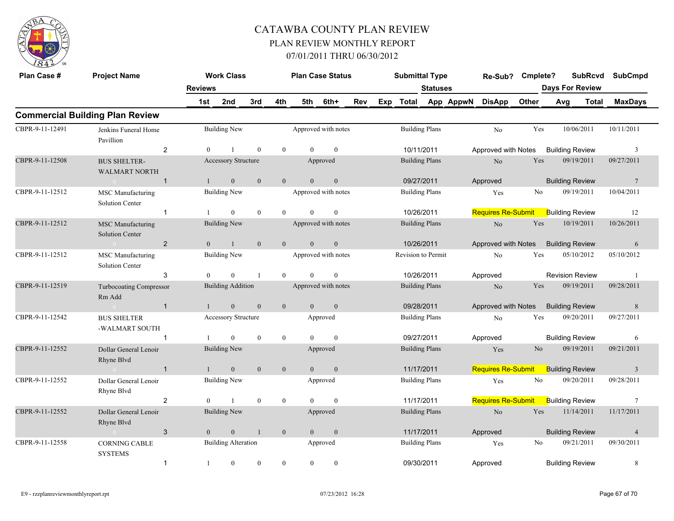

| Plan Case #     | <b>Project Name</b>                                | <b>Reviews</b> | <b>Work Class</b>          |              |                |                | <b>Plan Case Status</b> |     |     | <b>Submittal Type</b>     | <b>Statuses</b>       |           | Re-Sub?                   | Cmplete?       | <b>SubRcvd</b><br><b>Days For Review</b> |       | <b>SubCmpd</b>          |
|-----------------|----------------------------------------------------|----------------|----------------------------|--------------|----------------|----------------|-------------------------|-----|-----|---------------------------|-----------------------|-----------|---------------------------|----------------|------------------------------------------|-------|-------------------------|
|                 |                                                    | 1st            | 2nd                        | 3rd          | 4th            | 5th            | 6th+                    | Rev | Exp | <b>Total</b>              |                       | App AppwN | <b>DisApp</b>             | Other          | Avg                                      | Total | <b>MaxDays</b>          |
|                 | <b>Commercial Building Plan Review</b>             |                |                            |              |                |                |                         |     |     |                           |                       |           |                           |                |                                          |       |                         |
| CBPR-9-11-12491 | Jenkins Funeral Home<br>Pavillion                  |                | <b>Building New</b>        |              |                |                | Approved with notes     |     |     |                           | <b>Building Plans</b> |           | No                        | Yes            | 10/06/2011                               |       | 10/11/2011              |
|                 | $\overline{2}$                                     | $\theta$       |                            | $\theta$     | $\theta$       | $\Omega$       | $\theta$                |     |     | 10/11/2011                |                       |           | Approved with Notes       |                | <b>Building Review</b>                   |       | $\overline{3}$          |
| CBPR-9-11-12508 | <b>BUS SHELTER-</b><br><b>WALMART NORTH</b>        |                | Accessory Structure        |              |                |                | Approved                |     |     |                           | <b>Building Plans</b> |           | No                        | Yes            | 09/19/2011                               |       | 09/27/2011              |
|                 | $\overline{1}$<br>$\sim 0$                         | $\mathbf{1}$   | $\overline{0}$             | $\mathbf{0}$ | $\overline{0}$ | $\overline{0}$ | $\mathbf{0}$            |     |     |                           | 09/27/2011            |           | Approved                  |                | <b>Building Review</b>                   |       | $7\phantom{.0}$         |
| CBPR-9-11-12512 | <b>MSC</b> Manufacturing<br><b>Solution Center</b> |                | <b>Building New</b>        |              |                |                | Approved with notes     |     |     |                           | <b>Building Plans</b> |           | Yes                       | N <sub>0</sub> | 09/19/2011                               |       | 10/04/2011              |
|                 | $\mathbf{1}$                                       |                | $\theta$                   | $\theta$     | $\Omega$       | $\Omega$       | $\theta$                |     |     | 10/26/2011                |                       |           | <b>Requires Re-Submit</b> |                | <b>Building Review</b>                   |       | 12                      |
| CBPR-9-11-12512 | <b>MSC</b> Manufacturing<br><b>Solution Center</b> |                | <b>Building New</b>        |              |                |                | Approved with notes     |     |     |                           | <b>Building Plans</b> |           | No                        | Yes            | 10/19/2011                               |       | 10/26/2011              |
|                 | $\overline{2}$<br>$\sim 0$                         | $\theta$       | $\mathbf{1}$               | $\mathbf{0}$ | $\overline{0}$ | $\overline{0}$ | $\mathbf{0}$            |     |     | 10/26/2011                |                       |           | Approved with Notes       |                | <b>Building Review</b>                   |       | 6                       |
| CBPR-9-11-12512 | MSC Manufacturing<br><b>Solution Center</b>        |                | <b>Building New</b>        |              |                |                | Approved with notes     |     |     | <b>Revision to Permit</b> |                       |           | N <sub>0</sub>            | Yes            | 05/10/2012                               |       | 05/10/2012              |
|                 | 3                                                  | $\Omega$       | $\Omega$                   |              | $\theta$       | $\theta$       | $\mathbf{0}$            |     |     | 10/26/2011                |                       |           | Approved                  |                | <b>Revision Review</b>                   |       | $\overline{1}$          |
| CBPR-9-11-12519 | Turbocoating Compressor<br>Rm Add                  |                | <b>Building Addition</b>   |              |                |                | Approved with notes     |     |     |                           | <b>Building Plans</b> |           | $\rm No$                  | Yes            | 09/19/2011                               |       | 09/28/2011              |
|                 | $\sim 0$<br>$\overline{1}$                         | 1              | $\mathbf{0}$               | $\mathbf{0}$ | $\mathbf{0}$   | $\overline{0}$ | $\mathbf{0}$            |     |     |                           | 09/28/2011            |           | Approved with Notes       |                | <b>Building Review</b>                   |       | 8                       |
| CBPR-9-11-12542 | <b>BUS SHELTER</b><br>-WALMART SOUTH               |                | Accessory Structure        |              |                |                | Approved                |     |     |                           | <b>Building Plans</b> |           | No                        | Yes            | 09/20/2011                               |       | 09/27/2011              |
|                 | $\overline{1}$                                     |                | $\overline{0}$             | $\theta$     | $\overline{0}$ | $\Omega$       | $\mathbf{0}$            |     |     | 09/27/2011                |                       |           | Approved                  |                | <b>Building Review</b>                   |       | 6                       |
| CBPR-9-11-12552 | Dollar General Lenoir<br>Rhyne Blyd                |                | <b>Building New</b>        |              |                |                | Approved                |     |     |                           | <b>Building Plans</b> |           | Yes                       | N <sub>0</sub> | 09/19/2011                               |       | 09/21/2011              |
|                 | $\overline{1}$<br>$\sim 0$                         |                | $\boldsymbol{0}$           | $\mathbf{0}$ | $\mathbf{0}$   | $\overline{0}$ | $\mathbf{0}$            |     |     | 11/17/2011                |                       |           | <b>Requires Re-Submit</b> |                | <b>Building Review</b>                   |       | $\overline{\mathbf{3}}$ |
| CBPR-9-11-12552 | Dollar General Lenoir<br>Rhyne Blvd                |                | <b>Building New</b>        |              |                |                | Approved                |     |     |                           | <b>Building Plans</b> |           | Yes                       | No             | 09/20/2011                               |       | 09/28/2011              |
|                 | $\overline{2}$                                     | $\Omega$       | $\mathbf{1}$               | $\theta$     | $\overline{0}$ | $\Omega$       | $\mathbf{0}$            |     |     | 11/17/2011                |                       |           | <b>Requires Re-Submit</b> |                | <b>Building Review</b>                   |       | $7\phantom{.0}$         |
| CBPR-9-11-12552 | Dollar General Lenoir<br>Rhyne Blvd                |                | <b>Building New</b>        |              |                |                | Approved                |     |     |                           | <b>Building Plans</b> |           | N <sub>o</sub>            | Yes            | 11/14/2011                               |       | 11/17/2011              |
|                 | 3<br>$\sim 0$                                      | $\overline{0}$ | $\mathbf{0}$               | $\mathbf{1}$ | $\mathbf{0}$   | $\overline{0}$ | $\mathbf{0}$            |     |     | 11/17/2011                |                       |           | Approved                  |                | <b>Building Review</b>                   |       | $\overline{4}$          |
| CBPR-9-11-12558 | <b>CORNING CABLE</b><br><b>SYSTEMS</b>             |                | <b>Building Alteration</b> |              |                |                | Approved                |     |     |                           | <b>Building Plans</b> |           | Yes                       | No             | 09/21/2011                               |       | 09/30/2011              |
|                 | $\mathbf{1}$                                       | -1             | $\mathbf{0}$               | $\mathbf{0}$ | $\overline{0}$ | $\mathbf{0}$   | $\boldsymbol{0}$        |     |     |                           | 09/30/2011            |           | Approved                  |                | <b>Building Review</b>                   |       | 8                       |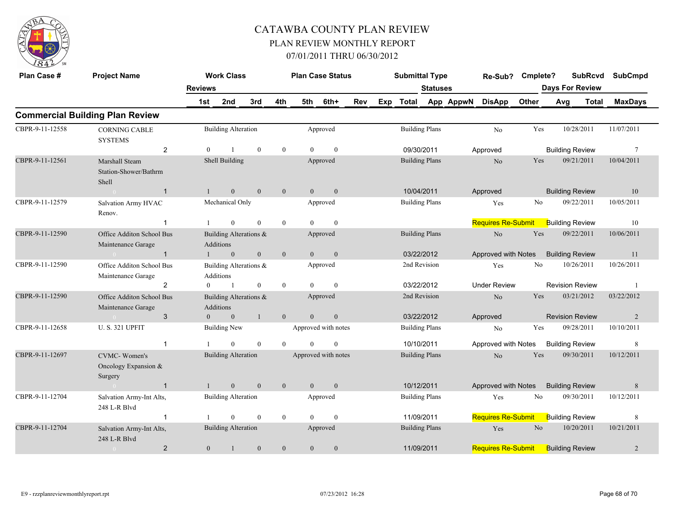

| Plan Case #     | <b>Project Name</b>                                    |                | <b>Work Class</b>                   |                  |                  | <b>Plan Case Status</b> |                  |     |     | <b>Submittal Type</b> |                       |           | Re-Sub?                   | Cmplete?       |     | <b>SubRcvd</b>         | <b>SubCmpd</b>  |
|-----------------|--------------------------------------------------------|----------------|-------------------------------------|------------------|------------------|-------------------------|------------------|-----|-----|-----------------------|-----------------------|-----------|---------------------------|----------------|-----|------------------------|-----------------|
|                 |                                                        | <b>Reviews</b> |                                     |                  |                  |                         |                  |     |     |                       | <b>Statuses</b>       |           |                           |                |     | <b>Days For Review</b> |                 |
|                 |                                                        | 1st            | 2nd                                 | 3rd              | 4th              | 5th                     | 6th+             | Rev | Exp | <b>Total</b>          |                       | App AppwN | <b>DisApp</b>             | Other          | Avg | <b>Total</b>           | <b>MaxDays</b>  |
|                 | <b>Commercial Building Plan Review</b>                 |                |                                     |                  |                  |                         |                  |     |     |                       |                       |           |                           |                |     |                        |                 |
| CBPR-9-11-12558 | <b>CORNING CABLE</b><br><b>SYSTEMS</b>                 |                | <b>Building Alteration</b>          |                  |                  |                         | Approved         |     |     |                       | <b>Building Plans</b> |           | N <sub>0</sub>            | Yes            |     | 10/28/2011             | 11/07/2011      |
|                 | $\overline{2}$                                         | $\theta$       |                                     | $\mathbf{0}$     | $\bf{0}$         | $\Omega$                | $\mathbf{0}$     |     |     |                       | 09/30/2011            |           | Approved                  |                |     | <b>Building Review</b> | $7\phantom{.0}$ |
| CBPR-9-11-12561 | Marshall Steam<br>Station-Shower/Bathrm<br>Shell       |                | Shell Building                      |                  |                  |                         | Approved         |     |     |                       | <b>Building Plans</b> |           | N <sub>o</sub>            | Yes            |     | 09/21/2011             | 10/04/2011      |
|                 | $\mathbf{1}$                                           | $\mathbf{1}$   | $\mathbf{0}$                        | $\mathbf{0}$     | $\mathbf{0}$     | $\mathbf{0}$            | $\mathbf{0}$     |     |     |                       | 10/04/2011            |           | Approved                  |                |     | <b>Building Review</b> | 10              |
| CBPR-9-11-12579 | Salvation Army HVAC<br>Renov.                          |                | Mechanical Only                     |                  |                  |                         | Approved         |     |     |                       | <b>Building Plans</b> |           | Yes                       | No             |     | 09/22/2011             | 10/05/2011      |
|                 | $\mathbf{1}$                                           |                | $\overline{0}$                      | $\mathbf{0}$     | $\overline{0}$   | $\theta$                | $\mathbf{0}$     |     |     |                       |                       |           | <b>Requires Re-Submit</b> |                |     | <b>Building Review</b> | 10              |
| CBPR-9-11-12590 | Office Additon School Bus<br>Maintenance Garage        |                | Building Alterations &<br>Additions |                  |                  |                         | Approved         |     |     |                       | <b>Building Plans</b> |           | No                        | Yes            |     | 09/22/2011             | 10/06/2011      |
|                 | $\mathbf{1}$<br>$\sim 0$                               |                | $\mathbf{0}$                        | $\boldsymbol{0}$ | $\mathbf{0}$     | $\mathbf{0}$            | $\mathbf{0}$     |     |     |                       | 03/22/2012            |           | Approved with Notes       |                |     | <b>Building Review</b> | 11              |
| CBPR-9-11-12590 | Office Additon School Bus<br>Maintenance Garage        |                | Building Alterations &<br>Additions |                  |                  |                         | Approved         |     |     |                       | 2nd Revision          |           | Yes                       | No             |     | 10/26/2011             | 10/26/2011      |
|                 | $\overline{2}$                                         | $\overline{0}$ | -1                                  | $\bf{0}$         | $\bf{0}$         | $\theta$                | $\mathbf{0}$     |     |     |                       | 03/22/2012            |           | <b>Under Review</b>       |                |     | <b>Revision Review</b> | $\overline{1}$  |
| CBPR-9-11-12590 | Office Additon School Bus<br>Maintenance Garage        |                | Building Alterations &<br>Additions |                  |                  |                         | Approved         |     |     |                       | 2nd Revision          |           | N <sub>o</sub>            | Yes            |     | 03/21/2012             | 03/22/2012      |
|                 | 3<br>$\bigcap$                                         | $\mathbf{0}$   | $\mathbf{0}$                        | $\mathbf{1}$     | $\boldsymbol{0}$ | $\mathbf{0}$            | $\boldsymbol{0}$ |     |     |                       | 03/22/2012            |           | Approved                  |                |     | <b>Revision Review</b> | $\overline{2}$  |
| CBPR-9-11-12658 | <b>U.S. 321 UPFIT</b>                                  |                | Building New                        |                  |                  | Approved with notes     |                  |     |     |                       | <b>Building Plans</b> |           | N <sub>o</sub>            | Yes            |     | 09/28/2011             | 10/10/2011      |
|                 | $\mathbf{1}$                                           |                | $\Omega$                            | $\theta$         | $\theta$         | $\Omega$                | $\theta$         |     |     |                       | 10/10/2011            |           | Approved with Notes       |                |     | <b>Building Review</b> | 8               |
| CBPR-9-11-12697 | <b>CVMC-Women's</b><br>Oncology Expansion &<br>Surgery |                | <b>Building Alteration</b>          |                  |                  | Approved with notes     |                  |     |     |                       | <b>Building Plans</b> |           | $\rm No$                  | Yes            |     | 09/30/2011             | 10/12/2011      |
|                 | $\overline{1}$<br>$\sim 0$                             | $\mathbf{1}$   | $\mathbf{0}$                        | $\mathbf{0}$     | $\mathbf{0}$     | $\mathbf{0}$            | $\mathbf{0}$     |     |     |                       | 10/12/2011            |           | Approved with Notes       |                |     | <b>Building Review</b> | $\,$ 8 $\,$     |
| CBPR-9-11-12704 | Salvation Army-Int Alts,<br>248 L-R Blvd               |                | <b>Building Alteration</b>          |                  |                  |                         | Approved         |     |     |                       | <b>Building Plans</b> |           | Yes                       | N <sub>0</sub> |     | 09/30/2011             | 10/12/2011      |
|                 | $\overline{1}$                                         |                | $\Omega$                            | $\boldsymbol{0}$ | $\bf{0}$         | $\Omega$                | $\theta$         |     |     |                       | 11/09/2011            |           | <b>Requires Re-Submit</b> |                |     | <b>Building Review</b> | $\,8\,$         |
| CBPR-9-11-12704 | Salvation Army-Int Alts,<br>248 L-R Blvd               |                | <b>Building Alteration</b>          |                  |                  |                         | Approved         |     |     |                       | <b>Building Plans</b> |           | Yes                       | N <sub>o</sub> |     | 10/20/2011             | 10/21/2011      |
|                 | $\overline{2}$                                         | $\mathbf{0}$   | $\mathbf{1}$                        | $\mathbf{0}$     | $\mathbf{0}$     | $\mathbf{0}$            | $\boldsymbol{0}$ |     |     | 11/09/2011            |                       |           | <b>Requires Re-Submit</b> |                |     | <b>Building Review</b> | $\overline{2}$  |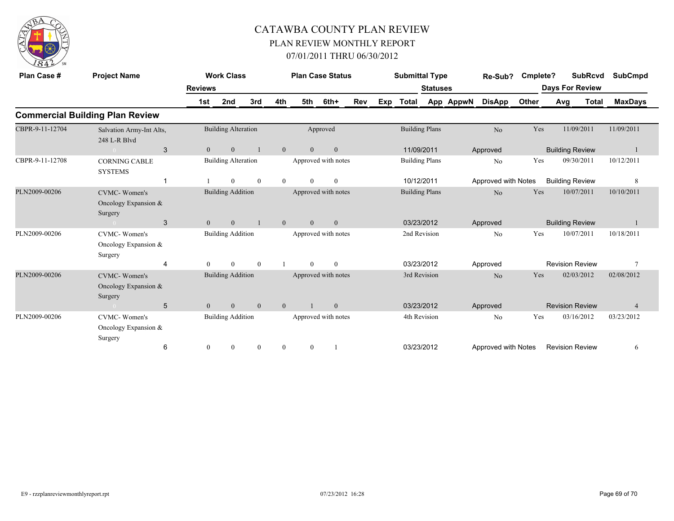

| Plan Case #     | <b>Project Name</b>                                      |                | <b>Work Class</b>          |                |                |                | <b>Plan Case Status</b> |     |     | <b>Submittal Type</b> |                       |           | Re-Sub?             | Cmplete? |                        | <b>SubRcvd</b> | <b>SubCmpd</b> |
|-----------------|----------------------------------------------------------|----------------|----------------------------|----------------|----------------|----------------|-------------------------|-----|-----|-----------------------|-----------------------|-----------|---------------------|----------|------------------------|----------------|----------------|
|                 |                                                          | <b>Reviews</b> |                            |                |                |                |                         |     |     |                       | <b>Statuses</b>       |           |                     |          | <b>Days For Review</b> |                |                |
|                 |                                                          | 1st            | 2nd                        | 3rd            | 4th            | 5th            | 6th+                    | Rev | Exp | Total                 |                       | App AppwN | <b>DisApp</b>       | Other    | Avg                    | Total          | <b>MaxDays</b> |
|                 | <b>Commercial Building Plan Review</b>                   |                |                            |                |                |                |                         |     |     |                       |                       |           |                     |          |                        |                |                |
| CBPR-9-11-12704 | Salvation Army-Int Alts,<br>248 L-R Blvd                 |                | <b>Building Alteration</b> |                |                |                | Approved                |     |     |                       | <b>Building Plans</b> |           | N <sub>o</sub>      | Yes      |                        | 11/09/2011     | 11/09/2011     |
|                 | 3<br>$\overline{0}$                                      | $\overline{0}$ | $\overline{0}$             |                | $\mathbf{0}$   | $\overline{0}$ | $\mathbf{0}$            |     |     | 11/09/2011            |                       |           | Approved            |          | <b>Building Review</b> |                |                |
| CBPR-9-11-12708 | <b>CORNING CABLE</b><br><b>SYSTEMS</b>                   |                | <b>Building Alteration</b> |                |                |                | Approved with notes     |     |     |                       | <b>Building Plans</b> |           | N <sub>0</sub>      | Yes      |                        | 09/30/2011     | 10/12/2011     |
|                 |                                                          |                | $\theta$                   | $\mathbf{0}$   | $\mathbf{0}$   | $\theta$       | $\overline{0}$          |     |     | 10/12/2011            |                       |           | Approved with Notes |          | <b>Building Review</b> |                | 8              |
| PLN2009-00206   | CVMC-Women's<br>Oncology Expansion $&$<br>Surgery        |                | <b>Building Addition</b>   |                |                |                | Approved with notes     |     |     |                       | <b>Building Plans</b> |           | N <sub>o</sub>      | Yes      |                        | 10/07/2011     | 10/10/2011     |
|                 | 3<br>$\sim 0$                                            | $\mathbf{0}$   | $\overline{0}$             |                | $\overline{0}$ | $\overline{0}$ | $\overline{0}$          |     |     | 03/23/2012            |                       |           | Approved            |          | <b>Building Review</b> |                |                |
| PLN2009-00206   | <b>CVMC-Women's</b><br>Oncology Expansion &<br>Surgery   |                | <b>Building Addition</b>   |                |                |                | Approved with notes     |     |     |                       | 2nd Revision          |           | N <sub>0</sub>      | Yes      |                        | 10/07/2011     | 10/18/2011     |
|                 | 4                                                        | $\Omega$       | $\Omega$                   | $\mathbf{0}$   |                | $\theta$       | $\theta$                |     |     | 03/23/2012            |                       |           | Approved            |          | <b>Revision Review</b> |                | $\tau$         |
| PLN2009-00206   | <b>CVMC-Women's</b><br>Oncology Expansion $&$<br>Surgery |                | <b>Building Addition</b>   |                |                |                | Approved with notes     |     |     | 3rd Revision          |                       |           | No                  | Yes      |                        | 02/03/2012     | 02/08/2012     |
|                 | 5<br>$\sim 0$                                            | $\overline{0}$ | $\mathbf{0}$               | $\overline{0}$ | $\overline{0}$ |                | $\overline{0}$          |     |     | 03/23/2012            |                       |           | Approved            |          | <b>Revision Review</b> |                | $\overline{4}$ |
| PLN2009-00206   | <b>CVMC-Women's</b><br>Oncology Expansion $&$<br>Surgery |                | <b>Building Addition</b>   |                |                |                | Approved with notes     |     |     | 4th Revision          |                       |           | N <sub>0</sub>      | Yes      |                        | 03/16/2012     | 03/23/2012     |
|                 | 6                                                        | $\mathbf{0}$   | $\overline{0}$             | $\mathbf{0}$   | $\mathbf{0}$   | $\overline{0}$ |                         |     |     | 03/23/2012            |                       |           | Approved with Notes |          | <b>Revision Review</b> |                | 6              |